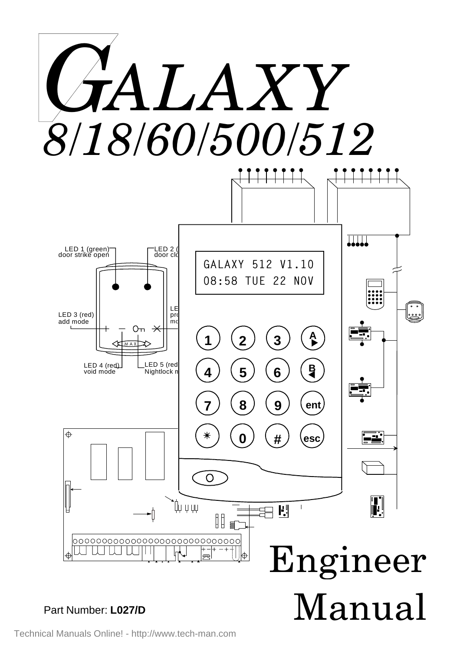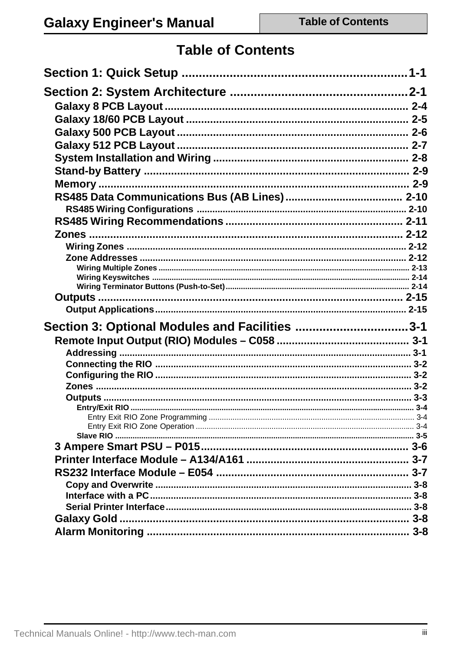# **Table of Contents**

| Section 3: Optional Modules and Facilities 3-1 |  |
|------------------------------------------------|--|
|                                                |  |
|                                                |  |
|                                                |  |
|                                                |  |
|                                                |  |
|                                                |  |
|                                                |  |
|                                                |  |
|                                                |  |
|                                                |  |
|                                                |  |
|                                                |  |
|                                                |  |
|                                                |  |
|                                                |  |
|                                                |  |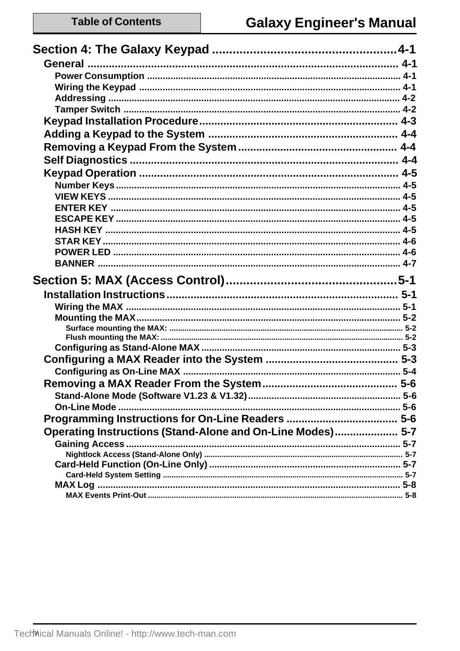|                                                            | $5-6$ |
|------------------------------------------------------------|-------|
|                                                            |       |
|                                                            |       |
| Operating Instructions (Stand-Alone and On-Line Modes) 5-7 |       |
|                                                            |       |
|                                                            |       |
|                                                            |       |
|                                                            |       |
|                                                            |       |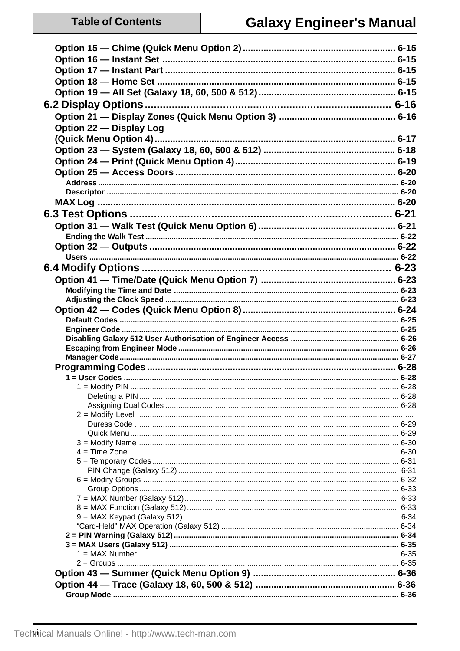| Option 22 - Display Log |  |
|-------------------------|--|
|                         |  |
|                         |  |
|                         |  |
|                         |  |
|                         |  |
|                         |  |
|                         |  |
|                         |  |
|                         |  |
|                         |  |
|                         |  |
|                         |  |
|                         |  |
|                         |  |
|                         |  |
|                         |  |
|                         |  |
|                         |  |
|                         |  |
|                         |  |
|                         |  |
|                         |  |
|                         |  |
|                         |  |
|                         |  |
|                         |  |
| 1 = Modify PIN          |  |
|                         |  |
|                         |  |
|                         |  |
|                         |  |
|                         |  |
|                         |  |
|                         |  |
|                         |  |
|                         |  |
|                         |  |
|                         |  |
|                         |  |
|                         |  |
|                         |  |
|                         |  |
|                         |  |
|                         |  |
|                         |  |
|                         |  |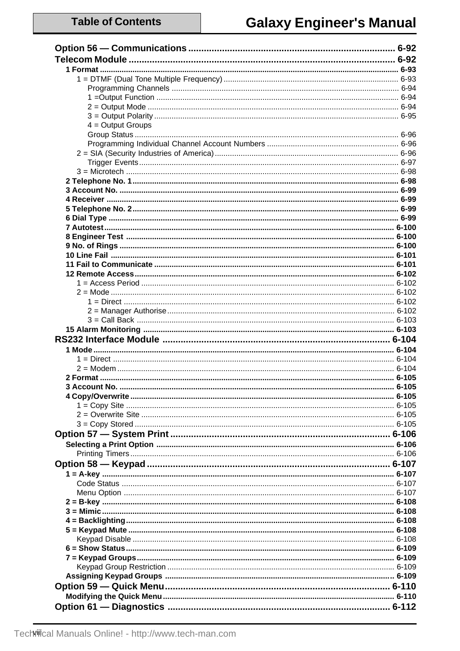| $4 =$ Output Groups |  |
|---------------------|--|
|                     |  |
|                     |  |
|                     |  |
|                     |  |
|                     |  |
|                     |  |
|                     |  |
|                     |  |
|                     |  |
|                     |  |
|                     |  |
|                     |  |
|                     |  |
|                     |  |
|                     |  |
|                     |  |
|                     |  |
|                     |  |
|                     |  |
|                     |  |
|                     |  |
|                     |  |
|                     |  |
|                     |  |
|                     |  |
|                     |  |
|                     |  |
|                     |  |
|                     |  |
|                     |  |
|                     |  |
|                     |  |
|                     |  |
|                     |  |
|                     |  |
|                     |  |
|                     |  |
|                     |  |
|                     |  |
|                     |  |
|                     |  |
|                     |  |
|                     |  |
|                     |  |
|                     |  |
|                     |  |
|                     |  |
|                     |  |
|                     |  |
|                     |  |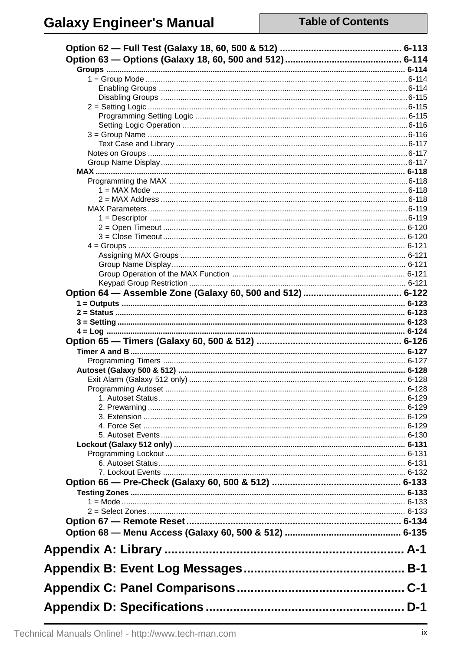# **Galaxy Engineer's Manual**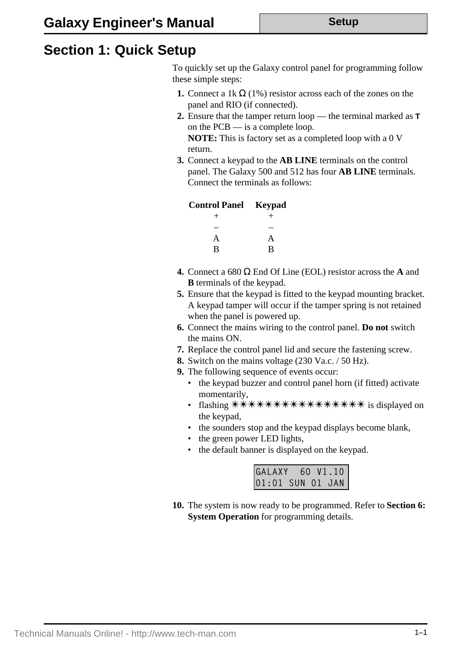## **Section 1: Quick Setup**

To quickly set up the Galaxy control panel for programming follow these simple steps:

- **1.** Connect a 1k  $\Omega$  (1%) resistor across each of the zones on the panel and RIO (if connected).
- **2.** Ensure that the tamper return loop the terminal marked as **T** on the PCB — is a complete loop. **NOTE:** This is factory set as a completed loop with a 0 V return.
- **3.** Connect a keypad to the **AB LINE** terminals on the control panel. The Galaxy 500 and 512 has four **AB LINE** terminals. Connect the terminals as follows:

| <b>Control Panel Keypad</b> |      |
|-----------------------------|------|
| $^{+}$                      | $^+$ |
|                             |      |
| A                           | A    |
| R                           | R    |

- **4.** Connect a 680 Ω End Of Line (EOL) resistor across the **A** and **B** terminals of the keypad.
- **5.** Ensure that the keypad is fitted to the keypad mounting bracket. A keypad tamper will occur if the tamper spring is not retained when the panel is powered up.
- **6.** Connect the mains wiring to the control panel. **Do not** switch the mains ON.
- **7.** Replace the control panel lid and secure the fastening screw.
- **8.** Switch on the mains voltage (230 Va.c. / 50 Hz).
- **9.** The following sequence of events occur:
	- the keypad buzzer and control panel horn (if fitted) activate momentarily,
	- flashing \*\*\*\*\*\*\*\*\*\*\*\*\*\*\*\*\*\*\* is displayed on the keypad,
	- the sounders stop and the keypad displays become blank,
	- the green power LED lights,
	- the default banner is displayed on the keypad.

| GALAXY 60 V1.10<br>01:01 SUN 01 JAN |  |  |
|-------------------------------------|--|--|
|                                     |  |  |

**10.** The system is now ready to be programmed. Refer to **Section 6: System Operation** for programming details.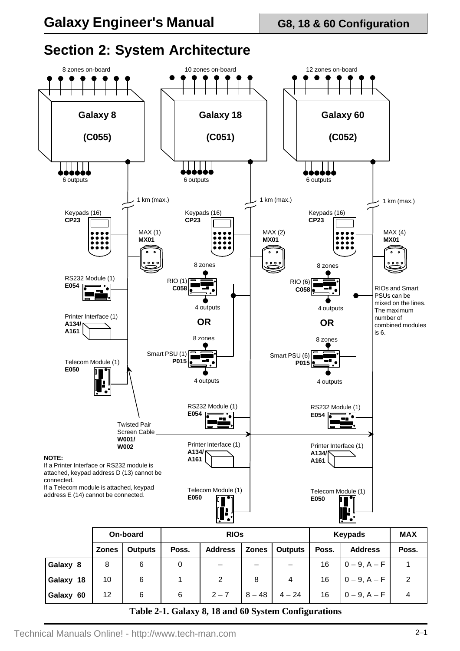

## **Section 2: System Architecture**

|                                                                     |              | On-board       |       | <b>RIOS</b>    |              |                |       | Keypads           | <b>MAX</b> |
|---------------------------------------------------------------------|--------------|----------------|-------|----------------|--------------|----------------|-------|-------------------|------------|
|                                                                     | <b>Zones</b> | <b>Outputs</b> | Poss. | <b>Address</b> | <b>Zones</b> | <b>Outputs</b> | Poss. | <b>Address</b>    | Poss.      |
| Galaxy 8                                                            | 8            | 6              | 0     |                | —            |                | 16    | $0 - 9, A - F$    |            |
| Galaxy 18                                                           | 10           | 6              |       | 2              | 8            | 4              | 16    | $0 - 9, A - F$    | 2          |
| Galaxy 60                                                           | 12           | 6              | 6     | $2 - 7$        | $8 - 48$     | $4 - 24$       | 16    | $0 - 9$ , $A - F$ | 4          |
| $Tch$ , 0.1 $Cch$ , 0.10 and $\Omega$ Surface $Cen$ Squatrons tions |              |                |       |                |              |                |       |                   |            |

**Table 2-1. Galaxy 8, 18 and 60 System Configurations**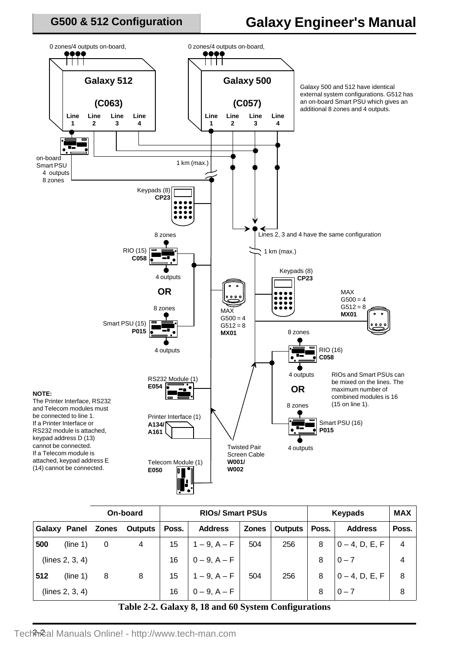### **G500 & 512 Configuration**

## **Galaxy Engineer's Manual**



|     |                 |       | On-board | <b>RIOS/Smart PSUs</b> |                   |              |                | Keypads | <b>MAX</b>        |                |
|-----|-----------------|-------|----------|------------------------|-------------------|--------------|----------------|---------|-------------------|----------------|
|     | Galaxy Panel    | Zones | Outputs  | Poss.                  | <b>Address</b>    | <b>Zones</b> | <b>Outputs</b> | Poss.   | <b>Address</b>    | Poss.          |
| 500 | (line 1)        | 0     | 4        | 15                     | $1 - 9$ , $A - F$ | 504          | 256            | 8       | $0 - 4$ , D, E, F | $\overline{4}$ |
|     | (lines 2, 3, 4) |       |          | 16                     | $0 - 9, A - F$    |              |                | 8       | $0 - 7$           | 4              |
| 512 | (line 1)        | 8     | 8        | 15                     | $1 - 9$ , $A - F$ | 504          | 256            | 8       | $0 - 4$ , D, E, F | 8              |
|     | (lines 2, 3, 4) |       |          | 16                     | $0 - 9$ , $A - F$ |              |                | 8       | $0 - 7$           | 8              |

### **Table 2-2. Galaxy 8, 18 and 60 System Configurations**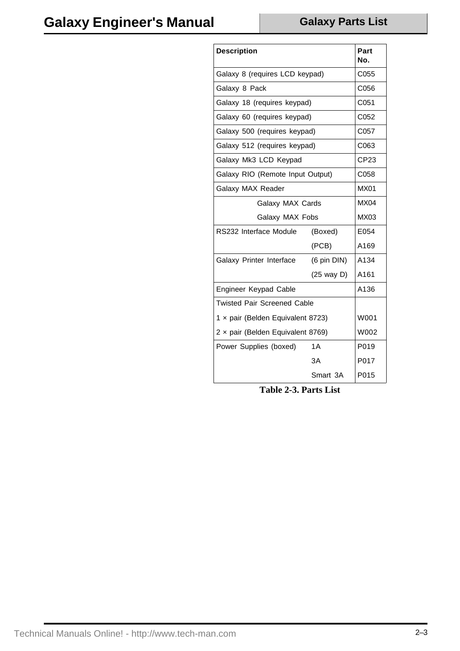| <b>Description</b>                 |                                | Part<br>No.      |  |  |  |  |
|------------------------------------|--------------------------------|------------------|--|--|--|--|
|                                    | Galaxy 8 (requires LCD keypad) |                  |  |  |  |  |
| Galaxy 8 Pack                      |                                | C056             |  |  |  |  |
| Galaxy 18 (requires keypad)        |                                | C <sub>051</sub> |  |  |  |  |
| Galaxy 60 (requires keypad)        |                                | C <sub>052</sub> |  |  |  |  |
| Galaxy 500 (requires keypad)       |                                | C <sub>057</sub> |  |  |  |  |
| Galaxy 512 (requires keypad)       |                                | C <sub>063</sub> |  |  |  |  |
| Galaxy Mk3 LCD Keypad              |                                | CP23             |  |  |  |  |
| Galaxy RIO (Remote Input Output)   |                                | C058             |  |  |  |  |
| Galaxy MAX Reader                  |                                | <b>MX01</b>      |  |  |  |  |
| Galaxy MAX Cards                   | <b>MX04</b>                    |                  |  |  |  |  |
| Galaxy MAX Fobs                    | <b>MX03</b>                    |                  |  |  |  |  |
| RS232 Interface Module             | (Boxed)                        |                  |  |  |  |  |
|                                    | (PCB)                          | A169             |  |  |  |  |
| Galaxy Printer Interface           | (6 pin DIN)                    | A134             |  |  |  |  |
|                                    | $(25$ way D)                   | A161             |  |  |  |  |
| Engineer Keypad Cable              |                                | A136             |  |  |  |  |
| <b>Twisted Pair Screened Cable</b> |                                |                  |  |  |  |  |
| 1 x pair (Belden Equivalent 8723)  | W001                           |                  |  |  |  |  |
| 2 x pair (Belden Equivalent 8769)  | W002                           |                  |  |  |  |  |
| Power Supplies (boxed)             | 1A                             | P019             |  |  |  |  |
|                                    | 3A                             | P017             |  |  |  |  |
|                                    | Smart 3A                       | P015             |  |  |  |  |

**Table 2-3. Parts List**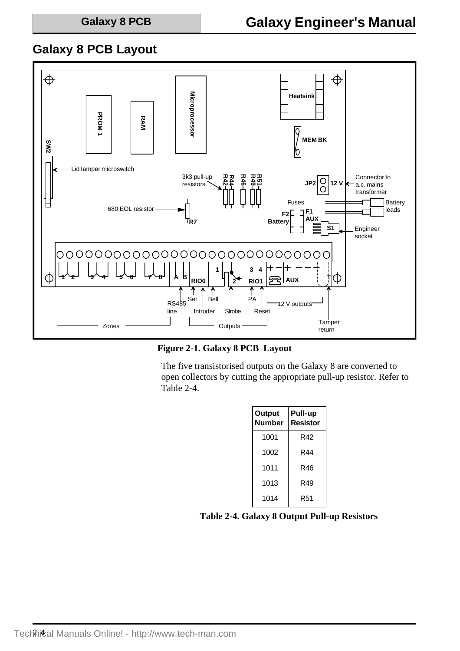## **Galaxy 8 PCB Layout**



**Figure 2-1. Galaxy 8 PCB Layout**

The five transistorised outputs on the Galaxy 8 are converted to open collectors by cutting the appropriate pull-up resistor. Refer to Table 2-4.

| <b>Output</b><br><b>Number</b> | Pull-up<br><b>Resistor</b> |
|--------------------------------|----------------------------|
| 1001                           | R42                        |
| 1002                           | R44                        |
| 1011                           | R46                        |
| 1013                           | R49                        |
| 1014                           | R51                        |

**Table 2-4. Galaxy 8 Output Pull-up Resistors**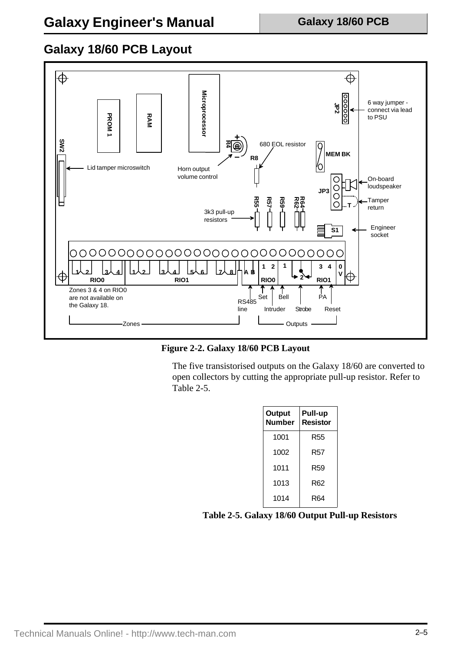## **Galaxy 18/60 PCB Layout**



**Figure 2-2. Galaxy 18/60 PCB Layout**

The five transistorised outputs on the Galaxy 18/60 are converted to open collectors by cutting the appropriate pull-up resistor. Refer to Table 2-5.

| Output<br><b>Number</b> | Pull-up<br><b>Resistor</b> |
|-------------------------|----------------------------|
| 1001                    | R55                        |
| 1002                    | R57                        |
| 1011                    | R59                        |
| 1013                    | R62                        |
| 1014                    | R64                        |

### **Table 2-5. Galaxy 18/60 Output Pull-up Resistors**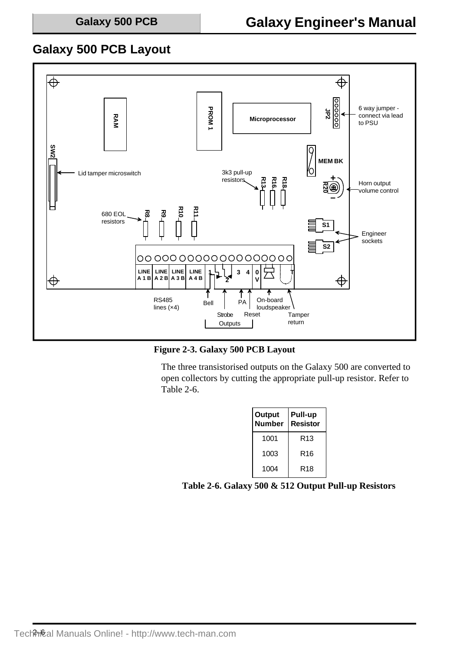### **Galaxy 500 PCB Layout**



**Figure 2-3. Galaxy 500 PCB Layout**

The three transistorised outputs on the Galaxy 500 are converted to open collectors by cutting the appropriate pull-up resistor. Refer to Table 2-6.

| Output<br><b>Number</b> | Pull-up<br><b>Resistor</b> |
|-------------------------|----------------------------|
| 1001                    | R13                        |
| 1003                    | R16                        |
| 1004                    | R18                        |

**Table 2-6. Galaxy 500 & 512 Output Pull-up Resistors**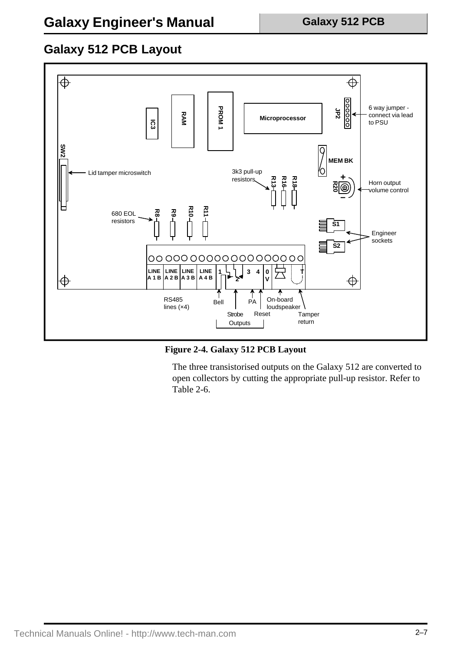## **Galaxy 512 PCB Layout**



**Figure 2-4. Galaxy 512 PCB Layout**

The three transistorised outputs on the Galaxy 512 are converted to open collectors by cutting the appropriate pull-up resistor. Refer to Table 2-6.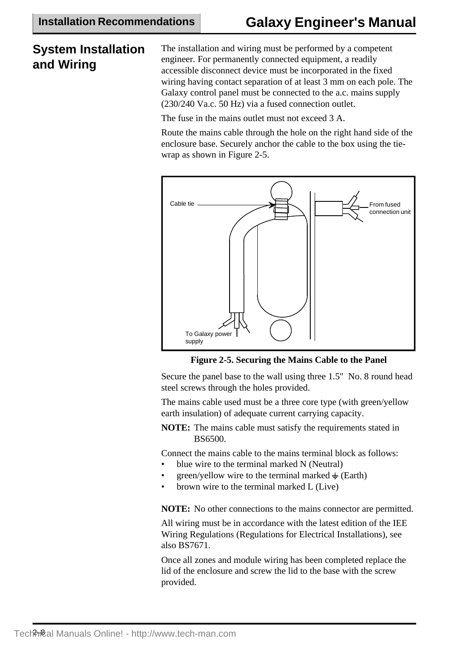## **System Installation and Wiring**

The installation and wiring must be performed by a competent engineer. For permanently connected equipment, a readily accessible disconnect device must be incorporated in the fixed wiring having contact separation of at least 3 mm on each pole. The Galaxy control panel must be connected to the a.c. mains supply (230/240 Va.c. 50 Hz) via a fused connection outlet.

The fuse in the mains outlet must not exceed 3 A.

Route the mains cable through the hole on the right hand side of the enclosure base. Securely anchor the cable to the box using the tiewrap as shown in Figure 2-5.



**Figure 2-5. Securing the Mains Cable to the Panel**

Secure the panel base to the wall using three 1.5" No. 8 round head steel screws through the holes provided.

The mains cable used must be a three core type (with green/yellow earth insulation) of adequate current carrying capacity.

**NOTE:** The mains cable must satisfy the requirements stated in BS6500.

Connect the mains cable to the mains terminal block as follows:

- blue wire to the terminal marked N (Neutral)
- green/yellow wire to the terminal marked  $\div$  (Earth)
- brown wire to the terminal marked L (Live)

**NOTE:** No other connections to the mains connector are permitted.

All wiring must be in accordance with the latest edition of the IEE Wiring Regulations (Regulations for Electrical Installations), see also BS7671.

Once all zones and module wiring has been completed replace the lid of the enclosure and screw the lid to the base with the screw provided.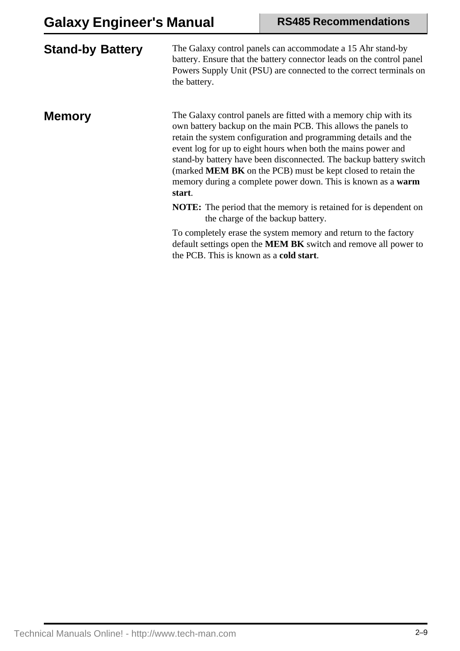| <b>Stand-by Battery</b> | The Galaxy control panels can accommodate a 15 Ahr stand-by<br>battery. Ensure that the battery connector leads on the control panel<br>Powers Supply Unit (PSU) are connected to the correct terminals on<br>the battery.                                                                                                                                                                                                                                                                          |
|-------------------------|-----------------------------------------------------------------------------------------------------------------------------------------------------------------------------------------------------------------------------------------------------------------------------------------------------------------------------------------------------------------------------------------------------------------------------------------------------------------------------------------------------|
| <b>Memory</b>           | The Galaxy control panels are fitted with a memory chip with its<br>own battery backup on the main PCB. This allows the panels to<br>retain the system configuration and programming details and the<br>event log for up to eight hours when both the mains power and<br>stand-by battery have been disconnected. The backup battery switch<br>(marked <b>MEM BK</b> on the PCB) must be kept closed to retain the<br>memory during a complete power down. This is known as a <b>warm</b><br>start. |
|                         | <b>NOTE:</b> The period that the memory is retained for is dependent on<br>the charge of the backup battery.                                                                                                                                                                                                                                                                                                                                                                                        |
|                         | To completely erase the system memory and return to the factory<br>default settings open the <b>MEM BK</b> switch and remove all power to<br>the PCB. This is known as a cold start.                                                                                                                                                                                                                                                                                                                |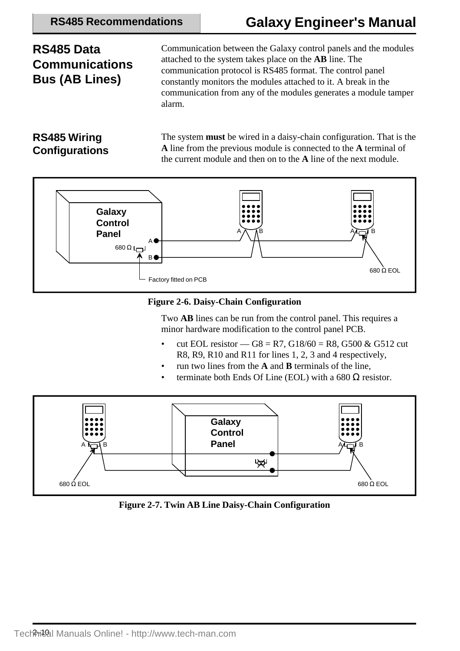# **Galaxy Engineer's Manual**

## **RS485 Data Communications Bus (AB Lines)**

Communication between the Galaxy control panels and the modules attached to the system takes place on the **AB** line. The communication protocol is RS485 format. The control panel constantly monitors the modules attached to it. A break in the communication from any of the modules generates a module tamper alarm.

### **RS485 Wiring Configurations**

The system **must** be wired in a daisy-chain configuration. That is the **A** line from the previous module is connected to the **A** terminal of the current module and then on to the **A** line of the next module.



### **Figure 2-6. Daisy-Chain Configuration**

Two **AB** lines can be run from the control panel. This requires a minor hardware modification to the control panel PCB.

- cut EOL resistor  $GS = R7$ ,  $G18/60 = R8$ ,  $G500 \& G512$  cut R8, R9, R10 and R11 for lines 1, 2, 3 and 4 respectively,
- run two lines from the **A** and **B** terminals of the line,
- terminate both Ends Of Line (EOL) with a 680  $\Omega$  resistor.



**Figure 2-7. Twin AB Line Daisy-Chain Configuration**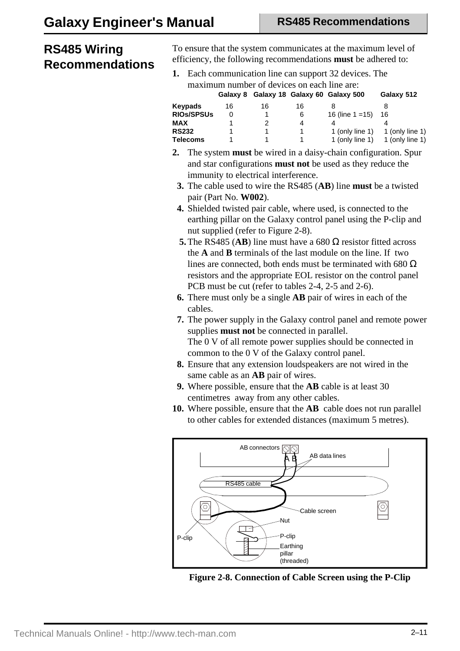## **RS485 Wiring Recommendations**

To ensure that the system communicates at the maximum level of efficiency, the following recommendations **must** be adhered to:

**1.** Each communication line can support 32 devices. The maximum number of devices on each line are:

|                   |    |    |    | Galaxy 8 Galaxy 18 Galaxy 60 Galaxy 500 | Galaxy 512                               |
|-------------------|----|----|----|-----------------------------------------|------------------------------------------|
| <b>Keypads</b>    | 16 | 16 | 16 |                                         |                                          |
| <b>RIOS/SPSUS</b> |    |    | 6  | 16 (line $1 = 15$ )                     | 16                                       |
| MAX               |    |    | 4  |                                         |                                          |
| <b>RS232</b>      |    |    |    | 1 (only line 1)                         | 1 (only line 1)                          |
| <b>Telecoms</b>   |    |    |    |                                         | 1 (only line 1) $\qquad$ 1 (only line 1) |

- **2.** The system **must** be wired in a daisy-chain configuration. Spur and star configurations **must not** be used as they reduce the immunity to electrical interference.
	- **3.** The cable used to wire the RS485 (**AB**) line **must** be a twisted pair (Part No. **W002**).
	- **4.** Shielded twisted pair cable, where used, is connected to the earthing pillar on the Galaxy control panel using the P-clip and nut supplied (refer to Figure 2-8).
	- **5.** The RS485 (**AB**) line must have a 680  $\Omega$  resistor fitted across the **A** and **B** terminals of the last module on the line. If two lines are connected, both ends must be terminated with 680  $\Omega$ resistors and the appropriate EOL resistor on the control panel PCB must be cut (refer to tables 2-4, 2-5 and 2-6).
	- **6.** There must only be a single **AB** pair of wires in each of the cables.
- **7.** The power supply in the Galaxy control panel and remote power supplies **must not** be connected in parallel. The 0 V of all remote power supplies should be connected in common to the 0 V of the Galaxy control panel.
- **8.** Ensure that any extension loudspeakers are not wired in the same cable as an **AB** pair of wires.
- **9.** Where possible, ensure that the **AB** cable is at least 30 centimetres away from any other cables.
- **10.** Where possible, ensure that the **AB** cable does not run parallel to other cables for extended distances (maximum 5 metres).



**Figure 2-8. Connection of Cable Screen using the P-Clip**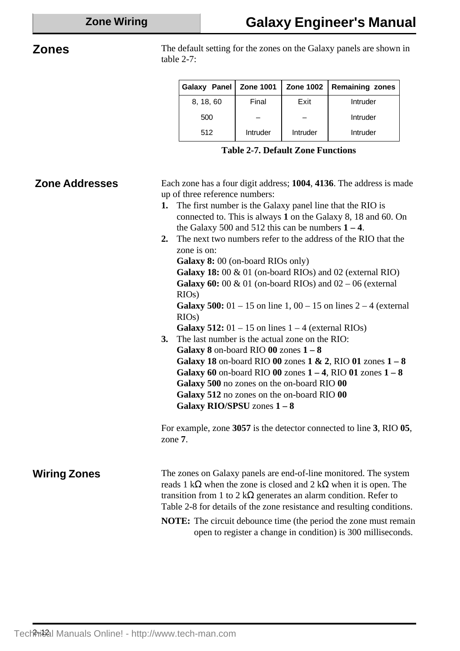**Zones** The default setting for the zones on the Galaxy panels are shown in table 2-7:

| Galaxy Panel   Zone 1001 |                 |          | Zone 1002   Remaining zones |
|--------------------------|-----------------|----------|-----------------------------|
| 8, 18, 60                | Final           | Exit     | Intruder                    |
| 500                      |                 |          | Intruder                    |
| 512                      | <b>Intruder</b> | Intruder | Intruder                    |

|  | <b>Table 2-7. Default Zone Functions</b> |  |
|--|------------------------------------------|--|
|--|------------------------------------------|--|

| <b>Zone Addresses</b> | Each zone has a four digit address; 1004, 4136. The address is made<br>up of three reference numbers:<br>1. The first number is the Galaxy panel line that the RIO is<br>connected to. This is always 1 on the Galaxy 8, 18 and 60. On<br>the Galaxy 500 and 512 this can be numbers $1 - 4$ .<br>The next two numbers refer to the address of the RIO that the<br>2.<br>zone is on:<br>Galaxy 8: 00 (on-board RIOs only)<br>Galaxy 18: 00 & 01 (on-board RIOs) and 02 (external RIO)<br>Galaxy 60: 00 & 01 (on-board RIOs) and $02 - 06$ (external<br>RIOs)<br><b>Galaxy 500:</b> 01 – 15 on line 1, 00 – 15 on lines $2 - 4$ (external<br>RIOs)<br>Galaxy 512: $01 - 15$ on lines $1 - 4$ (external RIOs)<br>The last number is the actual zone on the RIO:<br>3.<br>Galaxy $8$ on-board RIO $00$ zones $1 - 8$<br>Galaxy 18 on-board RIO 00 zones $1 \& 2$ , RIO 01 zones $1 - 8$<br>Galaxy 60 on-board RIO 00 zones $1 - 4$ , RIO 01 zones $1 - 8$<br>Galaxy 500 no zones on the on-board RIO 00<br>Galaxy 512 no zones on the on-board RIO 00<br>Galaxy RIO/SPSU zones $1 - 8$ |
|-----------------------|-------------------------------------------------------------------------------------------------------------------------------------------------------------------------------------------------------------------------------------------------------------------------------------------------------------------------------------------------------------------------------------------------------------------------------------------------------------------------------------------------------------------------------------------------------------------------------------------------------------------------------------------------------------------------------------------------------------------------------------------------------------------------------------------------------------------------------------------------------------------------------------------------------------------------------------------------------------------------------------------------------------------------------------------------------------------------------------|
|                       | For example, zone 3057 is the detector connected to line 3, RIO 05,<br>zone 7.                                                                                                                                                                                                                                                                                                                                                                                                                                                                                                                                                                                                                                                                                                                                                                                                                                                                                                                                                                                                      |
| <b>Wiring Zones</b>   | The zones on Galaxy panels are end-of-line monitored. The system<br>reads 1 k $\Omega$ when the zone is closed and 2 k $\Omega$ when it is open. The<br>transition from 1 to 2 k $\Omega$ generates an alarm condition. Refer to<br>Table 2-8 for details of the zone resistance and resulting conditions.<br><b>NOTE:</b> The circuit debounce time (the period the zone must remain<br>open to register a change in condition) is 300 milliseconds.                                                                                                                                                                                                                                                                                                                                                                                                                                                                                                                                                                                                                               |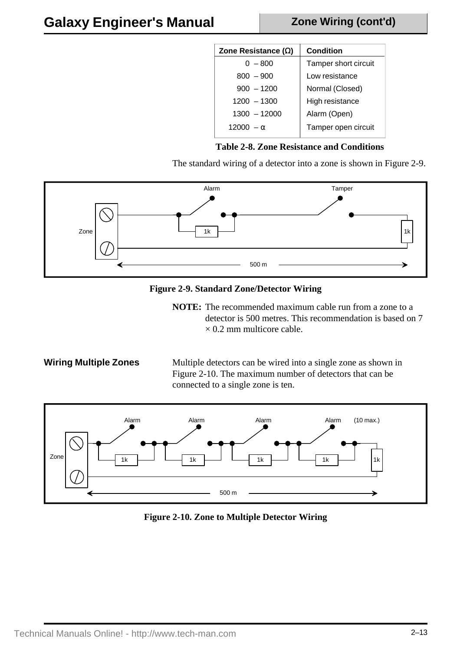### **Zone Wiring (cont'd)**

| Zone Resistance $(\Omega)$ | <b>Condition</b>     |
|----------------------------|----------------------|
| $0 - 800$                  | Tamper short circuit |
| $800 - 900$                | Low resistance       |
| $900 - 1200$               | Normal (Closed)      |
| $1200 - 1300$              | High resistance      |
| $1300 - 12000$             | Alarm (Open)         |
| 12000 $- \alpha$           | Tamper open circuit  |
|                            |                      |

### **Table 2-8. Zone Resistance and Conditions**

The standard wiring of a detector into a zone is shown in Figure 2-9.



### **Figure 2-9. Standard Zone/Detector Wiring**

**NOTE:** The recommended maximum cable run from a zone to a detector is 500 metres. This recommendation is based on 7  $\times$  0.2 mm multicore cable.

**Wiring Multiple Zones** Multiple detectors can be wired into a single zone as shown in Figure 2-10. The maximum number of detectors that can be connected to a single zone is ten.



**Figure 2-10. Zone to Multiple Detector Wiring**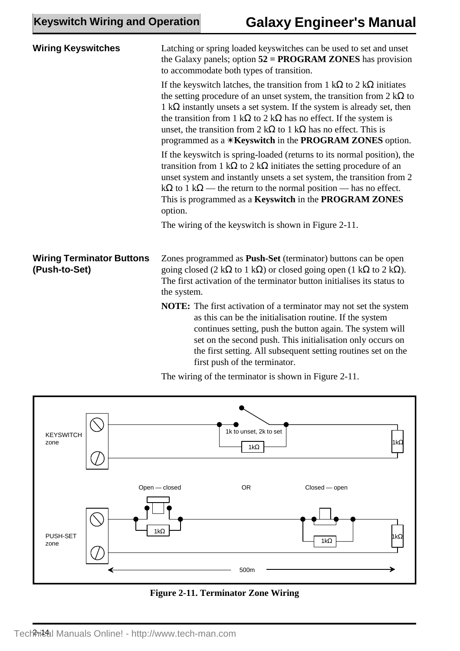| <b>Wiring Keyswitches</b>                         | Latching or spring loaded keyswitches can be used to set and unset<br>the Galaxy panels; option $52 = PROGRAM ZONES$ has provision<br>to accommodate both types of transition.                                                                                                                                                                                                                                                                                                                          |  |  |  |
|---------------------------------------------------|---------------------------------------------------------------------------------------------------------------------------------------------------------------------------------------------------------------------------------------------------------------------------------------------------------------------------------------------------------------------------------------------------------------------------------------------------------------------------------------------------------|--|--|--|
|                                                   | If the keys witch latches, the transition from 1 k $\Omega$ to 2 k $\Omega$ initiates<br>the setting procedure of an unset system, the transition from $2 k\Omega$ to<br>1 k $\Omega$ instantly unsets a set system. If the system is already set, then<br>the transition from 1 k $\Omega$ to 2 k $\Omega$ has no effect. If the system is<br>unset, the transition from 2 k $\Omega$ to 1 k $\Omega$ has no effect. This is<br>programmed as a * <b>Keyswitch</b> in the <b>PROGRAM ZONES</b> option. |  |  |  |
|                                                   | If the keyswitch is spring-loaded (returns to its normal position), the<br>transition from 1 k $\Omega$ to 2 k $\Omega$ initiates the setting procedure of an<br>unset system and instantly unsets a set system, the transition from 2<br>$k\Omega$ to 1 k $\Omega$ — the return to the normal position — has no effect.<br>This is programmed as a Keyswitch in the PROGRAM ZONES<br>option.                                                                                                           |  |  |  |
|                                                   | The wiring of the keyswitch is shown in Figure 2-11.                                                                                                                                                                                                                                                                                                                                                                                                                                                    |  |  |  |
| <b>Wiring Terminator Buttons</b><br>(Push-to-Set) | Zones programmed as <b>Push-Set</b> (terminator) buttons can be open<br>going closed (2 k $\Omega$ to 1 k $\Omega$ ) or closed going open (1 k $\Omega$ to 2 k $\Omega$ ).<br>The first activation of the terminator button initialises its status to<br>the system.                                                                                                                                                                                                                                    |  |  |  |
|                                                   | <b>NOTE:</b> The first activation of a terminator may not set the system<br>as this can be the initialisation routine. If the system<br>continues setting, push the button again. The system will<br>set on the second push. This initialisation only occurs on<br>the first setting. All subsequent setting routines set on the<br>first push of the terminator.                                                                                                                                       |  |  |  |



The wiring of the terminator is shown in Figure 2-11.

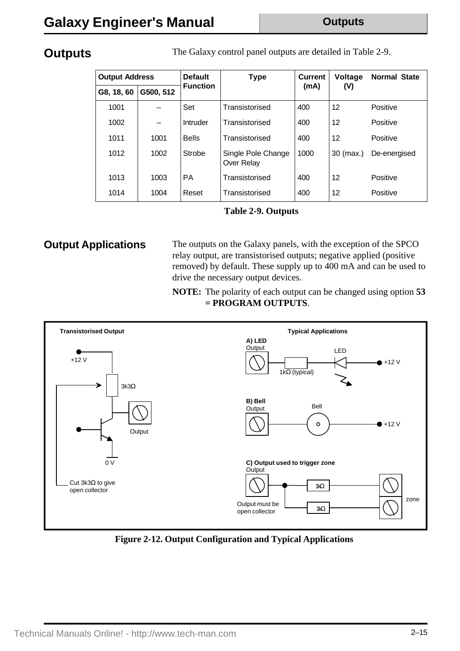**Outputs** The Galaxy control panel outputs are detailed in Table 2-9.

| <b>Output Address</b> |           | <b>Default</b><br><b>Type</b> |                                  | <b>Current</b> | Voltage     | <b>Normal State</b> |
|-----------------------|-----------|-------------------------------|----------------------------------|----------------|-------------|---------------------|
| G8, 18, 60            | G500, 512 | <b>Function</b>               |                                  | (mA)           | (V)         |                     |
| 1001                  |           | Set                           | Transistorised                   | 400            | 12          | Positive            |
| 1002                  |           | Intruder                      | Transistorised                   | 400            | 12          | Positive            |
| 1011                  | 1001      | <b>Bells</b>                  | Transistorised                   | 400            | 12          | Positive            |
| 1012                  | 1002      | Strobe                        | Single Pole Change<br>Over Relay | 1000           | $30$ (max.) | De-energised        |
| 1013                  | 1003      | <b>PA</b>                     | Transistorised                   | 400            | 12          | Positive            |
| 1014                  | 1004      | Reset                         | Transistorised                   | 400            | 12          | Positive            |

**Table 2-9. Outputs**

**Output Applications** The outputs on the Galaxy panels, with the exception of the SPCO relay output, are transistorised outputs; negative applied (positive removed) by default. These supply up to 400 mA and can be used to drive the necessary output devices.

> **NOTE:** The polarity of each output can be changed using option **53 = PROGRAM OUTPUTS**.



**Figure 2-12. Output Configuration and Typical Applications**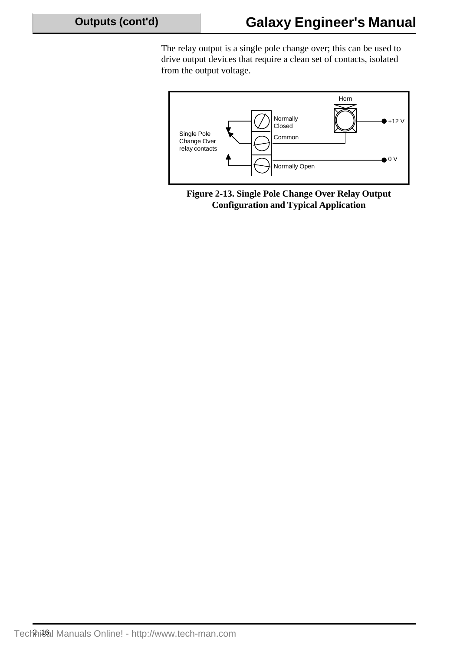The relay output is a single pole change over; this can be used to drive output devices that require a clean set of contacts, isolated from the output voltage.



**Figure 2-13. Single Pole Change Over Relay Output Configuration and Typical Application**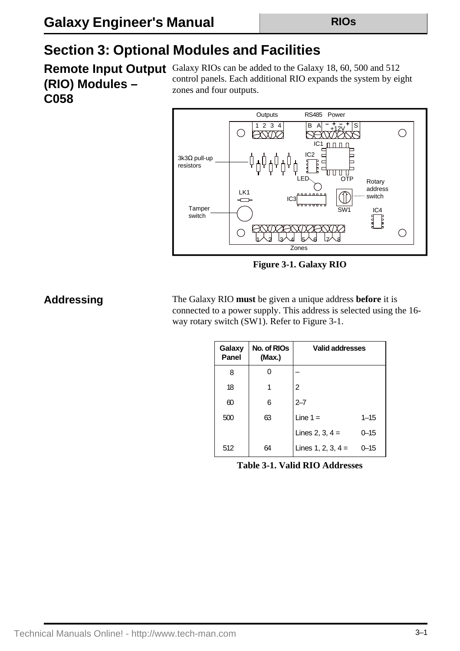# **Section 3: Optional Modules and Facilities**

**(RIO) Modules – C058**

**Remote Input Output** Galaxy RIOs can be added to the Galaxy 18, 60, 500 and 512 control panels. Each additional RIO expands the system by eight zones and four outputs.



**Figure 3-1. Galaxy RIO**

**Addressing** The Galaxy RIO **must** be given a unique address **before** it is connected to a power supply. This address is selected using the 16 way rotary switch (SW1). Refer to Figure 3-1.

| Galaxy<br>Panel | No. of RIO <sub>s</sub><br>(Max.) | <b>Valid addresses</b> |          |
|-----------------|-----------------------------------|------------------------|----------|
| 8               |                                   |                        |          |
| 18              | 1                                 | 2                      |          |
| 60              | 6                                 | $2 - 7$                |          |
| 500             | 63                                | Line $1 =$             | $1 - 15$ |
|                 |                                   | Lines 2, 3, $4 =$      | 0–15     |
| 512             | 64                                | Lines $1, 2, 3, 4 =$   | 0–15     |

**Table 3-1. Valid RIO Addresses**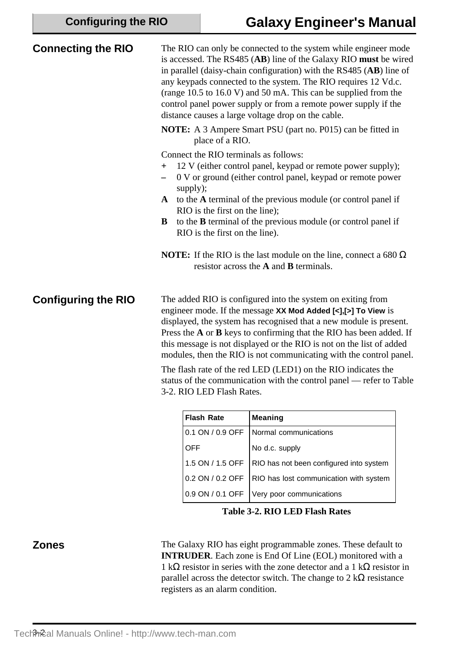| <b>Connecting the RIO</b>  | The RIO can only be connected to the system while engineer mode<br>is accessed. The RS485 (AB) line of the Galaxy RIO must be wired<br>in parallel (daisy-chain configuration) with the RS485 (AB) line of<br>any keypads connected to the system. The RIO requires 12 Vd.c.<br>(range $10.5$ to $16.0$ V) and $50$ mA. This can be supplied from the<br>control panel power supply or from a remote power supply if the<br>distance causes a large voltage drop on the cable.                                                                                                               |
|----------------------------|----------------------------------------------------------------------------------------------------------------------------------------------------------------------------------------------------------------------------------------------------------------------------------------------------------------------------------------------------------------------------------------------------------------------------------------------------------------------------------------------------------------------------------------------------------------------------------------------|
|                            | <b>NOTE:</b> A 3 Ampere Smart PSU (part no. P015) can be fitted in<br>place of a RIO.                                                                                                                                                                                                                                                                                                                                                                                                                                                                                                        |
|                            | Connect the RIO terminals as follows:<br>12 V (either control panel, keypad or remote power supply);<br>$+$<br>0 V or ground (either control panel, keypad or remote power<br>supply);<br>to the A terminal of the previous module (or control panel if<br>$\mathbf{A}$<br>RIO is the first on the line);<br>to the <b>B</b> terminal of the previous module (or control panel if<br>B<br>RIO is the first on the line).<br><b>NOTE:</b> If the RIO is the last module on the line, connect a 680 $\Omega$<br>resistor across the A and B terminals.                                         |
| <b>Configuring the RIO</b> | The added RIO is configured into the system on exiting from<br>engineer mode. If the message XX Mod Added [<],[>] To View is<br>displayed, the system has recognised that a new module is present.<br>Press the A or B keys to confirming that the RIO has been added. If<br>this message is not displayed or the RIO is not on the list of added<br>modules, then the RIO is not communicating with the control panel.<br>The flash rate of the red LED (LED1) on the RIO indicates the<br>status of the communication with the control panel — refer to Table<br>3-2. RIO LED Flash Rates. |

| <b>Flash Rate</b> | <b>Meaning</b>                                             |
|-------------------|------------------------------------------------------------|
| 0.1 ON / 0.9 OFF  | Normal communications                                      |
| <b>OFF</b>        | No d.c. supply                                             |
|                   | 1.5 ON / 1.5 OFF   RIO has not been configured into system |
|                   | 0.2 ON / 0.2 OFF   RIO has lost communication with system  |
| 0.9 ON / 0.1 OFF  | Very poor communications                                   |

**Table 3-2. RIO LED Flash Rates**

**Zones** The Galaxy RIO has eight programmable zones. These default to **INTRUDER**. Each zone is End Of Line (EOL) monitored with a 1 kΩ resistor in series with the zone detector and a 1 kΩ resistor in parallel across the detector switch. The change to  $2 \text{ k}\Omega$  resistance registers as an alarm condition.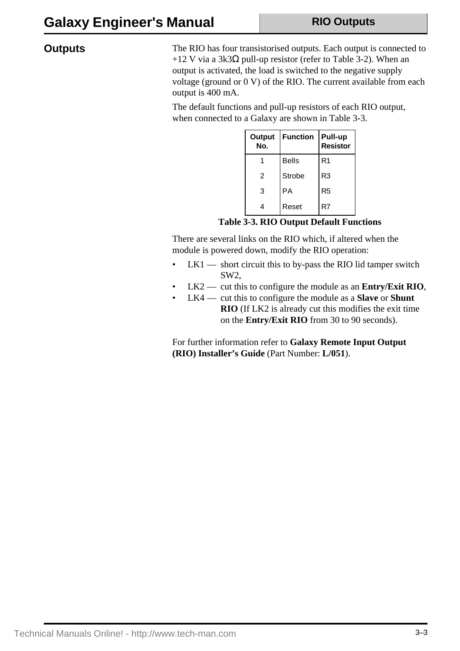### **Outputs**

The RIO has four transistorised outputs. Each output is connected to +12 V via a 3k3 $\Omega$  pull-up resistor (refer to Table 3-2). When an output is activated, the load is switched to the negative supply voltage (ground or 0 V) of the RIO. The current available from each output is 400 mA.

The default functions and pull-up resistors of each RIO output, when connected to a Galaxy are shown in Table 3-3.

| <b>Output</b><br>No. | <b>Function</b> | Pull-up<br><b>Resistor</b> |
|----------------------|-----------------|----------------------------|
|                      | <b>Bells</b>    | R <sub>1</sub>             |
| $\mathfrak{p}$       | Strobe          | R <sub>3</sub>             |
| 3                    | PA              | R <sub>5</sub>             |
| 4                    | Reset           | R7                         |

**Table 3-3. RIO Output Default Functions**

There are several links on the RIO which, if altered when the module is powered down, modify the RIO operation:

- LK1 short circuit this to by-pass the RIO lid tamper switch SW2,
- LK2 cut this to configure the module as an **Entry/Exit RIO**,
- LK4 cut this to configure the module as a **Slave** or **Shunt RIO** (If LK2 is already cut this modifies the exit time on the **Entry/Exit RIO** from 30 to 90 seconds).

For further information refer to **Galaxy Remote Input Output (RIO) Installer's Guide** (Part Number: **L/051**).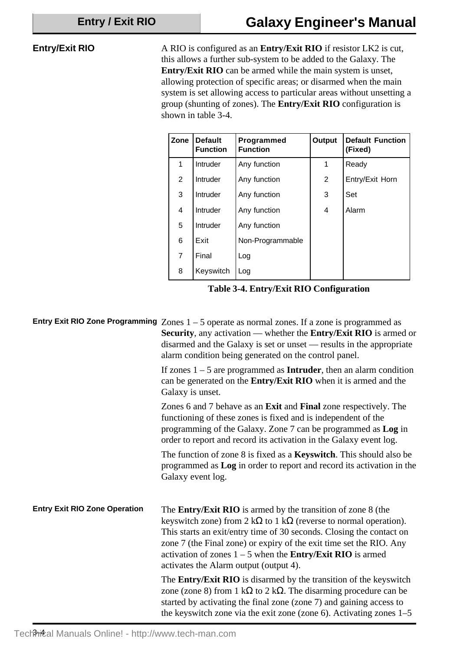### **Entry/Exit RIO**

A RIO is configured as an **Entry/Exit RIO** if resistor LK2 is cut, this allows a further sub-system to be added to the Galaxy. The **Entry/Exit RIO** can be armed while the main system is unset, allowing protection of specific areas; or disarmed when the main system is set allowing access to particular areas without unsetting a group (shunting of zones). The **Entry/Exit RIO** configuration is shown in table 3-4.

| Zone | <b>Default</b><br><b>Function</b> | Programmed<br><b>Function</b> | Output | <b>Default Function</b><br>(Fixed) |
|------|-----------------------------------|-------------------------------|--------|------------------------------------|
| 1    | Intruder                          | Any function                  | 1      | Ready                              |
| 2    | Intruder                          | Any function                  | 2      | Entry/Exit Horn                    |
| 3    | Intruder                          | Any function                  | 3      | Set                                |
| 4    | Intruder                          | Any function                  | 4      | Alarm                              |
| 5    | Intruder                          | Any function                  |        |                                    |
| 6    | Exit                              | Non-Programmable              |        |                                    |
| 7    | Final                             | Log                           |        |                                    |
| 8    | Keyswitch                         | Log                           |        |                                    |

**Table 3-4. Entry/Exit RIO Configuration**

|                                      | Entry Exit RIO Zone Programming $Zones 1 - 5$ operate as normal zones. If a zone is programmed as<br><b>Security</b> , any activation — whether the <b>Entry/Exit RIO</b> is armed or<br>disarmed and the Galaxy is set or unset — results in the appropriate<br>alarm condition being generated on the control panel.                                                                                                |
|--------------------------------------|-----------------------------------------------------------------------------------------------------------------------------------------------------------------------------------------------------------------------------------------------------------------------------------------------------------------------------------------------------------------------------------------------------------------------|
|                                      | If zones $1 - 5$ are programmed as <b>Intruder</b> , then an alarm condition<br>can be generated on the <b>Entry/Exit RIO</b> when it is armed and the<br>Galaxy is unset.                                                                                                                                                                                                                                            |
|                                      | Zones 6 and 7 behave as an Exit and Final zone respectively. The<br>functioning of these zones is fixed and is independent of the<br>programming of the Galaxy. Zone 7 can be programmed as Log in<br>order to report and record its activation in the Galaxy event log.                                                                                                                                              |
|                                      | The function of zone 8 is fixed as a <b>Keyswitch</b> . This should also be<br>programmed as Log in order to report and record its activation in the<br>Galaxy event log.                                                                                                                                                                                                                                             |
| <b>Entry Exit RIO Zone Operation</b> | The <b>Entry/Exit RIO</b> is armed by the transition of zone 8 (the<br>keyswitch zone) from $2 k\Omega$ to $1 k\Omega$ (reverse to normal operation).<br>This starts an exit/entry time of 30 seconds. Closing the contact on<br>zone 7 (the Final zone) or expiry of the exit time set the RIO. Any<br>activation of zones $1 - 5$ when the <b>Entry/Exit RIO</b> is armed<br>activates the Alarm output (output 4). |
|                                      | The <b>Entry/Exit RIO</b> is disarmed by the transition of the keyswitch<br>zone (zone 8) from 1 k $\Omega$ to 2 k $\Omega$ . The disarming procedure can be<br>started by activating the final zone (zone 7) and gaining access to<br>the keyswitch zone via the exit zone (zone 6). Activating zones $1-5$                                                                                                          |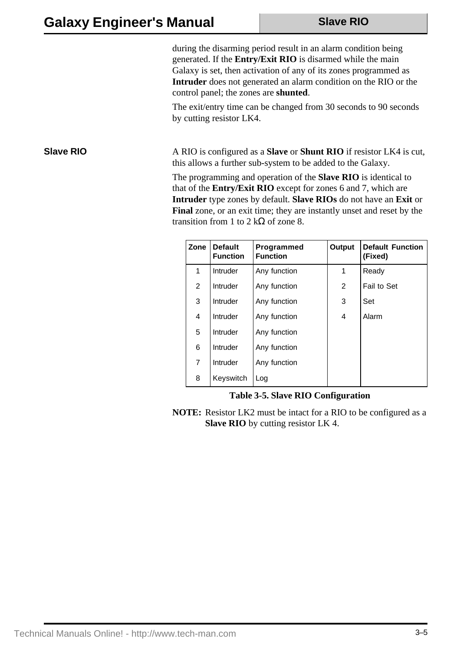during the disarming period result in an alarm condition being generated. If the **Entry/Exit RIO** is disarmed while the main Galaxy is set, then activation of any of its zones programmed as **Intruder** does not generated an alarm condition on the RIO or the control panel; the zones are **shunted**.

The exit/entry time can be changed from 30 seconds to 90 seconds by cutting resistor LK4.

**Slave RIO** A RIO is configured as a **Slave** or **Shunt RIO** if resistor LK4 is cut, this allows a further sub-system to be added to the Galaxy.

> The programming and operation of the **Slave RIO** is identical to that of the **Entry/Exit RIO** except for zones 6 and 7, which are **Intruder** type zones by default. **Slave RIOs** do not have an **Exit** or **Final** zone, or an exit time; they are instantly unset and reset by the transition from 1 to 2 k $\Omega$  of zone 8.

| Zone | <b>Default</b><br><b>Function</b> | Programmed<br><b>Function</b> | Output | <b>Default Function</b><br>(Fixed) |
|------|-----------------------------------|-------------------------------|--------|------------------------------------|
| 1    | Intruder                          | Any function                  | 1      | Ready                              |
| 2    | Intruder                          | Any function                  | 2      | Fail to Set                        |
| 3    | Intruder                          | Any function                  | 3      | Set                                |
| 4    | Intruder                          | Any function                  | 4      | Alarm                              |
| 5    | Intruder                          | Any function                  |        |                                    |
| 6    | Intruder                          | Any function                  |        |                                    |
| 7    | Intruder                          | Any function                  |        |                                    |
| 8    | Keyswitch                         | Log                           |        |                                    |

**Table 3-5. Slave RIO Configuration**

**NOTE:** Resistor LK2 must be intact for a RIO to be configured as a **Slave RIO** by cutting resistor LK 4.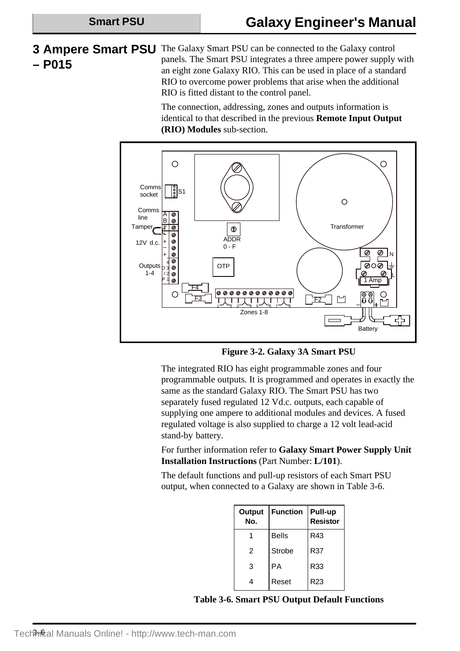### **3 Ampere Smart PSU – P015** The Galaxy Smart PSU can be connected to the Galaxy control panels*.* The Smart PSU integrates a three ampere power supply with an eight zone Galaxy RIO. This can be used in place of a standard RIO to overcome power problems that arise when the additional RIO is fitted distant to the control panel.

The connection, addressing, zones and outputs information is identical to that described in the previous **Remote Input Output (RIO) Modules** sub-section.



**Figure 3-2. Galaxy 3A Smart PSU**

The integrated RIO has eight programmable zones and four programmable outputs. It is programmed and operates in exactly the same as the standard Galaxy RIO. The Smart PSU has two separately fused regulated 12 Vd.c. outputs, each capable of supplying one ampere to additional modules and devices. A fused regulated voltage is also supplied to charge a 12 volt lead-acid stand-by battery.

For further information refer to **Galaxy Smart Power Supply Unit Installation Instructions** (Part Number: **L/101**).

The default functions and pull-up resistors of each Smart PSU output, when connected to a Galaxy are shown in Table 3-6.

| <b>Output</b><br>No. | <b>Function</b> | Pull-up<br><b>Resistor</b> |
|----------------------|-----------------|----------------------------|
| 1                    | <b>Bells</b>    | R43                        |
| $\mathfrak{p}$       | Strobe          | R37                        |
| 3                    | PA              | R33                        |
| 4                    | Reset           | R <sub>23</sub>            |

**Table 3-6. Smart PSU Output Default Functions**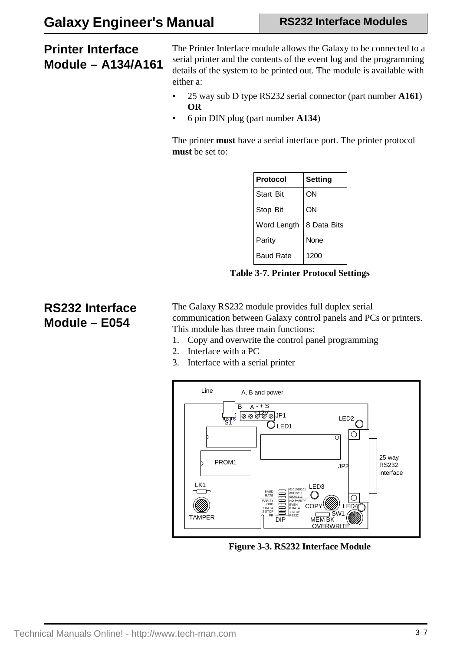## **Printer Interface Module – A134/A161**

The Printer Interface module allows the Galaxy to be connected to a serial printer and the contents of the event log and the programming details of the system to be printed out. The module is available with either a:

- 25 way sub D type RS232 serial connector (part number **A161**) **OR**
- 6 pin DIN plug (part number **A134**)

The printer **must** have a serial interface port. The printer protocol **must** be set to:

| Protocol         | <b>Setting</b> |
|------------------|----------------|
| <b>Start Bit</b> | ON             |
| Stop Bit         | ON             |
| Word Length      | 8 Data Bits    |
| Parity           | None           |
| <b>Baud Rate</b> | 1200           |

**Table 3-7. Printer Protocol Settings**

### **RS232 Interface Module – E054**

The Galaxy RS232 module provides full duplex serial communication between Galaxy control panels and PCs or printers. This module has three main functions:

- 1. Copy and overwrite the control panel programming
- 2. Interface with a PC
- 3. Interface with a serial printer



**Figure 3-3. RS232 Interface Module**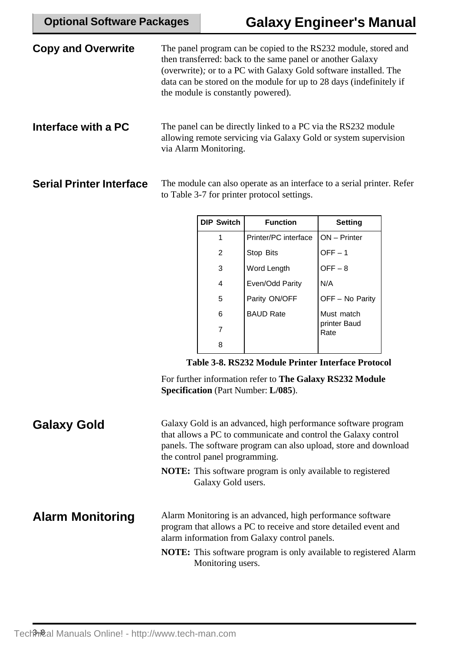| <b>Copy and Overwrite</b>       | The panel program can be copied to the RS232 module, stored and<br>then transferred: back to the same panel or another Galaxy<br>(overwrite); or to a PC with Galaxy Gold software installed. The<br>data can be stored on the module for up to 28 days (indefinitely if<br>the module is constantly powered). |
|---------------------------------|----------------------------------------------------------------------------------------------------------------------------------------------------------------------------------------------------------------------------------------------------------------------------------------------------------------|
| Interface with a PC             | The panel can be directly linked to a PC via the RS232 module<br>allowing remote servicing via Galaxy Gold or system supervision<br>via Alarm Monitoring.                                                                                                                                                      |
| <b>Serial Printer Interface</b> | The module can also operate as an interface to a serial printer. Refer<br>to Table 3-7 for printer protocol settings.                                                                                                                                                                                          |

| <b>DIP Switch</b> | <b>Function</b>      | Setting              |
|-------------------|----------------------|----------------------|
| 1                 | Printer/PC interface | <b>ON</b> – Printer  |
| $\overline{2}$    | Stop Bits            | $OFF-1$              |
| 3                 | Word Length          | $OFF-8$              |
| 4                 | Even/Odd Parity      | N/A                  |
| 5                 | Parity ON/OFF        | OFF - No Parity      |
| 6                 | <b>BAUD Rate</b>     | Must match           |
| 7                 |                      | printer Baud<br>Rate |
| 8                 |                      |                      |

**Table 3-8. RS232 Module Printer Interface Protocol**

For further information refer to **The Galaxy RS232 Module Specification** (Part Number: **L/085**).

| <b>Galaxy Gold</b>      | Galaxy Gold is an advanced, high performance software program<br>that allows a PC to communicate and control the Galaxy control<br>panels. The software program can also upload, store and download<br>the control panel programming.<br><b>NOTE:</b> This software program is only available to registered<br>Galaxy Gold users. |
|-------------------------|-----------------------------------------------------------------------------------------------------------------------------------------------------------------------------------------------------------------------------------------------------------------------------------------------------------------------------------|
| <b>Alarm Monitoring</b> | Alarm Monitoring is an advanced, high performance software<br>program that allows a PC to receive and store detailed event and<br>alarm information from Galaxy control panels.<br><b>NOTE:</b> This software program is only available to registered Alarm<br>Monitoring users.                                                  |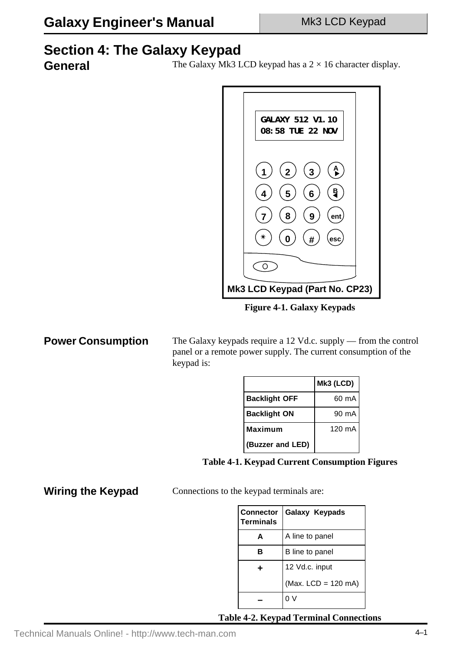# **Section 4: The Galaxy Keypad**

General The Galaxy Mk3 LCD keypad has a  $2 \times 16$  character display.



**Figure 4-1. Galaxy Keypads**

**Power Consumption**

The Galaxy keypads require a 12 Vd.c. supply — from the control panel or a remote power supply. The current consumption of the keypad is:

|                      | Mk3 (LCD) |
|----------------------|-----------|
| <b>Backlight OFF</b> | 60 mA     |
| <b>Backlight ON</b>  | 90 mA     |
| <b>Maximum</b>       | 120 mA    |
| (Buzzer and LED)     |           |

**Table 4-1. Keypad Current Consumption Figures**

**Wiring the Keypad**

Connections to the keypad terminals are:

| <b>Connector</b><br><b>Terminals</b> | Galaxy Keypads      |
|--------------------------------------|---------------------|
| А                                    | A line to panel     |
| R                                    | B line to panel     |
| ٠                                    | 12 Vd.c. input      |
|                                      | (Max. LCD = 120 mA) |
|                                      |                     |

**Table 4-2. Keypad Terminal Connections**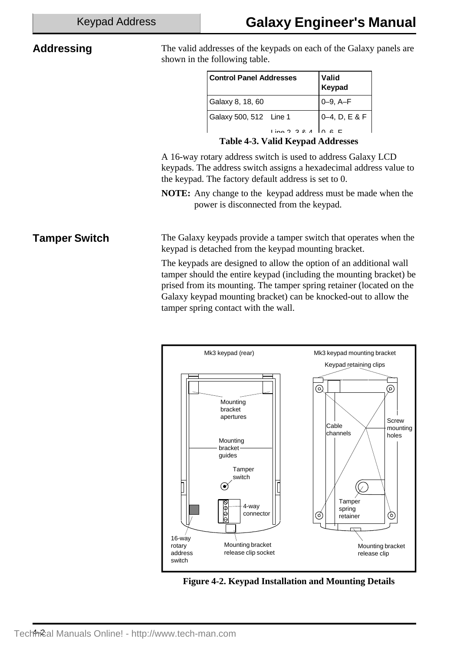### **Addressing**

The valid addresses of the keypads on each of the Galaxy panels are shown in the following table.

| <b>Control Panel Addresses</b> | <b>Valid</b><br>Keypad |
|--------------------------------|------------------------|
| Galaxy 8, 18, 60               | $0 - 9$ , $A - F$      |
| Galaxy 500, 512 Line 1         | $0-4$ , D, E & F       |
| line 2 2 4                     |                        |

**Table 4-3. Valid Keypad Addresses**

A 16-way rotary address switch is used to address Galaxy LCD keypads. The address switch assigns a hexadecimal address value to the keypad. The factory default address is set to 0.

**NOTE:** Any change to the keypad address must be made when the power is disconnected from the keypad.

**Tamper Switch** The Galaxy keypads provide a tamper switch that operates when the keypad is detached from the keypad mounting bracket.

> The keypads are designed to allow the option of an additional wall tamper should the entire keypad (including the mounting bracket) be prised from its mounting. The tamper spring retainer (located on the Galaxy keypad mounting bracket) can be knocked-out to allow the tamper spring contact with the wall.



**Figure 4-2. Keypad Installation and Mounting Details**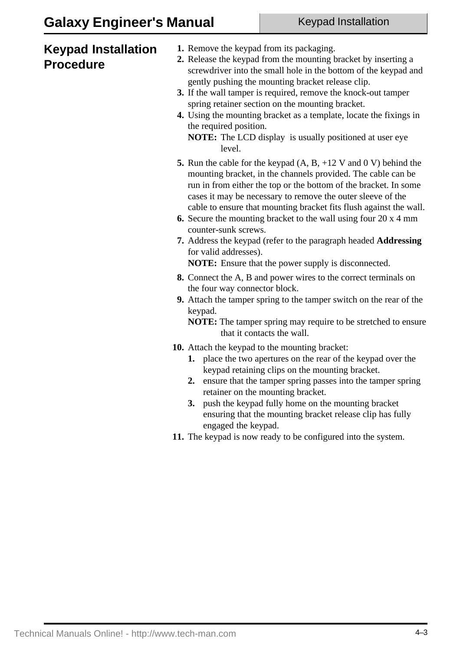## **Keypad Installation Procedure**

- **1.** Remove the keypad from its packaging.
- **2.** Release the keypad from the mounting bracket by inserting a screwdriver into the small hole in the bottom of the keypad and gently pushing the mounting bracket release clip.
- **3.** If the wall tamper is required, remove the knock-out tamper spring retainer section on the mounting bracket.
- **4.** Using the mounting bracket as a template, locate the fixings in the required position.
	- **NOTE:** The LCD display is usually positioned at user eye level.
- **5.** Run the cable for the keypad (A, B, +12 V and 0 V) behind the mounting bracket, in the channels provided. The cable can be run in from either the top or the bottom of the bracket. In some cases it may be necessary to remove the outer sleeve of the cable to ensure that mounting bracket fits flush against the wall.
- **6.** Secure the mounting bracket to the wall using four 20 x 4 mm counter-sunk screws.
- **7.** Address the keypad (refer to the paragraph headed **Addressing** for valid addresses). **NOTE:** Ensure that the power supply is disconnected.
- **8.** Connect the A, B and power wires to the correct terminals on
- the four way connector block. **9.** Attach the tamper spring to the tamper switch on the rear of the keypad.

**NOTE:** The tamper spring may require to be stretched to ensure that it contacts the wall.

- **10.** Attach the keypad to the mounting bracket:
	- **1.** place the two apertures on the rear of the keypad over the keypad retaining clips on the mounting bracket.
	- **2.** ensure that the tamper spring passes into the tamper spring retainer on the mounting bracket.
	- **3.** push the keypad fully home on the mounting bracket ensuring that the mounting bracket release clip has fully engaged the keypad.
- **11.** The keypad is now ready to be configured into the system.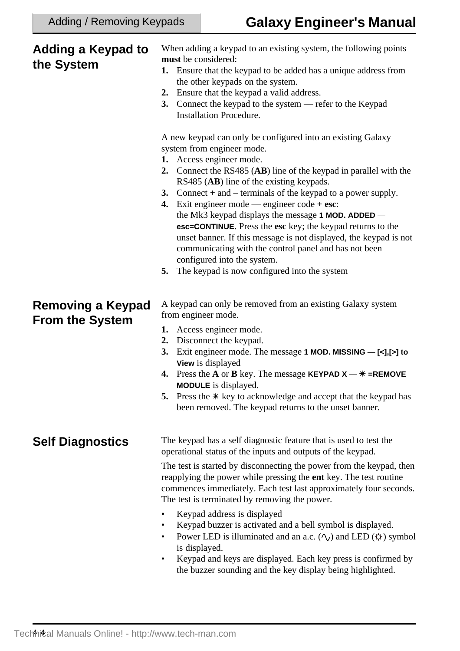#### **Self Diagnostics** When adding a keypad to an existing system, the following points **must** be considered: **1.** Ensure that the keypad to be added has a unique address from the other keypads on the system. **2.** Ensure that the keypad a valid address. **3.** Connect the keypad to the system — refer to the Keypad Installation Procedure. A new keypad can only be configured into an existing Galaxy system from engineer mode. **1.** Access engineer mode. **2.** Connect the RS485 (**AB**) line of the keypad in parallel with the RS485 (**AB**) line of the existing keypads. **3.** Connect **+** and – terminals of the keypad to a power supply. **4.** Exit engineer mode — engineer code + **esc**: the Mk3 keypad displays the message **1 MOD. ADDED esc=CONTINUE**. Press the **esc** key; the keypad returns to the unset banner. If this message is not displayed, the keypad is not communicating with the control panel and has not been configured into the system. **5.** The keypad is now configured into the system **Removing a Keypad From the System** A keypad can only be removed from an existing Galaxy system from engineer mode. **1.** Access engineer mode. **2.** Disconnect the keypad. **3.** Exit engineer mode. The message **1 MOD. MISSING** — **[<],[>] to View** is displayed **4.** Press the **A** or **B** key. The message **KEYPAD**  $X - \ast$  =REMOVE **MODULE** is displayed. **5.** Press the  $*$  key to acknowledge and accept that the keypad has been removed. The keypad returns to the unset banner. The keypad has a self diagnostic feature that is used to test the operational status of the inputs and outputs of the keypad. The test is started by disconnecting the power from the keypad, then reapplying the power while pressing the **ent** key. The test routine commences immediately. Each test last approximately four seconds. **Adding a Keypad to the System**

- The test is terminated by removing the power.
- Keypad address is displayed
- Keypad buzzer is activated and a bell symbol is displayed.
- Power LED is illuminated and an a.c.  $(\wedge)$  and LED  $(\upphi)$  symbol is displayed.
- Keypad and keys are displayed. Each key press is confirmed by the buzzer sounding and the key display being highlighted.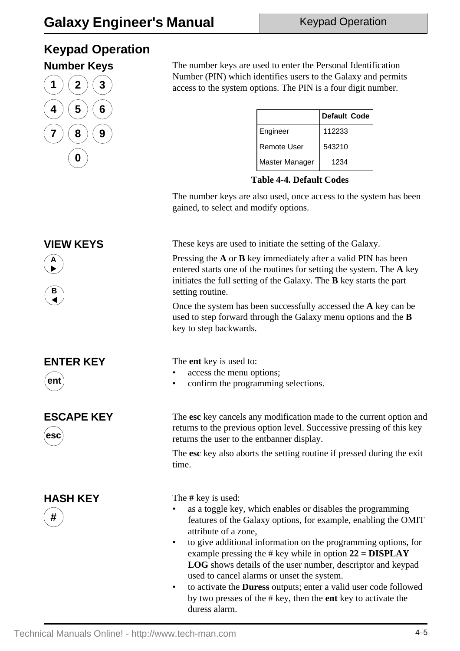# **Keypad Operation**



**Number Keys** The number keys are used to enter the Personal Identification Number (PIN) which identifies users to the Galaxy and permits access to the system options. The PIN is a four digit number.

|                    | Default Code |
|--------------------|--------------|
| Engineer           | 112233       |
| <b>Remote User</b> | 543210       |
| Master Manager     | 1234         |



The number keys are also used, once access to the system has been gained, to select and modify options.

**VIEW KEYS** These keys are used to initiate the setting of the Galaxy.

Pressing the **A** or **B** key immediately after a valid PIN has been entered starts one of the routines for setting the system. The **A** key initiates the full setting of the Galaxy. The **B** key starts the part setting routine.

Once the system has been successfully accessed the **A** key can be used to step forward through the Galaxy menu options and the **B** key to step backwards.

The **ent** key is used to:

- access the menu options;
- confirm the programming selections.

The **esc** key cancels any modification made to the current option and returns to the previous option level. Successive pressing of this key returns the user to the entbanner display.

The **esc** key also aborts the setting routine if pressed during the exit time.

**HASH KEY** The # key is used:

- as a toggle key, which enables or disables the programming features of the Galaxy options, for example, enabling the OMIT attribute of a zone,
- to give additional information on the programming options, for example pressing the # key while in option **22 = DISPLAY LOG** shows details of the user number, descriptor and keypad used to cancel alarms or unset the system.
- to activate the **Duress** outputs; enter a valid user code followed by two presses of the # key, then the **ent** key to activate the duress alarm.



**ESCAPE KEY**



**#**

**A**  $\blacktriangleright$ 

> **B**  $\blacktriangleleft$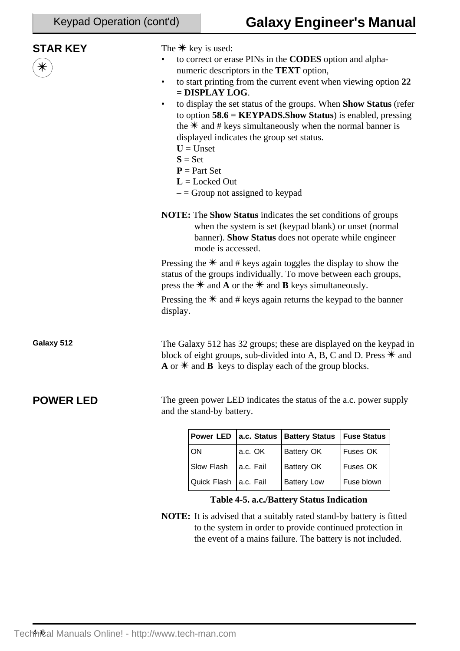| <b>STAR KEY</b><br>$\,$ $\,$ | $\bullet$<br>$\bullet$ | The $*$ key is used:<br>$=$ DISPLAY LOG.<br>displayed indicates the group set status.<br>$U =$ Unset<br>$S = Set$<br>$P = Part Set$<br>$L =$ Locked Out<br>$-$ = Group not assigned to keypad |             | to correct or erase PINs in the CODES option and alpha-<br>numeric descriptors in the <b>TEXT</b> option,<br>to start printing from the current event when viewing option 22<br>to display the set status of the groups. When Show Status (refer<br>to option $58.6$ = KEYPADS. Show Status) is enabled, pressing<br>the $*$ and # keys simultaneously when the normal banner is |                    |  |
|------------------------------|------------------------|-----------------------------------------------------------------------------------------------------------------------------------------------------------------------------------------------|-------------|----------------------------------------------------------------------------------------------------------------------------------------------------------------------------------------------------------------------------------------------------------------------------------------------------------------------------------------------------------------------------------|--------------------|--|
|                              |                        | mode is accessed.                                                                                                                                                                             |             | <b>NOTE:</b> The <b>Show Status</b> indicates the set conditions of groups<br>when the system is set (keypad blank) or unset (normal<br>banner). Show Status does not operate while engineer                                                                                                                                                                                     |                    |  |
|                              |                        |                                                                                                                                                                                               |             | Pressing the $*$ and # keys again toggles the display to show the<br>status of the groups individually. To move between each groups,<br>press the $*$ and <b>A</b> or the $*$ and <b>B</b> keys simultaneously.<br>Pressing the $*$ and # keys again returns the keypad to the banner                                                                                            |                    |  |
|                              | display.               |                                                                                                                                                                                               |             |                                                                                                                                                                                                                                                                                                                                                                                  |                    |  |
| Galaxy 512                   |                        |                                                                                                                                                                                               |             | The Galaxy 512 has 32 groups; these are displayed on the keypad in<br>block of eight groups, sub-divided into A, B, C and D. Press $*$ and<br>$\bf{A}$ or $\bf{*}$ and $\bf{B}$ keys to display each of the group blocks.                                                                                                                                                        |                    |  |
| <b>POWER LED</b>             |                        | and the stand-by battery.                                                                                                                                                                     |             | The green power LED indicates the status of the a.c. power supply                                                                                                                                                                                                                                                                                                                |                    |  |
|                              |                        | <b>Power LED</b>                                                                                                                                                                              | a.c. Status | <b>Battery Status</b>                                                                                                                                                                                                                                                                                                                                                            | <b>Fuse Status</b> |  |
|                              |                        | ON                                                                                                                                                                                            | a.c. OK     | Battery OK                                                                                                                                                                                                                                                                                                                                                                       | Fuses OK           |  |
|                              |                        | Slow Flash                                                                                                                                                                                    | a.c. Fail   | <b>Battery OK</b>                                                                                                                                                                                                                                                                                                                                                                | Fuses OK           |  |
|                              |                        | Quick Flash                                                                                                                                                                                   | a.c. Fail   | <b>Battery Low</b>                                                                                                                                                                                                                                                                                                                                                               | Fuse blown         |  |
|                              |                        |                                                                                                                                                                                               |             | Table 4-5. a.c./Battery Status Indication                                                                                                                                                                                                                                                                                                                                        |                    |  |

**NOTE:** It is advised that a suitably rated stand-by battery is fitted to the system in order to provide continued protection in the event of a mains failure. The battery is not included.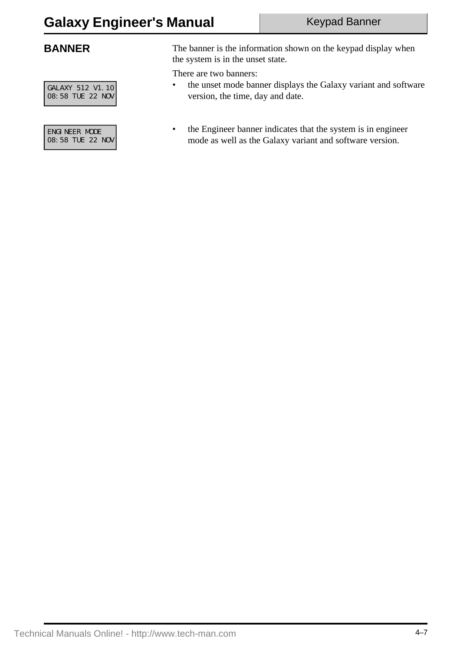GALAXY 512 V1.10 08:58 TUE 22 NOV

ENGINEER MODE 08:58 TUE 22 NOV

**BANNER** The banner is the information shown on the keypad display when the system is in the unset state.

There are two banners:

- the unset mode banner displays the Galaxy variant and software version, the time, day and date.
- the Engineer banner indicates that the system is in engineer mode as well as the Galaxy variant and software version.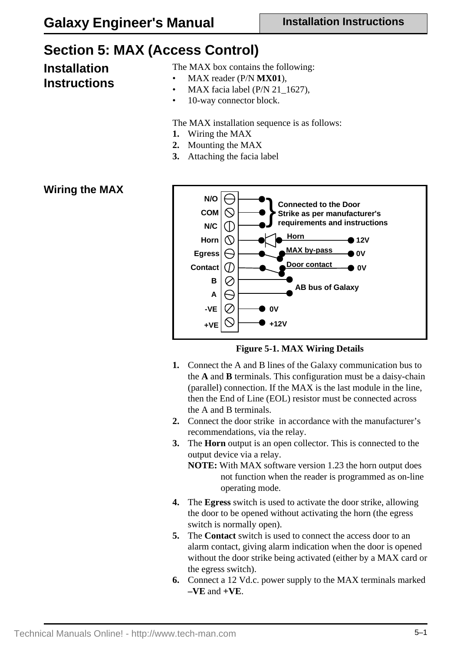## **Section 5: MAX (Access Control)**

# **Installation**

## **Instructions**

The MAX box contains the following:

- MAX reader (P/N **MX01**),
- MAX facia label ( $P/N$  21\_1627),
- 10-way connector block.

The MAX installation sequence is as follows:

- **1.** Wiring the MAX
- **2.** Mounting the MAX
- **3.** Attaching the facia label

#### **Wiring the MAX**



**Figure 5-1. MAX Wiring Details**

- **1.** Connect the A and B lines of the Galaxy communication bus to the **A** and **B** terminals. This configuration must be a daisy-chain (parallel) connection. If the MAX is the last module in the line, then the End of Line (EOL) resistor must be connected across the A and B terminals.
- **2.** Connect the door strike in accordance with the manufacturer's recommendations, via the relay.
- **3.** The **Horn** output is an open collector. This is connected to the output device via a relay. **NOTE:** With MAX software version 1.23 the horn output does

not function when the reader is programmed as on-line operating mode.

- **4.** The **Egress** switch is used to activate the door strike, allowing the door to be opened without activating the horn (the egress switch is normally open).
- **5.** The **Contact** switch is used to connect the access door to an alarm contact, giving alarm indication when the door is opened without the door strike being activated (either by a MAX card or the egress switch).
- **6.** Connect a 12 Vd.c. power supply to the MAX terminals marked  $-VE$  and  $+VE$ .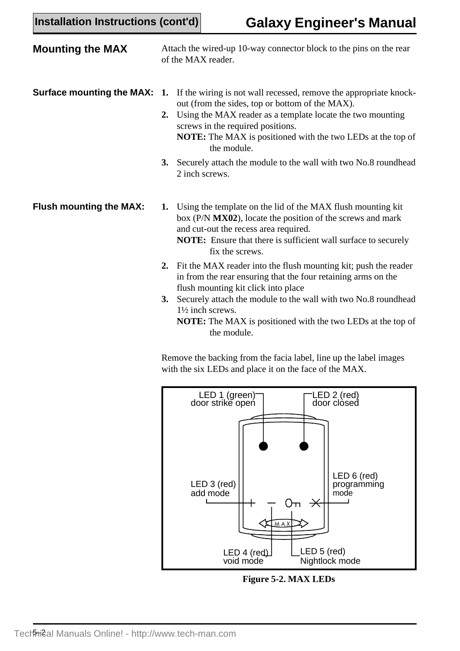| <b>Mounting the MAX</b>          | Attach the wired-up 10-way connector block to the pins on the rear<br>of the MAX reader.                                                                                                                                                                                                                           |
|----------------------------------|--------------------------------------------------------------------------------------------------------------------------------------------------------------------------------------------------------------------------------------------------------------------------------------------------------------------|
| <b>Surface mounting the MAX:</b> | 1. If the wiring is not wall recessed, remove the appropriate knock-<br>out (from the sides, top or bottom of the MAX).<br>2. Using the MAX reader as a template locate the two mounting<br>screws in the required positions.<br><b>NOTE:</b> The MAX is positioned with the two LEDs at the top of<br>the module. |
|                                  | Securely attach the module to the wall with two No.8 roundhead<br>3.<br>2 inch screws.                                                                                                                                                                                                                             |
| <b>Flush mounting the MAX:</b>   | Using the template on the lid of the MAX flush mounting kit<br>1.<br>box (P/N MX02), locate the position of the screws and mark<br>and cut-out the recess area required.<br><b>NOTE:</b> Ensure that there is sufficient wall surface to securely<br>fix the screws.                                               |
|                                  | 2. Fit the MAX reader into the flush mounting kit; push the reader<br>in from the rear ensuring that the four retaining arms on the<br>flush mounting kit click into place                                                                                                                                         |
|                                  | Securely attach the module to the wall with two No.8 roundhead<br>3.<br>$1\frac{1}{2}$ inch screws.<br>NOTE: The MAX is positioned with the two LEDs at the top of<br>the module.                                                                                                                                  |
|                                  | Remove the backing from the facialabel line up the label images                                                                                                                                                                                                                                                    |

Remove the backing from the facia label, line up the label images with the six LEDs and place it on the face of the MAX.



**Figure 5-2. MAX LEDs**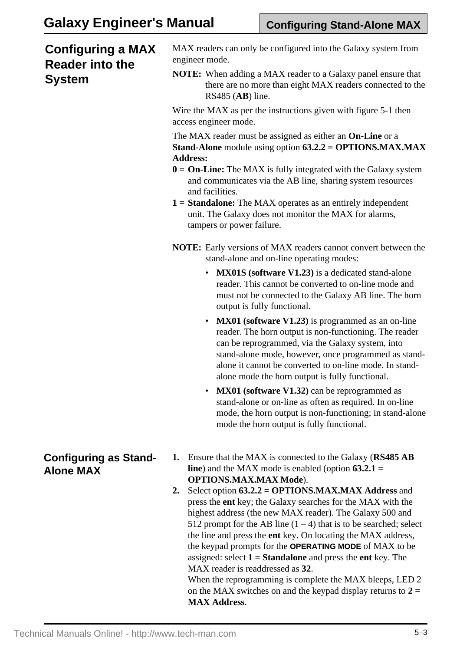### **Configuring a MAX Reader into the System**

MAX readers can only be configured into the Galaxy system from engineer mode.

**NOTE:** When adding a MAX reader to a Galaxy panel ensure that there are no more than eight MAX readers connected to the RS485 (**AB**) line.

Wire the MAX as per the instructions given with figure 5-1 then access engineer mode.

The MAX reader must be assigned as either an **On-Line** or a **Stand-Alone** module using option **63.2.2 = OPTIONS.MAX.MAX Address:**

- **0 = On-Line:** The MAX is fully integrated with the Galaxy system and communicates via the AB line, sharing system resources and facilities.
- **1 = Standalone:** The MAX operates as an entirely independent unit. The Galaxy does not monitor the MAX for alarms, tampers or power failure.
- **NOTE:** Early versions of MAX readers cannot convert between the stand-alone and on-line operating modes:
	- **MX01S (software V1.23)** is a dedicated stand-alone reader. This cannot be converted to on-line mode and must not be connected to the Galaxy AB line. The horn output is fully functional.
	- **MX01 (software V1.23)** is programmed as an on-line reader. The horn output is non-functioning. The reader can be reprogrammed, via the Galaxy system, into stand-alone mode, however, once programmed as standalone it cannot be converted to on-line mode. In standalone mode the horn output is fully functional.
	- **MX01 (software V1.32)** can be reprogrammed as stand-alone or on-line as often as required. In on-line mode, the horn output is non-functioning; in stand-alone mode the horn output is fully functional.
- **Configuring as Stand-Alone MAX**
- **1.** Ensure that the MAX is connected to the Galaxy (**RS485 AB line**) and the MAX mode is enabled (option **63.2.1 = OPTIONS.MAX.MAX Mode**).
- **2.** Select option **63.2.2 = OPTIONS.MAX.MAX Address** and press the **ent** key; the Galaxy searches for the MAX with the highest address (the new MAX reader). The Galaxy 500 and 512 prompt for the AB line  $(1 – 4)$  that is to be searched; select the line and press the **ent** key. On locating the MAX address, the keypad prompts for the **OPERATING MODE** of MAX to be assigned: select **1 = Standalone** and press the **ent** key. The MAX reader is readdressed as **32**.

When the reprogramming is complete the MAX bleeps, LED 2 on the MAX switches on and the keypad display returns to **2 = MAX Address**.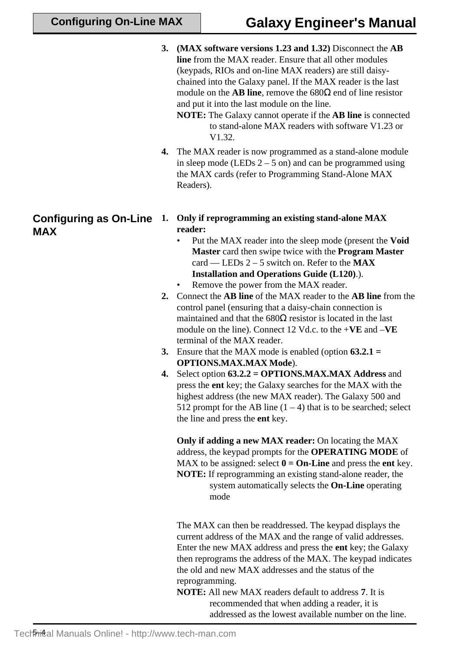- **3. (MAX software versions 1.23 and 1.32)** Disconnect the **AB line** from the MAX reader. Ensure that all other modules (keypads, RIOs and on-line MAX readers) are still daisychained into the Galaxy panel. If the MAX reader is the last module on the **AB line**, remove the 680Ω end of line resistor and put it into the last module on the line.
	- **NOTE:** The Galaxy cannot operate if the **AB line** is connected to stand-alone MAX readers with software V1.23 or V<sub>1</sub>.32.
- **4.** The MAX reader is now programmed as a stand-alone module in sleep mode (LEDs  $2 - 5$  on) and can be programmed using the MAX cards (refer to Programming Stand-Alone MAX Readers).

#### **Configuring as On-Line 1. Only if reprogramming an existing stand-alone MAX reader:**

- Put the MAX reader into the sleep mode (present the **Void Master** card then swipe twice with the **Program Master** card — LEDs 2 – 5 switch on. Refer to the **MAX Installation and Operations Guide (L120)**.).
- Remove the power from the MAX reader.
- **2.** Connect the **AB line** of the MAX reader to the **AB line** from the control panel (ensuring that a daisy-chain connection is maintained and that the  $680\Omega$  resistor is located in the last module on the line). Connect 12 Vd.c. to the +**VE** and –**VE** terminal of the MAX reader.
- **3.** Ensure that the MAX mode is enabled (option **63.2.1 = OPTIONS.MAX.MAX Mode**).
- **4.** Select option **63.2.2 = OPTIONS.MAX.MAX Address** and press the **ent** key; the Galaxy searches for the MAX with the highest address (the new MAX reader). The Galaxy 500 and 512 prompt for the AB line  $(1 – 4)$  that is to be searched; select the line and press the **ent** key.

**Only if adding a new MAX reader:** On locating the MAX address, the keypad prompts for the **OPERATING MODE** of MAX to be assigned: select  $\mathbf{0} = \mathbf{On}\text{-Line}$  and press the **ent** key. **NOTE:** If reprogramming an existing stand-alone reader, the system automatically selects the **On-Line** operating mode

The MAX can then be readdressed. The keypad displays the current address of the MAX and the range of valid addresses. Enter the new MAX address and press the **ent** key; the Galaxy then reprograms the address of the MAX. The keypad indicates the old and new MAX addresses and the status of the reprogramming.

**NOTE:** All new MAX readers default to address **7**. It is recommended that when adding a reader, it is addressed as the lowest available number on the line.

# **MAX**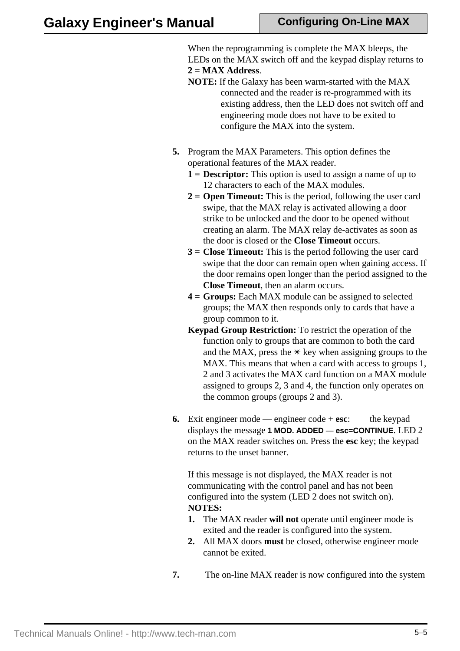When the reprogramming is complete the MAX bleeps, the LEDs on the MAX switch off and the keypad display returns to **2 = MAX Address**.

- **NOTE:** If the Galaxy has been warm-started with the MAX connected and the reader is re-programmed with its existing address, then the LED does not switch off and engineering mode does not have to be exited to configure the MAX into the system.
- **5.** Program the MAX Parameters. This option defines the operational features of the MAX reader.
	- **1 = Descriptor:** This option is used to assign a name of up to 12 characters to each of the MAX modules.
	- **2 = Open Timeout:** This is the period, following the user card swipe, that the MAX relay is activated allowing a door strike to be unlocked and the door to be opened without creating an alarm. The MAX relay de-activates as soon as the door is closed or the **Close Timeout** occurs.
	- **3 = Close Timeout:** This is the period following the user card swipe that the door can remain open when gaining access. If the door remains open longer than the period assigned to the **Close Timeout**, then an alarm occurs.
	- **4 = Groups:** Each MAX module can be assigned to selected groups; the MAX then responds only to cards that have a group common to it.
	- **Keypad Group Restriction:** To restrict the operation of the function only to groups that are common to both the card and the MAX, press the  $*$  key when assigning groups to the MAX. This means that when a card with access to groups 1, 2 and 3 activates the MAX card function on a MAX module assigned to groups 2, 3 and 4, the function only operates on the common groups (groups 2 and 3).
- **6.** Exit engineer mode engineer code + **esc**: the keypad displays the message **1 MOD. ADDED** — **esc=CONTINUE**. LED 2 on the MAX reader switches on. Press the **esc** key; the keypad returns to the unset banner.

If this message is not displayed, the MAX reader is not communicating with the control panel and has not been configured into the system (LED 2 does not switch on). **NOTES:**

- **1.** The MAX reader **will not** operate until engineer mode is exited and the reader is configured into the system.
- **2.** All MAX doors **must** be closed, otherwise engineer mode cannot be exited.
- **7.** The on-line MAX reader is now configured into the system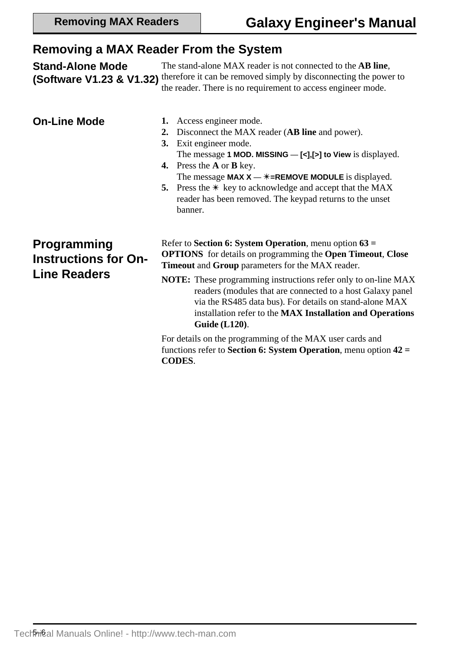### **Removing a MAX Reader From the System**

**Stand-Alone Mode (Software V1.23 & V1.32)** therefore it can be removed simply by disconnecting the power to The stand-alone MAX reader is not connected to the **AB line**, the reader. There is no requirement to access engineer mode. **On-Line Mode 1.** Access engineer mode. **2.** Disconnect the MAX reader (**AB line** and power). **3.** Exit engineer mode. The message **1 MOD. MISSING** — **[<],[>] to View** is displayed. **4.** Press the **A** or **B** key. The message **MAX**  $X - \ast =$ **REMOVE MODULE** is displayed. **5.** Press the  $*$  key to acknowledge and accept that the MAX reader has been removed. The keypad returns to the unset banner. **Programming Instructions for On-Line Readers** Refer to **Section 6: System Operation**, menu option **63 = OPTIONS** for details on programming the **Open Timeout**, **Close Timeout** and **Group** parameters for the MAX reader. **NOTE:** These programming instructions refer only to on-line MAX readers (modules that are connected to a host Galaxy panel via the RS485 data bus). For details on stand-alone MAX installation refer to the **MAX Installation and Operations Guide (L120)**. For details on the programming of the MAX user cards and functions refer to **Section 6: System Operation**, menu option **42 =**

**CODES**.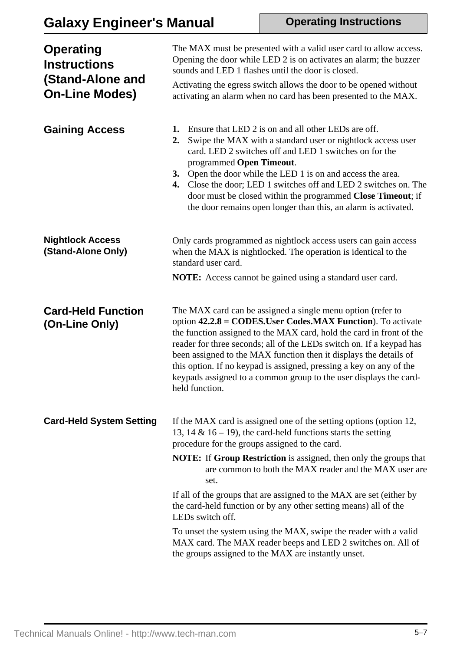# **Galaxy Engineer's Manual**

**Operating Instructions**

| <b>Operating</b><br><b>Instructions</b><br>(Stand-Alone and<br><b>On-Line Modes)</b> | The MAX must be presented with a valid user card to allow access.<br>Opening the door while LED 2 is on activates an alarm; the buzzer<br>sounds and LED 1 flashes until the door is closed.<br>Activating the egress switch allows the door to be opened without<br>activating an alarm when no card has been presented to the MAX.                                                                                                                                                           |
|--------------------------------------------------------------------------------------|------------------------------------------------------------------------------------------------------------------------------------------------------------------------------------------------------------------------------------------------------------------------------------------------------------------------------------------------------------------------------------------------------------------------------------------------------------------------------------------------|
| <b>Gaining Access</b>                                                                | Ensure that LED 2 is on and all other LEDs are off.<br>1.<br>Swipe the MAX with a standard user or nightlock access user<br>2.<br>card. LED 2 switches off and LED 1 switches on for the<br>programmed Open Timeout.<br>Open the door while the LED 1 is on and access the area.<br>3.<br>Close the door; LED 1 switches off and LED 2 switches on. The<br>4.<br>door must be closed within the programmed Close Timeout; if<br>the door remains open longer than this, an alarm is activated. |
| <b>Nightlock Access</b><br>(Stand-Alone Only)                                        | Only cards programmed as nightlock access users can gain access<br>when the MAX is nightlocked. The operation is identical to the<br>standard user card.<br><b>NOTE:</b> Access cannot be gained using a standard user card.                                                                                                                                                                                                                                                                   |
| <b>Card-Held Function</b>                                                            | The MAX card can be assigned a single menu option (refer to                                                                                                                                                                                                                                                                                                                                                                                                                                    |
|                                                                                      |                                                                                                                                                                                                                                                                                                                                                                                                                                                                                                |
| (On-Line Only)                                                                       | option $42.2.8 = \text{CODES}$ . User Codes. MAX Function). To activate<br>the function assigned to the MAX card, hold the card in front of the<br>reader for three seconds; all of the LEDs switch on. If a keypad has<br>been assigned to the MAX function then it displays the details of<br>this option. If no keypad is assigned, pressing a key on any of the<br>keypads assigned to a common group to the user displays the card-<br>held function.                                     |
| <b>Card-Held System Setting</b>                                                      | If the MAX card is assigned one of the setting options (option 12,<br>13, 14 & 16 – 19), the card-held functions starts the setting<br>procedure for the groups assigned to the card.                                                                                                                                                                                                                                                                                                          |
|                                                                                      | <b>NOTE:</b> If <b>Group Restriction</b> is assigned, then only the groups that<br>are common to both the MAX reader and the MAX user are<br>set.                                                                                                                                                                                                                                                                                                                                              |
|                                                                                      | If all of the groups that are assigned to the MAX are set (either by<br>the card-held function or by any other setting means) all of the<br>LEDs switch off.                                                                                                                                                                                                                                                                                                                                   |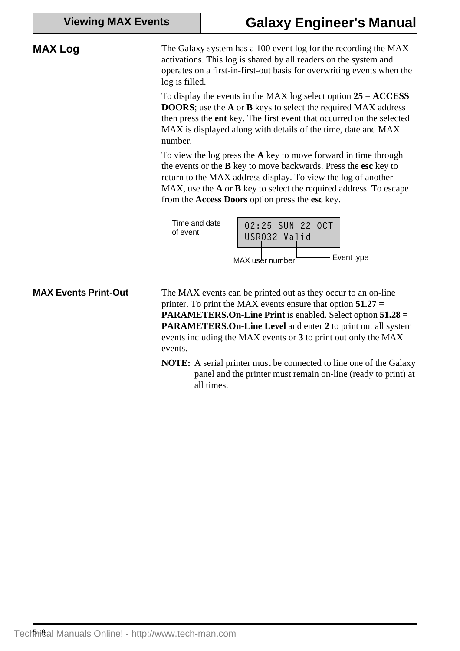| <b>Viewing MAX Events</b> |
|---------------------------|
|---------------------------|

**MAX Log** The Galaxy system has a 100 event log for the recording the MAX activations. This log is shared by all readers on the system and operates on a first-in-first-out basis for overwriting events when the log is filled. To display the events in the MAX log select option **25 = ACCESS DOORS**; use the **A** or **B** keys to select the required MAX address then press the **ent** key. The first event that occurred on the selected MAX is displayed along with details of the time, date and MAX number. To view the log press the **A** key to move forward in time through the events or the **B** key to move backwards. Press the **esc** key to return to the MAX address display. To view the log of another MAX, use the **A** or **B** key to select the required address. To escape from the **Access Doors** option press the **esc** key. 02:25 SUN 22 OCT USR032 Valid Time and date of event MAX user number **Event type MAX Events Print-Out** The MAX events can be printed out as they occur to an on-line printer. To print the MAX events ensure that option **51.27 = PARAMETERS.On-Line Print** is enabled. Select option **51.28 = PARAMETERS.On-Line Level** and enter **2** to print out all system events including the MAX events or **3** to print out only the MAX events.

**NOTE:** A serial printer must be connected to line one of the Galaxy panel and the printer must remain on-line (ready to print) at all times.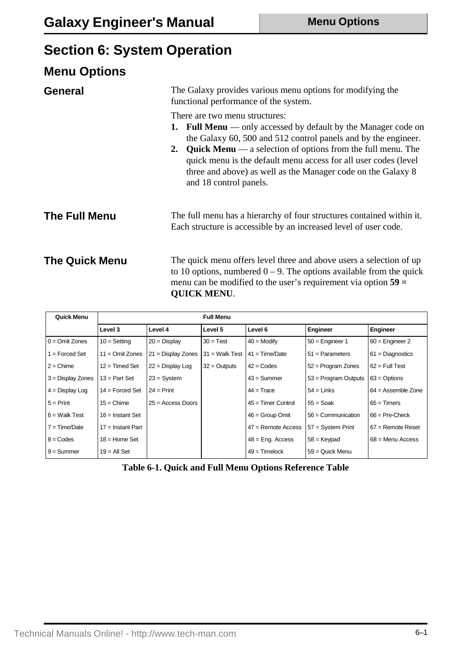# **Section 6: System Operation**

| <b>Menu Options</b>   |                                                                                                                                                                                                                                                                                                                                                                                                                     |
|-----------------------|---------------------------------------------------------------------------------------------------------------------------------------------------------------------------------------------------------------------------------------------------------------------------------------------------------------------------------------------------------------------------------------------------------------------|
| <b>General</b>        | The Galaxy provides various menu options for modifying the<br>functional performance of the system.                                                                                                                                                                                                                                                                                                                 |
|                       | There are two menu structures:<br><b>1. Full Menu</b> — only accessed by default by the Manager code on<br>the Galaxy 60, 500 and 512 control panels and by the engineer.<br><b>Quick Menu</b> — a selection of options from the full menu. The<br>2.<br>quick menu is the default menu access for all user codes (level)<br>three and above) as well as the Manager code on the Galaxy 8<br>and 18 control panels. |
| <b>The Full Menu</b>  | The full menu has a hierarchy of four structures contained within it.<br>Each structure is accessible by an increased level of user code.                                                                                                                                                                                                                                                                           |
| <b>The Quick Menu</b> | The quick menu offers level three and above users a selection of up<br>to 10 options, numbered $0 - 9$ . The options available from the quick<br>menu can be modified to the user's requirement via option $59 =$<br><b>QUICK MENU.</b>                                                                                                                                                                             |

| Quick Menu          |                     |                      | <b>Full Menu</b> |                      |                        |                      |
|---------------------|---------------------|----------------------|------------------|----------------------|------------------------|----------------------|
|                     | Level 3             | Level 4              | Level 5          | Level 6              | Engineer               | Engineer             |
| $0 =$ Omit Zones    | $10 =$ Setting      | $20 =$ Display       | $30 = Test$      | $40 =$ Modify        | $50 =$ Engineer 1      | $60$ = Engineer 2    |
| $1 =$ Forced Set    | $11 =$ Omit Zones   | $21 =$ Display Zones | $31 =$ Walk Test | $41 = Time/Date$     | $51 =$ Parameters      | $61 =$ Diagnostics   |
| $2 =$ Chime         | $12 =$ Timed Set    | $22 =$ Display Log   | $32 =$ Outputs   | $42 = \text{Codes}$  | $52$ = Program Zones   | $62 = Full Test$     |
| $3 =$ Display Zones | $13 = Part Set$     | $23 = System$        |                  | $43 =$ Summer        | $53$ = Program Outputs | $63 =$ Options       |
| $4 =$ Display Log   | $14 =$ Forced Set   | $24 = Print$         |                  | $44 = Trace$         | $54 =$ Links           | $64 =$ Assemble Zone |
| $5 = Print$         | $15 =$ Chime        | $25 = Access$ Doors  |                  | $45 =$ Timer Control | $55 = S$ oak           | $65 =$ Timers        |
| $6 =$ Walk Test     | $16$ = Instant Set  |                      |                  | $46 =$ Group Omit    | $56 =$ Communication   | $66$ = Pre-Check     |
| $7 = Time/Date$     | $17 =$ Instant Part |                      |                  | $47$ = Remote Access | $57 =$ System Print    | $67$ = Remote Reset  |
| $8 = \text{Codes}$  | $18$ = Home Set     |                      |                  | $48$ = Eng. Access   | $58 =$ Keypad          | $68$ = Menu Access   |
| $9 =$ Summer        | $19 = All Set$      |                      |                  | $49 =$ Timelock      | $59 =$ Quick Menu      |                      |

**Table 6-1. Quick and Full Menu Options Reference Table**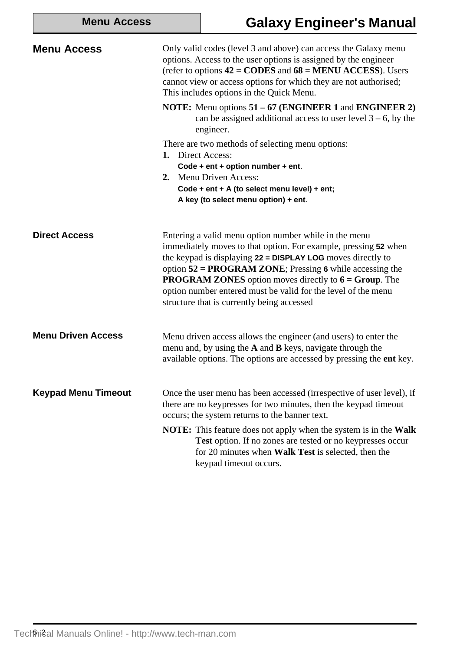|  | <b>Menu Access</b> |
|--|--------------------|
|--|--------------------|

# **Galaxy Engineer's Manual**

| <b>Menu Access</b>         | Only valid codes (level 3 and above) can access the Galaxy menu<br>options. Access to the user options is assigned by the engineer<br>(refer to options $42 = \text{CODES}$ and $68 = \text{MENU ACCESS}$ ). Users<br>cannot view or access options for which they are not authorised;<br>This includes options in the Quick Menu.                                                                                                       |
|----------------------------|------------------------------------------------------------------------------------------------------------------------------------------------------------------------------------------------------------------------------------------------------------------------------------------------------------------------------------------------------------------------------------------------------------------------------------------|
|                            | <b>NOTE:</b> Menu options $51 - 67$ ( <b>ENGINEER</b> 1 and <b>ENGINEER</b> 2)<br>can be assigned additional access to user level $3 - 6$ , by the<br>engineer.                                                                                                                                                                                                                                                                          |
|                            | There are two methods of selecting menu options:<br>1. Direct Access:<br>Code + ent + option number + ent.<br>2. Menu Driven Access:<br>Code + ent + A (to select menu level) + ent;<br>A key (to select menu option) + ent.                                                                                                                                                                                                             |
| <b>Direct Access</b>       | Entering a valid menu option number while in the menu<br>immediately moves to that option. For example, pressing 52 when<br>the keypad is displaying 22 = DISPLAY LOG moves directly to<br>option $52 = PROGRAM ZONE$ ; Pressing 6 while accessing the<br><b>PROGRAM ZONES</b> option moves directly to $6 = Group$ . The<br>option number entered must be valid for the level of the menu<br>structure that is currently being accessed |
| <b>Menu Driven Access</b>  | Menu driven access allows the engineer (and users) to enter the<br>menu and, by using the $A$ and $B$ keys, navigate through the<br>available options. The options are accessed by pressing the ent key.                                                                                                                                                                                                                                 |
| <b>Keypad Menu Timeout</b> | Once the user menu has been accessed (irrespective of user level), if<br>there are no keypresses for two minutes, then the keypad timeout<br>occurs; the system returns to the banner text.                                                                                                                                                                                                                                              |
|                            | <b>NOTE:</b> This feature does not apply when the system is in the <b>Walk</b><br>Test option. If no zones are tested or no keypresses occur<br>for 20 minutes when Walk Test is selected, then the<br>keypad timeout occurs.                                                                                                                                                                                                            |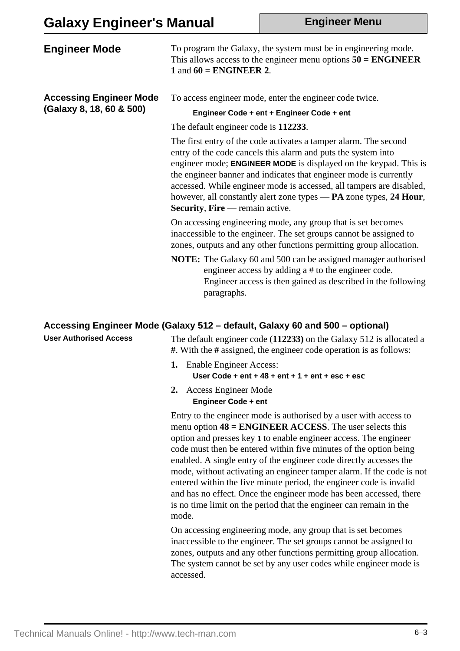**Engineer Menu**

| <b>Engineer Mode</b>                                       | To program the Galaxy, the system must be in engineering mode.<br>This allows access to the engineer menu options $50 = ENGINEER$<br>1 and $60 = ENGINEER$ 2.                                                                                                                                                                                                                                                                                                             |
|------------------------------------------------------------|---------------------------------------------------------------------------------------------------------------------------------------------------------------------------------------------------------------------------------------------------------------------------------------------------------------------------------------------------------------------------------------------------------------------------------------------------------------------------|
| <b>Accessing Engineer Mode</b><br>(Galaxy 8, 18, 60 & 500) | To access engineer mode, enter the engineer code twice.                                                                                                                                                                                                                                                                                                                                                                                                                   |
|                                                            | Engineer Code + ent + Engineer Code + ent                                                                                                                                                                                                                                                                                                                                                                                                                                 |
|                                                            | The default engineer code is 112233.                                                                                                                                                                                                                                                                                                                                                                                                                                      |
|                                                            | The first entry of the code activates a tamper alarm. The second<br>entry of the code cancels this alarm and puts the system into<br>engineer mode; <b>ENGINEER MODE</b> is displayed on the keypad. This is<br>the engineer banner and indicates that engineer mode is currently<br>accessed. While engineer mode is accessed, all tampers are disabled,<br>however, all constantly alert zone types - PA zone types, 24 Hour,<br><b>Security, Fire</b> — remain active. |
|                                                            | On accessing engineering mode, any group that is set becomes<br>inaccessible to the engineer. The set groups cannot be assigned to<br>zones, outputs and any other functions permitting group allocation.                                                                                                                                                                                                                                                                 |
|                                                            | <b>NOTE:</b> The Galaxy 60 and 500 can be assigned manager authorised<br>engineer access by adding a # to the engineer code.<br>Engineer access is then gained as described in the following<br>paragraphs.                                                                                                                                                                                                                                                               |

#### **Accessing Engineer Mode (Galaxy 512 – default, Galaxy 60 and 500 – optional)**

**User Authorised Access**

The default engineer code (**112233)** on the Galaxy 512 is allocated a **#**. With the **#** assigned, the engineer code operation is as follows:

- **1.** Enable Engineer Access: **User Code + ent + 48 + ent + 1 + ent + esc + esc**
- **2.** Access Engineer Mode **Engineer Code + ent**

Entry to the engineer mode is authorised by a user with access to menu option **48 = ENGINEER ACCESS**. The user selects this option and presses key **1** to enable engineer access. The engineer code must then be entered within five minutes of the option being enabled. A single entry of the engineer code directly accesses the mode, without activating an engineer tamper alarm. If the code is not entered within the five minute period, the engineer code is invalid and has no effect. Once the engineer mode has been accessed, there is no time limit on the period that the engineer can remain in the mode.

On accessing engineering mode, any group that is set becomes inaccessible to the engineer. The set groups cannot be assigned to zones, outputs and any other functions permitting group allocation. The system cannot be set by any user codes while engineer mode is accessed.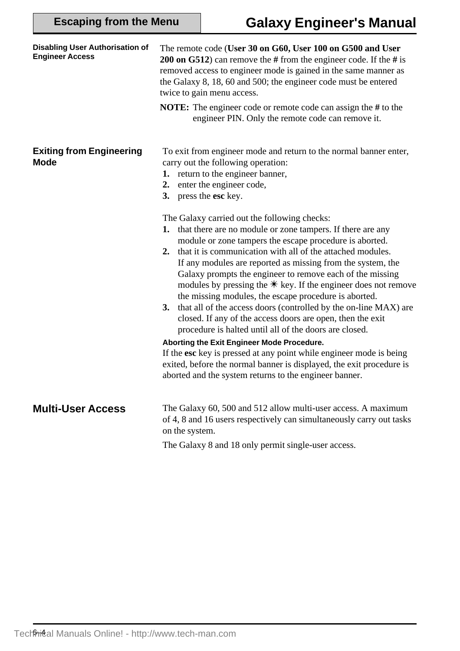| <b>Disabling User Authorisation of</b><br><b>Engineer Access</b> | The remote code (User 30 on G60, User 100 on G500 and User<br><b>200 on G512</b> ) can remove the # from the engineer code. If the # is<br>removed access to engineer mode is gained in the same manner as<br>the Galaxy 8, 18, 60 and 500; the engineer code must be entered<br>twice to gain menu access.                                                                                                                                                                                                                                                                                                                                      |
|------------------------------------------------------------------|--------------------------------------------------------------------------------------------------------------------------------------------------------------------------------------------------------------------------------------------------------------------------------------------------------------------------------------------------------------------------------------------------------------------------------------------------------------------------------------------------------------------------------------------------------------------------------------------------------------------------------------------------|
|                                                                  | <b>NOTE:</b> The engineer code or remote code can assign the # to the<br>engineer PIN. Only the remote code can remove it.                                                                                                                                                                                                                                                                                                                                                                                                                                                                                                                       |
| <b>Exiting from Engineering</b><br><b>Mode</b>                   | To exit from engineer mode and return to the normal banner enter,<br>carry out the following operation:<br>1. return to the engineer banner,<br>enter the engineer code,<br>2.<br>press the esc key.<br>3.                                                                                                                                                                                                                                                                                                                                                                                                                                       |
|                                                                  | The Galaxy carried out the following checks:<br>that there are no module or zone tampers. If there are any<br>1.<br>module or zone tampers the escape procedure is aborted.<br>that it is communication with all of the attached modules.<br>2.<br>If any modules are reported as missing from the system, the<br>Galaxy prompts the engineer to remove each of the missing<br>modules by pressing the $*$ key. If the engineer does not remove<br>the missing modules, the escape procedure is aborted.<br>that all of the access doors (controlled by the on-line MAX) are<br>3.<br>closed. If any of the access doors are open, then the exit |
|                                                                  | procedure is halted until all of the doors are closed.<br>Aborting the Exit Engineer Mode Procedure.<br>If the esc key is pressed at any point while engineer mode is being<br>exited, before the normal banner is displayed, the exit procedure is<br>aborted and the system returns to the engineer banner.                                                                                                                                                                                                                                                                                                                                    |
| <b>Multi-User Access</b>                                         | The Galaxy 60, 500 and 512 allow multi-user access. A maximum<br>of 4, 8 and 16 users respectively can simultaneously carry out tasks<br>on the system.                                                                                                                                                                                                                                                                                                                                                                                                                                                                                          |
|                                                                  | The Galaxy 8 and 18 only permit single-user access.                                                                                                                                                                                                                                                                                                                                                                                                                                                                                                                                                                                              |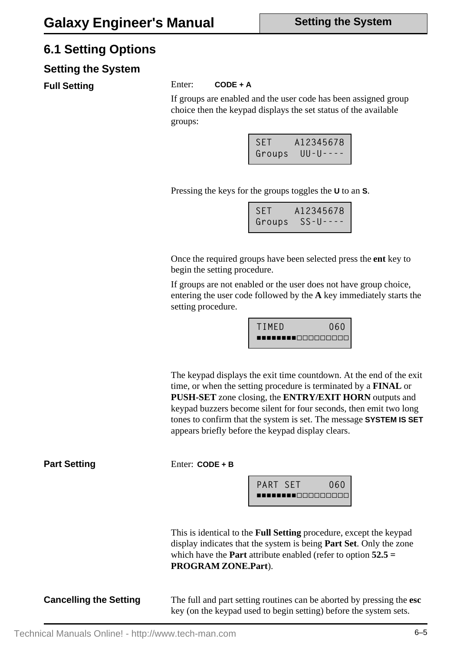### **6.1 Setting Options**

#### **Setting the System**

Full Setting **Enter:** CODE + A

If groups are enabled and the user code has been assigned group choice then the keypad displays the set status of the available groups:

| <b>SET</b> | A12345678        |
|------------|------------------|
| Groups     | $UU - U - - - -$ |

Pressing the keys for the groups toggles the **U** to an **S**.

| SET A12345678 |
|---------------|

Once the required groups have been selected press the **ent** key to begin the setting procedure.

If groups are not enabled or the user does not have group choice, entering the user code followed by the **A** key immediately starts the setting procedure.

| TIMED                       | 060 |
|-----------------------------|-----|
| <b>________</b> ___________ |     |

The keypad displays the exit time countdown. At the end of the exit time, or when the setting procedure is terminated by a **FINAL** or **PUSH-SET** zone closing, the **ENTRY/EXIT HORN** outputs and keypad buzzers become silent for four seconds, then emit two long tones to confirm that the system is set. The message **SYSTEM IS SET** appears briefly before the keypad display clears.

**Part Setting** Enter: CODE + B



This is identical to the **Full Setting** procedure, except the keypad display indicates that the system is being **Part Set**. Only the zone which have the **Part** attribute enabled (refer to option **52.5 = PROGRAM ZONE.Part**).

**Cancelling the Setting** The full and part setting routines can be aborted by pressing the esc key (on the keypad used to begin setting) before the system sets.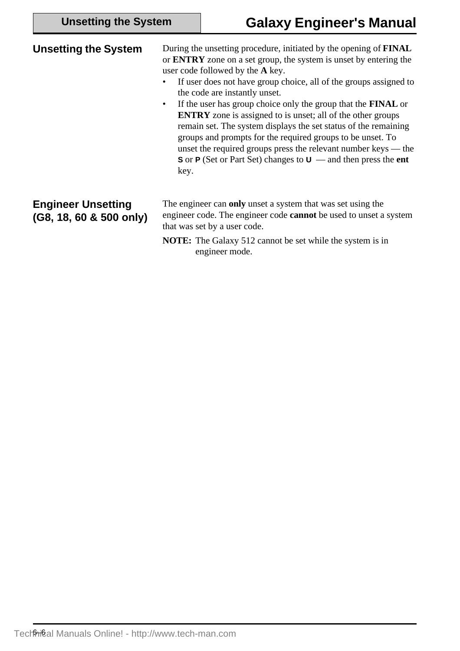| <b>Unsetting the System</b>                          | During the unsetting procedure, initiated by the opening of <b>FINAL</b><br>or <b>ENTRY</b> zone on a set group, the system is unset by entering the<br>user code followed by the A key.<br>If user does not have group choice, all of the groups assigned to<br>the code are instantly unset.<br>If the user has group choice only the group that the <b>FINAL</b> or<br>$\bullet$<br><b>ENTRY</b> zone is assigned to is unset; all of the other groups<br>remain set. The system displays the set status of the remaining<br>groups and prompts for the required groups to be unset. To<br>unset the required groups press the relevant number keys $-$ the<br>S or P (Set or Part Set) changes to $U$ — and then press the ent<br>key. |
|------------------------------------------------------|--------------------------------------------------------------------------------------------------------------------------------------------------------------------------------------------------------------------------------------------------------------------------------------------------------------------------------------------------------------------------------------------------------------------------------------------------------------------------------------------------------------------------------------------------------------------------------------------------------------------------------------------------------------------------------------------------------------------------------------------|
| <b>Engineer Unsetting</b><br>(G8, 18, 60 & 500 only) | The engineer can only unset a system that was set using the<br>engineer code. The engineer code <b>cannot</b> be used to unset a system<br>that was set by a user code.<br><b>NOTE:</b> The Galaxy 512 cannot be set while the system is in<br>engineer mode.                                                                                                                                                                                                                                                                                                                                                                                                                                                                              |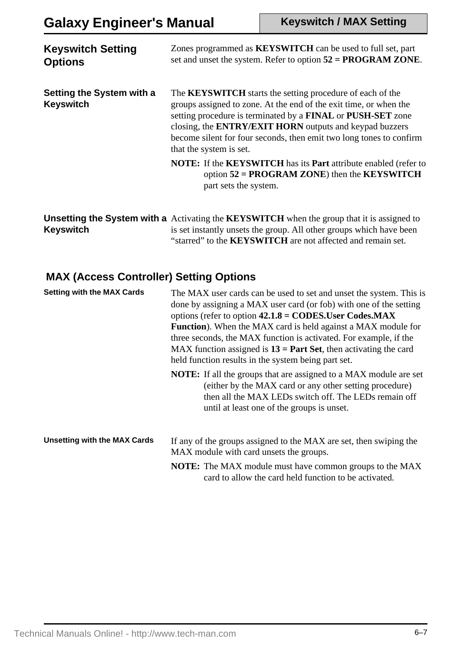| <b>Keyswitch Setting</b><br><b>Options</b>    | Zones programmed as KEYSWITCH can be used to full set, part<br>set and unset the system. Refer to option $52 = PROGRAM ZONE$ .                                                                                                                                                                                                                                           |
|-----------------------------------------------|--------------------------------------------------------------------------------------------------------------------------------------------------------------------------------------------------------------------------------------------------------------------------------------------------------------------------------------------------------------------------|
| Setting the System with a<br><b>Keyswitch</b> | The <b>KEYSWITCH</b> starts the setting procedure of each of the<br>groups assigned to zone. At the end of the exit time, or when the<br>setting procedure is terminated by a FINAL or PUSH-SET zone<br>closing, the <b>ENTRY/EXIT HORN</b> outputs and keypad buzzers<br>become silent for four seconds, then emit two long tones to confirm<br>that the system is set. |
|                                               | <b>NOTE:</b> If the <b>KEYSWITCH</b> has its <b>Part</b> attribute enabled (refer to<br>option $52 = PROGRAM ZONE$ ) then the KEYSWITCH<br>part sets the system.                                                                                                                                                                                                         |
|                                               | <b>Ilneatting the System with a</b> Activating the KEVSWITCH when the group that it is assigned to                                                                                                                                                                                                                                                                       |

Unsetting the System with a Activating the KEYSWITCH when the group that it is assigned to **Keyswitch** is set instantly unsets the group. All other groups which have been "starred" to the **KEYSWITCH** are not affected and remain set.

### **MAX (Access Controller) Setting Options**

| <b>Setting with the MAX Cards</b>   | The MAX user cards can be used to set and unset the system. This is<br>done by assigning a MAX user card (or fob) with one of the setting<br>options (refer to option $42.1.8 = \text{CODES}$ . User Codes. MAX<br><b>Function</b> ). When the MAX card is held against a MAX module for<br>three seconds, the MAX function is activated. For example, if the<br>MAX function assigned is $13 = Part Set$ , then activating the card<br>held function results in the system being part set. |  |
|-------------------------------------|---------------------------------------------------------------------------------------------------------------------------------------------------------------------------------------------------------------------------------------------------------------------------------------------------------------------------------------------------------------------------------------------------------------------------------------------------------------------------------------------|--|
|                                     | <b>NOTE:</b> If all the groups that are assigned to a MAX module are set<br>(either by the MAX card or any other setting procedure)<br>then all the MAX LEDs switch off. The LEDs remain off<br>until at least one of the groups is unset.                                                                                                                                                                                                                                                  |  |
| <b>Unsetting with the MAX Cards</b> | If any of the groups assigned to the MAX are set, then swiping the<br>MAX module with card unsets the groups.                                                                                                                                                                                                                                                                                                                                                                               |  |
|                                     | <b>NOTE:</b> The MAX module must have common groups to the MAX<br>card to allow the card held function to be activated.                                                                                                                                                                                                                                                                                                                                                                     |  |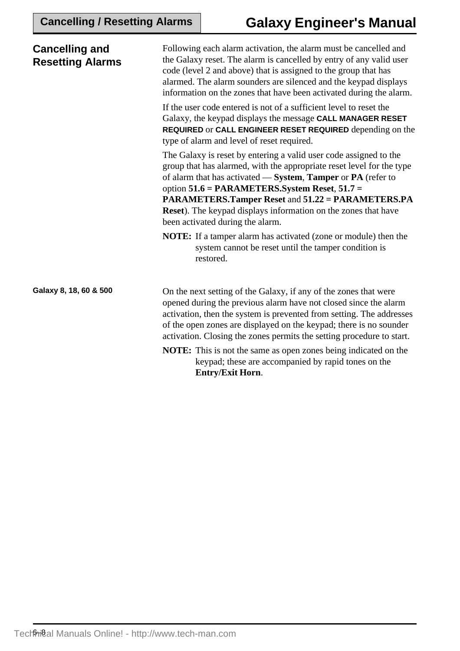| <b>Cancelling and</b><br><b>Resetting Alarms</b> | Following each alarm activation, the alarm must be cancelled and<br>the Galaxy reset. The alarm is cancelled by entry of any valid user<br>code (level 2 and above) that is assigned to the group that has<br>alarmed. The alarm sounders are silenced and the keypad displays<br>information on the zones that have been activated during the alarm.                                                                                      |
|--------------------------------------------------|--------------------------------------------------------------------------------------------------------------------------------------------------------------------------------------------------------------------------------------------------------------------------------------------------------------------------------------------------------------------------------------------------------------------------------------------|
|                                                  | If the user code entered is not of a sufficient level to reset the<br>Galaxy, the keypad displays the message CALL MANAGER RESET<br>REQUIRED or CALL ENGINEER RESET REQUIRED depending on the<br>type of alarm and level of reset required.                                                                                                                                                                                                |
|                                                  | The Galaxy is reset by entering a valid user code assigned to the<br>group that has alarmed, with the appropriate reset level for the type<br>of alarm that has activated - System, Tamper or PA (refer to<br>option $51.6$ = PARAMETERS. System Reset, $51.7$ =<br><b>PARAMETERS.Tamper Reset and 51.22 = PARAMETERS.PA</b><br><b>Reset</b> ). The keypad displays information on the zones that have<br>been activated during the alarm. |
|                                                  | <b>NOTE:</b> If a tamper alarm has activated (zone or module) then the<br>system cannot be reset until the tamper condition is<br>restored.                                                                                                                                                                                                                                                                                                |
| Galaxy 8, 18, 60 & 500                           | On the next setting of the Galaxy, if any of the zones that were<br>opened during the previous alarm have not closed since the alarm<br>activation, then the system is prevented from setting. The addresses<br>of the open zones are displayed on the keypad; there is no sounder<br>activation. Closing the zones permits the setting procedure to start.                                                                                |
|                                                  | <b>NOTE:</b> This is not the same as open zones being indicated on the<br>keypad; these are accompanied by rapid tones on the<br><b>Entry/Exit Horn.</b>                                                                                                                                                                                                                                                                                   |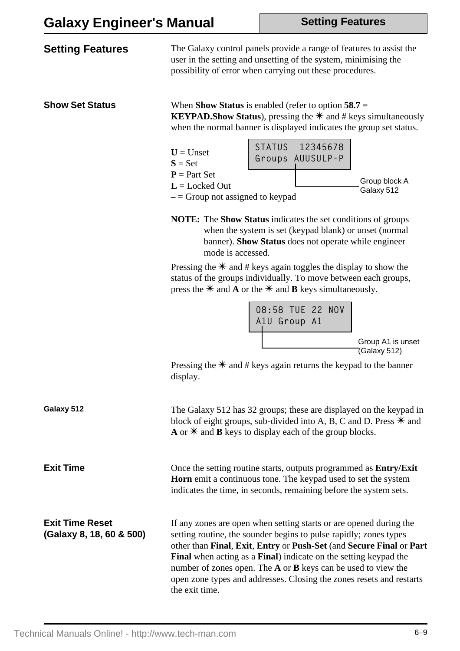**Setting Features**

| <b>Setting Features</b>                            | The Galaxy control panels provide a range of features to assist the<br>user in the setting and unsetting of the system, minimising the<br>possibility of error when carrying out these procedures.                                                                                                                                                                                                                                            |
|----------------------------------------------------|-----------------------------------------------------------------------------------------------------------------------------------------------------------------------------------------------------------------------------------------------------------------------------------------------------------------------------------------------------------------------------------------------------------------------------------------------|
| <b>Show Set Status</b>                             | When <b>Show Status</b> is enabled (refer to option $58.7 =$<br><b>KEYPAD.Show Status</b> ), pressing the $*$ and # keys simultaneously<br>when the normal banner is displayed indicates the group set status.<br>STATUS 12345678<br>$U =$ Unset                                                                                                                                                                                              |
|                                                    | Groups AUUSULP-P<br>$S = Set$<br>$P = Part Set$<br>Group block A<br>$L =$ Locked Out<br>Galaxy 512<br>$-$ = Group not assigned to keypad                                                                                                                                                                                                                                                                                                      |
|                                                    | <b>NOTE:</b> The <b>Show Status</b> indicates the set conditions of groups<br>when the system is set (keypad blank) or unset (normal<br>banner). Show Status does not operate while engineer<br>mode is accessed.                                                                                                                                                                                                                             |
|                                                    | Pressing the $*$ and # keys again toggles the display to show the<br>status of the groups individually. To move between each groups,<br>press the $*$ and <b>A</b> or the $*$ and <b>B</b> keys simultaneously.                                                                                                                                                                                                                               |
|                                                    | 08:58 TUE 22 NOV<br>A1U Group A1                                                                                                                                                                                                                                                                                                                                                                                                              |
|                                                    | Group A1 is unset<br>(Galaxy 512)<br>Pressing the $*$ and # keys again returns the keypad to the banner<br>display.                                                                                                                                                                                                                                                                                                                           |
| Galaxy 512                                         | The Galaxy 512 has 32 groups; these are displayed on the keypad in<br>block of eight groups, sub-divided into A, B, C and D. Press $*$ and<br>A or $*$ and <b>B</b> keys to display each of the group blocks.                                                                                                                                                                                                                                 |
| <b>Exit Time</b>                                   | Once the setting routine starts, outputs programmed as <b>Entry/Exit</b><br>Horn emit a continuous tone. The keypad used to set the system<br>indicates the time, in seconds, remaining before the system sets.                                                                                                                                                                                                                               |
| <b>Exit Time Reset</b><br>(Galaxy 8, 18, 60 & 500) | If any zones are open when setting starts or are opened during the<br>setting routine, the sounder begins to pulse rapidly; zones types<br>other than Final, Exit, Entry or Push-Set (and Secure Final or Part<br>Final when acting as a Final) indicate on the setting keypad the<br>number of zones open. The A or B keys can be used to view the<br>open zone types and addresses. Closing the zones resets and restarts<br>the exit time. |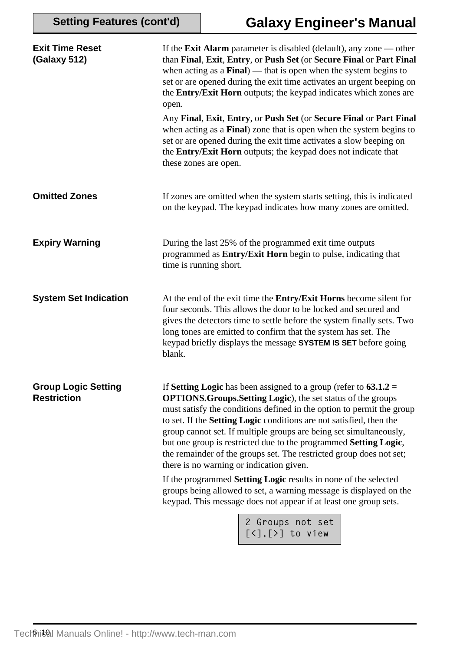| <b>Exit Time Reset</b><br><b>(Galaxy 512)</b>    | If the <b>Exit Alarm</b> parameter is disabled (default), any zone $\rightarrow$ other<br>than Final, Exit, Entry, or Push Set (or Secure Final or Part Final<br>when acting as a $Final$ ) — that is open when the system begins to<br>set or are opened during the exit time activates an urgent beeping on<br>the Entry/Exit Horn outputs; the keypad indicates which zones are<br>open.<br>Any Final, Exit, Entry, or Push Set (or Secure Final or Part Final<br>when acting as a Final) zone that is open when the system begins to<br>set or are opened during the exit time activates a slow beeping on<br>the Entry/Exit Horn outputs; the keypad does not indicate that<br>these zones are open. |
|--------------------------------------------------|-----------------------------------------------------------------------------------------------------------------------------------------------------------------------------------------------------------------------------------------------------------------------------------------------------------------------------------------------------------------------------------------------------------------------------------------------------------------------------------------------------------------------------------------------------------------------------------------------------------------------------------------------------------------------------------------------------------|
| <b>Omitted Zones</b>                             | If zones are omitted when the system starts setting, this is indicated<br>on the keypad. The keypad indicates how many zones are omitted.                                                                                                                                                                                                                                                                                                                                                                                                                                                                                                                                                                 |
| <b>Expiry Warning</b>                            | During the last 25% of the programmed exit time outputs<br>programmed as Entry/Exit Horn begin to pulse, indicating that<br>time is running short.                                                                                                                                                                                                                                                                                                                                                                                                                                                                                                                                                        |
| <b>System Set Indication</b>                     | At the end of the exit time the Entry/Exit Horns become silent for<br>four seconds. This allows the door to be locked and secured and<br>gives the detectors time to settle before the system finally sets. Two<br>long tones are emitted to confirm that the system has set. The<br>keypad briefly displays the message SYSTEM IS SET before going<br>blank.                                                                                                                                                                                                                                                                                                                                             |
| <b>Group Logic Setting</b><br><b>Restriction</b> | If Setting Logic has been assigned to a group (refer to $63.1.2 =$<br><b>OPTIONS.Groups.Setting Logic</b> ), the set status of the groups<br>must satisfy the conditions defined in the option to permit the group<br>to set. If the Setting Logic conditions are not satisfied, then the<br>group cannot set. If multiple groups are being set simultaneously,<br>but one group is restricted due to the programmed Setting Logic,<br>the remainder of the groups set. The restricted group does not set;<br>there is no warning or indication given.<br>If the programmed <b>Setting Logic</b> results in none of the selected                                                                          |
|                                                  | groups being allowed to set, a warning message is displayed on the<br>keypad. This message does not appear if at least one group sets.                                                                                                                                                                                                                                                                                                                                                                                                                                                                                                                                                                    |
|                                                  | 2 Groups not set<br>[<],[>] to view                                                                                                                                                                                                                                                                                                                                                                                                                                                                                                                                                                                                                                                                       |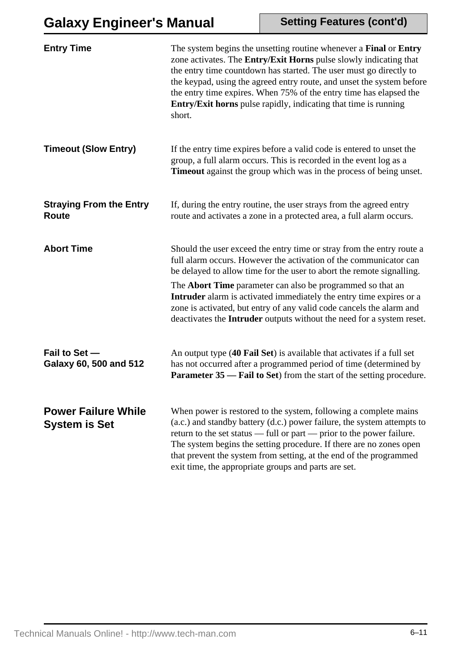| <b>Entry Time</b>                                  | The system begins the unsetting routine whenever a Final or Entry<br>zone activates. The Entry/Exit Horns pulse slowly indicating that<br>the entry time countdown has started. The user must go directly to<br>the keypad, using the agreed entry route, and unset the system before<br>the entry time expires. When 75% of the entry time has elapsed the<br>Entry/Exit horns pulse rapidly, indicating that time is running<br>short.                                                                                |
|----------------------------------------------------|-------------------------------------------------------------------------------------------------------------------------------------------------------------------------------------------------------------------------------------------------------------------------------------------------------------------------------------------------------------------------------------------------------------------------------------------------------------------------------------------------------------------------|
| <b>Timeout (Slow Entry)</b>                        | If the entry time expires before a valid code is entered to unset the<br>group, a full alarm occurs. This is recorded in the event log as a<br><b>Timeout</b> against the group which was in the process of being unset.                                                                                                                                                                                                                                                                                                |
| <b>Straying From the Entry</b><br><b>Route</b>     | If, during the entry routine, the user strays from the agreed entry<br>route and activates a zone in a protected area, a full alarm occurs.                                                                                                                                                                                                                                                                                                                                                                             |
| <b>Abort Time</b>                                  | Should the user exceed the entry time or stray from the entry route a<br>full alarm occurs. However the activation of the communicator can<br>be delayed to allow time for the user to abort the remote signalling.<br>The <b>Abort Time</b> parameter can also be programmed so that an<br><b>Intruder</b> alarm is activated immediately the entry time expires or a<br>zone is activated, but entry of any valid code cancels the alarm and<br>deactivates the Intruder outputs without the need for a system reset. |
| Fail to Set -<br>Galaxy 60, 500 and 512            | An output type (40 Fail Set) is available that activates if a full set<br>has not occurred after a programmed period of time (determined by<br><b>Parameter 35 — Fail to Set</b> ) from the start of the setting procedure.                                                                                                                                                                                                                                                                                             |
| <b>Power Failure While</b><br><b>System is Set</b> | When power is restored to the system, following a complete mains<br>(a.c.) and standby battery (d.c.) power failure, the system attempts to<br>return to the set status — full or part — prior to the power failure.<br>The system begins the setting procedure. If there are no zones open<br>that prevent the system from setting, at the end of the programmed<br>exit time, the appropriate groups and parts are set.                                                                                               |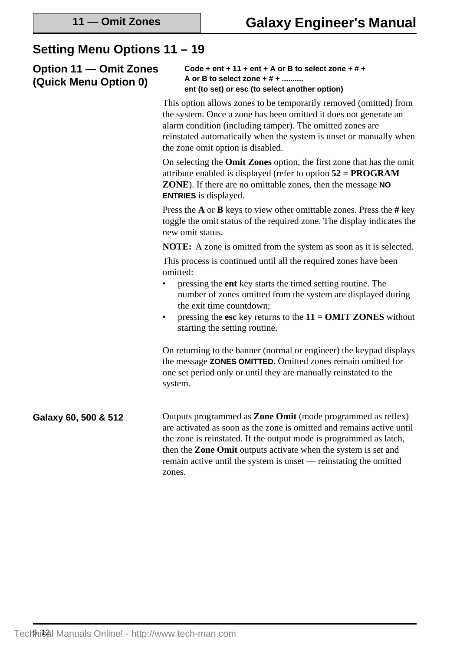### **Setting Menu Options 11 – 19**

**Option 11 — Omit Zones (Quick Menu Option 0)**

| Code + ent + 11 + ent + A or B to select zone + # + |
|-----------------------------------------------------|
| A or B to select zone $+$ # $+$                     |
| ent (to set) or esc (to select another option)      |

This option allows zones to be temporarily removed (omitted) from the system. Once a zone has been omitted it does not generate an alarm condition (including tamper). The omitted zones are reinstated automatically when the system is unset or manually when the zone omit option is disabled.

On selecting the **Omit Zones** option, the first zone that has the omit attribute enabled is displayed (refer to option **52 = PROGRAM ZONE**). If there are no omittable zones, then the message **NO ENTRIES** is displayed.

Press the **A** or **B** keys to view other omittable zones. Press the **#** key toggle the omit status of the required zone. The display indicates the new omit status.

**NOTE:** A zone is omitted from the system as soon as it is selected.

This process is continued until all the required zones have been omitted:

- pressing the **ent** key starts the timed setting routine. The number of zones omitted from the system are displayed during the exit time countdown;
- pressing the **esc** key returns to the **11 = OMIT ZONES** without starting the setting routine.

On returning to the banner (normal or engineer) the keypad displays the message **ZONES OMITTED**. Omitted zones remain omitted for one set period only or until they are manually reinstated to the system.

**Galaxy 60, 500 & 512** Outputs programmed as **Zone Omit** (mode programmed as reflex) are activated as soon as the zone is omitted and remains active until the zone is reinstated. If the output mode is programmed as latch, then the **Zone Omit** outputs activate when the system is set and remain active until the system is unset — reinstating the omitted zones.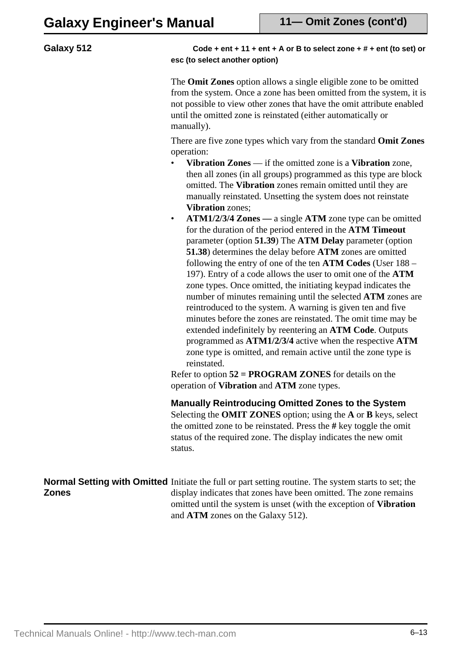#### **Galaxy 512**

#### **Code + ent + 11 + ent + A or B to select zone + # + ent (to set) or esc (to select another option)**

The **Omit Zones** option allows a single eligible zone to be omitted from the system. Once a zone has been omitted from the system, it is not possible to view other zones that have the omit attribute enabled until the omitted zone is reinstated (either automatically or manually).

There are five zone types which vary from the standard **Omit Zones** operation:

- **Vibration Zones** if the omitted zone is a **Vibration** zone, then all zones (in all groups) programmed as this type are block omitted. The **Vibration** zones remain omitted until they are manually reinstated. Unsetting the system does not reinstate **Vibration** zones;
- **ATM1/2/3/4 Zones** a single **ATM** zone type can be omitted for the duration of the period entered in the **ATM Timeout** parameter (option **51.39**) The **ATM Delay** parameter (option **51.38**) determines the delay before **ATM** zones are omitted following the entry of one of the ten **ATM Codes** (User 188 – 197). Entry of a code allows the user to omit one of the **ATM** zone types. Once omitted, the initiating keypad indicates the number of minutes remaining until the selected **ATM** zones are reintroduced to the system. A warning is given ten and five minutes before the zones are reinstated. The omit time may be extended indefinitely by reentering an **ATM Code**. Outputs programmed as **ATM1/2/3/4** active when the respective **ATM** zone type is omitted, and remain active until the zone type is reinstated.

Refer to option **52 = PROGRAM ZONES** for details on the operation of **Vibration** and **ATM** zone types.

**Manually Reintroducing Omitted Zones to the System** Selecting the **OMIT ZONES** option; using the **A** or **B** keys, select the omitted zone to be reinstated. Press the **#** key toggle the omit status of the required zone. The display indicates the new omit status.

Normal Setting with Omitted Initiate the full or part setting routine. The system starts to set; the **Zones** display indicates that zones have been omitted. The zone remains omitted until the system is unset (with the exception of **Vibration** and **ATM** zones on the Galaxy 512).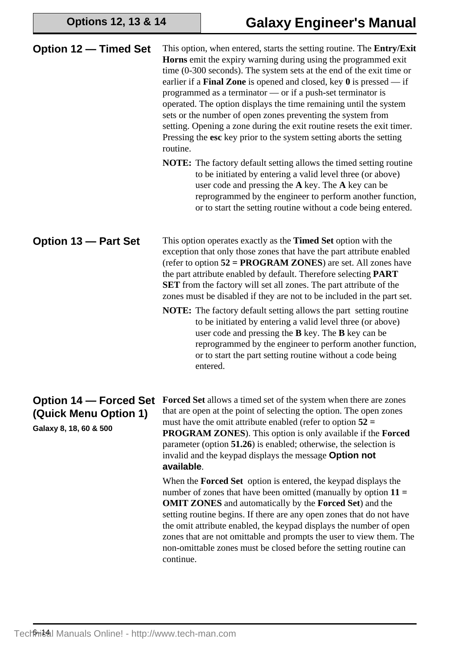**Options 12, 13 & 14**

| <b>Option 12 – Timed Set</b>                                                     | This option, when entered, starts the setting routine. The <b>Entry/Exit</b><br><b>Horns</b> emit the expiry warning during using the programmed exit<br>time $(0-300$ seconds). The system sets at the end of the exit time or<br>earlier if a <b>Final Zone</b> is opened and closed, key $\theta$ is pressed — if<br>programmed as a terminator — or if a push-set terminator is<br>operated. The option displays the time remaining until the system<br>sets or the number of open zones preventing the system from<br>setting. Opening a zone during the exit routine resets the exit timer.<br>Pressing the esc key prior to the system setting aborts the setting<br>routine.<br><b>NOTE:</b> The factory default setting allows the timed setting routine<br>to be initiated by entering a valid level three (or above)<br>user code and pressing the A key. The A key can be<br>reprogrammed by the engineer to perform another function,<br>or to start the setting routine without a code being entered. |
|----------------------------------------------------------------------------------|---------------------------------------------------------------------------------------------------------------------------------------------------------------------------------------------------------------------------------------------------------------------------------------------------------------------------------------------------------------------------------------------------------------------------------------------------------------------------------------------------------------------------------------------------------------------------------------------------------------------------------------------------------------------------------------------------------------------------------------------------------------------------------------------------------------------------------------------------------------------------------------------------------------------------------------------------------------------------------------------------------------------|
| Option 13 - Part Set                                                             | This option operates exactly as the <b>Timed Set</b> option with the<br>exception that only those zones that have the part attribute enabled<br>(refer to option $52 = PROGRAM ZONES$ ) are set. All zones have<br>the part attribute enabled by default. Therefore selecting PART<br><b>SET</b> from the factory will set all zones. The part attribute of the<br>zones must be disabled if they are not to be included in the part set.<br><b>NOTE:</b> The factory default setting allows the part setting routine<br>to be initiated by entering a valid level three (or above)<br>user code and pressing the $B$ key. The $B$ key can be<br>reprogrammed by the engineer to perform another function,<br>or to start the part setting routine without a code being<br>entered.                                                                                                                                                                                                                                 |
| <b>Option 14 – Forced Set</b><br>(Quick Menu Option 1)<br>Galaxy 8, 18, 60 & 500 | <b>Forced Set</b> allows a timed set of the system when there are zones<br>that are open at the point of selecting the option. The open zones<br>must have the omit attribute enabled (refer to option $52 =$<br><b>PROGRAM ZONES</b> ). This option is only available if the Forced<br>parameter (option 51.26) is enabled; otherwise, the selection is<br>invalid and the keypad displays the message Option not<br>available.<br>When the <b>Forced Set</b> option is entered, the keypad displays the<br>number of zones that have been omitted (manually by option $11 =$<br><b>OMIT ZONES</b> and automatically by the <b>Forced Set</b> ) and the<br>setting routine begins. If there are any open zones that do not have<br>the omit attribute enabled, the keypad displays the number of open<br>zones that are not omittable and prompts the user to view them. The<br>non-omittable zones must be closed before the setting routine can<br>continue.                                                     |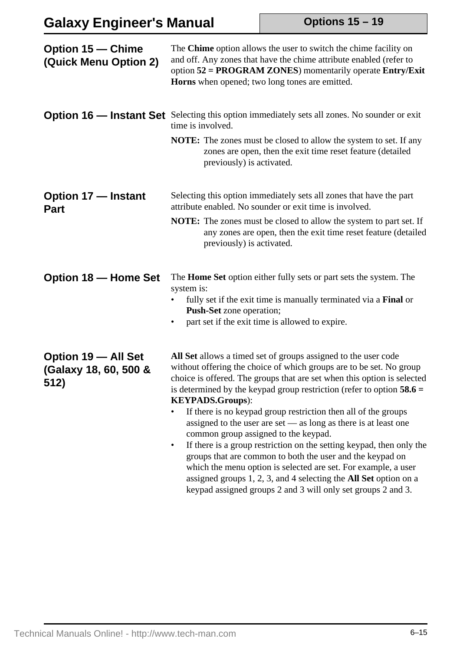# **Galaxy Engineer's Manual**

**Options 15 – 19**

| <b>Option 15 – Chime</b><br>(Quick Menu Option 2)    | The Chime option allows the user to switch the chime facility on<br>and off. Any zones that have the chime attribute enabled (refer to<br>option 52 = PROGRAM ZONES) momentarily operate Entry/Exit<br><b>Horns</b> when opened; two long tones are emitted.                                                                                                                                                                                                                                                                                                                                                                                                                                                                                                                                                                                                              |
|------------------------------------------------------|---------------------------------------------------------------------------------------------------------------------------------------------------------------------------------------------------------------------------------------------------------------------------------------------------------------------------------------------------------------------------------------------------------------------------------------------------------------------------------------------------------------------------------------------------------------------------------------------------------------------------------------------------------------------------------------------------------------------------------------------------------------------------------------------------------------------------------------------------------------------------|
|                                                      | <b>Option 16 — Instant Set</b> Selecting this option immediately sets all zones. No sounder or exit<br>time is involved.<br>NOTE: The zones must be closed to allow the system to set. If any<br>zones are open, then the exit time reset feature (detailed<br>previously) is activated.                                                                                                                                                                                                                                                                                                                                                                                                                                                                                                                                                                                  |
| <b>Option 17 - Instant</b><br><b>Part</b>            | Selecting this option immediately sets all zones that have the part<br>attribute enabled. No sounder or exit time is involved.<br><b>NOTE:</b> The zones must be closed to allow the system to part set. If<br>any zones are open, then the exit time reset feature (detailed<br>previously) is activated.                                                                                                                                                                                                                                                                                                                                                                                                                                                                                                                                                                |
| <b>Option 18 - Home Set</b>                          | The <b>Home Set</b> option either fully sets or part sets the system. The<br>system is:<br>fully set if the exit time is manually terminated via a Final or<br><b>Push-Set</b> zone operation;<br>part set if the exit time is allowed to expire.<br>$\bullet$                                                                                                                                                                                                                                                                                                                                                                                                                                                                                                                                                                                                            |
| Option 19 - All Set<br>(Galaxy 18, 60, 500 &<br>512) | All Set allows a timed set of groups assigned to the user code<br>without offering the choice of which groups are to be set. No group<br>choice is offered. The groups that are set when this option is selected<br>is determined by the keypad group restriction (refer to option $58.6 =$<br><b>KEYPADS.Groups):</b><br>If there is no keypad group restriction then all of the groups<br>assigned to the user are set $-$ as long as there is at least one<br>common group assigned to the keypad.<br>If there is a group restriction on the setting keypad, then only the<br>$\bullet$<br>groups that are common to both the user and the keypad on<br>which the menu option is selected are set. For example, a user<br>assigned groups $1, 2, 3$ , and $4$ selecting the <b>All Set</b> option on a<br>keypad assigned groups 2 and 3 will only set groups 2 and 3. |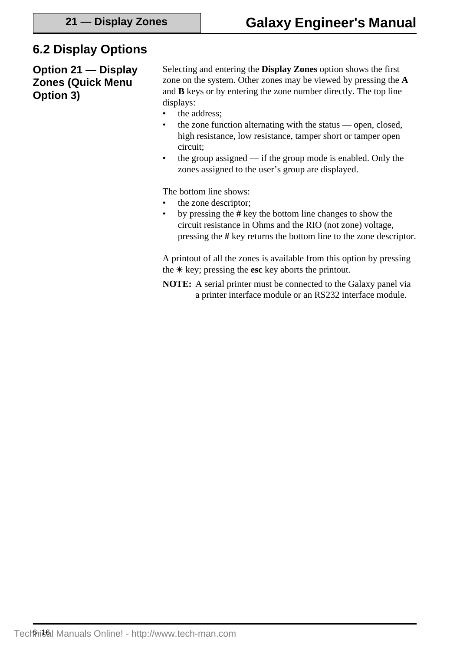### **6.2 Display Options**

**Option 21 — Display Zones (Quick Menu Option 3)**

Selecting and entering the **Display Zones** option shows the first zone on the system. Other zones may be viewed by pressing the **A** and **B** keys or by entering the zone number directly. The top line displays:

- the address;
- the zone function alternating with the status open, closed, high resistance, low resistance, tamper short or tamper open circuit;
- the group assigned if the group mode is enabled. Only the zones assigned to the user's group are displayed.

The bottom line shows:

- the zone descriptor;
- by pressing the **#** key the bottom line changes to show the circuit resistance in Ohms and the RIO (not zone) voltage, pressing the **#** key returns the bottom line to the zone descriptor.

A printout of all the zones is available from this option by pressing the  $*$  key; pressing the **esc** key aborts the printout.

**NOTE:** A serial printer must be connected to the Galaxy panel via a printer interface module or an RS232 interface module.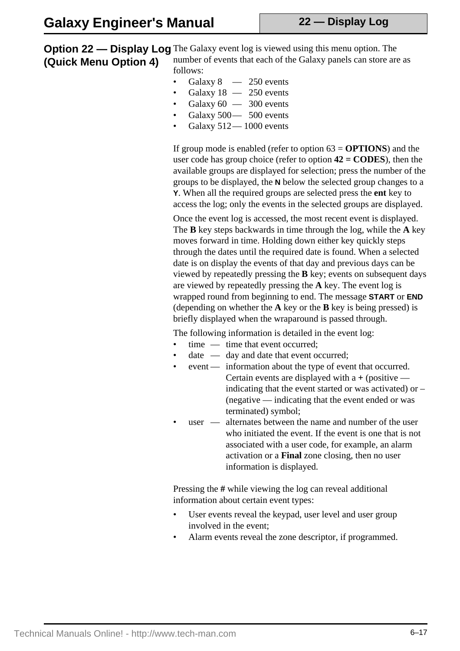**Option 22 — Display Log** The Galaxy event log is viewed using this menu option. The **(Quick Menu Option 4)** number of events that each of the Galaxy panels can store are as follows:

- Galaxy  $8 250$  events
- Galaxy  $18 250$  events
- Galaxy  $60 300$  events
- Galaxy 500 500 events
- Galaxy 512— 1000 events

If group mode is enabled (refer to option 63 = **OPTIONS**) and the user code has group choice (refer to option **42 = CODES**), then the available groups are displayed for selection; press the number of the groups to be displayed, the **N** below the selected group changes to a **Y**. When all the required groups are selected press the **ent** key to access the log; only the events in the selected groups are displayed.

Once the event log is accessed, the most recent event is displayed. The **B** key steps backwards in time through the log, while the **A** key moves forward in time. Holding down either key quickly steps through the dates until the required date is found. When a selected date is on display the events of that day and previous days can be viewed by repeatedly pressing the **B** key; events on subsequent days are viewed by repeatedly pressing the **A** key. The event log is wrapped round from beginning to end. The message **START** or **END** (depending on whether the **A** key or the **B** key is being pressed) is briefly displayed when the wraparound is passed through.

The following information is detailed in the event log:

- time time that event occurred:
- $date$  day and date that event occurred:
- event information about the type of event that occurred. Certain events are displayed with a **+** (positive
	- indicating that the event started or was activated) or (negative — indicating that the event ended or was terminated) symbol;
- user alternates between the name and number of the user who initiated the event. If the event is one that is not associated with a user code, for example, an alarm activation or a **Final** zone closing, then no user information is displayed.

Pressing the **#** while viewing the log can reveal additional information about certain event types:

- User events reveal the keypad, user level and user group involved in the event;
- Alarm events reveal the zone descriptor, if programmed.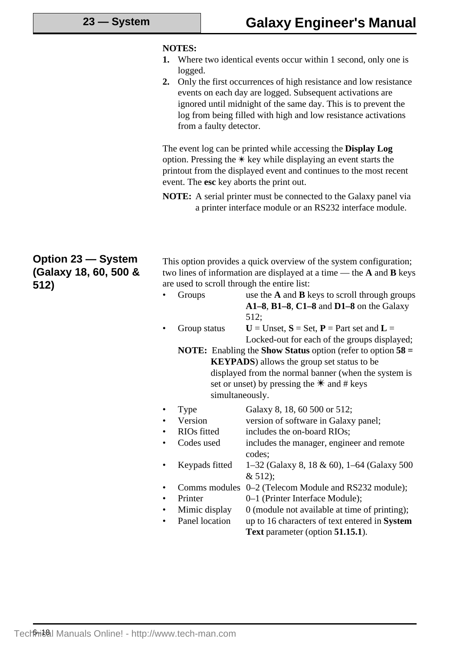#### **NOTES:**

- **1.** Where two identical events occur within 1 second, only one is logged.
- **2.** Only the first occurrences of high resistance and low resistance events on each day are logged. Subsequent activations are ignored until midnight of the same day. This is to prevent the log from being filled with high and low resistance activations from a faulty detector.

The event log can be printed while accessing the **Display Log** option. Pressing the  $*$  key while displaying an event starts the printout from the displayed event and continues to the most recent event. The **esc** key aborts the print out.

**NOTE:** A serial printer must be connected to the Galaxy panel via a printer interface module or an RS232 interface module.

#### **Option 23 — System (Galaxy 18, 60, 500 & 512)**

This option provides a quick overview of the system configuration; two lines of information are displayed at a time — the **A** and **B** keys are used to scroll through the entire list:

- Groups use the **A** and **B** keys to scroll through groups **A1–8**, **B1–8**, **C1–8** and **D1–8** on the Galaxy 512;
- Group status  $U =$  Unset,  $S =$  Set,  $P =$  Part set and  $L =$ Locked-out for each of the groups displayed;

**NOTE:** Enabling the **Show Status** option (refer to option **58 = KEYPADS**) allows the group set status to be displayed from the normal banner (when the system is set or unset) by pressing the  $*$  and # keys simultaneously.

- Type Galaxy 8, 18, 60 500 or 512;
- Version version of software in Galaxy panel;
- RIOs fitted includes the on-board RIOs;
- Codes used includes the manager, engineer and remote codes;
- Keypads fitted 1–32 (Galaxy 8, 18 & 60), 1–64 (Galaxy 500 & 512);
- Comms modules 0–2 (Telecom Module and RS232 module);
- Printer 0–1 (Printer Interface Module);
- Mimic display  $\qquad 0$  (module not available at time of printing);
- Panel location up to 16 characters of text entered in **System Text** parameter (option **51.15.1**).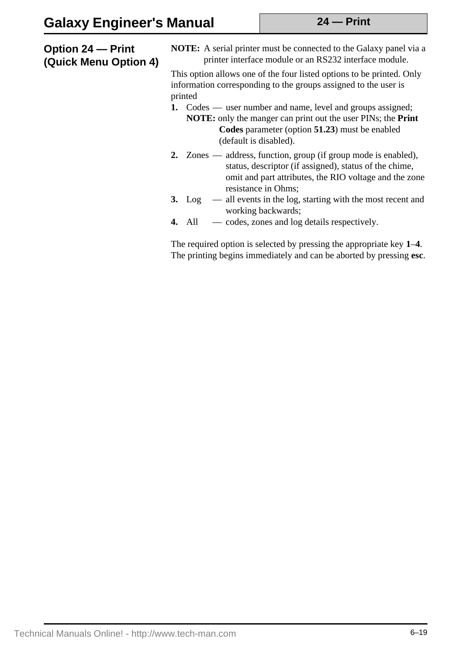#### **Option 24 — Print (Quick Menu Option 4)**

**NOTE:** A serial printer must be connected to the Galaxy panel via a printer interface module or an RS232 interface module.

This option allows one of the four listed options to be printed. Only information corresponding to the groups assigned to the user is printed

- **1.** Codes user number and name, level and groups assigned; **NOTE:** only the manger can print out the user PINs; the **Print Codes** parameter (option **51.23**) must be enabled (default is disabled).
- **2.** Zones address, function, group (if group mode is enabled), status, descriptor (if assigned), status of the chime, omit and part attributes, the RIO voltage and the zone resistance in Ohms;
- **3.** Log all events in the log, starting with the most recent and working backwards;
- **4.** All codes, zones and log details respectively.

The required option is selected by pressing the appropriate key **1**–**4**. The printing begins immediately and can be aborted by pressing **esc**.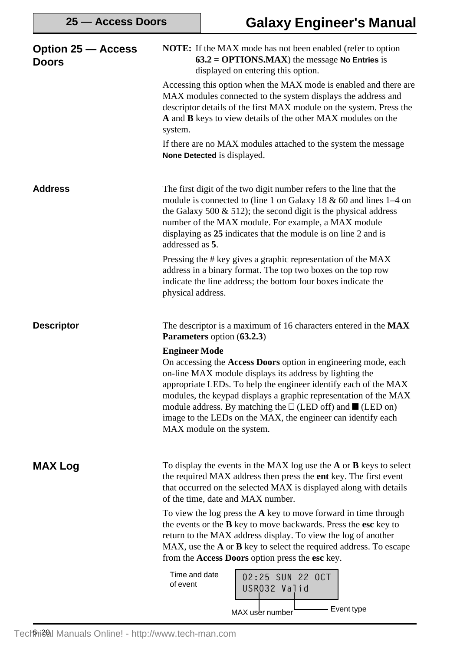| <b>Option 25 – Access</b><br>Doors | <b>NOTE:</b> If the MAX mode has not been enabled (refer to option<br>$63.2 = OPTIONS.MAX$ ) the message No Entries is<br>displayed on entering this option.                                                                                                                                                                                                                                                                                                        |  |  |
|------------------------------------|---------------------------------------------------------------------------------------------------------------------------------------------------------------------------------------------------------------------------------------------------------------------------------------------------------------------------------------------------------------------------------------------------------------------------------------------------------------------|--|--|
|                                    | Accessing this option when the MAX mode is enabled and there are<br>MAX modules connected to the system displays the address and<br>descriptor details of the first MAX module on the system. Press the<br>A and B keys to view details of the other MAX modules on the<br>system.                                                                                                                                                                                  |  |  |
|                                    | If there are no MAX modules attached to the system the message<br>None Detected is displayed.                                                                                                                                                                                                                                                                                                                                                                       |  |  |
| <b>Address</b>                     | The first digit of the two digit number refers to the line that the<br>module is connected to (line 1 on Galaxy 18 $\&$ 60 and lines 1–4 on<br>the Galaxy 500 $\&$ 512); the second digit is the physical address<br>number of the MAX module. For example, a MAX module<br>displaying as 25 indicates that the module is on line 2 and is<br>addressed as 5.                                                                                                       |  |  |
|                                    | Pressing the # key gives a graphic representation of the MAX<br>address in a binary format. The top two boxes on the top row<br>indicate the line address; the bottom four boxes indicate the<br>physical address.                                                                                                                                                                                                                                                  |  |  |
| <b>Descriptor</b>                  | The descriptor is a maximum of 16 characters entered in the MAX<br>Parameters option (63.2.3)                                                                                                                                                                                                                                                                                                                                                                       |  |  |
|                                    | <b>Engineer Mode</b><br>On accessing the Access Doors option in engineering mode, each<br>on-line MAX module displays its address by lighting the<br>appropriate LEDs. To help the engineer identify each of the MAX<br>modules, the keypad displays a graphic representation of the MAX<br>module address. By matching the $\square$ (LED off) and $\square$ (LED on)<br>image to the LEDs on the MAX, the engineer can identify each<br>MAX module on the system. |  |  |
| <b>MAX Log</b>                     | To display the events in the MAX log use the $A$ or $B$ keys to select<br>the required MAX address then press the <b>ent</b> key. The first event<br>that occurred on the selected MAX is displayed along with details<br>of the time, date and MAX number.                                                                                                                                                                                                         |  |  |
|                                    | To view the log press the $A$ key to move forward in time through<br>the events or the <b>B</b> key to move backwards. Press the esc key to<br>return to the MAX address display. To view the log of another<br>MAX, use the <b>A</b> or <b>B</b> key to select the required address. To escape<br>from the Access Doors option press the esc key.                                                                                                                  |  |  |
|                                    | Time and date<br>02:25 SUN 22 OCT<br>of event<br>USR032 Valid<br>Event type                                                                                                                                                                                                                                                                                                                                                                                         |  |  |
|                                    | MAX user number                                                                                                                                                                                                                                                                                                                                                                                                                                                     |  |  |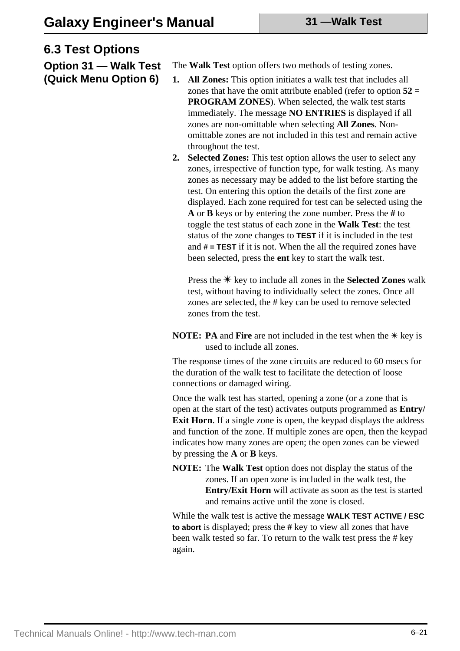### **6.3 Test Options**

**Option 31 — Walk Test (Quick Menu Option 6)**

The **Walk Test** option offers two methods of testing zones.

- **1. All Zones:** This option initiates a walk test that includes all zones that have the omit attribute enabled (refer to option **52 = PROGRAM ZONES**). When selected, the walk test starts immediately. The message **NO ENTRIES** is displayed if all zones are non-omittable when selecting **All Zones**. Nonomittable zones are not included in this test and remain active throughout the test.
- **2. Selected Zones:** This test option allows the user to select any zones, irrespective of function type, for walk testing. As many zones as necessary may be added to the list before starting the test. On entering this option the details of the first zone are displayed. Each zone required for test can be selected using the **A** or **B** keys or by entering the zone number. Press the **#** to toggle the test status of each zone in the **Walk Test**: the test status of the zone changes to **TEST** if it is included in the test and **# = TEST** if it is not. When the all the required zones have been selected, press the **ent** key to start the walk test.

Press the  $*$  key to include all zones in the **Selected Zones** walk test, without having to individually select the zones. Once all zones are selected, the # key can be used to remove selected zones from the test.

**NOTE: PA** and **Fire** are not included in the test when the  $*$  key is used to include all zones.

The response times of the zone circuits are reduced to 60 msecs for the duration of the walk test to facilitate the detection of loose connections or damaged wiring.

Once the walk test has started, opening a zone (or a zone that is open at the start of the test) activates outputs programmed as **Entry/ Exit Horn**. If a single zone is open, the keypad displays the address and function of the zone. If multiple zones are open, then the keypad indicates how many zones are open; the open zones can be viewed by pressing the **A** or **B** keys.

**NOTE:** The **Walk Test** option does not display the status of the zones. If an open zone is included in the walk test, the **Entry/Exit Horn** will activate as soon as the test is started and remains active until the zone is closed.

While the walk test is active the message **WALK TEST ACTIVE / ESC to abort** is displayed; press the **#** key to view all zones that have been walk tested so far. To return to the walk test press the # key again.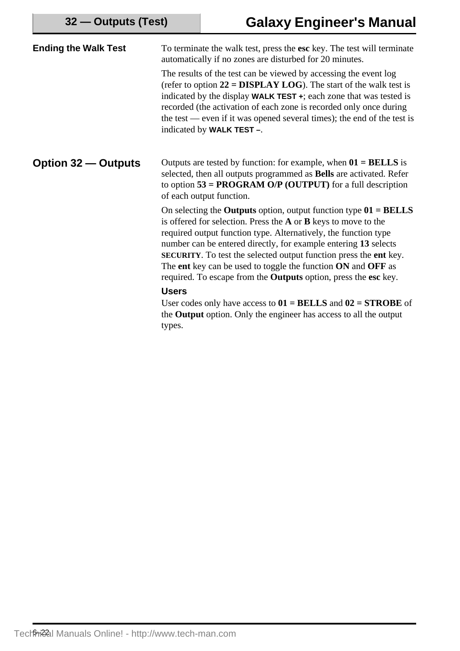| <b>Ending the Walk Test</b> | To terminate the walk test, press the esc key. The test will terminate<br>automatically if no zones are disturbed for 20 minutes.                                                                                                                                                                                                                                                                                                                                                                                   |  |  |
|-----------------------------|---------------------------------------------------------------------------------------------------------------------------------------------------------------------------------------------------------------------------------------------------------------------------------------------------------------------------------------------------------------------------------------------------------------------------------------------------------------------------------------------------------------------|--|--|
|                             | The results of the test can be viewed by accessing the event log<br>(refer to option $22 = DISPLAN LOG$ ). The start of the walk test is<br>indicated by the display <b>WALK TEST</b> $\div$ ; each zone that was tested is<br>recorded (the activation of each zone is recorded only once during<br>the test — even if it was opened several times); the end of the test is<br>indicated by WALK TEST -.                                                                                                           |  |  |
| <b>Option 32 – Outputs</b>  | Outputs are tested by function: for example, when $01 = BELLS$ is<br>selected, then all outputs programmed as Bells are activated. Refer<br>to option $53 = PROGRAM$ O/P (OUTPUT) for a full description<br>of each output function.                                                                                                                                                                                                                                                                                |  |  |
|                             | On selecting the <b>Outputs</b> option, output function type $01 = BELLS$<br>is offered for selection. Press the $A$ or $B$ keys to move to the<br>required output function type. Alternatively, the function type<br>number can be entered directly, for example entering 13 selects<br><b>SECURITY</b> . To test the selected output function press the <b>ent</b> key.<br>The ent key can be used to toggle the function ON and OFF as<br>required. To escape from the <b>Outputs</b> option, press the esc key. |  |  |
|                             | <b>Users</b>                                                                                                                                                                                                                                                                                                                                                                                                                                                                                                        |  |  |
|                             | User codes only have access to $01 = BELLS$ and $02 = STROBE$ of<br>the Output option. Only the engineer has access to all the output                                                                                                                                                                                                                                                                                                                                                                               |  |  |
|                             | types.                                                                                                                                                                                                                                                                                                                                                                                                                                                                                                              |  |  |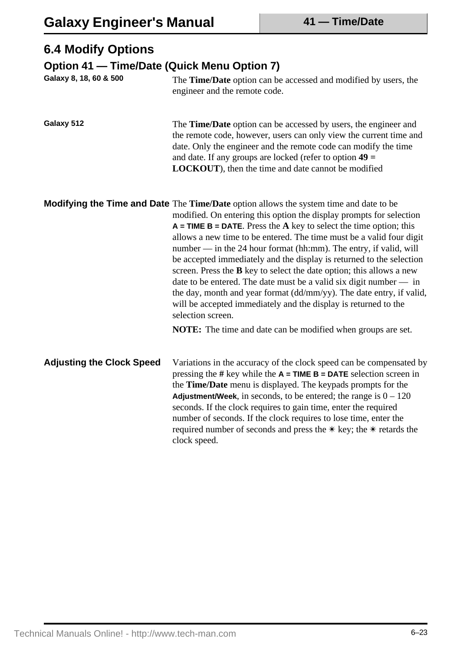## **6.4 Modify Options**

### **Option 41 — Time/Date (Quick Menu Option 7)**

| Galaxy 8, 18, 60 & 500           | The Time/Date option can be accessed and modified by users, the<br>engineer and the remote code.                                                                                                                                                                                                                                                                                                                                                                                                                                                                                                                                                                                                                                                                                                                                                           |  |
|----------------------------------|------------------------------------------------------------------------------------------------------------------------------------------------------------------------------------------------------------------------------------------------------------------------------------------------------------------------------------------------------------------------------------------------------------------------------------------------------------------------------------------------------------------------------------------------------------------------------------------------------------------------------------------------------------------------------------------------------------------------------------------------------------------------------------------------------------------------------------------------------------|--|
| Galaxy 512                       | The Time/Date option can be accessed by users, the engineer and<br>the remote code, however, users can only view the current time and<br>date. Only the engineer and the remote code can modify the time<br>and date. If any groups are locked (refer to option $49 =$<br>LOCKOUT), then the time and date cannot be modified                                                                                                                                                                                                                                                                                                                                                                                                                                                                                                                              |  |
|                                  | <b>Modifying the Time and Date</b> The Time/Date option allows the system time and date to be<br>modified. On entering this option the display prompts for selection<br>$A = TIME B = DATAE$ . Press the A key to select the time option; this<br>allows a new time to be entered. The time must be a valid four digit<br>number — in the 24 hour format (hh:mm). The entry, if valid, will<br>be accepted immediately and the display is returned to the selection<br>screen. Press the <b>B</b> key to select the date option; this allows a new<br>date to be entered. The date must be a valid six digit number $-$ in<br>the day, month and year format (dd/mm/yy). The date entry, if valid,<br>will be accepted immediately and the display is returned to the<br>selection screen.<br>NOTE: The time and date can be modified when groups are set. |  |
| <b>Adjusting the Clock Speed</b> | Variations in the accuracy of the clock speed can be compensated by<br>pressing the # key while the $A = TIME B = DATA$ selection screen in<br>the <b>Time/Date</b> menu is displayed. The keypads prompts for the<br>Adjustment/Week, in seconds, to be entered; the range is $0 - 120$<br>seconds. If the clock requires to gain time, enter the required<br>number of seconds. If the clock requires to lose time, enter the<br>required number of seconds and press the $*$ key; the $*$ retards the<br>clock speed.                                                                                                                                                                                                                                                                                                                                   |  |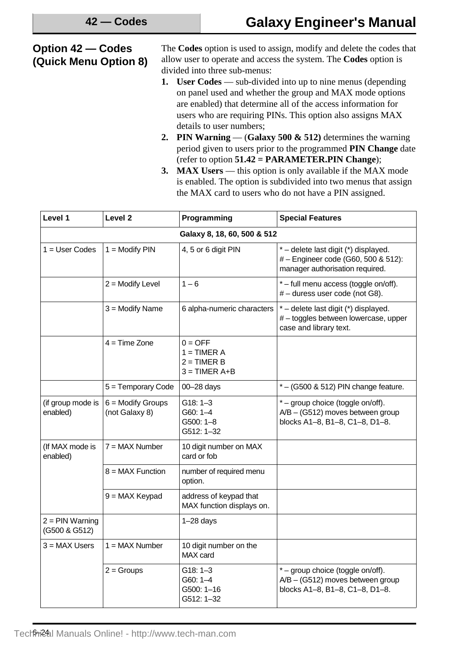#### **Option 42 — Codes (Quick Menu Option 8)**

The **Codes** option is used to assign, modify and delete the codes that allow user to operate and access the system. The **Codes** option is divided into three sub-menus:

- **1. User Codes** sub-divided into up to nine menus (depending on panel used and whether the group and MAX mode options are enabled) that determine all of the access information for users who are requiring PINs. This option also assigns MAX details to user numbers;
- **2. PIN Warning** (**Galaxy 500 & 512)** determines the warning period given to users prior to the programmed **PIN Change** date (refer to option **51.42 = PARAMETER.PIN Change**);
- **3. MAX Users** this option is only available if the MAX mode is enabled. The option is subdivided into two menus that assign the MAX card to users who do not have a PIN assigned.

| Level 1                            | Level <sub>2</sub>                    | Programming                                                    | <b>Special Features</b>                                                                                        |
|------------------------------------|---------------------------------------|----------------------------------------------------------------|----------------------------------------------------------------------------------------------------------------|
|                                    |                                       | Galaxy 8, 18, 60, 500 & 512                                    |                                                                                                                |
| $1 = User Codes$                   | $1 = Modify PIN$                      | 4, 5 or 6 digit PIN                                            | * - delete last digit (*) displayed.<br># - Engineer code (G60, 500 & 512):<br>manager authorisation required. |
|                                    | $2 =$ Modify Level                    | $1 - 6$                                                        | *-full menu access (toggle on/off).<br># - duress user code (not G8).                                          |
|                                    | $3 =$ Modify Name                     | 6 alpha-numeric characters                                     | * - delete last digit (*) displayed.<br>#-toggles between lowercase, upper<br>case and library text.           |
|                                    | $4 = Time$ Zone                       | $0 = OFF$<br>$1 = TIMER A$<br>$2 = TIMER B$<br>$3 = TIMER A+B$ |                                                                                                                |
|                                    | 5 = Temporary Code                    | 00-28 days                                                     | $*$ – (G500 & 512) PIN change feature.                                                                         |
| (if group mode is<br>enabled)      | $6 =$ Modify Groups<br>(not Galaxy 8) | $G18: 1-3$<br>G60: 1-4<br>$G500: 1 - 8$<br>G512: 1-32          | * - group choice (toggle on/off).<br>A/B - (G512) moves between group<br>blocks A1-8, B1-8, C1-8, D1-8.        |
| (If MAX mode is<br>enabled)        | $7 = MAX$ Number                      | 10 digit number on MAX<br>card or fob                          |                                                                                                                |
|                                    | $8 = MAX$ Function                    | number of required menu<br>option.                             |                                                                                                                |
|                                    | 9 = MAX Keypad                        | address of keypad that<br>MAX function displays on.            |                                                                                                                |
| $2 = PIN$ Warning<br>(G500 & G512) |                                       | $1-28$ days                                                    |                                                                                                                |
| $3 = MAX$ Users                    | $1 = MAX$ Number                      | 10 digit number on the<br>MAX card                             |                                                                                                                |
|                                    | $2 =$ Groups                          | $G18: 1-3$<br>$G60: 1-4$<br>G500: 1-16<br>G512: 1-32           | * - group choice (toggle on/off).<br>$A/B - (G512)$ moves between group<br>blocks A1-8, B1-8, C1-8, D1-8.      |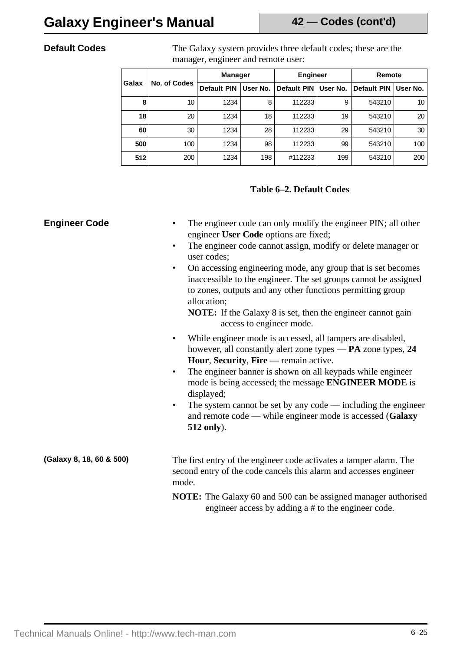**Default Codes** The Galaxy system provides three default codes; these are the manager, engineer and remote user:

| Galax | No. of Codes | <b>Manager</b>     |          | <b>Engineer</b>    |          | Remote             |          |
|-------|--------------|--------------------|----------|--------------------|----------|--------------------|----------|
|       |              | <b>Default PIN</b> | User No. | <b>Default PIN</b> | User No. | <b>Default PIN</b> | User No. |
| 8     | 10           | 1234               | 8        | 112233             | 9        | 543210             | 10       |
| 18    | 20           | 1234               | 18       | 112233             | 19       | 543210             | 20       |
| 60    | 30           | 1234               | 28       | 112233             | 29       | 543210             | 30       |
| 500   | 100          | 1234               | 98       | 112233             | 99       | 543210             | 100      |
| 512   | 200          | 1234               | 198      | #112233            | 199      | 543210             | 200      |

### **Table 6–2. Default Codes**

| <b>Engineer Code</b>     | The engineer code can only modify the engineer PIN; all other<br>engineer User Code options are fixed;<br>The engineer code cannot assign, modify or delete manager or<br>$\bullet$<br>user codes;<br>On accessing engineering mode, any group that is set becomes<br>$\bullet$<br>inaccessible to the engineer. The set groups cannot be assigned<br>to zones, outputs and any other functions permitting group<br>allocation;<br><b>NOTE:</b> If the Galaxy 8 is set, then the engineer cannot gain<br>access to engineer mode. |
|--------------------------|-----------------------------------------------------------------------------------------------------------------------------------------------------------------------------------------------------------------------------------------------------------------------------------------------------------------------------------------------------------------------------------------------------------------------------------------------------------------------------------------------------------------------------------|
|                          | While engineer mode is accessed, all tampers are disabled,<br>$\bullet$<br>however, all constantly alert zone types — PA zone types, 24<br>Hour, Security, Fire — remain active.<br>The engineer banner is shown on all keypads while engineer<br>$\bullet$<br>mode is being accessed; the message ENGINEER MODE is<br>displayed;<br>The system cannot be set by any code — including the engineer<br>$\bullet$<br>and remote code — while engineer mode is accessed (Galaxy<br>512 only).                                        |
| (Galaxy 8, 18, 60 & 500) | The first entry of the engineer code activates a tamper alarm. The<br>second entry of the code cancels this alarm and accesses engineer<br>mode.<br><b>NOTE:</b> The Galaxy 60 and 500 can be assigned manager authorised<br>engineer access by adding a # to the engineer code.                                                                                                                                                                                                                                                  |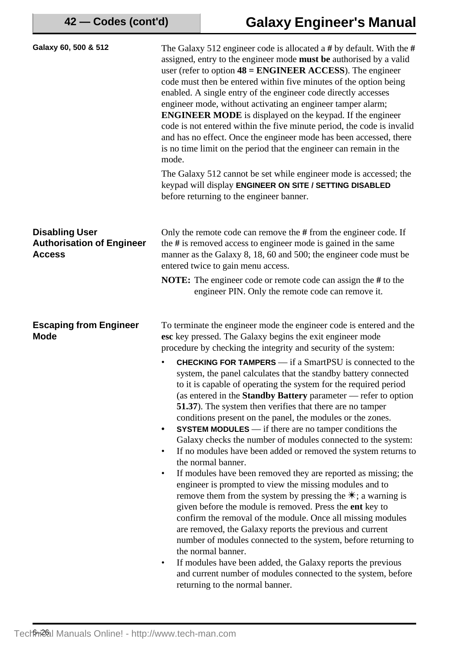| Galaxy 60, 500 & 512                                                       | The Galaxy 512 engineer code is allocated a # by default. With the #<br>assigned, entry to the engineer mode <b>must</b> be authorised by a valid<br>user (refer to option $48 = ENGINEER$ ACCESS). The engineer<br>code must then be entered within five minutes of the option being<br>enabled. A single entry of the engineer code directly accesses<br>engineer mode, without activating an engineer tamper alarm;<br><b>ENGINEER MODE</b> is displayed on the keypad. If the engineer<br>code is not entered within the five minute period, the code is invalid<br>and has no effect. Once the engineer mode has been accessed, there<br>is no time limit on the period that the engineer can remain in the<br>mode.                                                                                                                                                                                                                                                                                                                                                                                                                                                                                                                                                                                                            |
|----------------------------------------------------------------------------|--------------------------------------------------------------------------------------------------------------------------------------------------------------------------------------------------------------------------------------------------------------------------------------------------------------------------------------------------------------------------------------------------------------------------------------------------------------------------------------------------------------------------------------------------------------------------------------------------------------------------------------------------------------------------------------------------------------------------------------------------------------------------------------------------------------------------------------------------------------------------------------------------------------------------------------------------------------------------------------------------------------------------------------------------------------------------------------------------------------------------------------------------------------------------------------------------------------------------------------------------------------------------------------------------------------------------------------|
|                                                                            | The Galaxy 512 cannot be set while engineer mode is accessed; the<br>keypad will display ENGINEER ON SITE / SETTING DISABLED<br>before returning to the engineer banner.                                                                                                                                                                                                                                                                                                                                                                                                                                                                                                                                                                                                                                                                                                                                                                                                                                                                                                                                                                                                                                                                                                                                                             |
| <b>Disabling User</b><br><b>Authorisation of Engineer</b><br><b>Access</b> | Only the remote code can remove the $#$ from the engineer code. If<br>the $#$ is removed access to engineer mode is gained in the same<br>manner as the Galaxy 8, 18, 60 and 500; the engineer code must be<br>entered twice to gain menu access.                                                                                                                                                                                                                                                                                                                                                                                                                                                                                                                                                                                                                                                                                                                                                                                                                                                                                                                                                                                                                                                                                    |
|                                                                            | <b>NOTE:</b> The engineer code or remote code can assign the # to the<br>engineer PIN. Only the remote code can remove it.                                                                                                                                                                                                                                                                                                                                                                                                                                                                                                                                                                                                                                                                                                                                                                                                                                                                                                                                                                                                                                                                                                                                                                                                           |
| <b>Escaping from Engineer</b><br><b>Mode</b>                               | To terminate the engineer mode the engineer code is entered and the<br>esc key pressed. The Galaxy begins the exit engineer mode<br>procedure by checking the integrity and security of the system:                                                                                                                                                                                                                                                                                                                                                                                                                                                                                                                                                                                                                                                                                                                                                                                                                                                                                                                                                                                                                                                                                                                                  |
|                                                                            | <b>CHECKING FOR TAMPERS</b> — if a SmartPSU is connected to the<br>system, the panel calculates that the standby battery connected<br>to it is capable of operating the system for the required period<br>(as entered in the Standby Battery parameter - refer to option<br><b>51.37</b> ). The system then verifies that there are no tamper<br>conditions present on the panel, the modules or the zones.<br><b>SYSTEM MODULES</b> — if there are no tamper conditions the<br>$\bullet$<br>Galaxy checks the number of modules connected to the system:<br>If no modules have been added or removed the system returns to<br>$\bullet$<br>the normal banner.<br>If modules have been removed they are reported as missing; the<br>٠<br>engineer is prompted to view the missing modules and to<br>remove them from the system by pressing the $\ast$ ; a warning is<br>given before the module is removed. Press the ent key to<br>confirm the removal of the module. Once all missing modules<br>are removed, the Galaxy reports the previous and current<br>number of modules connected to the system, before returning to<br>the normal banner.<br>If modules have been added, the Galaxy reports the previous<br>$\bullet$<br>and current number of modules connected to the system, before<br>returning to the normal banner. |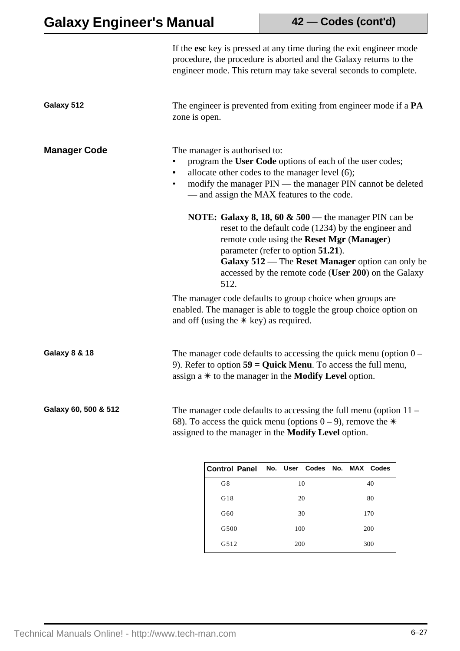|                          |                                                                                                                                                                                                                                                              | If the esc key is pressed at any time during the exit engineer mode<br>procedure, the procedure is aborted and the Galaxy returns to the<br>engineer mode. This return may take several seconds to complete.                                                                                                                    |  |    |                |  |               |  |
|--------------------------|--------------------------------------------------------------------------------------------------------------------------------------------------------------------------------------------------------------------------------------------------------------|---------------------------------------------------------------------------------------------------------------------------------------------------------------------------------------------------------------------------------------------------------------------------------------------------------------------------------|--|----|----------------|--|---------------|--|
| Galaxy 512               | zone is open.                                                                                                                                                                                                                                                | The engineer is prevented from exiting from engineer mode if a <b>PA</b>                                                                                                                                                                                                                                                        |  |    |                |  |               |  |
| <b>Manager Code</b>      | The manager is authorised to:<br>program the User Code options of each of the user codes;<br>allocate other codes to the manager level (6);<br>modify the manager PIN — the manager PIN cannot be deleted<br>٠<br>- and assign the MAX features to the code. |                                                                                                                                                                                                                                                                                                                                 |  |    |                |  |               |  |
|                          |                                                                                                                                                                                                                                                              | <b>NOTE:</b> Galaxy 8, 18, 60 $\&$ 500 — the manager PIN can be<br>reset to the default code (1234) by the engineer and<br>remote code using the Reset Mgr (Manager)<br>parameter (refer to option 51.21).<br>Galaxy 512 — The Reset Manager option can only be<br>accessed by the remote code (User 200) on the Galaxy<br>512. |  |    |                |  |               |  |
|                          | The manager code defaults to group choice when groups are<br>enabled. The manager is able to toggle the group choice option on<br>and off (using the $*$ key) as required.                                                                                   |                                                                                                                                                                                                                                                                                                                                 |  |    |                |  |               |  |
| <b>Galaxy 8 &amp; 18</b> |                                                                                                                                                                                                                                                              | The manager code defaults to accessing the quick menu (option $0 -$<br>9). Refer to option $59 =$ Quick Menu. To access the full menu,<br>assign $a *$ to the manager in the <b>Modify Level</b> option.                                                                                                                        |  |    |                |  |               |  |
| Galaxy 60, 500 & 512     |                                                                                                                                                                                                                                                              | The manager code defaults to accessing the full menu (option $11 -$<br>68). To access the quick menu (options $0 - 9$ ), remove the $*$<br>assigned to the manager in the Modify Level option.                                                                                                                                  |  |    |                |  |               |  |
|                          |                                                                                                                                                                                                                                                              | <b>Control Panel</b>                                                                                                                                                                                                                                                                                                            |  |    | No. User Codes |  | No. MAX Codes |  |
|                          |                                                                                                                                                                                                                                                              | G8                                                                                                                                                                                                                                                                                                                              |  | 10 |                |  | 40            |  |
|                          |                                                                                                                                                                                                                                                              | G18                                                                                                                                                                                                                                                                                                                             |  | 20 |                |  | 80            |  |

G60 30 170 G500 100 200 G512 200 300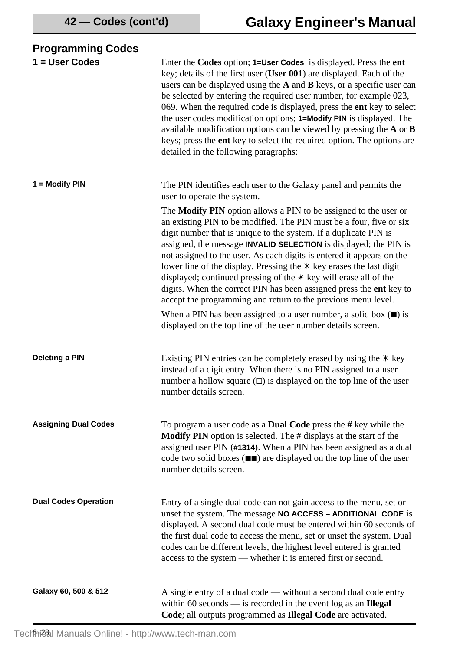| <b>Programming Codes</b>    |                                                                                                                                                                                                                                                                                                                                                                                                                                                                                                                                                                                                                                                                                                                                                                                                          |
|-----------------------------|----------------------------------------------------------------------------------------------------------------------------------------------------------------------------------------------------------------------------------------------------------------------------------------------------------------------------------------------------------------------------------------------------------------------------------------------------------------------------------------------------------------------------------------------------------------------------------------------------------------------------------------------------------------------------------------------------------------------------------------------------------------------------------------------------------|
| $1 = User Codes$            | Enter the Codes option; 1=User Codes is displayed. Press the ent<br>key; details of the first user (User 001) are displayed. Each of the<br>users can be displayed using the A and B keys, or a specific user can<br>be selected by entering the required user number, for example 023,<br>069. When the required code is displayed, press the ent key to select<br>the user codes modification options; 1=Modify PIN is displayed. The<br>available modification options can be viewed by pressing the $A$ or $B$<br>keys; press the ent key to select the required option. The options are<br>detailed in the following paragraphs:                                                                                                                                                                    |
| 1 = Modify PIN              | The PIN identifies each user to the Galaxy panel and permits the<br>user to operate the system.                                                                                                                                                                                                                                                                                                                                                                                                                                                                                                                                                                                                                                                                                                          |
|                             | The Modify PIN option allows a PIN to be assigned to the user or<br>an existing PIN to be modified. The PIN must be a four, five or six<br>digit number that is unique to the system. If a duplicate PIN is<br>assigned, the message <b>INVALID SELECTION</b> is displayed; the PIN is<br>not assigned to the user. As each digits is entered it appears on the<br>lower line of the display. Pressing the $*$ key erases the last digit<br>displayed; continued pressing of the $*$ key will erase all of the<br>digits. When the correct PIN has been assigned press the ent key to<br>accept the programming and return to the previous menu level.<br>When a PIN has been assigned to a user number, a solid box $(\blacksquare)$ is<br>displayed on the top line of the user number details screen. |
| <b>Deleting a PIN</b>       | Existing PIN entries can be completely erased by using the $*$ key<br>instead of a digit entry. When there is no PIN assigned to a user<br>number a hollow square $(\square)$ is displayed on the top line of the user<br>number details screen.                                                                                                                                                                                                                                                                                                                                                                                                                                                                                                                                                         |
| <b>Assigning Dual Codes</b> | To program a user code as a <b>Dual Code</b> press the # key while the<br><b>Modify PIN</b> option is selected. The # displays at the start of the<br>assigned user PIN (#1314). When a PIN has been assigned as a dual<br>code two solid boxes $(\blacksquare \blacksquare)$ are displayed on the top line of the user<br>number details screen.                                                                                                                                                                                                                                                                                                                                                                                                                                                        |
| <b>Dual Codes Operation</b> | Entry of a single dual code can not gain access to the menu, set or<br>unset the system. The message NO ACCESS - ADDITIONAL CODE is<br>displayed. A second dual code must be entered within 60 seconds of<br>the first dual code to access the menu, set or unset the system. Dual<br>codes can be different levels, the highest level entered is granted<br>access to the system — whether it is entered first or second.                                                                                                                                                                                                                                                                                                                                                                               |
| Galaxy 60, 500 & 512        | A single entry of a dual code — without a second dual code entry<br>within 60 seconds $-$ is recorded in the event log as an Illegal<br>Code; all outputs programmed as Illegal Code are activated.                                                                                                                                                                                                                                                                                                                                                                                                                                                                                                                                                                                                      |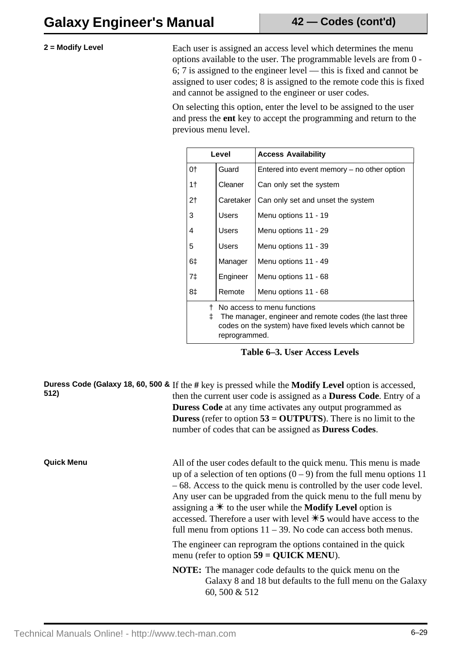**2** = Modify Level Each user is assigned an access level which determines the menu options available to the user. The programmable levels are from 0 - 6; 7 is assigned to the engineer level — this is fixed and cannot be assigned to user codes; 8 is assigned to the remote code this is fixed and cannot be assigned to the engineer or user codes.

> On selecting this option, enter the level to be assigned to the user and press the **ent** key to accept the programming and return to the previous menu level.

|                | Level                                                                                                                                                                  |           | <b>Access Availability</b>                  |  |
|----------------|------------------------------------------------------------------------------------------------------------------------------------------------------------------------|-----------|---------------------------------------------|--|
| 0†             |                                                                                                                                                                        | Guard     | Entered into event memory – no other option |  |
| 1 <sub>†</sub> |                                                                                                                                                                        | Cleaner   | Can only set the system                     |  |
| 2 <sub>1</sub> |                                                                                                                                                                        | Caretaker | Can only set and unset the system           |  |
| 3              |                                                                                                                                                                        | Users     | Menu options 11 - 19                        |  |
| 4              |                                                                                                                                                                        | Users     | Menu options 11 - 29                        |  |
| 5              |                                                                                                                                                                        | Users     | Menu options 11 - 39                        |  |
| 6‡             |                                                                                                                                                                        | Manager   | Menu options 11 - 49                        |  |
| 7‡             |                                                                                                                                                                        | Engineer  | Menu options 11 - 68                        |  |
| 8‡             |                                                                                                                                                                        | Remote    | Menu options 11 - 68                        |  |
|                | No access to menu functions<br>The manager, engineer and remote codes (the last three<br>‡.<br>codes on the system) have fixed levels which cannot be<br>reprogrammed. |           |                                             |  |

**Table 6–3. User Access Levels**

**Duress Code (Galaxy 18, 60, 500 &** If the **#** key is pressed while the **Modify Level** option is accessed, **512)** then the current user code is assigned as a **Duress Code**. Entry of a **Duress Code** at any time activates any output programmed as **Duress** (refer to option **53 = OUTPUTS**). There is no limit to the number of codes that can be assigned as **Duress Codes**.

**Quick Menu**

All of the user codes default to the quick menu. This menu is made up of a selection of ten options  $(0 - 9)$  from the full menu options 11 – 68. Access to the quick menu is controlled by the user code level. Any user can be upgraded from the quick menu to the full menu by assigning a  $*$  to the user while the **Modify Level** option is accessed. Therefore a user with level  $\text{\#}5$  would have access to the full menu from options  $11 - 39$ . No code can access both menus.

The engineer can reprogram the options contained in the quick menu (refer to option **59 = QUICK MENU**).

**NOTE:** The manager code defaults to the quick menu on the Galaxy 8 and 18 but defaults to the full menu on the Galaxy 60, 500 & 512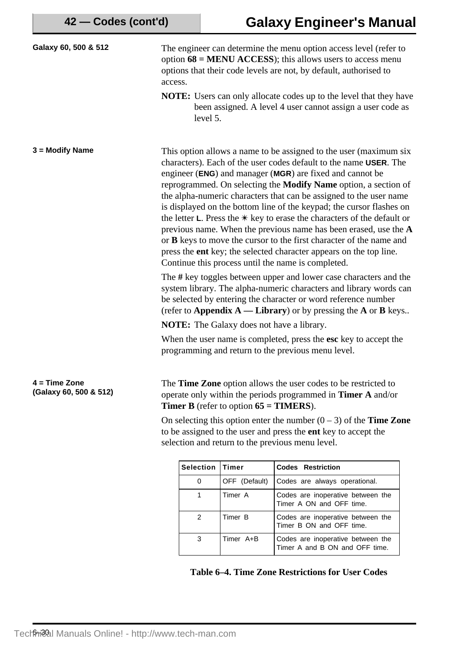| Galaxy 60, 500 & 512                      | access.                                                                                                                                                                                                                                                                                                                                                                                                                                                                                                                                                                                                                                                                                                                                                                                                                                                                                                                                                                                                                                                                                  |                  |                                                         | The engineer can determine the menu option access level (refer to<br>option $68 = \text{MENU ACCESS}$ ; this allows users to access menu<br>options that their code levels are not, by default, authorised to                                                                                                                              |  |
|-------------------------------------------|------------------------------------------------------------------------------------------------------------------------------------------------------------------------------------------------------------------------------------------------------------------------------------------------------------------------------------------------------------------------------------------------------------------------------------------------------------------------------------------------------------------------------------------------------------------------------------------------------------------------------------------------------------------------------------------------------------------------------------------------------------------------------------------------------------------------------------------------------------------------------------------------------------------------------------------------------------------------------------------------------------------------------------------------------------------------------------------|------------------|---------------------------------------------------------|--------------------------------------------------------------------------------------------------------------------------------------------------------------------------------------------------------------------------------------------------------------------------------------------------------------------------------------------|--|
|                                           |                                                                                                                                                                                                                                                                                                                                                                                                                                                                                                                                                                                                                                                                                                                                                                                                                                                                                                                                                                                                                                                                                          | level 5.         |                                                         | <b>NOTE:</b> Users can only allocate codes up to the level that they have<br>been assigned. A level 4 user cannot assign a user code as                                                                                                                                                                                                    |  |
| $3 = Modify Name$                         | This option allows a name to be assigned to the user (maximum six<br>characters). Each of the user codes default to the name USER. The<br>engineer (ENG) and manager (MGR) are fixed and cannot be<br>reprogrammed. On selecting the <b>Modify Name</b> option, a section of<br>the alpha-numeric characters that can be assigned to the user name<br>is displayed on the bottom line of the keypad; the cursor flashes on<br>the letter $\mathsf{L}$ . Press the $\mathcal{K}$ key to erase the characters of the default or<br>previous name. When the previous name has been erased, use the $A$<br>or B keys to move the cursor to the first character of the name and<br>press the ent key; the selected character appears on the top line.<br>Continue this process until the name is completed.<br>The # key toggles between upper and lower case characters and the<br>system library. The alpha-numeric characters and library words can<br>be selected by entering the character or word reference number<br>(refer to Appendix $A - Library$ ) or by pressing the A or B keys |                  |                                                         |                                                                                                                                                                                                                                                                                                                                            |  |
|                                           | <b>NOTE:</b> The Galaxy does not have a library.<br>When the user name is completed, press the esc key to accept the<br>programming and return to the previous menu level.                                                                                                                                                                                                                                                                                                                                                                                                                                                                                                                                                                                                                                                                                                                                                                                                                                                                                                               |                  |                                                         |                                                                                                                                                                                                                                                                                                                                            |  |
| $4 = Time$ Zone<br>(Galaxy 60, 500 & 512) |                                                                                                                                                                                                                                                                                                                                                                                                                                                                                                                                                                                                                                                                                                                                                                                                                                                                                                                                                                                                                                                                                          |                  | <b>Timer B</b> (refer to option $65 =$ <b>TIMERS</b> ). | The Time Zone option allows the user codes to be restricted to<br>operate only within the periods programmed in <b>Timer A</b> and/or<br>On selecting this option enter the number $(0 – 3)$ of the <b>Time Zone</b><br>to be assigned to the user and press the ent key to accept the<br>selection and return to the previous menu level. |  |
|                                           |                                                                                                                                                                                                                                                                                                                                                                                                                                                                                                                                                                                                                                                                                                                                                                                                                                                                                                                                                                                                                                                                                          | <b>Selection</b> | <b>Timer</b>                                            | <b>Codes Restriction</b>                                                                                                                                                                                                                                                                                                                   |  |
|                                           |                                                                                                                                                                                                                                                                                                                                                                                                                                                                                                                                                                                                                                                                                                                                                                                                                                                                                                                                                                                                                                                                                          | $\mathbf 0$      | OFF (Default)                                           | Codes are always operational.                                                                                                                                                                                                                                                                                                              |  |
|                                           |                                                                                                                                                                                                                                                                                                                                                                                                                                                                                                                                                                                                                                                                                                                                                                                                                                                                                                                                                                                                                                                                                          | 1                | Timer A                                                 | Codes are inoperative between the<br>Timer A ON and OFF time.                                                                                                                                                                                                                                                                              |  |
|                                           |                                                                                                                                                                                                                                                                                                                                                                                                                                                                                                                                                                                                                                                                                                                                                                                                                                                                                                                                                                                                                                                                                          | $\mathbf{2}$     | Timer B                                                 | Codes are inoperative between the<br>Timer B ON and OFF time.                                                                                                                                                                                                                                                                              |  |

**Table 6–4. Time Zone Restrictions for User Codes**

3 Timer A+B Codes are inoperative between the

Timer A and B ON and OFF time.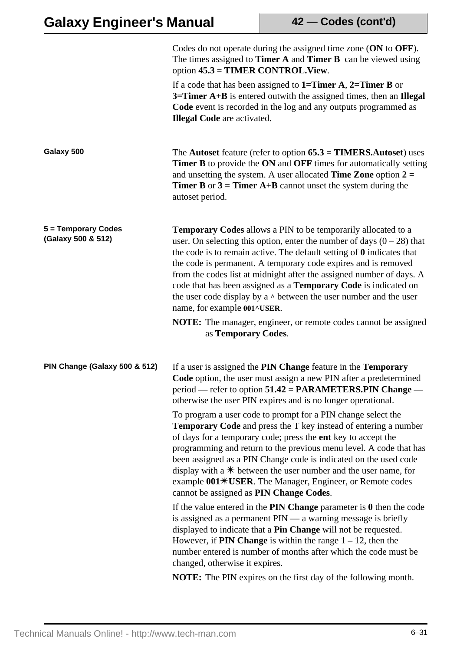|                                           | Codes do not operate during the assigned time zone (ON to OFF).<br>The times assigned to <b>Timer A</b> and <b>Timer B</b> can be viewed using<br>option $45.3 = TIMER$ CONTROL. View.                                                                                                                                                                                                                                                                                                                                                                                                                                            |
|-------------------------------------------|-----------------------------------------------------------------------------------------------------------------------------------------------------------------------------------------------------------------------------------------------------------------------------------------------------------------------------------------------------------------------------------------------------------------------------------------------------------------------------------------------------------------------------------------------------------------------------------------------------------------------------------|
|                                           | If a code that has been assigned to $1=$ Timer A, $2=$ Timer B or<br>$3 =$ Timer A+B is entered outwith the assigned times, then an Illegal<br>Code event is recorded in the log and any outputs programmed as<br><b>Illegal Code</b> are activated.                                                                                                                                                                                                                                                                                                                                                                              |
| Galaxy 500                                | The Autoset feature (refer to option $65.3 = TIMERS$ . Autoset) uses<br><b>Timer B</b> to provide the ON and OFF times for automatically setting<br>and unsetting the system. A user allocated <b>Time Zone</b> option $2 =$<br><b>Timer B</b> or $3 =$ <b>Timer A+B</b> cannot unset the system during the<br>autoset period.                                                                                                                                                                                                                                                                                                    |
| 5 = Temporary Codes<br>(Galaxy 500 & 512) | <b>Temporary Codes</b> allows a PIN to be temporarily allocated to a<br>user. On selecting this option, enter the number of days $(0 - 28)$ that<br>the code is to remain active. The default setting of $\theta$ indicates that<br>the code is permanent. A temporary code expires and is removed<br>from the codes list at midnight after the assigned number of days. A<br>code that has been assigned as a Temporary Code is indicated on<br>the user code display by a $\land$ between the user number and the user<br>name, for example 001^USER.<br><b>NOTE:</b> The manager, engineer, or remote codes cannot be assigned |
|                                           | as Temporary Codes.                                                                                                                                                                                                                                                                                                                                                                                                                                                                                                                                                                                                               |
| PIN Change (Galaxy 500 & 512)             | If a user is assigned the PIN Change feature in the Temporary<br>Code option, the user must assign a new PIN after a predetermined<br>$period$ — refer to option 51.42 = PARAMETERS.PIN Change —<br>otherwise the user PIN expires and is no longer operational.                                                                                                                                                                                                                                                                                                                                                                  |
|                                           | To program a user code to prompt for a PIN change select the<br><b>Temporary Code</b> and press the T key instead of entering a number<br>of days for a temporary code; press the ent key to accept the<br>programming and return to the previous menu level. A code that has<br>been assigned as a PIN Change code is indicated on the used code<br>display with a $*$ between the user number and the user name, for<br>example 001*USER. The Manager, Engineer, or Remote codes<br>cannot be assigned as PIN Change Codes.                                                                                                     |
|                                           | If the value entered in the $PIN$ Change parameter is $0$ then the code<br>is assigned as a permanent $PIN$ — a warning message is briefly<br>displayed to indicate that a Pin Change will not be requested.<br>However, if <b>PIN Change</b> is within the range $1 - 12$ , then the<br>number entered is number of months after which the code must be<br>changed, otherwise it expires.                                                                                                                                                                                                                                        |
|                                           | <b>NOTE:</b> The PIN expires on the first day of the following month.                                                                                                                                                                                                                                                                                                                                                                                                                                                                                                                                                             |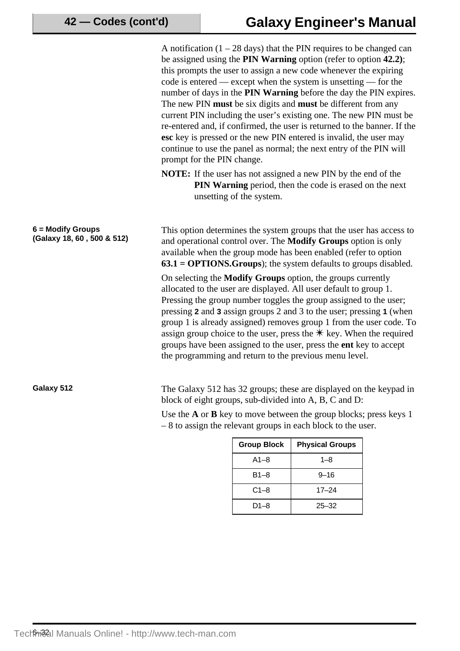A notification  $(1 - 28 \text{ days})$  that the PIN requires to be changed can be assigned using the **PIN Warning** option (refer to option **42.2)**; this prompts the user to assign a new code whenever the expiring code is entered — except when the system is unsetting — for the number of days in the **PIN Warning** before the day the PIN expires. The new PIN **must** be six digits and **must** be different from any current PIN including the user's existing one. The new PIN must be re-entered and, if confirmed, the user is returned to the banner. If the **esc** key is pressed or the new PIN entered is invalid, the user may continue to use the panel as normal; the next entry of the PIN will prompt for the PIN change.

**NOTE:** If the user has not assigned a new PIN by the end of the **PIN Warning** period, then the code is erased on the next unsetting of the system.

This option determines the system groups that the user has access to and operational control over. The **Modify Groups** option is only available when the group mode has been enabled (refer to option **63.1 = OPTIONS.Groups**); the system defaults to groups disabled.

On selecting the **Modify Groups** option, the groups currently allocated to the user are displayed. All user default to group 1. Pressing the group number toggles the group assigned to the user; pressing **2** and **3** assign groups 2 and 3 to the user; pressing **1** (when group 1 is already assigned) removes group 1 from the user code. To assign group choice to the user, press the  $*$  key. When the required groups have been assigned to the user, press the **ent** key to accept the programming and return to the previous menu level.

**6 = Modify Groups**

**(Galaxy 18, 60 , 500 & 512)**

Galaxy 512 The Galaxy 512 has 32 groups; these are displayed on the keypad in block of eight groups, sub-divided into A, B, C and D:

> Use the **A** or **B** key to move between the group blocks; press keys 1 – 8 to assign the relevant groups in each block to the user.

| <b>Group Block</b> | <b>Physical Groups</b> |
|--------------------|------------------------|
| $A1 - 8$           | $1 - 8$                |
| $B1 - 8$           | $9 - 16$               |
| $C1-8$             | $17 - 24$              |
| D1-8               | $25 - 32$              |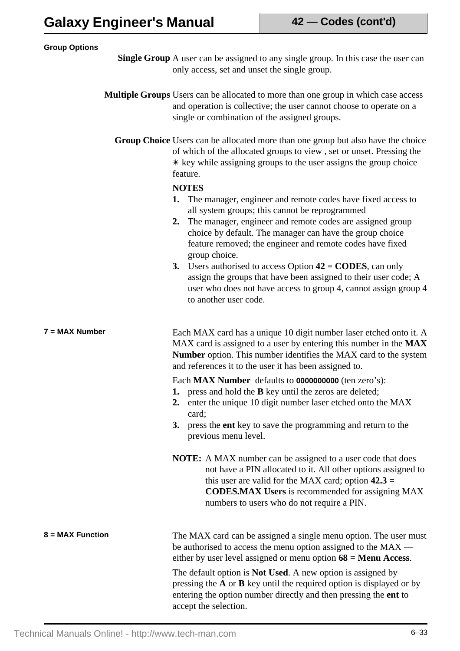| <b>Group Options</b> |                                                                                                                                                                                                                                                                                                                                                                                                                                                                                                                                                                                                                                                                                                                                                                                                                                    |
|----------------------|------------------------------------------------------------------------------------------------------------------------------------------------------------------------------------------------------------------------------------------------------------------------------------------------------------------------------------------------------------------------------------------------------------------------------------------------------------------------------------------------------------------------------------------------------------------------------------------------------------------------------------------------------------------------------------------------------------------------------------------------------------------------------------------------------------------------------------|
|                      | <b>Single Group</b> A user can be assigned to any single group. In this case the user can<br>only access, set and unset the single group.                                                                                                                                                                                                                                                                                                                                                                                                                                                                                                                                                                                                                                                                                          |
|                      | Multiple Groups Users can be allocated to more than one group in which case access<br>and operation is collective; the user cannot choose to operate on a<br>single or combination of the assigned groups.                                                                                                                                                                                                                                                                                                                                                                                                                                                                                                                                                                                                                         |
|                      | Group Choice Users can be allocated more than one group but also have the choice<br>of which of the allocated groups to view, set or unset. Pressing the<br>$*$ key while assigning groups to the user assigns the group choice<br>feature.<br><b>NOTES</b><br>1. The manager, engineer and remote codes have fixed access to<br>all system groups; this cannot be reprogrammed<br>The manager, engineer and remote codes are assigned group<br>2.<br>choice by default. The manager can have the group choice<br>feature removed; the engineer and remote codes have fixed<br>group choice.<br>3. Users authorised to access Option $42 = \text{CODES}$ , can only<br>assign the groups that have been assigned to their user code; A<br>user who does not have access to group 4, cannot assign group 4<br>to another user code. |
| $7 = MAX$ Number     | Each MAX card has a unique 10 digit number laser etched onto it. A<br>MAX card is assigned to a user by entering this number in the MAX<br>Number option. This number identifies the MAX card to the system<br>and references it to the user it has been assigned to.<br>Each MAX Number defaults to 0000000000 (ten zero's):<br>press and hold the <b>B</b> key until the zeros are deleted;<br>enter the unique 10 digit number laser etched onto the MAX<br>2.<br>card;<br>press the <b>ent</b> key to save the programming and return to the<br>3.<br>previous menu level.                                                                                                                                                                                                                                                     |
|                      | <b>NOTE:</b> A MAX number can be assigned to a user code that does<br>not have a PIN allocated to it. All other options assigned to<br>this user are valid for the MAX card; option $42.3 =$<br><b>CODES.MAX Users</b> is recommended for assigning MAX<br>numbers to users who do not require a PIN.                                                                                                                                                                                                                                                                                                                                                                                                                                                                                                                              |
| 8 = MAX Function     | The MAX card can be assigned a single menu option. The user must<br>be authorised to access the menu option assigned to the MAX —<br>either by user level assigned or menu option $68 =$ Menu Access.<br>The default option is <b>Not Used</b> . A new option is assigned by<br>pressing the $A$ or $B$ key until the required option is displayed or by<br>entering the option number directly and then pressing the ent to<br>accept the selection.                                                                                                                                                                                                                                                                                                                                                                              |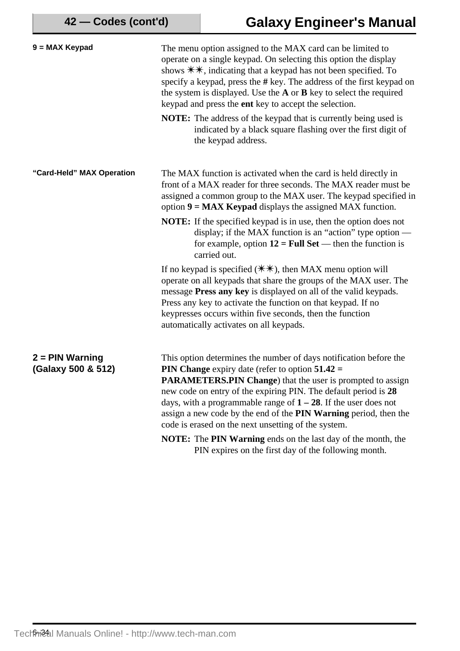| 9 = MAX Keypad                          | The menu option assigned to the MAX card can be limited to<br>operate on a single keypad. On selecting this option the display<br>shows $\#$ , indicating that a keypad has not been specified. To<br>specify a keypad, press the # key. The address of the first keypad on<br>the system is displayed. Use the $A$ or $B$ key to select the required<br>keypad and press the ent key to accept the selection.                                                  |
|-----------------------------------------|-----------------------------------------------------------------------------------------------------------------------------------------------------------------------------------------------------------------------------------------------------------------------------------------------------------------------------------------------------------------------------------------------------------------------------------------------------------------|
|                                         | NOTE: The address of the keypad that is currently being used is<br>indicated by a black square flashing over the first digit of<br>the keypad address.                                                                                                                                                                                                                                                                                                          |
| "Card-Held" MAX Operation               | The MAX function is activated when the card is held directly in<br>front of a MAX reader for three seconds. The MAX reader must be<br>assigned a common group to the MAX user. The keypad specified in<br>option $9 = MAX$ Keypad displays the assigned MAX function.                                                                                                                                                                                           |
|                                         | <b>NOTE:</b> If the specified keypad is in use, then the option does not<br>display; if the MAX function is an "action" type option $-$<br>for example, option $12 = Full Set$ — then the function is<br>carried out.                                                                                                                                                                                                                                           |
|                                         | If no keypad is specified $(*\ast),$ then MAX menu option will<br>operate on all keypads that share the groups of the MAX user. The<br>message Press any key is displayed on all of the valid keypads.<br>Press any key to activate the function on that keypad. If no<br>keypresses occurs within five seconds, then the function<br>automatically activates on all keypads.                                                                                   |
| $2 = PIN$ Warning<br>(Galaxy 500 & 512) | This option determines the number of days notification before the<br><b>PIN Change</b> expiry date (refer to option $51.42 =$<br>PARAMETERS.PIN Change) that the user is prompted to assign<br>new code on entry of the expiring PIN. The default period is 28<br>days, with a programmable range of $1 - 28$ . If the user does not<br>assign a new code by the end of the PIN Warning period, then the<br>code is erased on the next unsetting of the system. |
|                                         | NOTE: The PIN Warning ends on the last day of the month, the<br>PIN expires on the first day of the following month.                                                                                                                                                                                                                                                                                                                                            |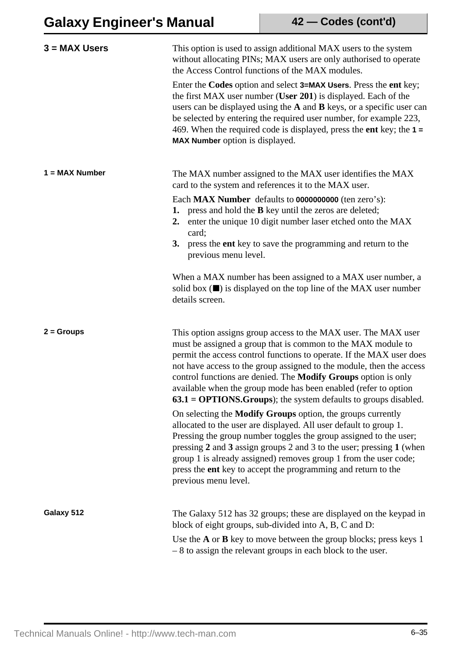| $3 = MAX$ Users  | This option is used to assign additional MAX users to the system<br>without allocating PINs; MAX users are only authorised to operate<br>the Access Control functions of the MAX modules.<br>Enter the Codes option and select 3=MAX Users. Press the ent key;<br>the first MAX user number (User 201) is displayed. Each of the<br>users can be displayed using the A and B keys, or a specific user can<br>be selected by entering the required user number, for example 223,<br>469. When the required code is displayed, press the ent key; the $1 =$<br>MAX Number option is displayed.                                                                                                                                                                                                                                                                                                                                                  |
|------------------|-----------------------------------------------------------------------------------------------------------------------------------------------------------------------------------------------------------------------------------------------------------------------------------------------------------------------------------------------------------------------------------------------------------------------------------------------------------------------------------------------------------------------------------------------------------------------------------------------------------------------------------------------------------------------------------------------------------------------------------------------------------------------------------------------------------------------------------------------------------------------------------------------------------------------------------------------|
| $1 = MAX$ Number | The MAX number assigned to the MAX user identifies the MAX<br>card to the system and references it to the MAX user.<br>Each MAX Number defaults to 0000000000 (ten zero's):<br>1. press and hold the <b>B</b> key until the zeros are deleted;<br>enter the unique 10 digit number laser etched onto the MAX<br>2.<br>card;<br>3. press the ent key to save the programming and return to the<br>previous menu level.<br>When a MAX number has been assigned to a MAX user number, a<br>solid box $(\blacksquare)$ is displayed on the top line of the MAX user number<br>details screen.                                                                                                                                                                                                                                                                                                                                                     |
| $2 =$ Groups     | This option assigns group access to the MAX user. The MAX user<br>must be assigned a group that is common to the MAX module to<br>permit the access control functions to operate. If the MAX user does<br>not have access to the group assigned to the module, then the access<br>control functions are denied. The Modify Groups option is only<br>available when the group mode has been enabled (refer to option<br>$63.1 = OPTIONS.Groups$ ; the system defaults to groups disabled.<br>On selecting the <b>Modify Groups</b> option, the groups currently<br>allocated to the user are displayed. All user default to group 1.<br>Pressing the group number toggles the group assigned to the user;<br>pressing 2 and 3 assign groups 2 and 3 to the user; pressing 1 (when<br>group 1 is already assigned) removes group 1 from the user code;<br>press the ent key to accept the programming and return to the<br>previous menu level. |
| Galaxy 512       | The Galaxy 512 has 32 groups; these are displayed on the keypad in<br>block of eight groups, sub-divided into A, B, C and D:<br>Use the $A$ or $B$ key to move between the group blocks; press keys 1<br>$-8$ to assign the relevant groups in each block to the user.                                                                                                                                                                                                                                                                                                                                                                                                                                                                                                                                                                                                                                                                        |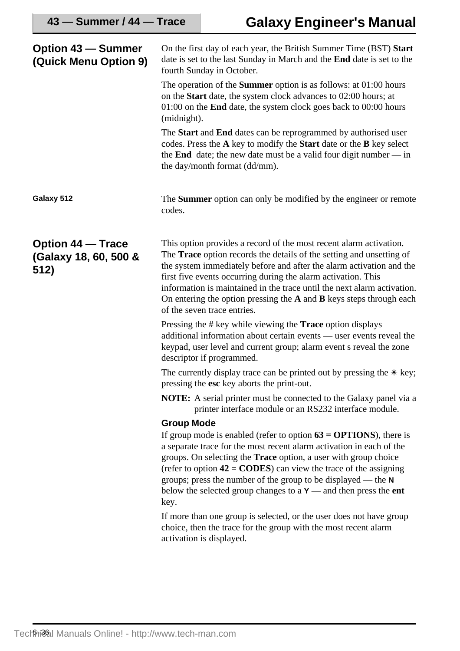| <b>Option 43 – Summer</b><br>(Quick Menu Option 9)        | On the first day of each year, the British Summer Time (BST) Start<br>date is set to the last Sunday in March and the <b>End</b> date is set to the<br>fourth Sunday in October.                                                                                                                                                                                                                                                                                                |
|-----------------------------------------------------------|---------------------------------------------------------------------------------------------------------------------------------------------------------------------------------------------------------------------------------------------------------------------------------------------------------------------------------------------------------------------------------------------------------------------------------------------------------------------------------|
|                                                           | The operation of the <b>Summer</b> option is as follows: at $01:00$ hours<br>on the Start date, the system clock advances to 02:00 hours; at<br>$01:00$ on the <b>End</b> date, the system clock goes back to $00:00$ hours<br>(midnight).                                                                                                                                                                                                                                      |
|                                                           | The Start and End dates can be reprogrammed by authorised user<br>codes. Press the A key to modify the Start date or the B key select<br>the <b>End</b> date; the new date must be a valid four digit number $-$ in<br>the day/month format (dd/mm).                                                                                                                                                                                                                            |
| Galaxy 512                                                | The <b>Summer</b> option can only be modified by the engineer or remote<br>codes.                                                                                                                                                                                                                                                                                                                                                                                               |
| <b>Option 44 – Trace</b><br>(Galaxy 18, 60, 500 &<br>512) | This option provides a record of the most recent alarm activation.<br>The <b>Trace</b> option records the details of the setting and unsetting of<br>the system immediately before and after the alarm activation and the<br>first five events occurring during the alarm activation. This<br>information is maintained in the trace until the next alarm activation.<br>On entering the option pressing the $A$ and $B$ keys steps through each<br>of the seven trace entries. |
|                                                           | Pressing the $\#$ key while viewing the <b>Trace</b> option displays<br>additional information about certain events — user events reveal the<br>keypad, user level and current group; alarm event s reveal the zone<br>descriptor if programmed.                                                                                                                                                                                                                                |
|                                                           | The currently display trace can be printed out by pressing the $*$ key;<br>pressing the esc key aborts the print-out.                                                                                                                                                                                                                                                                                                                                                           |
|                                                           | <b>NOTE:</b> A serial printer must be connected to the Galaxy panel via a<br>printer interface module or an RS232 interface module.                                                                                                                                                                                                                                                                                                                                             |
|                                                           | <b>Group Mode</b>                                                                                                                                                                                                                                                                                                                                                                                                                                                               |
|                                                           | If group mode is enabled (refer to option $63 = OPTIONS$ ), there is<br>a separate trace for the most recent alarm activation in each of the<br>groups. On selecting the <b>Trace</b> option, a user with group choice<br>(refer to option $42 = \text{CODES}$ ) can view the trace of the assigning<br>groups; press the number of the group to be displayed — the $N$<br>below the selected group changes to a $Y$ — and then press the ent<br>key.                           |
|                                                           | If more than one group is selected, or the user does not have group<br>choice, then the trace for the group with the most recent alarm<br>activation is displayed.                                                                                                                                                                                                                                                                                                              |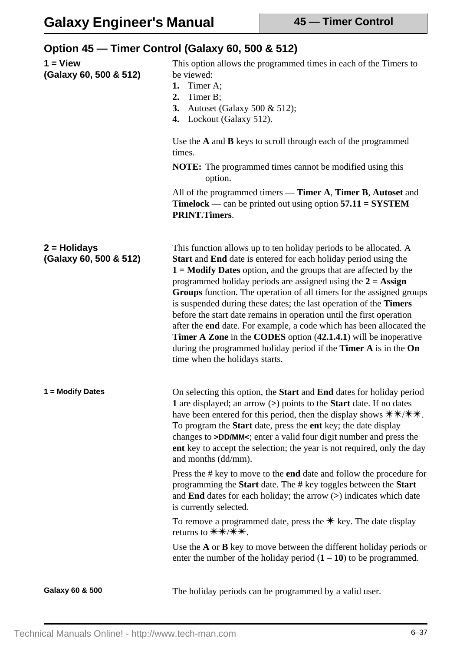|                                          | Option 45 – Timer Control (Galaxy 60, 500 & 512)                                                                                                                                                                                                                                                                                                                                                                                                                                                                                                                                                                                                                                                                                                                        |
|------------------------------------------|-------------------------------------------------------------------------------------------------------------------------------------------------------------------------------------------------------------------------------------------------------------------------------------------------------------------------------------------------------------------------------------------------------------------------------------------------------------------------------------------------------------------------------------------------------------------------------------------------------------------------------------------------------------------------------------------------------------------------------------------------------------------------|
| $1 =$ View<br>(Galaxy 60, 500 & 512)     | This option allows the programmed times in each of the Timers to<br>be viewed:<br>Timer A;<br>1.<br>2.<br>Timer B;<br>3.<br>Autoset (Galaxy 500 & 512);<br>Lockout (Galaxy 512).<br>4.                                                                                                                                                                                                                                                                                                                                                                                                                                                                                                                                                                                  |
|                                          | Use the A and B keys to scroll through each of the programmed<br>times.                                                                                                                                                                                                                                                                                                                                                                                                                                                                                                                                                                                                                                                                                                 |
|                                          | <b>NOTE:</b> The programmed times cannot be modified using this<br>option.                                                                                                                                                                                                                                                                                                                                                                                                                                                                                                                                                                                                                                                                                              |
|                                          | All of the programmed timers — Timer A, Timer B, Autoset and<br><b>Timelock</b> — can be printed out using option $57.11 =$ SYSTEM<br><b>PRINT.Timers.</b>                                                                                                                                                                                                                                                                                                                                                                                                                                                                                                                                                                                                              |
| $2 =$ Holidays<br>(Galaxy 60, 500 & 512) | This function allows up to ten holiday periods to be allocated. A<br><b>Start</b> and End date is entered for each holiday period using the<br>$1 =$ <b>Modify Dates</b> option, and the groups that are affected by the<br>programmed holiday periods are assigned using the $2 = \text{Assign}$<br>Groups function. The operation of all timers for the assigned groups<br>is suspended during these dates; the last operation of the Timers<br>before the start date remains in operation until the first operation<br>after the end date. For example, a code which has been allocated the<br>Timer A Zone in the CODES option (42.1.4.1) will be inoperative<br>during the programmed holiday period if the Timer A is in the On<br>time when the holidays starts. |
| 1 = Modify Dates                         | On selecting this option, the <b>Start</b> and <b>End</b> dates for holiday period<br>1 are displayed; an arrow (>) points to the <b>Start</b> date. If no dates<br>have been entered for this period, then the display shows $\# \# \# \#$ .<br>To program the Start date, press the ent key; the date display<br>changes to >DD/MM<; enter a valid four digit number and press the<br>ent key to accept the selection; the year is not required, only the day<br>and months (dd/mm).                                                                                                                                                                                                                                                                                  |
|                                          | Press the # key to move to the end date and follow the procedure for<br>programming the Start date. The # key toggles between the Start<br>and End dates for each holiday; the arrow $(>)$ indicates which date<br>is currently selected.                                                                                                                                                                                                                                                                                                                                                                                                                                                                                                                               |
|                                          | To remove a programmed date, press the $*$ key. The date display                                                                                                                                                                                                                                                                                                                                                                                                                                                                                                                                                                                                                                                                                                        |
|                                          | Use the A or B key to move between the different holiday periods or<br>enter the number of the holiday period $(1 – 10)$ to be programmed.                                                                                                                                                                                                                                                                                                                                                                                                                                                                                                                                                                                                                              |
| Galaxy 60 & 500                          | The holiday periods can be programmed by a valid user.                                                                                                                                                                                                                                                                                                                                                                                                                                                                                                                                                                                                                                                                                                                  |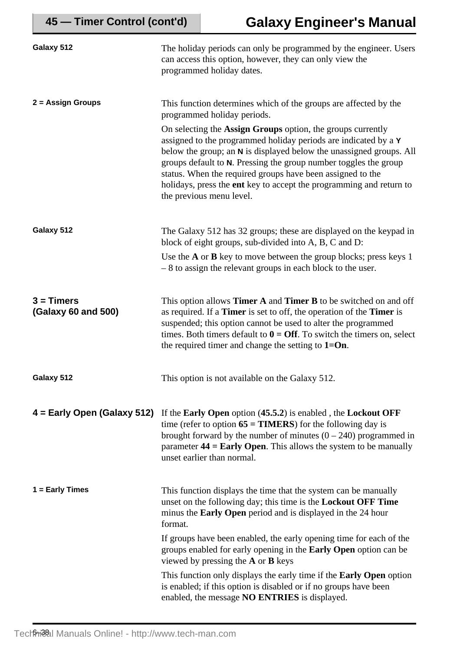| Galaxy 512                          | The holiday periods can only be programmed by the engineer. Users<br>can access this option, however, they can only view the<br>programmed holiday dates.                                                                                                                                                                                                                                                                                                                                                                                     |
|-------------------------------------|-----------------------------------------------------------------------------------------------------------------------------------------------------------------------------------------------------------------------------------------------------------------------------------------------------------------------------------------------------------------------------------------------------------------------------------------------------------------------------------------------------------------------------------------------|
| $2 = Assign Groups$                 | This function determines which of the groups are affected by the<br>programmed holiday periods.<br>On selecting the Assign Groups option, the groups currently<br>assigned to the programmed holiday periods are indicated by a Y<br>below the group; an N is displayed below the unassigned groups. All<br>groups default to N. Pressing the group number toggles the group<br>status. When the required groups have been assigned to the<br>holidays, press the ent key to accept the programming and return to<br>the previous menu level. |
| Galaxy 512                          | The Galaxy 512 has 32 groups; these are displayed on the keypad in<br>block of eight groups, sub-divided into A, B, C and D:<br>Use the $A$ or $B$ key to move between the group blocks; press keys 1<br>$-8$ to assign the relevant groups in each block to the user.                                                                                                                                                                                                                                                                        |
| $3 = Timers$<br>(Galaxy 60 and 500) | This option allows <b>Timer A</b> and <b>Timer B</b> to be switched on and off<br>as required. If a <b>Timer</b> is set to off, the operation of the <b>Timer</b> is<br>suspended; this option cannot be used to alter the programmed<br>times. Both timers default to $0 = \text{Off}$ . To switch the timers on, select<br>the required timer and change the setting to $1=On$ .                                                                                                                                                            |
| Galaxy 512                          | This option is not available on the Galaxy 512.                                                                                                                                                                                                                                                                                                                                                                                                                                                                                               |
| 4 = Early Open (Galaxy 512)         | If the Early Open option (45.5.2) is enabled, the Lockout OFF<br>time (refer to option $65 = TIMERS$ ) for the following day is<br>brought forward by the number of minutes $(0 - 240)$ programmed in<br>parameter $44 =$ <b>Early Open</b> . This allows the system to be manually<br>unset earlier than normal.                                                                                                                                                                                                                             |
| $1 =$ Early Times                   | This function displays the time that the system can be manually<br>unset on the following day; this time is the <b>Lockout OFF Time</b><br>minus the Early Open period and is displayed in the 24 hour<br>format.                                                                                                                                                                                                                                                                                                                             |
|                                     | If groups have been enabled, the early opening time for each of the<br>groups enabled for early opening in the <b>Early Open</b> option can be<br>viewed by pressing the $A$ or $B$ keys                                                                                                                                                                                                                                                                                                                                                      |
|                                     | This function only displays the early time if the <b>Early Open</b> option<br>is enabled; if this option is disabled or if no groups have been<br>enabled, the message NO ENTRIES is displayed.                                                                                                                                                                                                                                                                                                                                               |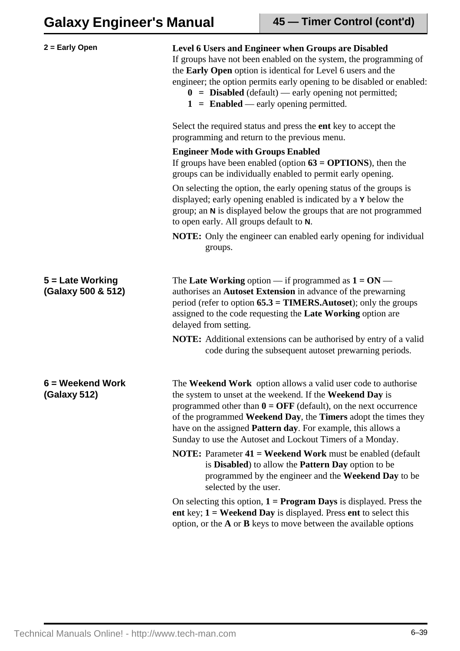| $2 =$ Early Open                       | Level 6 Users and Engineer when Groups are Disabled<br>If groups have not been enabled on the system, the programming of<br>the Early Open option is identical for Level 6 users and the<br>engineer; the option permits early opening to be disabled or enabled:<br>$0 = Disabeled (default) - early opening not permitted;$<br>$1 =$ <b>Enabled</b> — early opening permitted.                                                                                                   |
|----------------------------------------|------------------------------------------------------------------------------------------------------------------------------------------------------------------------------------------------------------------------------------------------------------------------------------------------------------------------------------------------------------------------------------------------------------------------------------------------------------------------------------|
|                                        | Select the required status and press the ent key to accept the<br>programming and return to the previous menu.                                                                                                                                                                                                                                                                                                                                                                     |
|                                        | <b>Engineer Mode with Groups Enabled</b><br>If groups have been enabled (option $63 = OPTIONS$ ), then the<br>groups can be individually enabled to permit early opening.                                                                                                                                                                                                                                                                                                          |
|                                        | On selecting the option, the early opening status of the groups is<br>displayed; early opening enabled is indicated by a Y below the<br>group; an N is displayed below the groups that are not programmed<br>to open early. All groups default to N.                                                                                                                                                                                                                               |
|                                        | <b>NOTE:</b> Only the engineer can enabled early opening for individual<br>groups.                                                                                                                                                                                                                                                                                                                                                                                                 |
| 5 = Late Working<br>(Galaxy 500 & 512) | The Late Working option — if programmed as $1 = ON$ —<br>authorises an Autoset Extension in advance of the prewarning<br>period (refer to option $65.3 = TIMERS$ . Autoset); only the groups<br>assigned to the code requesting the Late Working option are<br>delayed from setting.                                                                                                                                                                                               |
|                                        | <b>NOTE:</b> Additional extensions can be authorised by entry of a valid<br>code during the subsequent autoset prewarning periods.                                                                                                                                                                                                                                                                                                                                                 |
| 6 = Weekend Work<br>(Galaxy 512)       | The Weekend Work option allows a valid user code to authorise<br>the system to unset at the weekend. If the Weekend Day is<br>programmed other than $0 = \text{OFF}$ (default), on the next occurrence<br>of the programmed Weekend Day, the Timers adopt the times they<br>have on the assigned <b>Pattern day</b> . For example, this allows a<br>Sunday to use the Autoset and Lockout Timers of a Monday.<br><b>NOTE:</b> Parameter 41 = Weekend Work must be enabled (default |
|                                        | is <b>Disabled</b> ) to allow the <b>Pattern Day</b> option to be<br>programmed by the engineer and the Weekend Day to be<br>selected by the user.                                                                                                                                                                                                                                                                                                                                 |
|                                        | On selecting this option, $1 = Program$ Days is displayed. Press the<br>ent key; $1 =$ Weekend Day is displayed. Press ent to select this<br>option, or the $A$ or $B$ keys to move between the available options                                                                                                                                                                                                                                                                  |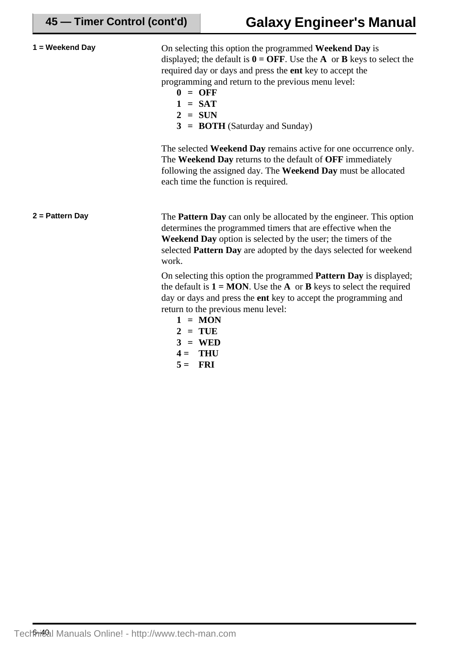| 1 = Weekend Day | On selecting this option the programmed Weekend Day is<br>displayed; the default is $0 = \text{OFF}$ . Use the <b>A</b> or <b>B</b> keys to select the<br>required day or days and press the ent key to accept the<br>programming and return to the previous menu level:<br>$0 = OFF$<br>$1 = SAT$<br>$2 = SUN$<br>$3 = BOTH$ (Saturday and Sunday)    |
|-----------------|--------------------------------------------------------------------------------------------------------------------------------------------------------------------------------------------------------------------------------------------------------------------------------------------------------------------------------------------------------|
|                 | The selected Weekend Day remains active for one occurrence only.<br>The Weekend Day returns to the default of OFF immediately<br>following the assigned day. The Weekend Day must be allocated<br>each time the function is required.                                                                                                                  |
| 2 = Pattern Day | The <b>Pattern Day</b> can only be allocated by the engineer. This option<br>determines the programmed timers that are effective when the<br>Weekend Day option is selected by the user; the timers of the<br>selected Pattern Day are adopted by the days selected for weekend<br>work.                                                               |
|                 | On selecting this option the programmed Pattern Day is displayed;<br>the default is $1 = MON$ . Use the A or <b>B</b> keys to select the required<br>day or days and press the ent key to accept the programming and<br>return to the previous menu level:<br>$1 = MON$<br>$2 = TUE$<br>$=$ WED<br>$\mathbf{3}$<br><b>THU</b><br>$4 =$<br>$5 =$<br>FRI |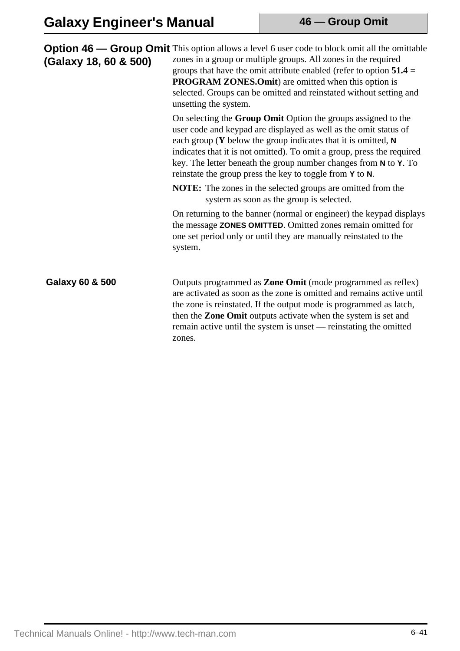| (Galaxy 18, 60 & 500) | <b>Option 46 — Group Omit</b> This option allows a level 6 user code to block omit all the omittable<br>zones in a group or multiple groups. All zones in the required<br>groups that have the omit attribute enabled (refer to option $51.4 =$<br><b>PROGRAM ZONES.Omit</b> ) are omitted when this option is<br>selected. Groups can be omitted and reinstated without setting and<br>unsetting the system.               |
|-----------------------|-----------------------------------------------------------------------------------------------------------------------------------------------------------------------------------------------------------------------------------------------------------------------------------------------------------------------------------------------------------------------------------------------------------------------------|
|                       | On selecting the Group Omit Option the groups assigned to the<br>user code and keypad are displayed as well as the omit status of<br>each group ( $\bf{Y}$ below the group indicates that it is omitted, $\bf{N}$<br>indicates that it is not omitted). To omit a group, press the required<br>key. The letter beneath the group number changes from N to Y. To<br>reinstate the group press the key to toggle from Y to N. |
|                       | <b>NOTE:</b> The zones in the selected groups are omitted from the<br>system as soon as the group is selected.                                                                                                                                                                                                                                                                                                              |
|                       | On returning to the banner (normal or engineer) the keypad displays<br>the message ZONES OMITTED. Omitted zones remain omitted for<br>one set period only or until they are manually reinstated to the<br>system.                                                                                                                                                                                                           |
| Galaxy 60 & 500       | Outputs programmed as <b>Zone Omit</b> (mode programmed as reflex)<br>are activated as soon as the zone is omitted and remains active until<br>the zone is reinstated. If the output mode is programmed as latch,<br>then the <b>Zone Omit</b> outputs activate when the system is set and<br>remain active until the system is unset — reinstating the omitted<br>zones.                                                   |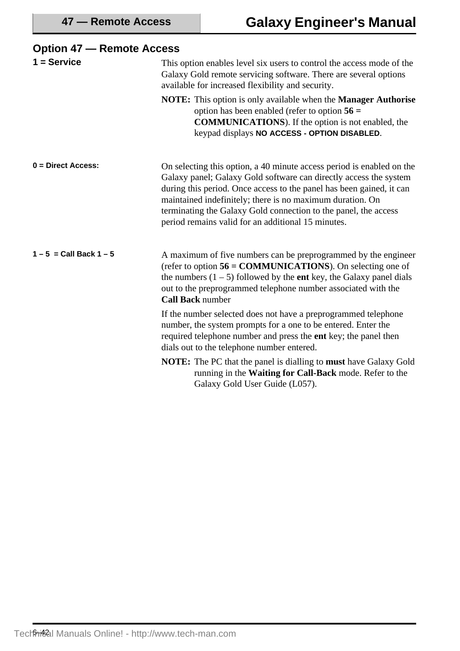| $\sigma$                    |                                                                                                                                                                                                                                                                                                                                                                                                          |
|-----------------------------|----------------------------------------------------------------------------------------------------------------------------------------------------------------------------------------------------------------------------------------------------------------------------------------------------------------------------------------------------------------------------------------------------------|
| $1 =$ Service               | This option enables level six users to control the access mode of the<br>Galaxy Gold remote servicing software. There are several options<br>available for increased flexibility and security.                                                                                                                                                                                                           |
|                             | <b>NOTE:</b> This option is only available when the <b>Manager Authorise</b><br>option has been enabled (refer to option $56 =$<br><b>COMMUNICATIONS</b> ). If the option is not enabled, the<br>keypad displays NO ACCESS - OPTION DISABLED.                                                                                                                                                            |
| $0 = Direct Access$ :       | On selecting this option, a 40 minute access period is enabled on the<br>Galaxy panel; Galaxy Gold software can directly access the system<br>during this period. Once access to the panel has been gained, it can<br>maintained indefinitely; there is no maximum duration. On<br>terminating the Galaxy Gold connection to the panel, the access<br>period remains valid for an additional 15 minutes. |
| $1 - 5 =$ Call Back $1 - 5$ | A maximum of five numbers can be preprogrammed by the engineer<br>(refer to option $56 = \text{COMMUNICATIONS}$ ). On selecting one of<br>the numbers $(1 – 5)$ followed by the ent key, the Galaxy panel dials<br>out to the preprogrammed telephone number associated with the<br><b>Call Back number</b>                                                                                              |
|                             | If the number selected does not have a preprogrammed telephone<br>number, the system prompts for a one to be entered. Enter the<br>required telephone number and press the ent key; the panel then<br>dials out to the telephone number entered.                                                                                                                                                         |
|                             | <b>NOTE:</b> The PC that the panel is dialling to <b>must</b> have Galaxy Gold<br>running in the Waiting for Call-Back mode. Refer to the<br>Galaxy Gold User Guide (L057).                                                                                                                                                                                                                              |

## **Option 47 — Remote Access**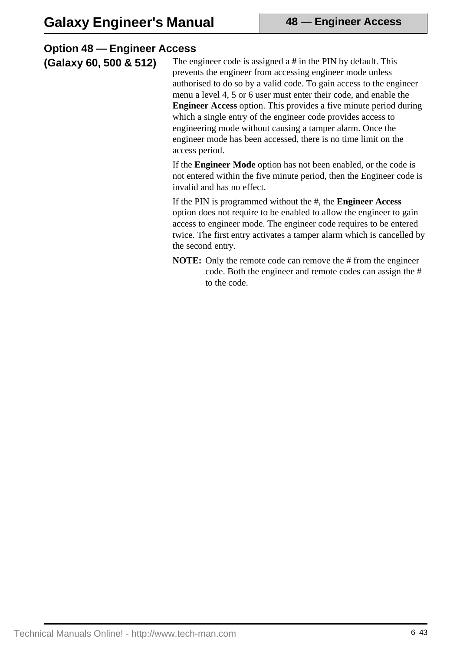| The engineer code is assigned a $#$ in the PIN by default. This<br>(Galaxy 60, 500 & 512)<br>prevents the engineer from accessing engineer mode unless<br>menu a level 4, 5 or 6 user must enter their code, and enable the<br>which a single entry of the engineer code provides access to<br>engineering mode without causing a tamper alarm. Once the<br>engineer mode has been accessed, there is no time limit on the<br>access period.<br>If the <b>Engineer Mode</b> option has not been enabled, or the code is<br>invalid and has no effect.<br>If the PIN is programmed without the #, the <b>Engineer Access</b> | <b>Option 48 – Engineer Access</b> |                                                                                                                                                                                                                   |
|-----------------------------------------------------------------------------------------------------------------------------------------------------------------------------------------------------------------------------------------------------------------------------------------------------------------------------------------------------------------------------------------------------------------------------------------------------------------------------------------------------------------------------------------------------------------------------------------------------------------------------|------------------------------------|-------------------------------------------------------------------------------------------------------------------------------------------------------------------------------------------------------------------|
|                                                                                                                                                                                                                                                                                                                                                                                                                                                                                                                                                                                                                             |                                    | authorised to do so by a valid code. To gain access to the engineer<br><b>Engineer Access</b> option. This provides a five minute period during                                                                   |
|                                                                                                                                                                                                                                                                                                                                                                                                                                                                                                                                                                                                                             |                                    | not entered within the five minute period, then the Engineer code is                                                                                                                                              |
| the second entry.                                                                                                                                                                                                                                                                                                                                                                                                                                                                                                                                                                                                           |                                    | option does not require to be enabled to allow the engineer to gain<br>access to engineer mode. The engineer code requires to be entered<br>twice. The first entry activates a tamper alarm which is cancelled by |

**NOTE:** Only the remote code can remove the # from the engineer code. Both the engineer and remote codes can assign the # to the code.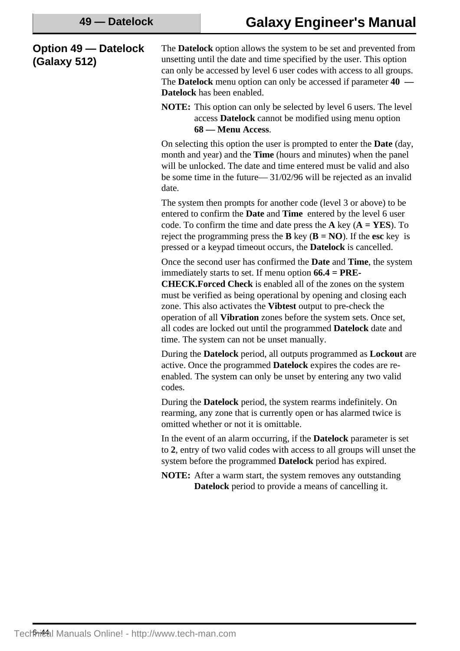### **Option 49 — Datelock (Galaxy 512)**

The **Datelock** option allows the system to be set and prevented from unsetting until the date and time specified by the user. This option can only be accessed by level 6 user codes with access to all groups. The **Datelock** menu option can only be accessed if parameter **40 — Datelock** has been enabled.

**NOTE:** This option can only be selected by level 6 users. The level access **Datelock** cannot be modified using menu option **68 — Menu Access**.

On selecting this option the user is prompted to enter the **Date** (day, month and year) and the **Time** (hours and minutes) when the panel will be unlocked. The date and time entered must be valid and also be some time in the future— 31/02/96 will be rejected as an invalid date.

The system then prompts for another code (level 3 or above) to be entered to confirm the **Date** and **Time** entered by the level 6 user code. To confirm the time and date press the **A** key (**A = YES**). To reject the programming press the **B** key ( $\bf{B} = \bf{NO}$ ). If the esc key is pressed or a keypad timeout occurs, the **Datelock** is cancelled.

Once the second user has confirmed the **Date** and **Time**, the system immediately starts to set. If menu option **66.4 = PRE-**

**CHECK.Forced Check** is enabled all of the zones on the system must be verified as being operational by opening and closing each zone. This also activates the **Vibtest** output to pre-check the operation of all **Vibration** zones before the system sets. Once set, all codes are locked out until the programmed **Datelock** date and time. The system can not be unset manually.

During the **Datelock** period, all outputs programmed as **Lockout** are active. Once the programmed **Datelock** expires the codes are reenabled. The system can only be unset by entering any two valid codes.

During the **Datelock** period, the system rearms indefinitely. On rearming, any zone that is currently open or has alarmed twice is omitted whether or not it is omittable.

In the event of an alarm occurring, if the **Datelock** parameter is set to **2**, entry of two valid codes with access to all groups will unset the system before the programmed **Datelock** period has expired.

**NOTE:** After a warm start, the system removes any outstanding **Datelock** period to provide a means of cancelling it.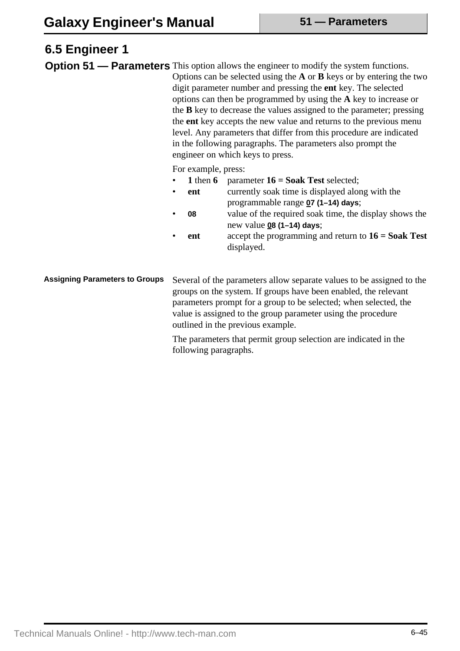### **6.5 Engineer 1 Option 51 — Parameters** This option allows the engineer to modify the system functions. Options can be selected using the **A** or **B** keys or by entering the two digit parameter number and pressing the **ent** key. The selected options can then be programmed by using the **A** key to increase or the **B** key to decrease the values assigned to the parameter; pressing the **ent** key accepts the new value and returns to the previous menu level. Any parameters that differ from this procedure are indicated in the following paragraphs. The parameters also prompt the engineer on which keys to press. For example, press: • **1** then **6** parameter **16 = Soak Test** selected; • **ent** currently soak time is displayed along with the programmable range **07 (1–14) days**; • **08** value of the required soak time, the display shows the new value **08 (1–14) days**; • **ent** accept the programming and return to **16 = Soak Test** displayed.

Several of the parameters allow separate values to be assigned to the groups on the system. If groups have been enabled, the relevant parameters prompt for a group to be selected; when selected, the value is assigned to the group parameter using the procedure outlined in the previous example. **Assigning Parameters to Groups**

> The parameters that permit group selection are indicated in the following paragraphs.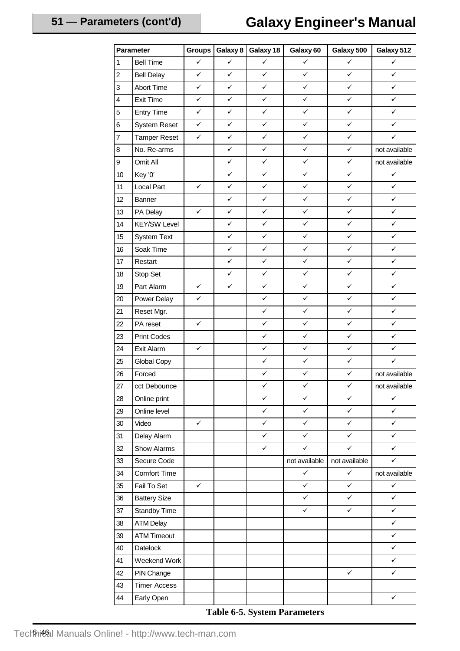# **Galaxy Engineer's Manual**

| Parameter        |                     | <b>Groups</b> | Galaxy 8     | Galaxy 18    | Galaxy 60     | Galaxy 500    | Galaxy 512    |
|------------------|---------------------|---------------|--------------|--------------|---------------|---------------|---------------|
| $\overline{1}$   | <b>Bell Time</b>    | $\checkmark$  | $\checkmark$ | $\checkmark$ | ✓             | ✓             | ✓             |
| $\overline{2}$   | <b>Bell Delay</b>   | $\checkmark$  | ✓            | ✓            | $\checkmark$  | ✓             | ✓             |
| $\overline{3}$   | <b>Abort Time</b>   | $\checkmark$  | ✓            | $\checkmark$ | $\checkmark$  | $\checkmark$  | $\checkmark$  |
| $\overline{4}$   | <b>Exit Time</b>    | $\checkmark$  | ✓            | $\checkmark$ | ✓             | ✓             | $\checkmark$  |
| $\sqrt{5}$       | <b>Entry Time</b>   | $\checkmark$  | $\checkmark$ | ✓            | $\checkmark$  | ✓             | ✓             |
| $\,6$            | <b>System Reset</b> | $\checkmark$  | ✓            | $\checkmark$ | ✓             | ✓             | ✓             |
| $\overline{7}$   | <b>Tamper Reset</b> | $\checkmark$  | ✓            | ✓            | ✓             | ✓             | $\checkmark$  |
| $\bf8$           | No. Re-arms         |               | ✓            | $\checkmark$ | $\checkmark$  | ✓             | not available |
| $\boldsymbol{9}$ | Omit All            |               | ✓            | $\checkmark$ | ✓             | $\checkmark$  | not available |
| 10               | Key '0'             |               | ✓            | ✓            | ✓             | ✓             | $\checkmark$  |
| 11               | Local Part          | $\checkmark$  | ✓            | ✓            | $\checkmark$  | ✓             | $\checkmark$  |
| 12               | Banner              |               | ✓            | $\checkmark$ | $\checkmark$  | ✓             | ✓             |
| 13               | PA Delay            | $\checkmark$  | ✓            | $\checkmark$ | $\checkmark$  | $\checkmark$  | $\checkmark$  |
| 14               | <b>KEY/SW Level</b> |               | ✓            | $\checkmark$ | $\checkmark$  | ✓             | $\checkmark$  |
| 15               | <b>System Text</b>  |               | ✓            | ✓            | ✓             | ✓             | ✓             |
| 16               | Soak Time           |               | ✓            | ✓            | $\checkmark$  | ✓             | $\checkmark$  |
| 17               | Restart             |               | ✓            | $\checkmark$ | $\checkmark$  | $\checkmark$  | $\checkmark$  |
| 18               | Stop Set            |               | $\checkmark$ | ✓            | ✓             | ✓             | $\checkmark$  |
| 19               | Part Alarm          | $\checkmark$  | ✓            | $\checkmark$ | ✓             | ✓             | $\checkmark$  |
| 20               | Power Delay         | $\checkmark$  |              | $\checkmark$ | $\checkmark$  | $\checkmark$  | $\checkmark$  |
| 21               | Reset Mgr.          |               |              | $\checkmark$ | ✓             | ✓             | ✓             |
| 22               | PA reset            | $\checkmark$  |              | ✓            | ✓             | ✓             | ✓             |
| 23               | <b>Print Codes</b>  |               |              | $\checkmark$ | $\checkmark$  | ✓             | $\checkmark$  |
| 24               | Exit Alarm          | $\checkmark$  |              | $\checkmark$ | $\checkmark$  | ✓             | ✓             |
| 25               | Global Copy         |               |              | $\checkmark$ | ✓             | ✓             | $\checkmark$  |
| 26               | Forced              |               |              | $\checkmark$ | $\checkmark$  | $\checkmark$  | not available |
| 27               | cct Debounce        |               |              | ✓            | ✓             | ✓             | not available |
| 28               | Online print        |               |              | $\checkmark$ | $\checkmark$  | ✓             | $\checkmark$  |
| 29               | Online level        |               |              | $\checkmark$ | $\checkmark$  | ✓             | $\checkmark$  |
| $30\,$           | Video               | $\checkmark$  |              | $\checkmark$ | $\checkmark$  | ✓             | ✓             |
| 31               | Delay Alarm         |               |              | ✓            | ✓             | ✓             | ✓             |
| 32               | Show Alarms         |               |              | $\checkmark$ | $\checkmark$  | ✓             | $\checkmark$  |
| 33               | Secure Code         |               |              |              | not available | not available | ✓             |
| 34               | <b>Comfort Time</b> |               |              |              | ✓             | $\checkmark$  | not available |
| 35               | Fail To Set         | $\checkmark$  |              |              | $\checkmark$  | ✓             | $\checkmark$  |
| 36               | <b>Battery Size</b> |               |              |              | ✓             | ✓             | $\checkmark$  |
| $37\,$           | Standby Time        |               |              |              | ✓             | ✓             | $\checkmark$  |
| 38               | <b>ATM Delay</b>    |               |              |              |               |               | $\checkmark$  |
| 39               | <b>ATM Timeout</b>  |               |              |              |               |               | $\checkmark$  |
| 40               | Datelock            |               |              |              |               |               | $\checkmark$  |
| 41               | Weekend Work        |               |              |              |               |               | ✓             |
| 42               | PIN Change          |               |              |              |               | $\checkmark$  | $\checkmark$  |
| 43               | <b>Timer Access</b> |               |              |              |               |               |               |
| 44               | Early Open          |               |              |              |               |               | $\checkmark$  |

### **Table 6-5. System Parameters**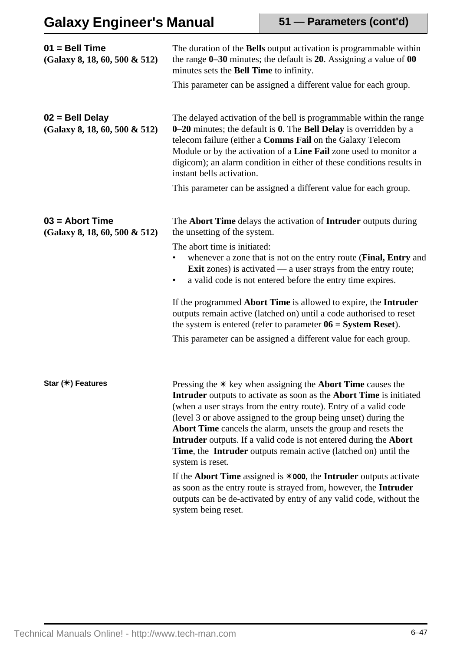# **Galaxy Engineer's Manual**

| $01 = Bell Time$<br>$(Galaxy 8, 18, 60, 500 \& 512)$  | The duration of the <b>Bells</b> output activation is programmable within<br>the range $0-30$ minutes; the default is 20. Assigning a value of 00<br>minutes sets the Bell Time to infinity.<br>This parameter can be assigned a different value for each group.                                                                                                                                                                                                                                                |
|-------------------------------------------------------|-----------------------------------------------------------------------------------------------------------------------------------------------------------------------------------------------------------------------------------------------------------------------------------------------------------------------------------------------------------------------------------------------------------------------------------------------------------------------------------------------------------------|
| $02 =$ Bell Delay<br>(Galaxy 8, 18, 60, 500 & 512)    | The delayed activation of the bell is programmable within the range<br>0-20 minutes; the default is 0. The Bell Delay is overridden by a<br>telecom failure (either a Comms Fail on the Galaxy Telecom<br>Module or by the activation of a Line Fail zone used to monitor a<br>digicom); an alarm condition in either of these conditions results in<br>instant bells activation.                                                                                                                               |
|                                                       | This parameter can be assigned a different value for each group.                                                                                                                                                                                                                                                                                                                                                                                                                                                |
| $03 =$ Abort Time<br>$(Galaxy 8, 18, 60, 500 \& 512)$ | The <b>Abort Time</b> delays the activation of <b>Intruder</b> outputs during<br>the unsetting of the system.                                                                                                                                                                                                                                                                                                                                                                                                   |
|                                                       | The abort time is initiated:<br>whenever a zone that is not on the entry route (Final, Entry and<br><b>Exit</b> zones) is activated — a user strays from the entry route;<br>a valid code is not entered before the entry time expires.<br>$\bullet$                                                                                                                                                                                                                                                            |
|                                                       | If the programmed Abort Time is allowed to expire, the Intruder<br>outputs remain active (latched on) until a code authorised to reset<br>the system is entered (refer to parameter $06 = System$ Reset).                                                                                                                                                                                                                                                                                                       |
|                                                       | This parameter can be assigned a different value for each group.                                                                                                                                                                                                                                                                                                                                                                                                                                                |
|                                                       |                                                                                                                                                                                                                                                                                                                                                                                                                                                                                                                 |
| Star (*) Features                                     | Pressing the $*$ key when assigning the <b>Abort Time</b> causes the<br>Intruder outputs to activate as soon as the Abort Time is initiated<br>(when a user strays from the entry route). Entry of a valid code<br>(level 3 or above assigned to the group being unset) during the<br>Abort Time cancels the alarm, unsets the group and resets the<br>Intruder outputs. If a valid code is not entered during the Abort<br>Time, the Intruder outputs remain active (latched on) until the<br>system is reset. |
|                                                       | If the Abort Time assigned is $*000$ , the Intruder outputs activate<br>as soon as the entry route is strayed from, however, the Intruder<br>outputs can be de-activated by entry of any valid code, without the<br>system being reset.                                                                                                                                                                                                                                                                         |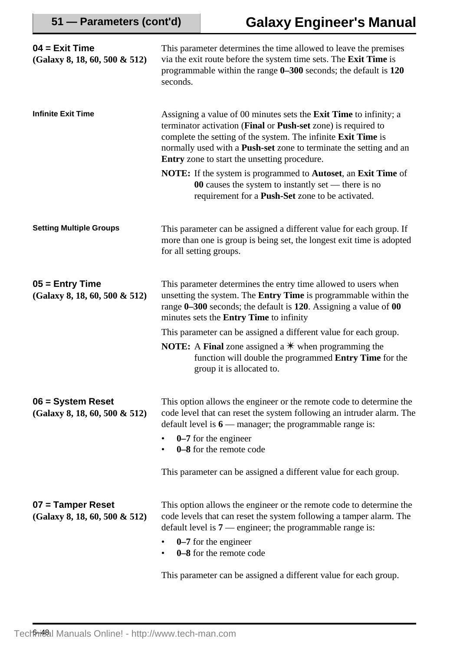| $04 = Exist Time$<br>$(Galaxy 8, 18, 60, 500 \& 512)$ | This parameter determines the time allowed to leave the premises<br>via the exit route before the system time sets. The Exit Time is<br>programmable within the range $0-300$ seconds; the default is $120$<br>seconds.                                                                                                                                                                                                                                                               |
|-------------------------------------------------------|---------------------------------------------------------------------------------------------------------------------------------------------------------------------------------------------------------------------------------------------------------------------------------------------------------------------------------------------------------------------------------------------------------------------------------------------------------------------------------------|
| <b>Infinite Exit Time</b>                             | Assigning a value of 00 minutes sets the <b>Exit Time</b> to infinity; a<br>terminator activation (Final or Push-set zone) is required to<br>complete the setting of the system. The infinite Exit Time is<br>normally used with a <b>Push-set</b> zone to terminate the setting and an<br>Entry zone to start the unsetting procedure.<br><b>NOTE:</b> If the system is programmed to <b>Autoset</b> , an <b>Exit Time</b> of<br>00 causes the system to instantly set — there is no |
|                                                       | requirement for a <b>Push-Set</b> zone to be activated.                                                                                                                                                                                                                                                                                                                                                                                                                               |
| <b>Setting Multiple Groups</b>                        | This parameter can be assigned a different value for each group. If<br>more than one is group is being set, the longest exit time is adopted<br>for all setting groups.                                                                                                                                                                                                                                                                                                               |
| $05 =$ Entry Time<br>$(Galaxy 8, 18, 60, 500 \& 512)$ | This parameter determines the entry time allowed to users when<br>unsetting the system. The <b>Entry Time</b> is programmable within the<br>range 0–300 seconds; the default is 120. Assigning a value of 00<br>minutes sets the <b>Entry Time</b> to infinity                                                                                                                                                                                                                        |
|                                                       | This parameter can be assigned a different value for each group.                                                                                                                                                                                                                                                                                                                                                                                                                      |
|                                                       | <b>NOTE:</b> A Final zone assigned a $*$ when programming the<br>function will double the programmed Entry Time for the<br>group it is allocated to.                                                                                                                                                                                                                                                                                                                                  |
| 06 = System Reset<br>(Galaxy 8, 18, 60, 500 & 512)    | This option allows the engineer or the remote code to determine the<br>code level that can reset the system following an intruder alarm. The<br>default level is $6$ — manager; the programmable range is:                                                                                                                                                                                                                                                                            |
|                                                       | $0-7$ for the engineer<br>0–8 for the remote code                                                                                                                                                                                                                                                                                                                                                                                                                                     |
|                                                       | This parameter can be assigned a different value for each group.                                                                                                                                                                                                                                                                                                                                                                                                                      |
| 07 = Tamper Reset<br>$(Galaxy 8, 18, 60, 500 \& 512)$ | This option allows the engineer or the remote code to determine the<br>code levels that can reset the system following a tamper alarm. The<br>default level is $7$ — engineer; the programmable range is:<br>$0-7$ for the engineer<br>0-8 for the remote code                                                                                                                                                                                                                        |

This parameter can be assigned a different value for each group.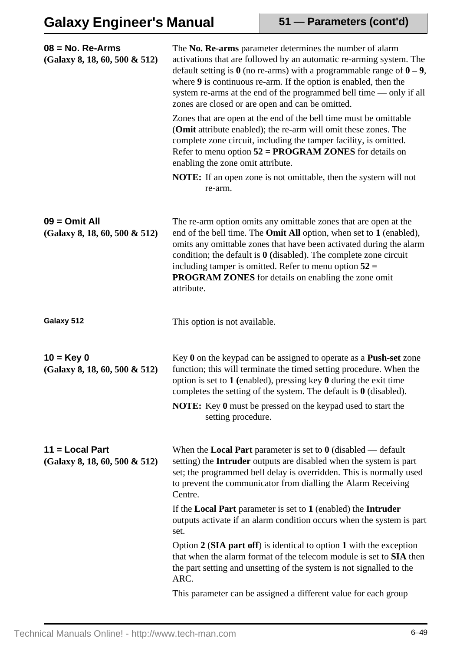| $08 = No.$ Re-Arms<br>(Galaxy 8, 18, 60, 500 & 512) | The No. Re-arms parameter determines the number of alarm<br>activations that are followed by an automatic re-arming system. The<br>default setting is $\theta$ (no re-arms) with a programmable range of $\theta - 9$ ,<br>where $9$ is continuous re-arm. If the option is enabled, then the<br>system re-arms at the end of the programmed bell time — only if all<br>zones are closed or are open and can be omitted.                  |
|-----------------------------------------------------|-------------------------------------------------------------------------------------------------------------------------------------------------------------------------------------------------------------------------------------------------------------------------------------------------------------------------------------------------------------------------------------------------------------------------------------------|
|                                                     | Zones that are open at the end of the bell time must be omittable<br>(Omit attribute enabled); the re-arm will omit these zones. The<br>complete zone circuit, including the tamper facility, is omitted.<br>Refer to menu option $52 = PROGRAM ZONES$ for details on<br>enabling the zone omit attribute.                                                                                                                                |
|                                                     | <b>NOTE:</b> If an open zone is not omittable, then the system will not<br>re-arm.                                                                                                                                                                                                                                                                                                                                                        |
| $09 =$ Omit All<br>(Galaxy 8, 18, 60, 500 & 512)    | The re-arm option omits any omittable zones that are open at the<br>end of the bell time. The <b>Omit All</b> option, when set to 1 (enabled),<br>omits any omittable zones that have been activated during the alarm<br>condition; the default is $\theta$ (disabled). The complete zone circuit<br>including tamper is omitted. Refer to menu option $52 =$<br><b>PROGRAM ZONES</b> for details on enabling the zone omit<br>attribute. |
| Galaxy 512                                          | This option is not available.                                                                                                                                                                                                                                                                                                                                                                                                             |
| $10 = Key 0$<br>(Galaxy 8, 18, 60, 500 & 512)       | Key $0$ on the keypad can be assigned to operate as a <b>Push-set</b> zone<br>function; this will terminate the timed setting procedure. When the<br>option is set to 1 (enabled), pressing key $\theta$ during the exit time<br>completes the setting of the system. The default is $0$ (disabled).<br><b>NOTE:</b> Key 0 must be pressed on the keypad used to start the<br>setting procedure.                                          |
| $11 =$ Local Part<br>(Galaxy 8, 18, 60, 500 & 512)  | When the <b>Local Part</b> parameter is set to $\theta$ (disabled — default<br>setting) the <b>Intruder</b> outputs are disabled when the system is part<br>set; the programmed bell delay is overridden. This is normally used<br>to prevent the communicator from dialling the Alarm Receiving<br>Centre.                                                                                                                               |
|                                                     | If the <b>Local Part</b> parameter is set to $1$ (enabled) the <b>Intruder</b><br>outputs activate if an alarm condition occurs when the system is part<br>set.                                                                                                                                                                                                                                                                           |
|                                                     | Option $2$ (SIA part off) is identical to option 1 with the exception<br>that when the alarm format of the telecom module is set to SIA then<br>the part setting and unsetting of the system is not signalled to the<br>ARC.                                                                                                                                                                                                              |
|                                                     | This parameter can be assigned a different value for each group                                                                                                                                                                                                                                                                                                                                                                           |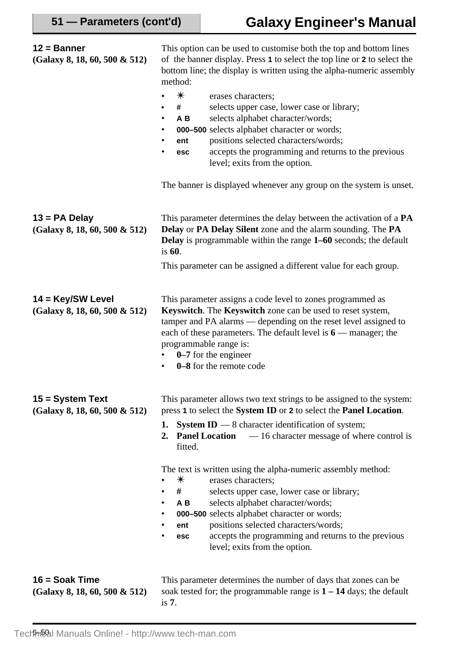| $12 =$ Banner<br>(Galaxy 8, 18, 60, 500 & 512)        | This option can be used to customise both the top and bottom lines<br>of the banner display. Press 1 to select the top line or 2 to select the<br>bottom line; the display is written using the alpha-numeric assembly<br>method:<br>$\ast$<br>erases characters;<br>selects upper case, lower case or library;<br>#<br>selects alphabet character/words;<br>A B<br>$\bullet$<br>000-500 selects alphabet character or words;<br>٠<br>positions selected characters/words;<br>ent<br>٠<br>accepts the programming and returns to the previous<br>esc<br>level; exits from the option.<br>The banner is displayed whenever any group on the system is unset.                                                      |
|-------------------------------------------------------|------------------------------------------------------------------------------------------------------------------------------------------------------------------------------------------------------------------------------------------------------------------------------------------------------------------------------------------------------------------------------------------------------------------------------------------------------------------------------------------------------------------------------------------------------------------------------------------------------------------------------------------------------------------------------------------------------------------|
| $13 = PA$ Delay<br>$(Galaxy 8, 18, 60, 500 \& 512)$   | This parameter determines the delay between the activation of a PA<br>Delay or PA Delay Silent zone and the alarm sounding. The PA<br>Delay is programmable within the range 1–60 seconds; the default<br>is $60$ .<br>This parameter can be assigned a different value for each group.                                                                                                                                                                                                                                                                                                                                                                                                                          |
| 14 = Key/SW Level<br>$(Galaxy 8, 18, 60, 500 \& 512)$ | This parameter assigns a code level to zones programmed as<br>Keyswitch. The Keyswitch zone can be used to reset system,<br>tamper and PA alarms — depending on the reset level assigned to<br>each of these parameters. The default level is $6$ — manager; the<br>programmable range is:<br>0–7 for the engineer<br>0–8 for the remote code                                                                                                                                                                                                                                                                                                                                                                    |
| 15 = System Text<br>$(Galaxy 8, 18, 60, 500 \& 512)$  | This parameter allows two text strings to be assigned to the system:<br>press 1 to select the System ID or 2 to select the Panel Location.<br><b>System ID</b> $-$ 8 character identification of system;<br>1.<br><b>Panel Location</b><br>-16 character message of where control is<br>2.<br>fitted.<br>The text is written using the alpha-numeric assembly method:<br>$\ast$<br>erases characters;<br>٠<br>#<br>selects upper case, lower case or library;<br>٠<br>selects alphabet character/words;<br>AB<br>٠<br>000-500 selects alphabet character or words;<br>positions selected characters/words;<br>ent<br>accepts the programming and returns to the previous<br>esc<br>level; exits from the option. |
| $16 =$ Soak Time<br>$(Galaxy 8, 18, 60, 500 \& 512)$  | This parameter determines the number of days that zones can be<br>soak tested for; the programmable range is $1 - 14$ days; the default<br>is $7.$                                                                                                                                                                                                                                                                                                                                                                                                                                                                                                                                                               |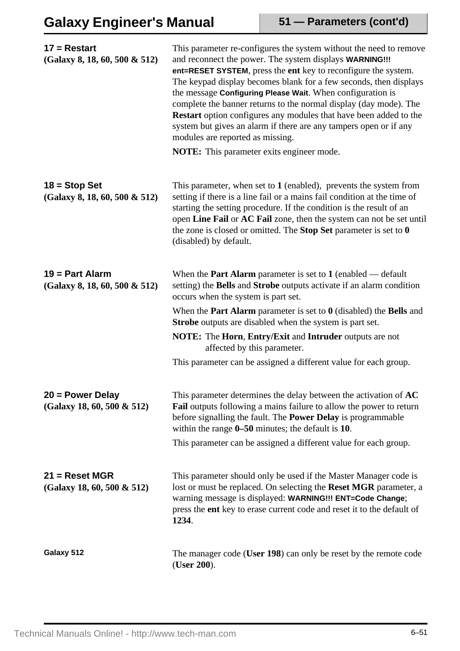| $17 =$ Restart<br>$(Galaxy 8, 18, 60, 500 \& 512)$    | This parameter re-configures the system without the need to remove<br>and reconnect the power. The system displays WARNING!!!<br>ent=RESET SYSTEM, press the ent key to reconfigure the system.<br>The keypad display becomes blank for a few seconds, then displays<br>the message Configuring Please Wait. When configuration is<br>complete the banner returns to the normal display (day mode). The<br>Restart option configures any modules that have been added to the<br>system but gives an alarm if there are any tampers open or if any<br>modules are reported as missing.<br><b>NOTE:</b> This parameter exits engineer mode. |
|-------------------------------------------------------|-------------------------------------------------------------------------------------------------------------------------------------------------------------------------------------------------------------------------------------------------------------------------------------------------------------------------------------------------------------------------------------------------------------------------------------------------------------------------------------------------------------------------------------------------------------------------------------------------------------------------------------------|
|                                                       |                                                                                                                                                                                                                                                                                                                                                                                                                                                                                                                                                                                                                                           |
| $18 =$ Stop Set<br>(Galaxy 8, 18, 60, 500 & 512)      | This parameter, when set to $1$ (enabled), prevents the system from<br>setting if there is a line fail or a mains fail condition at the time of<br>starting the setting procedure. If the condition is the result of an<br>open Line Fail or AC Fail zone, then the system can not be set until<br>the zone is closed or omitted. The Stop Set parameter is set to $0$<br>(disabled) by default.                                                                                                                                                                                                                                          |
| $19 = Part$ Alarm<br>$(Galaxy 8, 18, 60, 500 \& 512)$ | When the <b>Part Alarm</b> parameter is set to $1$ (enabled — default<br>setting) the Bells and Strobe outputs activate if an alarm condition<br>occurs when the system is part set.                                                                                                                                                                                                                                                                                                                                                                                                                                                      |
|                                                       | When the <b>Part Alarm</b> parameter is set to $\theta$ (disabled) the <b>Bells</b> and<br><b>Strobe</b> outputs are disabled when the system is part set.                                                                                                                                                                                                                                                                                                                                                                                                                                                                                |
|                                                       | <b>NOTE:</b> The Horn, Entry/Exit and Intruder outputs are not<br>affected by this parameter.                                                                                                                                                                                                                                                                                                                                                                                                                                                                                                                                             |
|                                                       | This parameter can be assigned a different value for each group.                                                                                                                                                                                                                                                                                                                                                                                                                                                                                                                                                                          |
| $20 = Power$ Delay<br>(Galaxy 18, 60, 500 & 512)      | This parameter determines the delay between the activation of AC<br>Fail outputs following a mains failure to allow the power to return<br>before signalling the fault. The <b>Power Delay</b> is programmable<br>within the range $0-50$ minutes; the default is 10.                                                                                                                                                                                                                                                                                                                                                                     |
|                                                       | This parameter can be assigned a different value for each group.                                                                                                                                                                                                                                                                                                                                                                                                                                                                                                                                                                          |
| $21 =$ Reset MGR<br>(Galaxy 18, 60, 500 & 512)        | This parameter should only be used if the Master Manager code is<br>lost or must be replaced. On selecting the Reset MGR parameter, a<br>warning message is displayed: WARNING!!! ENT=Code Change;<br>press the ent key to erase current code and reset it to the default of<br>1234.                                                                                                                                                                                                                                                                                                                                                     |
| Galaxy 512                                            | The manager code (User 198) can only be reset by the remote code<br>(User 200).                                                                                                                                                                                                                                                                                                                                                                                                                                                                                                                                                           |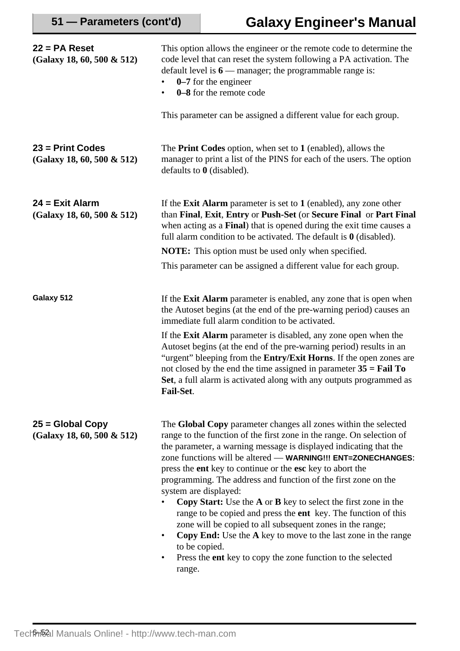| $22 = PA$ Reset<br>(Galaxy 18, 60, 500 & 512)    | This option allows the engineer or the remote code to determine the<br>code level that can reset the system following a PA activation. The<br>default level is $6$ — manager; the programmable range is:<br>$0-7$ for the engineer<br>0–8 for the remote code<br>$\bullet$<br>This parameter can be assigned a different value for each group.                                                                                                                                                                                                                                                                                                                                                                                                                                                                         |
|--------------------------------------------------|------------------------------------------------------------------------------------------------------------------------------------------------------------------------------------------------------------------------------------------------------------------------------------------------------------------------------------------------------------------------------------------------------------------------------------------------------------------------------------------------------------------------------------------------------------------------------------------------------------------------------------------------------------------------------------------------------------------------------------------------------------------------------------------------------------------------|
| $23$ = Print Codes<br>(Galaxy 18, 60, 500 & 512) | The <b>Print Codes</b> option, when set to 1 (enabled), allows the<br>manager to print a list of the PINS for each of the users. The option<br>defaults to $\theta$ (disabled).                                                                                                                                                                                                                                                                                                                                                                                                                                                                                                                                                                                                                                        |
| $24$ = Exit Alarm<br>(Galaxy 18, 60, 500 & 512)  | If the <b>Exit Alarm</b> parameter is set to $1$ (enabled), any zone other<br>than Final, Exit, Entry or Push-Set (or Secure Final or Part Final<br>when acting as a Final) that is opened during the exit time causes a<br>full alarm condition to be activated. The default is $\theta$ (disabled).                                                                                                                                                                                                                                                                                                                                                                                                                                                                                                                  |
|                                                  | <b>NOTE:</b> This option must be used only when specified.                                                                                                                                                                                                                                                                                                                                                                                                                                                                                                                                                                                                                                                                                                                                                             |
|                                                  | This parameter can be assigned a different value for each group.                                                                                                                                                                                                                                                                                                                                                                                                                                                                                                                                                                                                                                                                                                                                                       |
| Galaxy 512                                       | If the <b>Exit Alarm</b> parameter is enabled, any zone that is open when<br>the Autoset begins (at the end of the pre-warning period) causes an<br>immediate full alarm condition to be activated.                                                                                                                                                                                                                                                                                                                                                                                                                                                                                                                                                                                                                    |
|                                                  | If the <b>Exit Alarm</b> parameter is disabled, any zone open when the<br>Autoset begins (at the end of the pre-warning period) results in an<br>"urgent" bleeping from the <b>Entry/Exit Horns</b> . If the open zones are<br>not closed by the end the time assigned in parameter $35 = \text{Tail} \, \text{To}$<br>Set, a full alarm is activated along with any outputs programmed as<br>Fail-Set.                                                                                                                                                                                                                                                                                                                                                                                                                |
| $25 = Global Copy$<br>(Galaxy 18, 60, 500 & 512) | The Global Copy parameter changes all zones within the selected<br>range to the function of the first zone in the range. On selection of<br>the parameter, a warning message is displayed indicating that the<br>zone functions will be altered — WARNING!!! ENT=ZONECHANGES:<br>press the ent key to continue or the esc key to abort the<br>programming. The address and function of the first zone on the<br>system are displayed:<br><b>Copy Start:</b> Use the <b>A</b> or <b>B</b> key to select the first zone in the<br>range to be copied and press the ent key. The function of this<br>zone will be copied to all subsequent zones in the range;<br>Copy End: Use the A key to move to the last zone in the range<br>to be copied.<br>Press the ent key to copy the zone function to the selected<br>range. |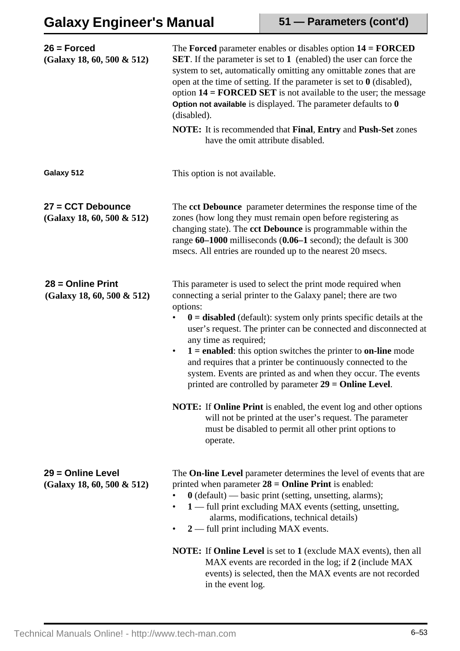| $26$ = Forced<br>(Galaxy 18, 60, 500 & 512)        | The Forced parameter enables or disables option $14 = FORCED$<br><b>SET</b> . If the parameter is set to 1 (enabled) the user can force the<br>system to set, automatically omitting any omittable zones that are<br>open at the time of setting. If the parameter is set to $\theta$ (disabled),<br>option $14 = \text{FORCED SET}$ is not available to the user; the message<br>Option not available is displayed. The parameter defaults to $0$<br>(disabled).<br>NOTE: It is recommended that Final, Entry and Push-Set zones<br>have the omit attribute disabled.                                  |
|----------------------------------------------------|---------------------------------------------------------------------------------------------------------------------------------------------------------------------------------------------------------------------------------------------------------------------------------------------------------------------------------------------------------------------------------------------------------------------------------------------------------------------------------------------------------------------------------------------------------------------------------------------------------|
| Galaxy 512                                         | This option is not available.                                                                                                                                                                                                                                                                                                                                                                                                                                                                                                                                                                           |
| 27 = CCT Debounce<br>(Galaxy 18, 60, 500 & 512)    | The cct Debounce parameter determines the response time of the<br>zones (how long they must remain open before registering as<br>changing state). The cct Debounce is programmable within the<br>range $60-1000$ milliseconds $(0.06-1$ second); the default is 300<br>msecs. All entries are rounded up to the nearest 20 msecs.                                                                                                                                                                                                                                                                       |
| $28 =$ Online Print<br>(Galaxy 18, 60, 500 & 512)  | This parameter is used to select the print mode required when<br>connecting a serial printer to the Galaxy panel; there are two<br>options:<br>$\mathbf{0}$ = disabled (default): system only prints specific details at the<br>user's request. The printer can be connected and disconnected at<br>any time as required;<br>$1 =$ enabled: this option switches the printer to on-line mode<br>$\bullet$<br>and requires that a printer be continuously connected to the<br>system. Events are printed as and when they occur. The events<br>printed are controlled by parameter $29 = 0$ nline Level. |
|                                                    | <b>NOTE:</b> If <b>Online Print</b> is enabled, the event log and other options<br>will not be printed at the user's request. The parameter<br>must be disabled to permit all other print options to<br>operate.                                                                                                                                                                                                                                                                                                                                                                                        |
| 29 = Online Level<br>$(Galaxy 18, 60, 500 \& 512)$ | The <b>On-line Level</b> parameter determines the level of events that are<br>printed when parameter $28 = 0$ nline Print is enabled:<br>$0$ (default) — basic print (setting, unsetting, alarms);<br>1 — full print excluding MAX events (setting, unsetting,<br>alarms, modifications, technical details)<br>$2$ — full print including MAX events.<br>٠                                                                                                                                                                                                                                              |
|                                                    | <b>NOTE:</b> If <b>Online Level</b> is set to 1 (exclude MAX events), then all<br>MAX events are recorded in the log; if 2 (include MAX<br>events) is selected, then the MAX events are not recorded<br>in the event log.                                                                                                                                                                                                                                                                                                                                                                               |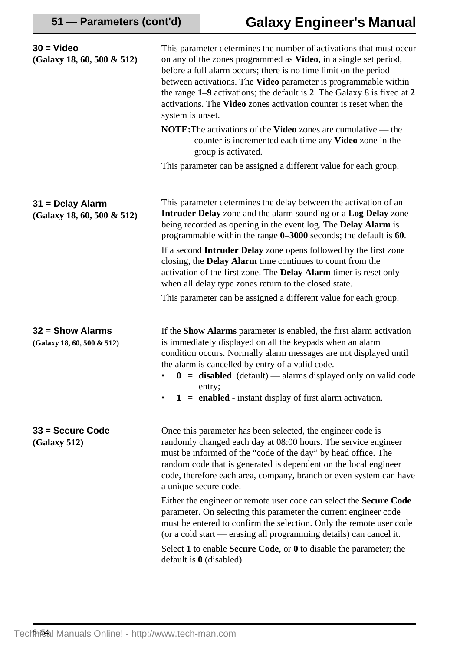| $30 =$ Video<br>$(Galaxy 18, 60, 500 \& 512)$    | This parameter determines the number of activations that must occur<br>on any of the zones programmed as Video, in a single set period,<br>before a full alarm occurs; there is no time limit on the period<br>between activations. The Video parameter is programmable within<br>the range 1-9 activations; the default is 2. The Galaxy 8 is fixed at 2<br>activations. The Video zones activation counter is reset when the<br>system is unset.<br><b>NOTE:</b> The activations of the <b>Video</b> zones are cumulative — the<br>counter is incremented each time any Video zone in the<br>group is activated. |
|--------------------------------------------------|--------------------------------------------------------------------------------------------------------------------------------------------------------------------------------------------------------------------------------------------------------------------------------------------------------------------------------------------------------------------------------------------------------------------------------------------------------------------------------------------------------------------------------------------------------------------------------------------------------------------|
|                                                  | This parameter can be assigned a different value for each group.                                                                                                                                                                                                                                                                                                                                                                                                                                                                                                                                                   |
| 31 = Delay Alarm<br>(Galaxy 18, 60, 500 & 512)   | This parameter determines the delay between the activation of an<br>Intruder Delay zone and the alarm sounding or a Log Delay zone<br>being recorded as opening in the event log. The <b>Delay Alarm</b> is<br>programmable within the range 0-3000 seconds; the default is 60.                                                                                                                                                                                                                                                                                                                                    |
|                                                  | If a second <b>Intruder Delay</b> zone opens followed by the first zone<br>closing, the Delay Alarm time continues to count from the<br>activation of the first zone. The <b>Delay Alarm</b> timer is reset only<br>when all delay type zones return to the closed state.                                                                                                                                                                                                                                                                                                                                          |
|                                                  | This parameter can be assigned a different value for each group.                                                                                                                                                                                                                                                                                                                                                                                                                                                                                                                                                   |
| $32 =$ Show Alarms<br>(Galaxy 18, 60, 500 & 512) | If the <b>Show Alarms</b> parameter is enabled, the first alarm activation<br>is immediately displayed on all the keypads when an alarm<br>condition occurs. Normally alarm messages are not displayed until<br>the alarm is cancelled by entry of a valid code.<br>$\mathbf{0}$ = disabled (default) — alarms displayed only on valid code<br>entry;<br>$1 =$ enabled - instant display of first alarm activation.                                                                                                                                                                                                |
| $33 =$ Secure Code<br>(Galaxy 512)               | Once this parameter has been selected, the engineer code is<br>randomly changed each day at 08:00 hours. The service engineer<br>must be informed of the "code of the day" by head office. The<br>random code that is generated is dependent on the local engineer<br>code, therefore each area, company, branch or even system can have<br>a unique secure code.                                                                                                                                                                                                                                                  |
|                                                  | Either the engineer or remote user code can select the <b>Secure Code</b><br>parameter. On selecting this parameter the current engineer code<br>must be entered to confirm the selection. Only the remote user code<br>(or a cold start — erasing all programming details) can cancel it.                                                                                                                                                                                                                                                                                                                         |
|                                                  | Select 1 to enable <b>Secure Code</b> , or $\theta$ to disable the parameter; the<br>default is $\theta$ (disabled).                                                                                                                                                                                                                                                                                                                                                                                                                                                                                               |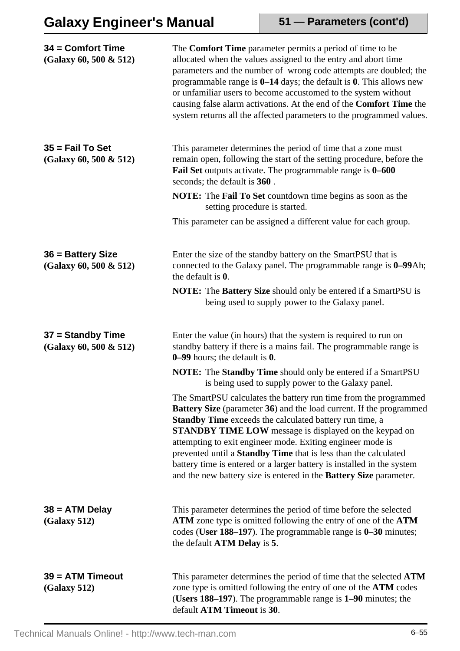# **Galaxy Engineer's Manual**

**51 — Parameters (cont'd)**

| 34 = Comfort Time<br>(Galaxy 60, 500 & 512)   | The <b>Comfort Time</b> parameter permits a period of time to be<br>allocated when the values assigned to the entry and abort time<br>parameters and the number of wrong code attempts are doubled; the<br>programmable range is $0-14$ days; the default is 0. This allows new<br>or unfamiliar users to become accustomed to the system without<br>causing false alarm activations. At the end of the Comfort Time the<br>system returns all the affected parameters to the programmed values.                                                            |
|-----------------------------------------------|-------------------------------------------------------------------------------------------------------------------------------------------------------------------------------------------------------------------------------------------------------------------------------------------------------------------------------------------------------------------------------------------------------------------------------------------------------------------------------------------------------------------------------------------------------------|
| $35$ = Fail To Set<br>(Galaxy 60, 500 & 512)  | This parameter determines the period of time that a zone must<br>remain open, following the start of the setting procedure, before the<br>Fail Set outputs activate. The programmable range is 0–600<br>seconds; the default is 360.                                                                                                                                                                                                                                                                                                                        |
|                                               | <b>NOTE:</b> The <b>Fail To Set</b> countdown time begins as soon as the<br>setting procedure is started.                                                                                                                                                                                                                                                                                                                                                                                                                                                   |
|                                               | This parameter can be assigned a different value for each group.                                                                                                                                                                                                                                                                                                                                                                                                                                                                                            |
| 36 = Battery Size<br>(Galaxy 60, 500 & 512)   | Enter the size of the standby battery on the SmartPSU that is<br>connected to the Galaxy panel. The programmable range is 0–99Ah;<br>the default is 0.                                                                                                                                                                                                                                                                                                                                                                                                      |
|                                               | NOTE: The Battery Size should only be entered if a SmartPSU is<br>being used to supply power to the Galaxy panel.                                                                                                                                                                                                                                                                                                                                                                                                                                           |
| $37 =$ Standby Time<br>(Galaxy 60, 500 & 512) | Enter the value (in hours) that the system is required to run on<br>standby battery if there is a mains fail. The programmable range is<br>$0-99$ hours; the default is $0$ .                                                                                                                                                                                                                                                                                                                                                                               |
|                                               | <b>NOTE:</b> The <b>Standby Time</b> should only be entered if a SmartPSU<br>is being used to supply power to the Galaxy panel.                                                                                                                                                                                                                                                                                                                                                                                                                             |
|                                               | The SmartPSU calculates the battery run time from the programmed<br><b>Battery Size</b> (parameter 36) and the load current. If the programmed<br>Standby Time exceeds the calculated battery run time, a<br><b>STANDBY TIME LOW</b> message is displayed on the keypad on<br>attempting to exit engineer mode. Exiting engineer mode is<br>prevented until a Standby Time that is less than the calculated<br>battery time is entered or a larger battery is installed in the system<br>and the new battery size is entered in the Battery Size parameter. |
| $38 = ATM$ Delay<br>(Galaxy 512)              | This parameter determines the period of time before the selected<br>ATM zone type is omitted following the entry of one of the ATM<br>codes (User 188-197). The programmable range is 0-30 minutes;<br>the default ATM Delay is 5.                                                                                                                                                                                                                                                                                                                          |
| $39 = ATM$ Timeout<br>(Galaxy 512)            | This parameter determines the period of time that the selected <b>ATM</b><br>zone type is omitted following the entry of one of the ATM codes<br>(Users 188-197). The programmable range is 1-90 minutes; the<br>default ATM Timeout is 30.                                                                                                                                                                                                                                                                                                                 |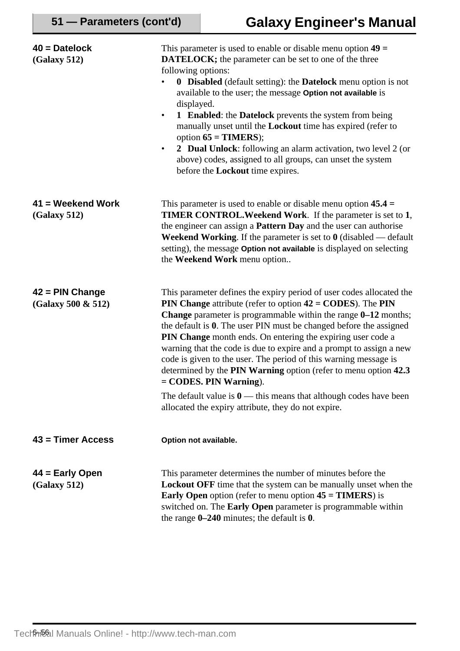| $40 =$ Datelock<br>(Galaxy 512)         | This parameter is used to enable or disable menu option $49 =$<br><b>DATELOCK;</b> the parameter can be set to one of the three<br>following options:<br><b>0</b> Disabled (default setting): the Datelock menu option is not<br>٠<br>available to the user; the message Option not available is<br>displayed.<br><b>1</b> Enabled: the Datelock prevents the system from being<br>$\bullet$<br>manually unset until the <b>Lockout</b> time has expired (refer to<br>option $65 = TIMERS$ );<br>2 Dual Unlock: following an alarm activation, two level 2 (or<br>$\bullet$<br>above) codes, assigned to all groups, can unset the system<br>before the <b>Lockout</b> time expires. |
|-----------------------------------------|--------------------------------------------------------------------------------------------------------------------------------------------------------------------------------------------------------------------------------------------------------------------------------------------------------------------------------------------------------------------------------------------------------------------------------------------------------------------------------------------------------------------------------------------------------------------------------------------------------------------------------------------------------------------------------------|
| $41$ = Weekend Work<br>(Galaxy 512)     | This parameter is used to enable or disable menu option $45.4 =$<br><b>TIMER CONTROL. Weekend Work.</b> If the parameter is set to 1,<br>the engineer can assign a <b>Pattern Day</b> and the user can authorise<br>Weekend Working. If the parameter is set to $0$ (disabled $-$ default<br>setting), the message Option not available is displayed on selecting<br>the Weekend Work menu option                                                                                                                                                                                                                                                                                    |
| $42$ = PIN Change<br>(Galaxy 500 & 512) | This parameter defines the expiry period of user codes allocated the<br><b>PIN Change</b> attribute (refer to option $42 = \text{CODES}$ ). The <b>PIN</b><br>Change parameter is programmable within the range 0-12 months;<br>the default is 0. The user PIN must be changed before the assigned<br>PIN Change month ends. On entering the expiring user code a<br>warning that the code is due to expire and a prompt to assign a new<br>code is given to the user. The period of this warning message is<br>determined by the PIN Warning option (refer to menu option 42.3)<br>$=$ CODES. PIN Warning).                                                                         |
|                                         | The default value is $0$ — this means that although codes have been<br>allocated the expiry attribute, they do not expire.                                                                                                                                                                                                                                                                                                                                                                                                                                                                                                                                                           |
| $43$ = Timer Access                     | Option not available.                                                                                                                                                                                                                                                                                                                                                                                                                                                                                                                                                                                                                                                                |
| $44 =$ Early Open<br>(Galaxy 512)       | This parameter determines the number of minutes before the<br><b>Lockout OFF</b> time that the system can be manually unset when the<br><b>Early Open</b> option (refer to menu option $45 = TIMERS$ ) is<br>switched on. The Early Open parameter is programmable within<br>the range $0-240$ minutes; the default is $0$ .                                                                                                                                                                                                                                                                                                                                                         |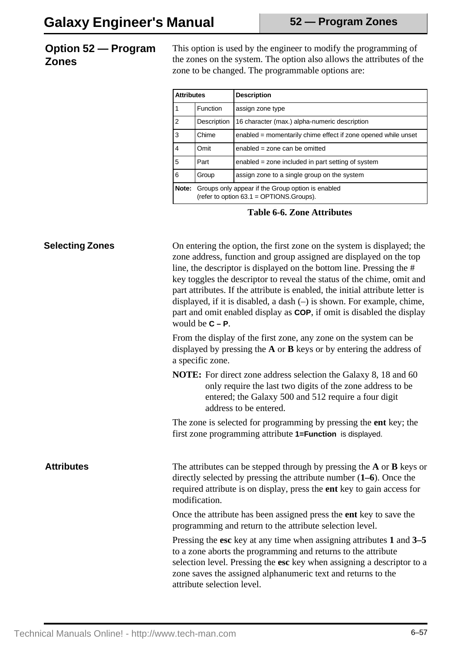## **Option 52 — Program Zones**

This option is used by the engineer to modify the programming of the zones on the system. The option also allows the attributes of the zone to be changed. The programmable options are:

| <b>Attributes</b> |                                                                                               | <b>Description</b>                                            |
|-------------------|-----------------------------------------------------------------------------------------------|---------------------------------------------------------------|
|                   | <b>Function</b>                                                                               | assign zone type                                              |
| $\mathfrak{p}$    | Description                                                                                   | 16 character (max.) alpha-numeric description                 |
| 3                 | Chime                                                                                         | enabled = momentarily chime effect if zone opened while unset |
| $\overline{4}$    | Omit                                                                                          | enabled = zone can be omitted                                 |
| 5                 | Part                                                                                          | enabled = zone included in part setting of system             |
| 6                 | Group                                                                                         | assign zone to a single group on the system                   |
| Note:             | Groups only appear if the Group option is enabled<br>(refer to option 63.1 = OPTIONS.Groups). |                                                               |

**Table 6-6. Zone Attributes**

| <b>Selecting Zones</b> | On entering the option, the first zone on the system is displayed; the<br>zone address, function and group assigned are displayed on the top<br>line, the descriptor is displayed on the bottom line. Pressing the #<br>key toggles the descriptor to reveal the status of the chime, omit and<br>part attributes. If the attribute is enabled, the initial attribute letter is<br>displayed, if it is disabled, a dash $(-)$ is shown. For example, chime,<br>part and omit enabled display as <b>COP</b> , if omit is disabled the display<br>would be $C - P$ . |
|------------------------|--------------------------------------------------------------------------------------------------------------------------------------------------------------------------------------------------------------------------------------------------------------------------------------------------------------------------------------------------------------------------------------------------------------------------------------------------------------------------------------------------------------------------------------------------------------------|
|                        | From the display of the first zone, any zone on the system can be<br>displayed by pressing the $A$ or $B$ keys or by entering the address of<br>a specific zone.                                                                                                                                                                                                                                                                                                                                                                                                   |
|                        | <b>NOTE:</b> For direct zone address selection the Galaxy 8, 18 and 60<br>only require the last two digits of the zone address to be<br>entered; the Galaxy 500 and 512 require a four digit<br>address to be entered.                                                                                                                                                                                                                                                                                                                                             |
|                        | The zone is selected for programming by pressing the <b>ent</b> key; the<br>first zone programming attribute 1=Function is displayed.                                                                                                                                                                                                                                                                                                                                                                                                                              |
| <b>Attributes</b>      | The attributes can be stepped through by pressing the $A$ or $B$ keys or<br>directly selected by pressing the attribute number $(1-6)$ . Once the<br>required attribute is on display, press the ent key to gain access for<br>modification.                                                                                                                                                                                                                                                                                                                       |
|                        | Once the attribute has been assigned press the <b>ent</b> key to save the<br>programming and return to the attribute selection level.                                                                                                                                                                                                                                                                                                                                                                                                                              |
|                        | Pressing the esc key at any time when assigning attributes 1 and 3–5<br>to a zone aborts the programming and returns to the attribute<br>selection level. Pressing the esc key when assigning a descriptor to a<br>zone saves the assigned alphanumeric text and returns to the<br>attribute selection level.                                                                                                                                                                                                                                                      |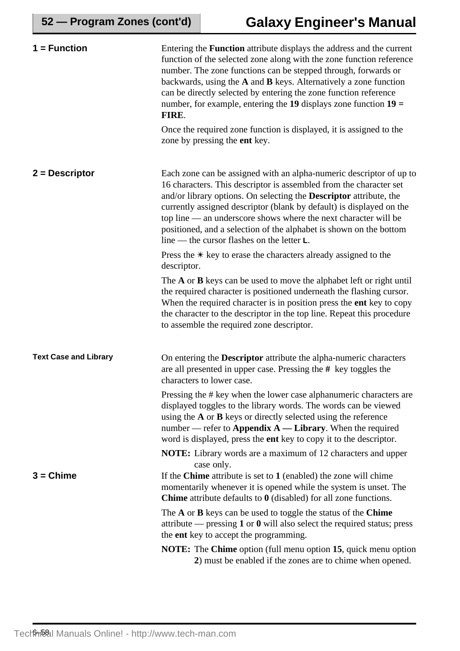| $1 = Function$               | Entering the <b>Function</b> attribute displays the address and the current<br>function of the selected zone along with the zone function reference<br>number. The zone functions can be stepped through, forwards or<br>backwards, using the $A$ and $B$ keys. Alternatively a zone function<br>can be directly selected by entering the zone function reference<br>number, for example, entering the 19 displays zone function $19 =$<br>FIRE.                                                  |
|------------------------------|---------------------------------------------------------------------------------------------------------------------------------------------------------------------------------------------------------------------------------------------------------------------------------------------------------------------------------------------------------------------------------------------------------------------------------------------------------------------------------------------------|
|                              | Once the required zone function is displayed, it is assigned to the<br>zone by pressing the <b>ent</b> key.                                                                                                                                                                                                                                                                                                                                                                                       |
| $2 =$ Descriptor             | Each zone can be assigned with an alpha-numeric descriptor of up to<br>16 characters. This descriptor is assembled from the character set<br>and/or library options. On selecting the <b>Descriptor</b> attribute, the<br>currently assigned descriptor (blank by default) is displayed on the<br>top line — an underscore shows where the next character will be<br>positioned, and a selection of the alphabet is shown on the bottom<br>line — the cursor flashes on the letter $\mathsf{L}$ . |
|                              | Press the $*$ key to erase the characters already assigned to the<br>descriptor.                                                                                                                                                                                                                                                                                                                                                                                                                  |
|                              | The $A$ or $B$ keys can be used to move the alphabet left or right until<br>the required character is positioned underneath the flashing cursor.<br>When the required character is in position press the ent key to copy<br>the character to the descriptor in the top line. Repeat this procedure<br>to assemble the required zone descriptor.                                                                                                                                                   |
| <b>Text Case and Library</b> | On entering the <b>Descriptor</b> attribute the alpha-numeric characters<br>are all presented in upper case. Pressing the $#$ key toggles the<br>characters to lower case.                                                                                                                                                                                                                                                                                                                        |
|                              | Pressing the # key when the lower case alphanumeric characters are<br>displayed toggles to the library words. The words can be viewed<br>using the $A$ or $B$ keys or directly selected using the reference<br>number — refer to Appendix $A$ — Library. When the required<br>word is displayed, press the ent key to copy it to the descriptor.                                                                                                                                                  |
|                              | <b>NOTE:</b> Library words are a maximum of 12 characters and upper<br>case only.                                                                                                                                                                                                                                                                                                                                                                                                                 |
| $3 =$ Chime                  | If the Chime attribute is set to $1$ (enabled) the zone will chime<br>momentarily whenever it is opened while the system is unset. The<br><b>Chime</b> attribute defaults to $\theta$ (disabled) for all zone functions.                                                                                                                                                                                                                                                                          |
|                              | The A or B keys can be used to toggle the status of the Chime<br>attribute — pressing 1 or 0 will also select the required status; press<br>the <b>ent</b> key to accept the programming.                                                                                                                                                                                                                                                                                                         |
|                              | <b>NOTE:</b> The Chime option (full menu option 15, quick menu option<br>2) must be enabled if the zones are to chime when opened.                                                                                                                                                                                                                                                                                                                                                                |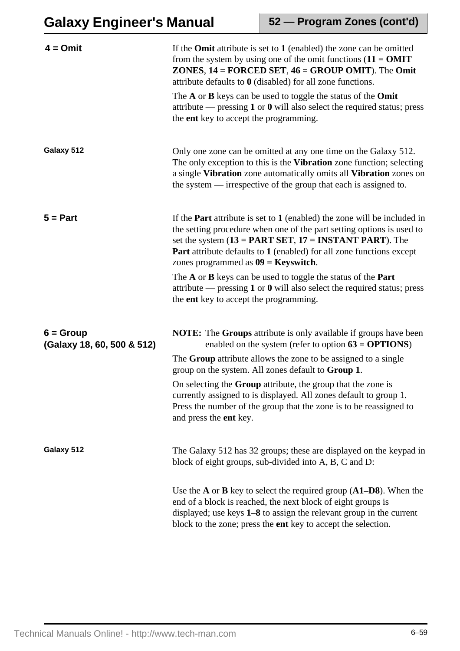| $4 = 0$ mit                               | If the <b>Omit</b> attribute is set to $1$ (enabled) the zone can be omitted<br>from the system by using one of the omit functions $(11 = 0MIT)$<br><b>ZONES, 14 = FORCED SET, 46 = GROUP OMIT).</b> The <b>Omit</b><br>attribute defaults to $\theta$ (disabled) for all zone functions.<br>The $A$ or $B$ keys can be used to toggle the status of the <b>Omit</b><br>attribute — pressing $1$ or $0$ will also select the required status; press<br>the <b>ent</b> key to accept the programming.      |
|-------------------------------------------|-----------------------------------------------------------------------------------------------------------------------------------------------------------------------------------------------------------------------------------------------------------------------------------------------------------------------------------------------------------------------------------------------------------------------------------------------------------------------------------------------------------|
| Galaxy 512                                | Only one zone can be omitted at any one time on the Galaxy 512.<br>The only exception to this is the Vibration zone function; selecting<br>a single Vibration zone automatically omits all Vibration zones on<br>the system $\frac{ }{ }$ irrespective of the group that each is assigned to.                                                                                                                                                                                                             |
| $5 = Part$                                | If the <b>Part</b> attribute is set to $1$ (enabled) the zone will be included in<br>the setting procedure when one of the part setting options is used to<br>set the system $(13 = PART SET, 17 = INSTANT PART)$ . The<br><b>Part</b> attribute defaults to 1 (enabled) for all zone functions except<br>zones programmed as $09 =$ Keyswitch.<br>The $A$ or $B$ keys can be used to toggle the status of the <b>Part</b><br>attribute — pressing $1$ or $0$ will also select the required status; press |
|                                           | the <b>ent</b> key to accept the programming.                                                                                                                                                                                                                                                                                                                                                                                                                                                             |
| $6 = Group$<br>(Galaxy 18, 60, 500 & 512) | <b>NOTE:</b> The <b>Groups</b> attribute is only available if groups have been<br>enabled on the system (refer to option $63 = OPTIONS$ )<br>The Group attribute allows the zone to be assigned to a single<br>group on the system. All zones default to <b>Group 1</b> .                                                                                                                                                                                                                                 |
|                                           | On selecting the Group attribute, the group that the zone is<br>currently assigned to is displayed. All zones default to group 1.<br>Press the number of the group that the zone is to be reassigned to<br>and press the ent key.                                                                                                                                                                                                                                                                         |
| Galaxy 512                                | The Galaxy 512 has 32 groups; these are displayed on the keypad in<br>block of eight groups, sub-divided into A, B, C and D:                                                                                                                                                                                                                                                                                                                                                                              |
|                                           | Use the $A$ or $B$ key to select the required group $(A1-D8)$ . When the<br>end of a block is reached, the next block of eight groups is<br>displayed; use keys $1 - 8$ to assign the relevant group in the current<br>block to the zone; press the ent key to accept the selection.                                                                                                                                                                                                                      |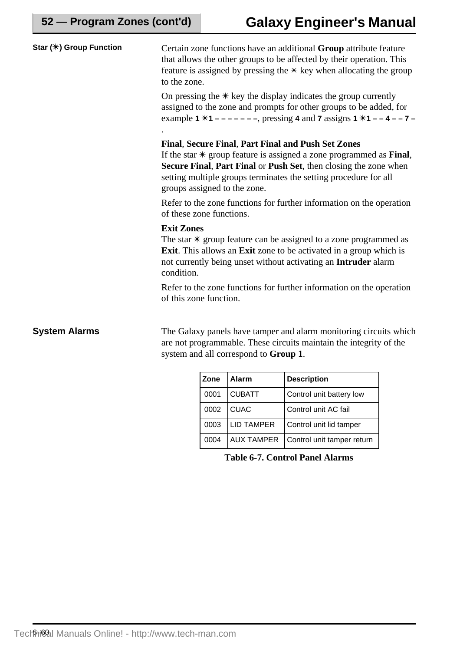| Star (*) Group Function | Certain zone functions have an additional Group attribute feature<br>that allows the other groups to be affected by their operation. This<br>feature is assigned by pressing the $*$ key when allocating the group<br>to the zone.                                                                                 |
|-------------------------|--------------------------------------------------------------------------------------------------------------------------------------------------------------------------------------------------------------------------------------------------------------------------------------------------------------------|
|                         | On pressing the $*$ key the display indicates the group currently<br>assigned to the zone and prompts for other groups to be added, for<br>example 1 $*1$ – – – – – –, pressing 4 and 7 assigns 1 $*1$ – – 4 – – 7 –                                                                                               |
|                         | <b>Final, Secure Final, Part Final and Push Set Zones</b><br>If the star $*$ group feature is assigned a zone programmed as <b>Final</b> ,<br>Secure Final, Part Final or Push Set, then closing the zone when<br>setting multiple groups terminates the setting procedure for all<br>groups assigned to the zone. |
|                         | Refer to the zone functions for further information on the operation<br>of these zone functions.                                                                                                                                                                                                                   |
|                         | <b>Exit Zones</b><br>The star $*$ group feature can be assigned to a zone programmed as<br>Exit. This allows an Exit zone to be activated in a group which is<br>not currently being unset without activating an Intruder alarm<br>condition.                                                                      |
|                         | Refer to the zone functions for further information on the operation<br>of this zone function.                                                                                                                                                                                                                     |
| <b>System Alarms</b>    | The Galaxy panels have tamper and alarm monitoring circuits which<br>are not programmable. These circuits maintain the integrity of the<br>system and all correspond to Group 1.                                                                                                                                   |

| Zone | Alarm             | <b>Description</b>         |
|------|-------------------|----------------------------|
| 0001 | <b>CUBATT</b>     | Control unit battery low   |
| 0002 | <b>CUAC</b>       | Control unit AC fail       |
| 0003 | <b>LID TAMPER</b> | Control unit lid tamper    |
| 0004 | <b>AUX TAMPER</b> | Control unit tamper return |

**Table 6-7. Control Panel Alarms**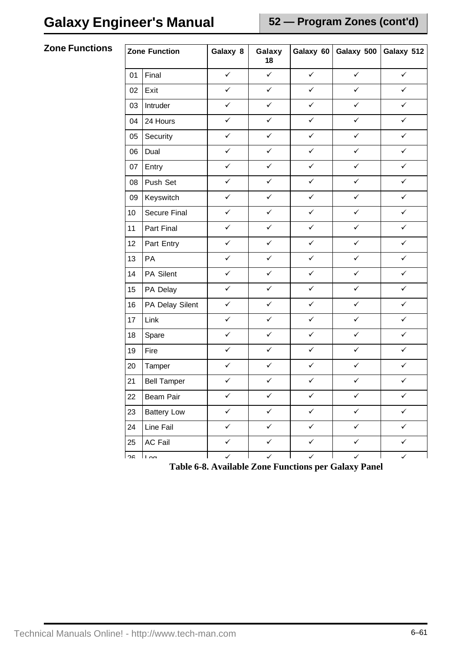**Zone Functions** 

| <b>Zone Function</b> |                     | Galaxy 8     | Galaxy<br>18 | Galaxy 60    | Galaxy 500   | Galaxy 512   |
|----------------------|---------------------|--------------|--------------|--------------|--------------|--------------|
| 01                   | Final               | $\checkmark$ | $\checkmark$ | $\checkmark$ | $\checkmark$ | $\checkmark$ |
| 02                   | Exit                | $\checkmark$ | $\checkmark$ | $\checkmark$ | $\checkmark$ | $\checkmark$ |
| 03                   | Intruder            | $\checkmark$ | $\checkmark$ | $\checkmark$ | $\checkmark$ | $\checkmark$ |
| 04                   | 24 Hours            | ✓            | $\checkmark$ | $\checkmark$ | $\checkmark$ | $\checkmark$ |
| 05                   | Security            | $\checkmark$ | $\checkmark$ | $\checkmark$ | $\checkmark$ | $\checkmark$ |
| 06                   | Dual                | $\checkmark$ | $\checkmark$ | $\checkmark$ | $\checkmark$ | $\checkmark$ |
| 07                   | Entry               | $\checkmark$ | $\checkmark$ | $\checkmark$ | $\checkmark$ | $\checkmark$ |
| 08                   | Push Set            | $\checkmark$ | $\checkmark$ | $\checkmark$ | $\checkmark$ | $\checkmark$ |
| 09                   | Keyswitch           | $\checkmark$ | $\checkmark$ | $\checkmark$ | $\checkmark$ | $\checkmark$ |
| 10                   | <b>Secure Final</b> | $\checkmark$ | $\checkmark$ | $\checkmark$ | $\checkmark$ | $\checkmark$ |
| 11                   | Part Final          | $\checkmark$ | $\checkmark$ | $\checkmark$ | $\checkmark$ | $\checkmark$ |
| 12                   | Part Entry          | $\checkmark$ | $\checkmark$ | $\checkmark$ | $\checkmark$ | $\checkmark$ |
| 13                   | PA                  | $\checkmark$ | $\checkmark$ | $\checkmark$ | $\checkmark$ | $\checkmark$ |
| 14                   | PA Silent           | $\checkmark$ | $\checkmark$ | $\checkmark$ | $\checkmark$ | $\checkmark$ |
| 15                   | PA Delay            | $\checkmark$ | $\checkmark$ | $\checkmark$ | $\checkmark$ | $\checkmark$ |
| 16                   | PA Delay Silent     | $\checkmark$ | $\checkmark$ | $\checkmark$ | $\checkmark$ | $\checkmark$ |
| 17                   | Link                | $\checkmark$ | $\checkmark$ | $\checkmark$ | $\checkmark$ | $\checkmark$ |
| 18                   | Spare               | $\checkmark$ | $\checkmark$ | $\checkmark$ | $\checkmark$ | $\checkmark$ |
| 19                   | Fire                | $\checkmark$ | $\checkmark$ | $\checkmark$ | $\checkmark$ | $\checkmark$ |
| 20                   | Tamper              | $\checkmark$ | $\checkmark$ | $\checkmark$ | $\checkmark$ | $\checkmark$ |
| 21                   | <b>Bell Tamper</b>  | $\checkmark$ | $\checkmark$ | $\checkmark$ | $\checkmark$ | $\checkmark$ |
| 22                   | Beam Pair           | ✓            | $\checkmark$ | $\checkmark$ | $\checkmark$ | $\checkmark$ |
| 23                   | <b>Battery Low</b>  | $\checkmark$ | $\checkmark$ | $\checkmark$ | $\checkmark$ | $\checkmark$ |
| 24                   | Line Fail           | $\checkmark$ | $\checkmark$ | $\checkmark$ | $\checkmark$ | $\checkmark$ |
| 25                   | AC Fail             | $\checkmark$ | $\checkmark$ | $\checkmark$ | $\checkmark$ | $\checkmark$ |
| າຂ                   | $\overline{1}$      | $\checkmark$ | $\checkmark$ | $\checkmark$ | $\checkmark$ | $\checkmark$ |

**Table 6-8. Available Zone Functions per Galaxy Panel**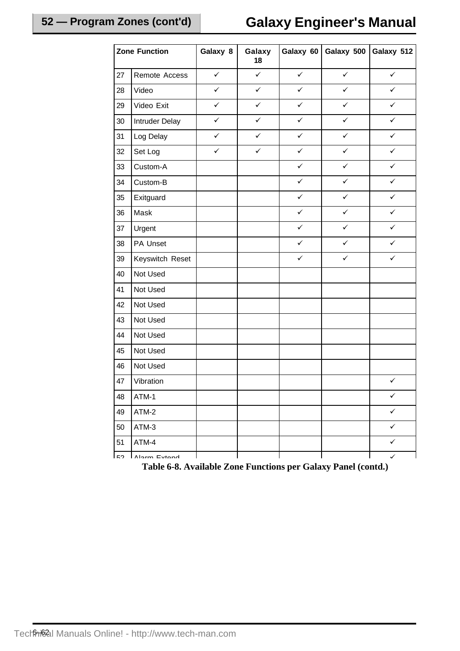| <b>Zone Function</b> |                 | Galaxy 8     | Galaxy<br>18 | Galaxy 60    | Galaxy 500   | Galaxy 512   |
|----------------------|-----------------|--------------|--------------|--------------|--------------|--------------|
| 27                   | Remote Access   | $\checkmark$ | $\checkmark$ | $\checkmark$ | $\checkmark$ | $\checkmark$ |
| 28                   | Video           | $\checkmark$ | $\checkmark$ | ✓            | $\checkmark$ | ✓            |
| 29                   | Video Exit      | $\checkmark$ | $\checkmark$ | ✓            | $\checkmark$ | ✓            |
| 30                   | Intruder Delay  | $\checkmark$ | ✓            | ✓            | $\checkmark$ | ✓            |
| 31                   | Log Delay       | ✓            | ✓            | ✓            | ✓            | ✓            |
| 32                   | Set Log         | $\checkmark$ | $\checkmark$ | $\checkmark$ | $\checkmark$ | $\checkmark$ |
| 33                   | Custom-A        |              |              | ✓            | $\checkmark$ | ✓            |
| 34                   | Custom-B        |              |              | ✓            | ✓            | ✓            |
| 35                   | Exitguard       |              |              | $\checkmark$ | $\checkmark$ | $\checkmark$ |
| 36                   | Mask            |              |              | ✓            | $\checkmark$ | ✓            |
| 37                   | Urgent          |              |              | ✓            | $\checkmark$ | $\checkmark$ |
| 38                   | PA Unset        |              |              | ✓            | $\checkmark$ | ✓            |
| 39                   | Keyswitch Reset |              |              | $\checkmark$ | $\checkmark$ | $\checkmark$ |
| 40                   | Not Used        |              |              |              |              |              |
| 41                   | Not Used        |              |              |              |              |              |
| 42                   | Not Used        |              |              |              |              |              |
| 43                   | Not Used        |              |              |              |              |              |
| 44                   | Not Used        |              |              |              |              |              |
| 45                   | Not Used        |              |              |              |              |              |
| $46\,$               | Not Used        |              |              |              |              |              |
| $47\,$               | Vibration       |              |              |              |              | $\checkmark$ |
| 48                   | ATM-1           |              |              |              |              | $\checkmark$ |
| 49                   | ATM-2           |              |              |              |              | $\checkmark$ |
| 50                   | ATM-3           |              |              |              |              | $\checkmark$ |
| 51                   | ATM-4           |              |              |              |              | $\checkmark$ |
| よつ                   | Alarm Evtond    |              |              |              |              | $\checkmark$ |

**Table 6-8. Available Zone Functions per Galaxy Panel (contd.)**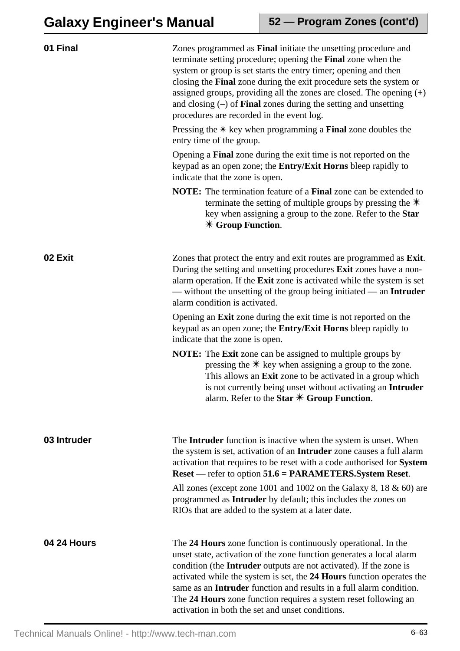| 01 Final           | Zones programmed as Final initiate the unsetting procedure and<br>terminate setting procedure; opening the Final zone when the<br>system or group is set starts the entry timer; opening and then<br>closing the Final zone during the exit procedure sets the system or<br>assigned groups, providing all the zones are closed. The opening $(+)$<br>and closing $(-)$ of <b>Final</b> zones during the setting and unsetting<br>procedures are recorded in the event log.<br>Pressing the $*$ key when programming a <b>Final</b> zone doubles the<br>entry time of the group. |  |  |
|--------------------|----------------------------------------------------------------------------------------------------------------------------------------------------------------------------------------------------------------------------------------------------------------------------------------------------------------------------------------------------------------------------------------------------------------------------------------------------------------------------------------------------------------------------------------------------------------------------------|--|--|
|                    | Opening a Final zone during the exit time is not reported on the<br>keypad as an open zone; the Entry/Exit Horns bleep rapidly to<br>indicate that the zone is open.                                                                                                                                                                                                                                                                                                                                                                                                             |  |  |
|                    | <b>NOTE:</b> The termination feature of a <b>Final</b> zone can be extended to<br>terminate the setting of multiple groups by pressing the $*$<br>key when assigning a group to the zone. Refer to the Star<br>$*$ Group Function.                                                                                                                                                                                                                                                                                                                                               |  |  |
| 02 Exit            | Zones that protect the entry and exit routes are programmed as Exit.<br>During the setting and unsetting procedures Exit zones have a non-<br>alarm operation. If the Exit zone is activated while the system is set<br>— without the unsetting of the group being initiated — an Intruder<br>alarm condition is activated.                                                                                                                                                                                                                                                      |  |  |
|                    | Opening an Exit zone during the exit time is not reported on the<br>keypad as an open zone; the <b>Entry/Exit Horns</b> bleep rapidly to<br>indicate that the zone is open.                                                                                                                                                                                                                                                                                                                                                                                                      |  |  |
|                    | <b>NOTE:</b> The <b>Exit</b> zone can be assigned to multiple groups by<br>pressing the $*$ key when assigning a group to the zone.<br>This allows an <b>Exit</b> zone to be activated in a group which<br>is not currently being unset without activating an Intruder<br>alarm. Refer to the Star $*$ Group Function.                                                                                                                                                                                                                                                           |  |  |
| 03 Intruder        | The <b>Intruder</b> function is inactive when the system is unset. When<br>the system is set, activation of an Intruder zone causes a full alarm<br>activation that requires to be reset with a code authorised for System<br>Reset — refer to option 51.6 = PARAMETERS.System Reset.                                                                                                                                                                                                                                                                                            |  |  |
|                    | All zones (except zone 1001 and 1002 on the Galaxy 8, 18 $\&$ 60) are<br>programmed as Intruder by default; this includes the zones on<br>RIOs that are added to the system at a later date.                                                                                                                                                                                                                                                                                                                                                                                     |  |  |
| <b>04 24 Hours</b> | The 24 Hours zone function is continuously operational. In the<br>unset state, activation of the zone function generates a local alarm<br>condition (the Intruder outputs are not activated). If the zone is<br>activated while the system is set, the 24 Hours function operates the<br>same as an <b>Intruder</b> function and results in a full alarm condition.<br>The 24 Hours zone function requires a system reset following an<br>activation in both the set and unset conditions.                                                                                       |  |  |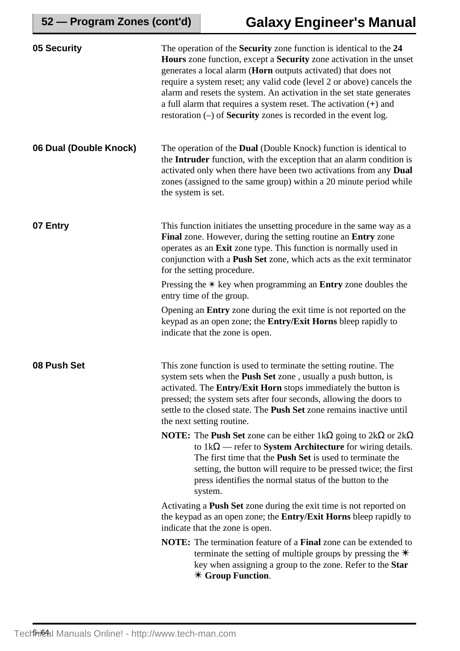| 05 Security            | The operation of the Security zone function is identical to the 24<br><b>Hours</b> zone function, except a <b>Security</b> zone activation in the unset<br>generates a local alarm (Horn outputs activated) that does not<br>require a system reset; any valid code (level 2 or above) cancels the<br>alarm and resets the system. An activation in the set state generates<br>a full alarm that requires a system reset. The activation $(+)$ and<br>restoration $(-)$ of <b>Security</b> zones is recorded in the event log. |  |  |
|------------------------|--------------------------------------------------------------------------------------------------------------------------------------------------------------------------------------------------------------------------------------------------------------------------------------------------------------------------------------------------------------------------------------------------------------------------------------------------------------------------------------------------------------------------------|--|--|
| 06 Dual (Double Knock) | The operation of the <b>Dual</b> (Double Knock) function is identical to<br>the Intruder function, with the exception that an alarm condition is<br>activated only when there have been two activations from any Dual<br>zones (assigned to the same group) within a 20 minute period while<br>the system is set.                                                                                                                                                                                                              |  |  |
| 07 Entry               | This function initiates the unsetting procedure in the same way as a<br>Final zone. However, during the setting routine an Entry zone<br>operates as an Exit zone type. This function is normally used in<br>conjunction with a Push Set zone, which acts as the exit terminator<br>for the setting procedure.                                                                                                                                                                                                                 |  |  |
|                        | Pressing the $*$ key when programming an <b>Entry</b> zone doubles the<br>entry time of the group.                                                                                                                                                                                                                                                                                                                                                                                                                             |  |  |
|                        | Opening an Entry zone during the exit time is not reported on the<br>keypad as an open zone; the Entry/Exit Horns bleep rapidly to<br>indicate that the zone is open.                                                                                                                                                                                                                                                                                                                                                          |  |  |
| 08 Push Set            | This zone function is used to terminate the setting routine. The<br>system sets when the <b>Push Set</b> zone, usually a push button, is<br>activated. The Entry/Exit Horn stops immediately the button is<br>pressed; the system sets after four seconds, allowing the doors to<br>settle to the closed state. The Push Set zone remains inactive until<br>the next setting routine.                                                                                                                                          |  |  |
|                        | <b>NOTE:</b> The <b>Push Set</b> zone can be either $1k\Omega$ going to $2k\Omega$ or $2k\Omega$<br>to $1k\Omega$ — refer to <b>System Architecture</b> for wiring details.<br>The first time that the <b>Push Set</b> is used to terminate the<br>setting, the button will require to be pressed twice; the first<br>press identifies the normal status of the button to the<br>system.                                                                                                                                       |  |  |
|                        | Activating a <b>Push Set</b> zone during the exit time is not reported on<br>the keypad as an open zone; the <b>Entry/Exit Horns</b> bleep rapidly to<br>indicate that the zone is open.                                                                                                                                                                                                                                                                                                                                       |  |  |
|                        | <b>NOTE:</b> The termination feature of a <b>Final</b> zone can be extended to<br>terminate the setting of multiple groups by pressing the $*$<br>key when assigning a group to the zone. Refer to the Star<br>$*$ Group Function.                                                                                                                                                                                                                                                                                             |  |  |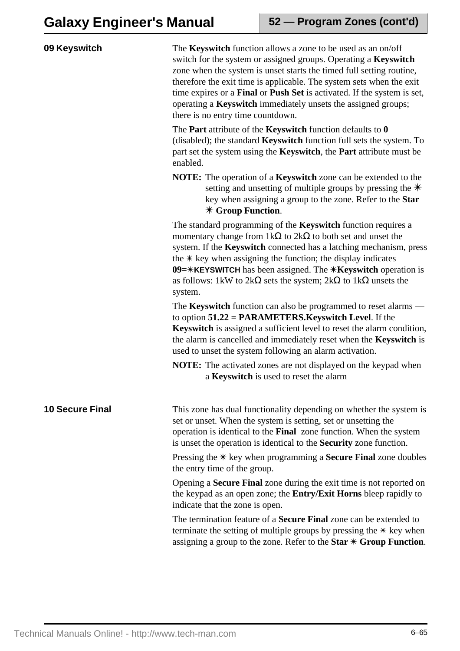| 09 Keyswitch           | The <b>Keyswitch</b> function allows a zone to be used as an on/off<br>switch for the system or assigned groups. Operating a Keyswitch<br>zone when the system is unset starts the timed full setting routine,<br>therefore the exit time is applicable. The system sets when the exit<br>time expires or a Final or Push Set is activated. If the system is set,<br>operating a <b>Keyswitch</b> immediately unsets the assigned groups;<br>there is no entry time countdown.<br>The <b>Part</b> attribute of the <b>Keyswitch</b> function defaults to $\theta$<br>(disabled); the standard Keyswitch function full sets the system. To<br>part set the system using the Keyswitch, the Part attribute must be<br>enabled. |  |  |  |
|------------------------|------------------------------------------------------------------------------------------------------------------------------------------------------------------------------------------------------------------------------------------------------------------------------------------------------------------------------------------------------------------------------------------------------------------------------------------------------------------------------------------------------------------------------------------------------------------------------------------------------------------------------------------------------------------------------------------------------------------------------|--|--|--|
|                        |                                                                                                                                                                                                                                                                                                                                                                                                                                                                                                                                                                                                                                                                                                                              |  |  |  |
|                        | <b>NOTE:</b> The operation of a <b>Keyswitch</b> zone can be extended to the<br>setting and unsetting of multiple groups by pressing the $*$<br>key when assigning a group to the zone. Refer to the Star<br>$*$ Group Function.                                                                                                                                                                                                                                                                                                                                                                                                                                                                                             |  |  |  |
|                        | The standard programming of the <b>Keyswitch</b> function requires a<br>momentary change from $1k\Omega$ to $2k\Omega$ to both set and unset the<br>system. If the Keyswitch connected has a latching mechanism, press<br>the $*$ key when assigning the function; the display indicates<br>09= $\angle$ KEYSWITCH has been assigned. The $\angle$ Keyswitch operation is<br>as follows: 1kW to $2k\Omega$ sets the system; $2k\Omega$ to 1k $\Omega$ unsets the<br>system.                                                                                                                                                                                                                                                  |  |  |  |
|                        | The <b>Keyswitch</b> function can also be programmed to reset alarms —<br>to option $51.22$ = PARAMETERS. Keyswitch Level. If the<br>Keyswitch is assigned a sufficient level to reset the alarm condition,<br>the alarm is cancelled and immediately reset when the <b>Keyswitch</b> is<br>used to unset the system following an alarm activation.                                                                                                                                                                                                                                                                                                                                                                          |  |  |  |
|                        | <b>NOTE:</b> The activated zones are not displayed on the keypad when<br>a Keyswitch is used to reset the alarm                                                                                                                                                                                                                                                                                                                                                                                                                                                                                                                                                                                                              |  |  |  |
| <b>10 Secure Final</b> | This zone has dual functionality depending on whether the system is<br>set or unset. When the system is setting, set or unsetting the<br>operation is identical to the Final zone function. When the system<br>is unset the operation is identical to the <b>Security</b> zone function.                                                                                                                                                                                                                                                                                                                                                                                                                                     |  |  |  |
|                        | Pressing the $*$ key when programming a <b>Secure Final</b> zone doubles<br>the entry time of the group.                                                                                                                                                                                                                                                                                                                                                                                                                                                                                                                                                                                                                     |  |  |  |
|                        | Opening a <b>Secure Final</b> zone during the exit time is not reported on<br>the keypad as an open zone; the <b>Entry/Exit Horns</b> bleep rapidly to<br>indicate that the zone is open.                                                                                                                                                                                                                                                                                                                                                                                                                                                                                                                                    |  |  |  |
|                        | The termination feature of a <b>Secure Final</b> zone can be extended to<br>terminate the setting of multiple groups by pressing the $*$ key when<br>assigning a group to the zone. Refer to the Star $*$ Group Function.                                                                                                                                                                                                                                                                                                                                                                                                                                                                                                    |  |  |  |
|                        |                                                                                                                                                                                                                                                                                                                                                                                                                                                                                                                                                                                                                                                                                                                              |  |  |  |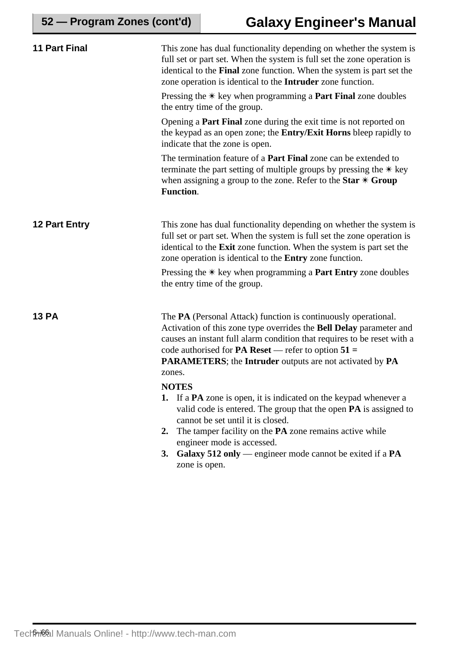| <b>11 Part Final</b> | This zone has dual functionality depending on whether the system is<br>full set or part set. When the system is full set the zone operation is<br>identical to the Final zone function. When the system is part set the<br>zone operation is identical to the Intruder zone function.                                                                                                               |  |  |  |
|----------------------|-----------------------------------------------------------------------------------------------------------------------------------------------------------------------------------------------------------------------------------------------------------------------------------------------------------------------------------------------------------------------------------------------------|--|--|--|
|                      | Pressing the $*$ key when programming a <b>Part Final</b> zone doubles<br>the entry time of the group.                                                                                                                                                                                                                                                                                              |  |  |  |
|                      | Opening a <b>Part Final</b> zone during the exit time is not reported on<br>the keypad as an open zone; the <b>Entry/Exit Horns</b> bleep rapidly to<br>indicate that the zone is open.                                                                                                                                                                                                             |  |  |  |
|                      | The termination feature of a <b>Part Final</b> zone can be extended to<br>terminate the part setting of multiple groups by pressing the $*$ key<br>when assigning a group to the zone. Refer to the Star $*$ Group<br><b>Function.</b>                                                                                                                                                              |  |  |  |
| 12 Part Entry        | This zone has dual functionality depending on whether the system is<br>full set or part set. When the system is full set the zone operation is<br>identical to the Exit zone function. When the system is part set the<br>zone operation is identical to the <b>Entry</b> zone function.                                                                                                            |  |  |  |
|                      | Pressing the $*$ key when programming a <b>Part Entry</b> zone doubles<br>the entry time of the group.                                                                                                                                                                                                                                                                                              |  |  |  |
| <b>13 PA</b>         | The PA (Personal Attack) function is continuously operational.<br>Activation of this zone type overrides the Bell Delay parameter and<br>causes an instant full alarm condition that requires to be reset with a<br>code authorised for <b>PA Reset</b> — refer to option $51 =$<br><b>PARAMETERS</b> ; the Intruder outputs are not activated by PA<br>zones.                                      |  |  |  |
|                      | <b>NOTES</b><br><b>1.</b> If a <b>PA</b> zone is open, it is indicated on the keypad whenever a<br>valid code is entered. The group that the open PA is assigned to<br>cannot be set until it is closed.<br>The tamper facility on the <b>PA</b> zone remains active while<br>2.<br>engineer mode is accessed.<br>Galaxy 512 only — engineer mode cannot be exited if a $PA$<br>3.<br>zone is open. |  |  |  |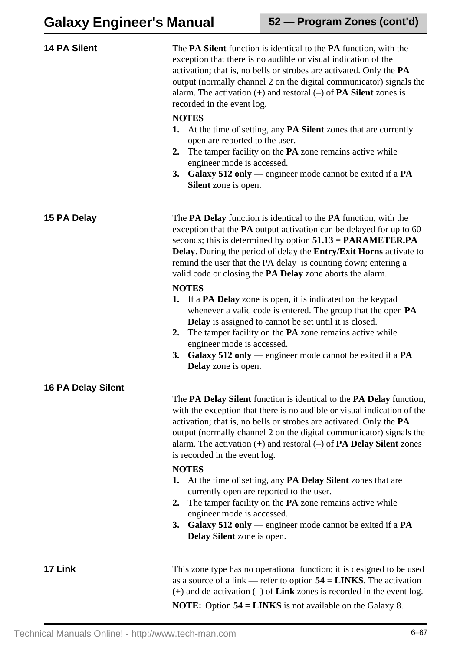| <b>14 PA Silent</b>       | The <b>PA Silent</b> function is identical to the <b>PA</b> function, with the<br>exception that there is no audible or visual indication of the<br>activation; that is, no bells or strobes are activated. Only the <b>PA</b><br>output (normally channel 2 on the digital communicator) signals the<br>alarm. The activation $(+)$ and restoral $(-)$ of <b>PA Silent</b> zones is<br>recorded in the event log.                                                                                                                                                                                                                                                                                                                                                                                                                                        |  |  |  |
|---------------------------|-----------------------------------------------------------------------------------------------------------------------------------------------------------------------------------------------------------------------------------------------------------------------------------------------------------------------------------------------------------------------------------------------------------------------------------------------------------------------------------------------------------------------------------------------------------------------------------------------------------------------------------------------------------------------------------------------------------------------------------------------------------------------------------------------------------------------------------------------------------|--|--|--|
|                           | <b>NOTES</b><br>At the time of setting, any <b>PA Silent</b> zones that are currently<br>1.<br>open are reported to the user.<br>The tamper facility on the PA zone remains active while<br>2.<br>engineer mode is accessed.<br>3. Galaxy 512 only — engineer mode cannot be exited if a PA<br><b>Silent</b> zone is open.                                                                                                                                                                                                                                                                                                                                                                                                                                                                                                                                |  |  |  |
| 15 PA Delay               | The <b>PA Delay</b> function is identical to the <b>PA</b> function, with the<br>exception that the PA output activation can be delayed for up to 60<br>seconds; this is determined by option $51.13 = PARAMETER.PA$<br>Delay. During the period of delay the Entry/Exit Horns activate to<br>remind the user that the PA delay is counting down; entering a<br>valid code or closing the <b>PA Delay</b> zone aborts the alarm.<br><b>NOTES</b><br>1. If a <b>PA Delay</b> zone is open, it is indicated on the keypad<br>whenever a valid code is entered. The group that the open PA<br><b>Delay</b> is assigned to cannot be set until it is closed.<br>The tamper facility on the PA zone remains active while<br>2.<br>engineer mode is accessed.<br>Galaxy 512 only — engineer mode cannot be exited if a $PA$<br>3.<br><b>Delay</b> zone is open. |  |  |  |
| <b>16 PA Delay Silent</b> | The PA Delay Silent function is identical to the PA Delay function,<br>with the exception that there is no audible or visual indication of the<br>activation; that is, no bells or strobes are activated. Only the PA<br>output (normally channel 2 on the digital communicator) signals the<br>alarm. The activation $(+)$ and restoral $(-)$ of <b>PA Delay Silent</b> zones<br>is recorded in the event log.<br><b>NOTES</b><br>At the time of setting, any <b>PA Delay Silent</b> zones that are<br>1.<br>currently open are reported to the user.<br>The tamper facility on the PA zone remains active while<br>2.<br>engineer mode is accessed.<br>Galaxy 512 only — engineer mode cannot be exited if a $PA$<br>3.<br>Delay Silent zone is open.                                                                                                   |  |  |  |
| 17 Link                   | This zone type has no operational function; it is designed to be used<br>as a source of a link — refer to option $54 = LINKS$ . The activation<br>$(+)$ and de-activation $(-)$ of Link zones is recorded in the event log.                                                                                                                                                                                                                                                                                                                                                                                                                                                                                                                                                                                                                               |  |  |  |

**NOTE:** Option **54 = LINKS** is not available on the Galaxy 8.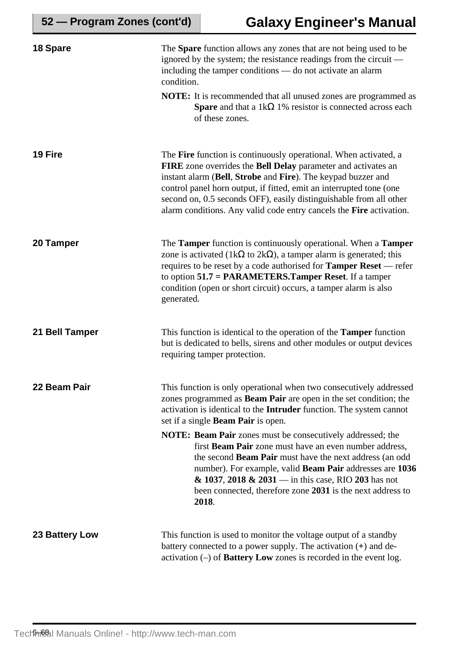| 18 Spare       | The <b>Spare</b> function allows any zones that are not being used to be<br>ignored by the system; the resistance readings from the circuit —<br>including the tamper conditions - do not activate an alarm<br>condition.                                                                                                                                                                                             |  |  |
|----------------|-----------------------------------------------------------------------------------------------------------------------------------------------------------------------------------------------------------------------------------------------------------------------------------------------------------------------------------------------------------------------------------------------------------------------|--|--|
|                | <b>NOTE:</b> It is recommended that all unused zones are programmed as<br><b>Spare</b> and that a 1k $\Omega$ 1% resistor is connected across each<br>of these zones.                                                                                                                                                                                                                                                 |  |  |
| 19 Fire        | The Fire function is continuously operational. When activated, a<br>FIRE zone overrides the Bell Delay parameter and activates an<br>instant alarm (Bell, Strobe and Fire). The keypad buzzer and<br>control panel horn output, if fitted, emit an interrupted tone (one<br>second on, 0.5 seconds OFF), easily distinguishable from all other<br>alarm conditions. Any valid code entry cancels the Fire activation. |  |  |
| 20 Tamper      | The Tamper function is continuously operational. When a Tamper<br>zone is activated (1k $\Omega$ to 2k $\Omega$ ), a tamper alarm is generated; this<br>requires to be reset by a code authorised for <b>Tamper Reset</b> — refer<br>to option 51.7 = PARAMETERS.Tamper Reset. If a tamper<br>condition (open or short circuit) occurs, a tamper alarm is also<br>generated.                                          |  |  |
| 21 Bell Tamper | This function is identical to the operation of the <b>Tamper</b> function<br>but is dedicated to bells, sirens and other modules or output devices<br>requiring tamper protection.                                                                                                                                                                                                                                    |  |  |
| 22 Beam Pair   | This function is only operational when two consecutively addressed<br>zones programmed as <b>Beam Pair</b> are open in the set condition; the<br>activation is identical to the Intruder function. The system cannot<br>set if a single <b>Beam Pair</b> is open.                                                                                                                                                     |  |  |
|                | <b>NOTE: Beam Pair</b> zones must be consecutively addressed; the<br>first Beam Pair zone must have an even number address,<br>the second <b>Beam Pair</b> must have the next address (an odd<br>number). For example, valid Beam Pair addresses are 1036<br>$\&$ 1037, 2018 $\&$ 2031 — in this case, RIO 203 has not<br>been connected, therefore zone 2031 is the next address to<br>2018.                         |  |  |
| 23 Battery Low | This function is used to monitor the voltage output of a standby<br>battery connected to a power supply. The activation $(+)$ and de-<br>activation $(-)$ of <b>Battery Low</b> zones is recorded in the event log.                                                                                                                                                                                                   |  |  |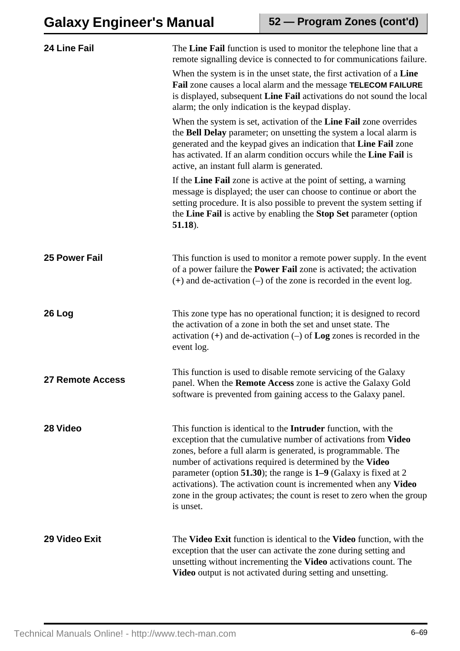| 24 Line Fail            | The Line Fail function is used to monitor the telephone line that a<br>remote signalling device is connected to for communications failure.                                                                                                                                                                                                                                                                                                                                                           |
|-------------------------|-------------------------------------------------------------------------------------------------------------------------------------------------------------------------------------------------------------------------------------------------------------------------------------------------------------------------------------------------------------------------------------------------------------------------------------------------------------------------------------------------------|
|                         | When the system is in the unset state, the first activation of a Line<br>Fail zone causes a local alarm and the message TELECOM FAILURE<br>is displayed, subsequent Line Fail activations do not sound the local<br>alarm; the only indication is the keypad display.                                                                                                                                                                                                                                 |
|                         | When the system is set, activation of the Line Fail zone overrides<br>the Bell Delay parameter; on unsetting the system a local alarm is<br>generated and the keypad gives an indication that Line Fail zone<br>has activated. If an alarm condition occurs while the Line Fail is<br>active, an instant full alarm is generated.                                                                                                                                                                     |
|                         | If the Line Fail zone is active at the point of setting, a warning<br>message is displayed; the user can choose to continue or abort the<br>setting procedure. It is also possible to prevent the system setting if<br>the Line Fail is active by enabling the Stop Set parameter (option<br>$51.18$ ).                                                                                                                                                                                               |
| <b>25 Power Fail</b>    | This function is used to monitor a remote power supply. In the event<br>of a power failure the <b>Power Fail</b> zone is activated; the activation<br>$(+)$ and de-activation $(-)$ of the zone is recorded in the event log.                                                                                                                                                                                                                                                                         |
| 26 Log                  | This zone type has no operational function; it is designed to record<br>the activation of a zone in both the set and unset state. The<br>activation (+) and de-activation (-) of Log zones is recorded in the<br>event log.                                                                                                                                                                                                                                                                           |
| <b>27 Remote Access</b> | This function is used to disable remote servicing of the Galaxy<br>panel. When the Remote Access zone is active the Galaxy Gold<br>software is prevented from gaining access to the Galaxy panel.                                                                                                                                                                                                                                                                                                     |
| 28 Video                | This function is identical to the <b>Intruder</b> function, with the<br>exception that the cumulative number of activations from Video<br>zones, before a full alarm is generated, is programmable. The<br>number of activations required is determined by the Video<br>parameter (option 51.30); the range is $1-9$ (Galaxy is fixed at 2<br>activations). The activation count is incremented when any Video<br>zone in the group activates; the count is reset to zero when the group<br>is unset. |
| 29 Video Exit           | The Video Exit function is identical to the Video function, with the<br>exception that the user can activate the zone during setting and<br>unsetting without incrementing the Video activations count. The<br>Video output is not activated during setting and unsetting.                                                                                                                                                                                                                            |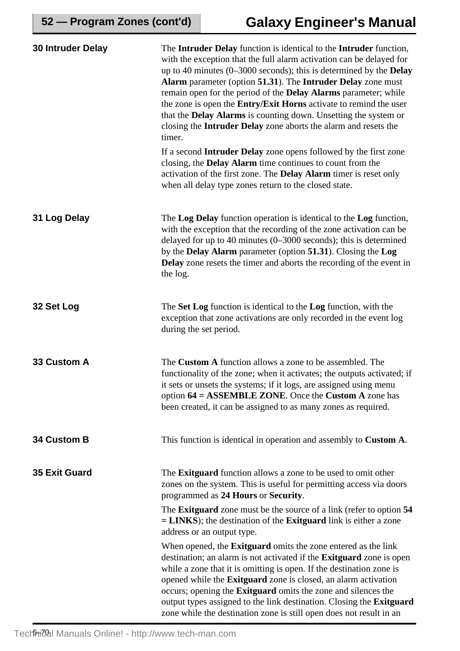| 30 Intruder Delay    | The Intruder Delay function is identical to the Intruder function,<br>with the exception that the full alarm activation can be delayed for<br>up to 40 minutes $(0-3000$ seconds); this is determined by the <b>Delay</b><br>Alarm parameter (option 51.31). The Intruder Delay zone must<br>remain open for the period of the <b>Delay Alarms</b> parameter; while<br>the zone is open the Entry/Exit Horns activate to remind the user<br>that the <b>Delay Alarms</b> is counting down. Unsetting the system or<br>closing the <b>Intruder Delay</b> zone aborts the alarm and resets the<br>timer. |
|----------------------|--------------------------------------------------------------------------------------------------------------------------------------------------------------------------------------------------------------------------------------------------------------------------------------------------------------------------------------------------------------------------------------------------------------------------------------------------------------------------------------------------------------------------------------------------------------------------------------------------------|
|                      | If a second <b>Intruder Delay</b> zone opens followed by the first zone<br>closing, the <b>Delay Alarm</b> time continues to count from the<br>activation of the first zone. The <b>Delay Alarm</b> timer is reset only<br>when all delay type zones return to the closed state.                                                                                                                                                                                                                                                                                                                       |
| 31 Log Delay         | The Log Delay function operation is identical to the Log function,<br>with the exception that the recording of the zone activation can be<br>delayed for up to 40 minutes $(0-3000$ seconds); this is determined<br>by the <b>Delay Alarm</b> parameter (option 51.31). Closing the Log<br><b>Delay</b> zone resets the timer and aborts the recording of the event in<br>the log.                                                                                                                                                                                                                     |
| 32 Set Log           | The Set Log function is identical to the Log function, with the<br>exception that zone activations are only recorded in the event log<br>during the set period.                                                                                                                                                                                                                                                                                                                                                                                                                                        |
| 33 Custom A          | The <b>Custom A</b> function allows a zone to be assembled. The<br>functionality of the zone; when it activates; the outputs activated; if<br>it sets or unsets the systems; if it logs, are assigned using menu<br>option $64 = ASSEMBLE ZONE$ . Once the Custom A zone has<br>been created, it can be assigned to as many zones as required.                                                                                                                                                                                                                                                         |
| 34 Custom B          | This function is identical in operation and assembly to Custom A.                                                                                                                                                                                                                                                                                                                                                                                                                                                                                                                                      |
| <b>35 Exit Guard</b> | The <b>Exitguard</b> function allows a zone to be used to omit other<br>zones on the system. This is useful for permitting access via doors<br>programmed as 24 Hours or Security.                                                                                                                                                                                                                                                                                                                                                                                                                     |
|                      | The <b>Exitguard</b> zone must be the source of a link (refer to option 54<br>$=$ LINKS); the destination of the Exitguard link is either a zone<br>address or an output type.                                                                                                                                                                                                                                                                                                                                                                                                                         |
|                      | When opened, the <b>Exitguard</b> omits the zone entered as the link<br>destination; an alarm is not activated if the Exitguard zone is open<br>while a zone that it is omitting is open. If the destination zone is<br>opened while the <b>Exitguard</b> zone is closed, an alarm activation<br>occurs; opening the <b>Exitguard</b> omits the zone and silences the<br>output types assigned to the link destination. Closing the Exitguard<br>zone while the destination zone is still open does not result in an                                                                                   |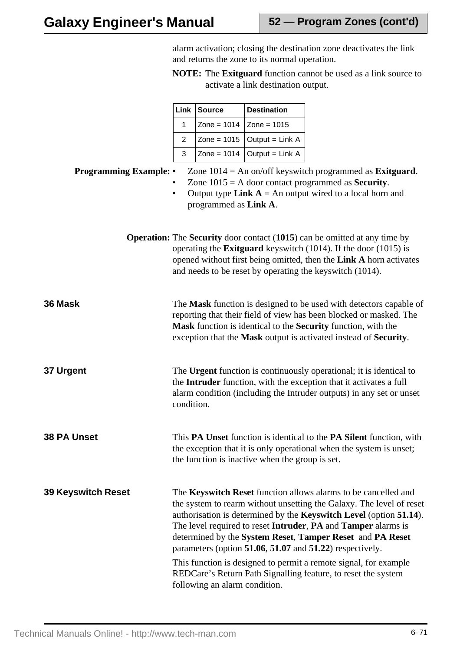alarm activation; closing the destination zone deactivates the link and returns the zone to its normal operation.

**NOTE:** The **Exitguard** function cannot be used as a link source to activate a link destination output.

|                             | Link                                                                                                                                                                                                                                                                          | <b>Source</b>        | <b>Destination</b>                              |                                                                                                                                                                                                                                                                                                                                                                                                                                                                                                                                             |  |  |  |
|-----------------------------|-------------------------------------------------------------------------------------------------------------------------------------------------------------------------------------------------------------------------------------------------------------------------------|----------------------|-------------------------------------------------|---------------------------------------------------------------------------------------------------------------------------------------------------------------------------------------------------------------------------------------------------------------------------------------------------------------------------------------------------------------------------------------------------------------------------------------------------------------------------------------------------------------------------------------------|--|--|--|
|                             | 1                                                                                                                                                                                                                                                                             | $\text{Zone} = 1014$ | Zone = $1015$                                   |                                                                                                                                                                                                                                                                                                                                                                                                                                                                                                                                             |  |  |  |
|                             | $\overline{2}$                                                                                                                                                                                                                                                                | Zone = $1015$        | Output = Link A                                 |                                                                                                                                                                                                                                                                                                                                                                                                                                                                                                                                             |  |  |  |
|                             | 3                                                                                                                                                                                                                                                                             | Zone = $1014$        | Output = Link A                                 |                                                                                                                                                                                                                                                                                                                                                                                                                                                                                                                                             |  |  |  |
| <b>Programming Example:</b> | Zone $1014$ = An on/off keyswitch programmed as <b>Exitguard</b> .<br>Zone $1015 = A$ door contact programmed as <b>Security</b> .<br>Output type Link $A = An$ output wired to a local horn and<br>$\bullet$<br>programmed as Link A.                                        |                      |                                                 |                                                                                                                                                                                                                                                                                                                                                                                                                                                                                                                                             |  |  |  |
|                             |                                                                                                                                                                                                                                                                               |                      |                                                 | <b>Operation:</b> The Security door contact (1015) can be omitted at any time by<br>operating the <b>Exitguard</b> keyswitch $(1014)$ . If the door $(1015)$ is<br>opened without first being omitted, then the Link A horn activates<br>and needs to be reset by operating the keyswitch (1014).                                                                                                                                                                                                                                           |  |  |  |
| Mask                        | The Mask function is designed to be used with detectors capable of<br>reporting that their field of view has been blocked or masked. The<br>Mask function is identical to the Security function, with the<br>exception that the Mask output is activated instead of Security. |                      |                                                 |                                                                                                                                                                                                                                                                                                                                                                                                                                                                                                                                             |  |  |  |
| <b>Urgent</b>               | condition.                                                                                                                                                                                                                                                                    |                      |                                                 | The Urgent function is continuously operational; it is identical to<br>the Intruder function, with the exception that it activates a full<br>alarm condition (including the Intruder outputs) in any set or unset                                                                                                                                                                                                                                                                                                                           |  |  |  |
| <b>PA Unset</b>             |                                                                                                                                                                                                                                                                               |                      | the function is inactive when the group is set. | This PA Unset function is identical to the PA Silent function, with<br>the exception that it is only operational when the system is unset;                                                                                                                                                                                                                                                                                                                                                                                                  |  |  |  |
| Keyswitch Reset             |                                                                                                                                                                                                                                                                               |                      |                                                 | The Keyswitch Reset function allows alarms to be cancelled and<br>the system to rearm without unsetting the Galaxy. The level of reset<br>authorisation is determined by the Keyswitch Level (option 51.14).<br>The level required to reset Intruder, PA and Tamper alarms is<br>determined by the System Reset, Tamper Reset and PA Reset<br>parameters (option 51.06, 51.07 and 51.22) respectively.<br>This function is designed to permit a remote signal, for example<br>REDCare's Return Path Signalling feature, to reset the system |  |  |  |

following an alarm condition.

Technical Manuals Online! - http://www.tech-man.com

**39 Keyswitch Reset**

**38 PA Unset**

**37** 

**36 Mask**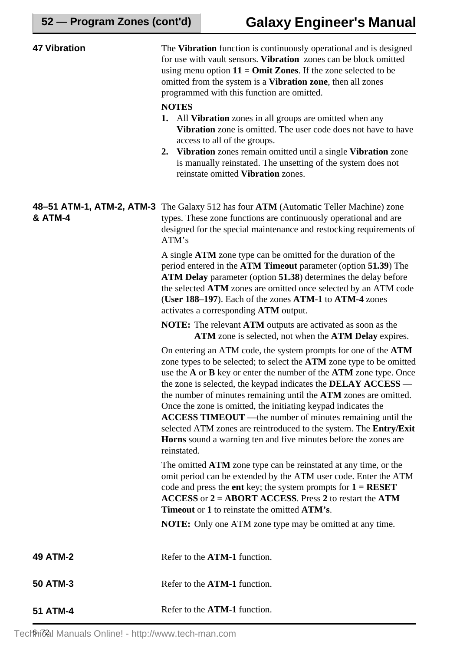| <b>47 Vibration</b>                             | The Vibration function is continuously operational and is designed<br>for use with vault sensors. Vibration zones can be block omitted<br>using menu option $11 = Omit Zones$ . If the zone selected to be<br>omitted from the system is a <b>Vibration zone</b> , then all zones<br>programmed with this function are omitted.<br><b>NOTES</b><br><b>1.</b> All <b>Vibration</b> zones in all groups are omitted when any<br>Vibration zone is omitted. The user code does not have to have<br>access to all of the groups.<br>Vibration zones remain omitted until a single Vibration zone<br>2.<br>is manually reinstated. The unsetting of the system does not<br>reinstate omitted Vibration zones. |  |  |
|-------------------------------------------------|----------------------------------------------------------------------------------------------------------------------------------------------------------------------------------------------------------------------------------------------------------------------------------------------------------------------------------------------------------------------------------------------------------------------------------------------------------------------------------------------------------------------------------------------------------------------------------------------------------------------------------------------------------------------------------------------------------|--|--|
| 48-51 ATM-1, ATM-2, ATM-3<br><b>&amp; ATM-4</b> | The Galaxy 512 has four ATM (Automatic Teller Machine) zone<br>types. These zone functions are continuously operational and are<br>designed for the special maintenance and restocking requirements of<br>ATM's                                                                                                                                                                                                                                                                                                                                                                                                                                                                                          |  |  |
|                                                 | A single <b>ATM</b> zone type can be omitted for the duration of the<br>period entered in the ATM Timeout parameter (option 51.39) The<br>ATM Delay parameter (option 51.38) determines the delay before<br>the selected ATM zones are omitted once selected by an ATM code<br>(User 188–197). Each of the zones ATM-1 to ATM-4 zones<br>activates a corresponding ATM output.                                                                                                                                                                                                                                                                                                                           |  |  |
|                                                 | <b>NOTE:</b> The relevant <b>ATM</b> outputs are activated as soon as the<br>ATM zone is selected, not when the ATM Delay expires.                                                                                                                                                                                                                                                                                                                                                                                                                                                                                                                                                                       |  |  |
|                                                 | On entering an ATM code, the system prompts for one of the ATM<br>zone types to be selected; to select the ATM zone type to be omitted<br>use the $A$ or $B$ key or enter the number of the $ATM$ zone type. Once<br>the zone is selected, the keypad indicates the $DELAY$ $ACCESS$ —<br>the number of minutes remaining until the ATM zones are omitted.<br>Once the zone is omitted, the initiating keypad indicates the<br><b>ACCESS TIMEOUT</b> — the number of minutes remaining until the<br>selected ATM zones are reintroduced to the system. The Entry/Exit<br>Horns sound a warning ten and five minutes before the zones are<br>reinstated.                                                  |  |  |
|                                                 | The omitted <b>ATM</b> zone type can be reinstated at any time, or the<br>omit period can be extended by the ATM user code. Enter the ATM<br>code and press the ent key; the system prompts for $1 = RESET$<br>$\angle$ ACCESS or $2 = ABORT$ ACCESS. Press 2 to restart the ATM<br><b>Timeout</b> or 1 to reinstate the omitted ATM's.                                                                                                                                                                                                                                                                                                                                                                  |  |  |
|                                                 | <b>NOTE:</b> Only one ATM zone type may be omitted at any time.                                                                                                                                                                                                                                                                                                                                                                                                                                                                                                                                                                                                                                          |  |  |
| <b>49 ATM-2</b>                                 | Refer to the ATM-1 function.                                                                                                                                                                                                                                                                                                                                                                                                                                                                                                                                                                                                                                                                             |  |  |
| 50 ATM-3                                        | Refer to the ATM-1 function.                                                                                                                                                                                                                                                                                                                                                                                                                                                                                                                                                                                                                                                                             |  |  |
| <b>51 ATM-4</b>                                 | Refer to the ATM-1 function.                                                                                                                                                                                                                                                                                                                                                                                                                                                                                                                                                                                                                                                                             |  |  |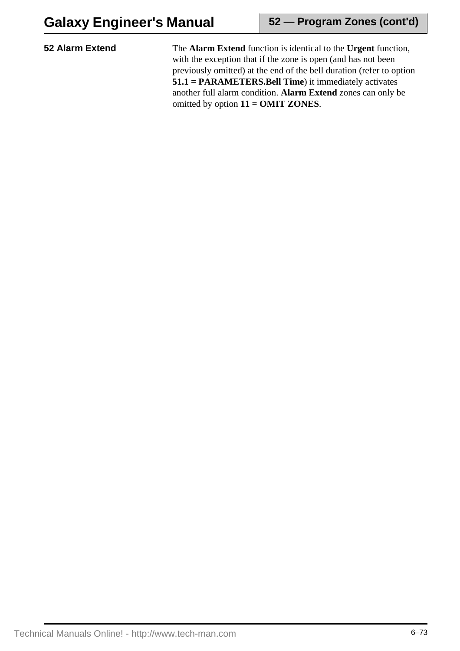**52 Alarm Extend** The **Alarm Extend** function is identical to the **Urgent** function, with the exception that if the zone is open (and has not been previously omitted) at the end of the bell duration (refer to option **51.1 = PARAMETERS.Bell Time**) it immediately activates another full alarm condition. **Alarm Extend** zones can only be omitted by option **11 = OMIT ZONES**.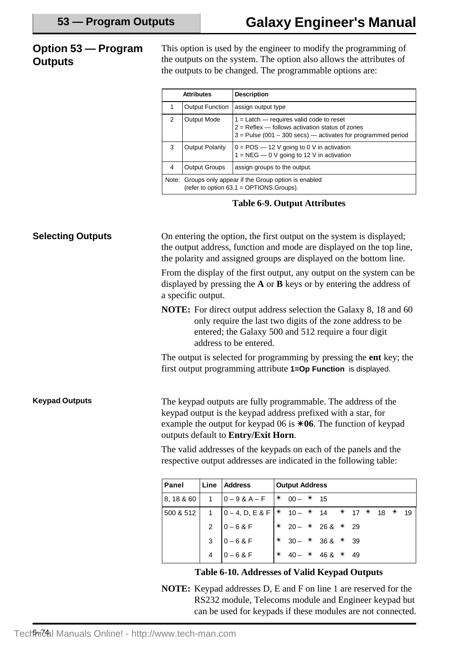## **Option 53 — Program Outputs**

This option is used by the engineer to modify the programming of the outputs on the system. The option also allows the attributes of the outputs to be changed. The programmable options are:

|   | <b>Attributes</b>                                                                                   | <b>Description</b>                                                                                                                                                  |  |  |  |  |  |  |
|---|-----------------------------------------------------------------------------------------------------|---------------------------------------------------------------------------------------------------------------------------------------------------------------------|--|--|--|--|--|--|
|   | <b>Output Function</b>                                                                              | assign output type                                                                                                                                                  |  |  |  |  |  |  |
| 2 | <b>Output Mode</b>                                                                                  | $1 =$ Latch — requires valid code to reset<br>$2 =$ Reflex $-$ follows activation status of zones<br>$3$ = Pulse (001 – 300 secs) — activates for programmed period |  |  |  |  |  |  |
| 3 | Output Polarity                                                                                     | $0 = POS - 12$ V going to 0 V in activation<br>$1 = NEG - 0$ V going to 12 V in activation                                                                          |  |  |  |  |  |  |
| 4 | <b>Output Groups</b>                                                                                | assign groups to the output.                                                                                                                                        |  |  |  |  |  |  |
|   | Note: Groups only appear if the Group option is enabled<br>(refer to option 63.1 = OPTIONS.Groups). |                                                                                                                                                                     |  |  |  |  |  |  |

#### **Table 6-9. Output Attributes**

On entering the option, the first output on the system is displayed; the output address, function and mode are displayed on the top line, the polarity and assigned groups are displayed on the bottom line. From the display of the first output, any output on the system can be displayed by pressing the **A** or **B** keys or by entering the address of a specific output. **NOTE:** For direct output address selection the Galaxy 8, 18 and 60 only require the last two digits of the zone address to be entered; the Galaxy 500 and 512 require a four digit address to be entered. The output is selected for programming by pressing the **ent** key; the first output programming attribute **1=Op Function** is displayed. **Selecting Outputs** The keypad outputs are fully programmable. The address of the keypad output is the keypad address prefixed with a star, for example the output for keypad 06 is  $*06$ . The function of keypad outputs default to **Entry/Exit Horn**. The valid addresses of the keypads on each of the panels and the respective output addresses are indicated in the following table: **Keypad Outputs Panel Line Address Output Address** 8, 18 & 60 | 1 | 0 – 9 & A – F |  $*$  00 –  $*$  15  $500 & 512$  1 0 – 4, D, E & F  $*$  10 –  $*$  14  $*$  17  $*$  18  $*$  19

#### **Table 6-10. Addresses of Valid Keypad Outputs**

2  $0 - 68$  F  $\neq 20 - \neq 268 \neq 29$ 3  $0 - 68$  F  $\neq$  30 –  $*$  36 &  $*$  39  $4 \t 0 - 6 \& F \t \frac{1}{2} \times 40 - \times 46 \& \times 49$ 

**NOTE:** Keypad addresses D, E and F on line 1 are reserved for the RS232 module, Telecoms module and Engineer keypad but can be used for keypads if these modules are not connected.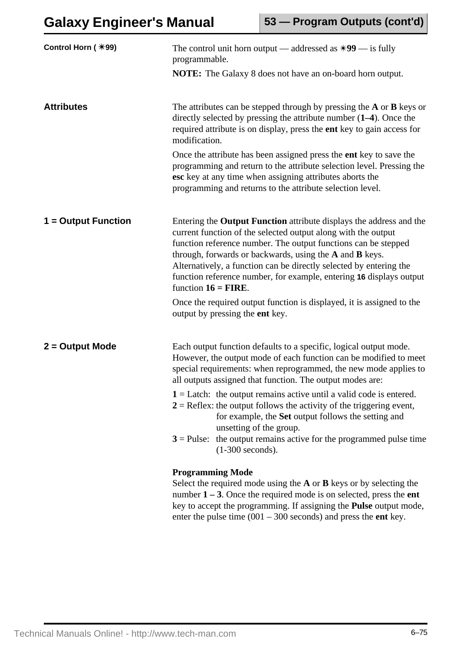| Control Horn (*99)  | The control unit horn output — addressed as $*99$ — is fully<br>programmable.                                                                                                                                                                                                                                                                                                                                                                  |  |  |  |  |  |  |  |
|---------------------|------------------------------------------------------------------------------------------------------------------------------------------------------------------------------------------------------------------------------------------------------------------------------------------------------------------------------------------------------------------------------------------------------------------------------------------------|--|--|--|--|--|--|--|
|                     | <b>NOTE:</b> The Galaxy 8 does not have an on-board horn output.                                                                                                                                                                                                                                                                                                                                                                               |  |  |  |  |  |  |  |
| <b>Attributes</b>   | The attributes can be stepped through by pressing the $A$ or $B$ keys or<br>directly selected by pressing the attribute number $(1-4)$ . Once the<br>required attribute is on display, press the ent key to gain access for<br>modification.                                                                                                                                                                                                   |  |  |  |  |  |  |  |
|                     | Once the attribute has been assigned press the <b>ent</b> key to save the<br>programming and return to the attribute selection level. Pressing the<br>esc key at any time when assigning attributes aborts the<br>programming and returns to the attribute selection level.                                                                                                                                                                    |  |  |  |  |  |  |  |
| 1 = Output Function | Entering the <b>Output Function</b> attribute displays the address and the<br>current function of the selected output along with the output<br>function reference number. The output functions can be stepped<br>through, forwards or backwards, using the A and B keys.<br>Alternatively, a function can be directly selected by entering the<br>function reference number, for example, entering 16 displays output<br>function $16 =$ FIRE. |  |  |  |  |  |  |  |
|                     | Once the required output function is displayed, it is assigned to the<br>output by pressing the ent key.                                                                                                                                                                                                                                                                                                                                       |  |  |  |  |  |  |  |
| 2 = Output Mode     | Each output function defaults to a specific, logical output mode.<br>However, the output mode of each function can be modified to meet<br>special requirements: when reprogrammed, the new mode applies to<br>all outputs assigned that function. The output modes are:                                                                                                                                                                        |  |  |  |  |  |  |  |
|                     | $1 =$ Latch: the output remains active until a valid code is entered.<br>$2 =$ Reflex: the output follows the activity of the triggering event,<br>for example, the Set output follows the setting and<br>unsetting of the group.                                                                                                                                                                                                              |  |  |  |  |  |  |  |
|                     | $3$ = Pulse: the output remains active for the programmed pulse time<br>$(1-300$ seconds).                                                                                                                                                                                                                                                                                                                                                     |  |  |  |  |  |  |  |
|                     | <b>Programming Mode</b><br>Select the required mode using the $A$ or $B$ keys or by selecting the<br>number $1 - 3$ . Once the required mode is on selected, press the ent<br>key to accept the programming. If assigning the <b>Pulse</b> output mode,<br>enter the pulse time $(001 - 300$ seconds) and press the <b>ent</b> key.                                                                                                            |  |  |  |  |  |  |  |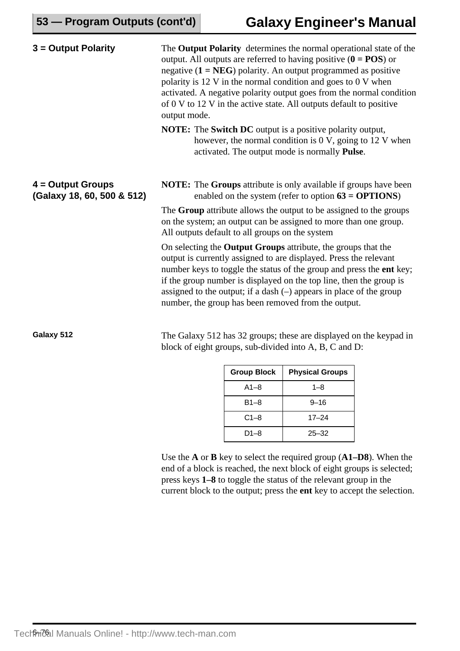| $3 =$ Output Polarity                             | The Output Polarity determines the normal operational state of the<br>output. All outputs are referred to having positive $(0 = POS)$ or<br>negative $(1 = NEG)$ polarity. An output programmed as positive<br>polarity is 12 V in the normal condition and goes to 0 V when<br>activated. A negative polarity output goes from the normal condition<br>of 0 V to 12 V in the active state. All outputs default to positive<br>output mode. |  |  |  |  |  |
|---------------------------------------------------|---------------------------------------------------------------------------------------------------------------------------------------------------------------------------------------------------------------------------------------------------------------------------------------------------------------------------------------------------------------------------------------------------------------------------------------------|--|--|--|--|--|
|                                                   | <b>NOTE:</b> The <b>Switch DC</b> output is a positive polarity output,<br>however, the normal condition is $0 \text{ V}$ , going to $12 \text{ V}$ when<br>activated. The output mode is normally <b>Pulse</b> .                                                                                                                                                                                                                           |  |  |  |  |  |
| $4 =$ Output Groups<br>(Galaxy 18, 60, 500 & 512) | <b>NOTE:</b> The <b>Groups</b> attribute is only available if groups have been<br>enabled on the system (refer to option $63 = OPTIONS$ )                                                                                                                                                                                                                                                                                                   |  |  |  |  |  |
|                                                   | The Group attribute allows the output to be assigned to the groups<br>on the system; an output can be assigned to more than one group.<br>All outputs default to all groups on the system                                                                                                                                                                                                                                                   |  |  |  |  |  |
|                                                   | On selecting the <b>Output Groups</b> attribute, the groups that the<br>output is currently assigned to are displayed. Press the relevant<br>number keys to toggle the status of the group and press the ent key;<br>if the group number is displayed on the top line, then the group is<br>assigned to the output; if a dash $(-)$ appears in place of the group<br>number, the group has been removed from the output.                    |  |  |  |  |  |
| Galaxy 512                                        | The Galaxy 512 has 32 groups; these are displayed on the keypad in<br>block of eight groups, sub-divided into A, B, C and D:                                                                                                                                                                                                                                                                                                                |  |  |  |  |  |

| <b>Group Block</b> | <b>Physical Groups</b> |  |  |  |  |
|--------------------|------------------------|--|--|--|--|
| $A1 - 8$           | $1 - 8$                |  |  |  |  |
| $B1 - 8$           | $9 - 16$               |  |  |  |  |
| $C1 - 8$           | $17 - 24$              |  |  |  |  |
| $D1 - 8$           | $25 - 32$              |  |  |  |  |

Use the **A** or **B** key to select the required group (**A1–D8**). When the end of a block is reached, the next block of eight groups is selected; press keys **1–8** to toggle the status of the relevant group in the current block to the output; press the **ent** key to accept the selection.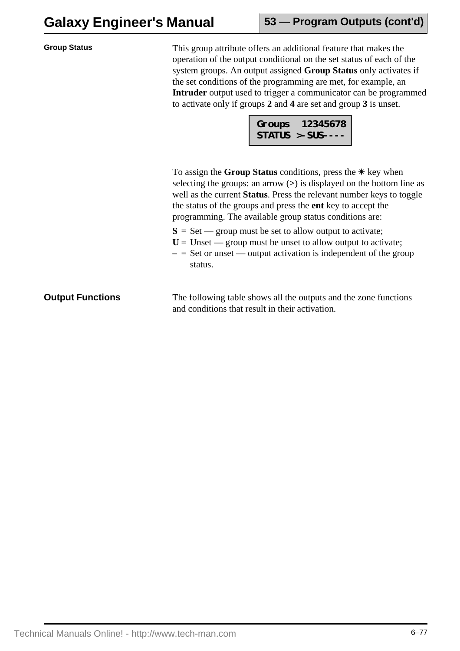| <b>Group Status</b>     | This group attribute offers an additional feature that makes the<br>operation of the output conditional on the set status of each of the<br>system groups. An output assigned Group Status only activates if<br>the set conditions of the programming are met, for example, an<br>Intruder output used to trigger a communicator can be programmed<br>to activate only if groups 2 and 4 are set and group 3 is unset.<br>Groups 12345678<br>STATUS >-SUS---- |  |  |  |  |  |
|-------------------------|---------------------------------------------------------------------------------------------------------------------------------------------------------------------------------------------------------------------------------------------------------------------------------------------------------------------------------------------------------------------------------------------------------------------------------------------------------------|--|--|--|--|--|
|                         | To assign the Group Status conditions, press the $*$ key when<br>selecting the groups: an arrow $(>)$ is displayed on the bottom line as<br>well as the current Status. Press the relevant number keys to toggle<br>the status of the groups and press the <b>ent</b> key to accept the<br>programming. The available group status conditions are:                                                                                                            |  |  |  |  |  |
|                         | $S = Set$ - group must be set to allow output to activate;<br>$U =$ Unset — group must be unset to allow output to activate;<br>$-$ = Set or unset — output activation is independent of the group<br>status.                                                                                                                                                                                                                                                 |  |  |  |  |  |
| <b>Output Functions</b> | The following table shows all the outputs and the zone functions<br>and conditions that result in their activation.                                                                                                                                                                                                                                                                                                                                           |  |  |  |  |  |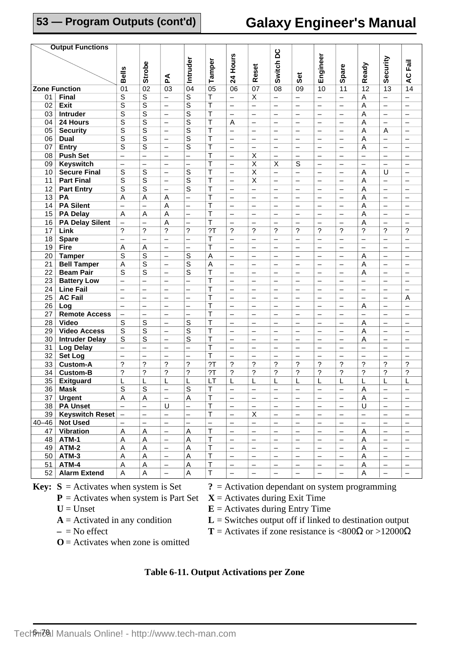# **Galaxy Engineer's Manual**

|                 | <b>Output Functions</b>            |                           |                          |                          |                          |                          |                          |                          |                          |                          |                          |                          |                          |                          |                          |
|-----------------|------------------------------------|---------------------------|--------------------------|--------------------------|--------------------------|--------------------------|--------------------------|--------------------------|--------------------------|--------------------------|--------------------------|--------------------------|--------------------------|--------------------------|--------------------------|
|                 |                                    |                           |                          |                          |                          |                          |                          |                          |                          |                          |                          |                          |                          |                          |                          |
|                 |                                    |                           |                          |                          | Intruder                 | Tamper                   | Hours                    |                          | Switch DC                |                          | Engineer                 |                          |                          | Security                 |                          |
|                 |                                    |                           |                          |                          |                          |                          |                          |                          |                          |                          |                          |                          |                          |                          |                          |
|                 |                                    | <b>Bells</b>              | <b>Strobe</b>            | Ã                        |                          |                          | $\overline{24}$          | Reset                    |                          | Set                      |                          | Spare                    | Ready                    |                          | AC Fail                  |
|                 | <b>Zone Function</b>               | $\overline{01}$           | $\overline{02}$          | $\overline{03}$          | $\overline{04}$          | $\overline{05}$          | 06                       | $\overline{07}$          | $\overline{08}$          | 09                       | 10                       | 11                       | $\overline{12}$          | $\overline{13}$          | $\overline{14}$          |
| 01              | <b>Final</b>                       | $\overline{s}$            | $\overline{s}$           | $\overline{\phantom{0}}$ | $\overline{s}$           | T                        | $\overline{\phantom{0}}$ | $\overline{\mathsf{x}}$  | $\equiv$                 | $\equiv$                 | $\equiv$                 | $\overline{\phantom{0}}$ | $\overline{A}$           | $\equiv$                 |                          |
| 02              | <b>Exit</b>                        | $\overline{\mathsf{s}}$   | $\overline{s}$           | $\overline{\phantom{0}}$ | S                        | T                        | $\overline{\phantom{0}}$ | $\overline{\phantom{0}}$ | $\qquad \qquad -$        | $\qquad \qquad -$        | $\overline{\phantom{0}}$ | $\qquad \qquad -$        | $\overline{A}$           | $\overline{\phantom{0}}$ | $\qquad \qquad -$        |
| 03              | Intruder                           | $\overline{s}$            | $\overline{s}$           |                          | $\overline{s}$           | T                        |                          |                          |                          |                          |                          |                          | $\overline{A}$           |                          |                          |
|                 | 24 Hours                           |                           | $\overline{\mathsf{s}}$  | $\overline{\phantom{0}}$ |                          |                          | $\overline{\phantom{0}}$ | $\qquad \qquad -$        | $\qquad \qquad -$        | $\qquad \qquad -$        | $\qquad \qquad -$        | $\overline{\phantom{0}}$ |                          | $\overline{\phantom{0}}$ | $\qquad \qquad$          |
| 04              |                                    | $\overline{\mathsf{s}}$   |                          | $\overline{\phantom{0}}$ | $\overline{s}$           | T                        | Α                        |                          | $\overline{\phantom{0}}$ | $\overline{\phantom{0}}$ | $\overline{\phantom{0}}$ |                          | A                        | $\overline{\phantom{0}}$ |                          |
| $\overline{05}$ | <b>Security</b>                    | $\overline{s}$            | $\overline{s}$           | $\overline{\phantom{0}}$ | $\overline{s}$           | $\overline{\mathsf{T}}$  | $\overline{\phantom{0}}$ | $\qquad \qquad -$        |                          | $\overline{\phantom{0}}$ | $\qquad \qquad -$        | $\overline{\phantom{0}}$ | Α                        | A                        | $\overline{\phantom{0}}$ |
| 06              | <b>Dual</b>                        | $\overline{s}$            | $\overline{s}$           | $\overline{\phantom{0}}$ | $\overline{s}$           | T                        | $\overline{\phantom{0}}$ |                          |                          | $\overline{\phantom{0}}$ | $\overline{\phantom{0}}$ | $\overline{\phantom{0}}$ | A                        | $\equiv$                 |                          |
| 07              | <b>Entry</b>                       | S                         | $\overline{s}$           | $\overline{\phantom{0}}$ | S                        | T                        | $\overline{\phantom{0}}$ | $\qquad \qquad -$        | $\overline{\phantom{0}}$ | $\overline{\phantom{0}}$ | $\overline{\phantom{0}}$ | $\qquad \qquad -$        | A                        | $\overline{\phantom{0}}$ | $\qquad \qquad -$        |
| 08              | <b>Push Set</b>                    | $\qquad \qquad -$         | $\overline{\phantom{0}}$ | $\overline{\phantom{0}}$ | $\overline{\phantom{0}}$ | T                        | $\overline{\phantom{0}}$ | $\overline{\mathsf{x}}$  |                          | $\qquad \qquad -$        | $\overline{\phantom{0}}$ |                          | $\overline{\phantom{0}}$ | $\overline{\phantom{0}}$ | $\qquad \qquad -$        |
| $\overline{09}$ | <b>Keyswitch</b>                   | $\qquad \qquad -$         | $\overline{\phantom{0}}$ | $\overline{\phantom{0}}$ | $\overline{\phantom{0}}$ | T                        | $\overline{\phantom{0}}$ | $\overline{\mathsf{x}}$  | $\overline{\mathsf{x}}$  | $\overline{s}$           | $\overline{\phantom{0}}$ | $\overline{\phantom{0}}$ | $\equiv$                 |                          |                          |
| 10              | <b>Secure Final</b>                | S                         | $\overline{s}$           | $\overline{\phantom{0}}$ | S                        | $\overline{\mathsf{T}}$  | $\overline{\phantom{0}}$ | $\overline{\mathsf{x}}$  | $\equiv$                 | $\equiv$                 | $\overline{\phantom{0}}$ | $\overline{\phantom{0}}$ | A                        | U                        | $\overline{\phantom{0}}$ |
| 11              | <b>Part Final</b>                  | $\overline{s}$            | $\overline{s}$           | $\overline{\phantom{0}}$ | $\overline{s}$           | Τ                        | $\overline{\phantom{0}}$ | $\overline{X}$           |                          | $\overline{\phantom{0}}$ |                          | $\overline{\phantom{0}}$ | A                        | $\overline{\phantom{0}}$ | $\overline{\phantom{0}}$ |
| 12              | <b>Part Entry</b>                  | S                         | S                        | $\overline{\phantom{0}}$ | S                        | Τ                        | $\qquad \qquad -$        | $\overline{\phantom{0}}$ | $\qquad \qquad -$        | $\qquad \qquad -$        | $\overline{\phantom{0}}$ |                          | Α                        | $\overline{\phantom{0}}$ | $\qquad \qquad -$        |
| 13              | PA                                 | A                         | $\overline{A}$           | A                        | —                        | T                        | $\overline{\phantom{0}}$ | $\qquad \qquad -$        | $\overline{\phantom{0}}$ | $\qquad \qquad$          | $\qquad \qquad -$        | $\overline{\phantom{0}}$ | A                        | $\overline{\phantom{0}}$ | $\qquad \qquad$          |
| 14              | <b>PA Silent</b>                   | $\overline{\phantom{0}}$  | $\overline{\phantom{0}}$ | A                        | $\overline{\phantom{0}}$ | $\overline{\mathsf{T}}$  | $\overline{\phantom{0}}$ | $\qquad \qquad -$        | $\overline{\phantom{0}}$ | $\overline{\phantom{0}}$ | $\overline{\phantom{0}}$ | $\overline{\phantom{0}}$ | A                        | $\overline{\phantom{0}}$ | $\overline{\phantom{0}}$ |
| 15              | <b>PA Delay</b>                    | A                         | Α                        | Α                        | $\overline{\phantom{0}}$ | $\overline{\mathsf{T}}$  | $\overline{\phantom{0}}$ | $\overline{\phantom{0}}$ | $\overline{\phantom{0}}$ | $\overline{\phantom{0}}$ | $\overline{\phantom{0}}$ |                          | A                        | $\overline{\phantom{0}}$ |                          |
| 16              | <b>PA Delay Silent</b>             | $\overline{\phantom{0}}$  |                          | A                        | $\overline{\phantom{0}}$ | $\overline{\mathsf{T}}$  | $\overline{\phantom{0}}$ |                          |                          |                          | $\overline{\phantom{0}}$ |                          | A                        | $\overline{\phantom{0}}$ |                          |
| 17              | Link                               | ?                         | $\tilde{?}$              | ?                        | ?                        | $\overline{2}$           | ?                        | ?                        | ?                        | ?                        | ?                        | ?                        | ?                        | ?                        | $\overline{?}$           |
| 18              | <b>Spare</b>                       |                           | $\overline{\phantom{0}}$ | $\overline{\phantom{0}}$ | —                        | Т                        | —                        | $\qquad \qquad -$        | $\overline{\phantom{m}}$ | $\overline{\phantom{0}}$ | $\qquad \qquad -$        |                          | $\overline{\phantom{0}}$ | $\qquad \qquad -$        |                          |
| 19              | <b>Fire</b>                        | Α                         | Α                        | $\overline{\phantom{0}}$ | —                        | $\overline{\mathsf{T}}$  | $\overline{\phantom{0}}$ | $\overline{\phantom{0}}$ | $\overline{\phantom{0}}$ | $\overline{\phantom{0}}$ |                          | $\overline{\phantom{0}}$ | $\overline{\phantom{0}}$ | $\qquad \qquad -$        | $\overline{\phantom{0}}$ |
| 20              | <b>Tamper</b>                      | $\overline{s}$            | $\overline{s}$           | $\overline{\phantom{0}}$ | $\overline{s}$           | A                        | $\overline{\phantom{0}}$ | $\overline{\phantom{0}}$ | $\overline{\phantom{0}}$ | $\overline{\phantom{0}}$ | $\overline{\phantom{0}}$ | $\overline{\phantom{0}}$ | A                        | $\overline{\phantom{0}}$ | $\overline{\phantom{0}}$ |
| 21              | <b>Bell Tamper</b>                 | A                         | $\overline{\mathsf{s}}$  | $\overline{\phantom{0}}$ | S                        | A                        | $\overline{\phantom{0}}$ |                          | $\overline{\phantom{0}}$ | $\overline{\phantom{0}}$ | $\equiv$                 |                          | Α                        | $\overline{\phantom{0}}$ |                          |
| 22              | <b>Beam Pair</b>                   | S                         | S                        | $\overline{\phantom{0}}$ | S                        | T                        | $\overline{\phantom{0}}$ | $\overline{\phantom{0}}$ | $\qquad \qquad -$        | $\overline{\phantom{0}}$ | $\overline{\phantom{0}}$ | $\overline{\phantom{0}}$ | A                        | $\overline{\phantom{0}}$ | $\overline{\phantom{0}}$ |
| 23              | <b>Battery Low</b>                 | $\qquad \qquad -$         | $\overline{\phantom{0}}$ | —                        | —                        | T                        | —                        | $\qquad \qquad -$        | $\overline{\phantom{0}}$ | —                        | $\qquad \qquad -$        | —                        | $\overline{\phantom{0}}$ | $\qquad \qquad -$        |                          |
| 24              | <b>Line Fail</b>                   | $\overline{\phantom{0}}$  | $\overline{\phantom{0}}$ | $\overline{\phantom{0}}$ | —                        | T                        |                          | $\overline{\phantom{0}}$ | $\overline{\phantom{0}}$ | $\overline{\phantom{0}}$ | $\overline{\phantom{0}}$ | $\overline{\phantom{0}}$ | $\overline{\phantom{0}}$ | $\overline{\phantom{0}}$ | $\overline{\phantom{0}}$ |
| 25              | <b>AC Fail</b>                     | $\overline{\phantom{0}}$  | $\overline{\phantom{0}}$ | $\overline{\phantom{0}}$ | —                        | T                        |                          | $\qquad \qquad -$        | $\overline{\phantom{0}}$ | $\overline{\phantom{0}}$ | $\qquad \qquad -$        | $\overline{\phantom{0}}$ | $\overline{\phantom{0}}$ | $\overline{\phantom{0}}$ | A                        |
| 26              | Log                                | $\equiv$                  | $\equiv$                 | $\overline{\phantom{0}}$ | $\overline{\phantom{0}}$ | T                        | $\overline{\phantom{0}}$ | $\overline{\phantom{0}}$ | $\overline{\phantom{0}}$ | $\overline{\phantom{0}}$ | $\equiv$                 |                          | A                        | $\overline{\phantom{0}}$ | $\equiv$                 |
| 27              | <b>Remote Access</b>               | $\overline{\phantom{0}}$  | $\overline{\phantom{0}}$ | $\overline{\phantom{0}}$ | $\overline{\phantom{0}}$ | T                        | $\overline{\phantom{0}}$ | $\overline{\phantom{0}}$ | $\qquad \qquad -$        | $\overline{\phantom{0}}$ | $\overline{\phantom{0}}$ | $\overline{\phantom{0}}$ | $\overline{\phantom{0}}$ | $\overline{\phantom{0}}$ | $\overline{\phantom{0}}$ |
| 28              | <b>Video</b>                       | S                         | S                        | —                        | S                        | T                        | —                        | $\qquad \qquad -$        | $\qquad \qquad -$        | -                        | —                        | —                        | Α                        | $\qquad \qquad -$        | $\overline{\phantom{m}}$ |
| 29              | <b>Video Access</b>                | $\overline{s}$            | $\overline{s}$           | $\overline{\phantom{0}}$ | S                        | T                        | $\overline{\phantom{0}}$ | $\overline{\phantom{0}}$ | $\overline{\phantom{m}}$ | $\overline{\phantom{0}}$ |                          | $\overline{\phantom{0}}$ | Α                        | $\overline{\phantom{0}}$ |                          |
| 30              | <b>Intruder Delay</b>              | S                         | $\overline{s}$           | $\overline{\phantom{0}}$ | S                        | T                        |                          | $\qquad \qquad -$        | $\overline{\phantom{0}}$ | $\overline{\phantom{0}}$ | $\overline{\phantom{0}}$ | $\overline{\phantom{0}}$ | A                        | $\overline{\phantom{0}}$ | $\qquad \qquad -$        |
| 31              | <b>Log Delay</b>                   | $\equiv$                  | $\equiv$                 | $\equiv$                 | $\overline{\phantom{0}}$ | T                        | $\overline{\phantom{0}}$ | $\overline{\phantom{0}}$ | $\equiv$                 | $\overline{\phantom{0}}$ | $\overline{\phantom{0}}$ |                          | $\overline{\phantom{0}}$ | $\equiv$                 | $\overline{\phantom{0}}$ |
| 32              | Set Log                            | $\overline{\phantom{0}}$  | $\overline{\phantom{0}}$ | $\overline{\phantom{0}}$ | $\overline{\phantom{0}}$ | T                        | $\overline{\phantom{0}}$ | $\qquad \qquad -$        | $\overline{\phantom{0}}$ | $\overline{\phantom{0}}$ | $\overline{\phantom{0}}$ | $\overline{\phantom{0}}$ | $\overline{\phantom{0}}$ | $\qquad \qquad -$        |                          |
|                 |                                    | 2                         | ?                        | ?                        | ?                        | 2T                       | ?                        | ?                        | ?                        | ?                        | ?                        | 2                        | ?                        | ?                        | $\overline{\phantom{0}}$ |
| 33              | <b>Custom-A</b><br><b>Custom-B</b> | ?                         | $\overline{\phantom{a}}$ | ?                        | ?                        | 2T                       | $\overline{\phantom{a}}$ | ?                        | ?                        | ?                        | ?                        | ?                        | ?                        | ?                        | ?                        |
| 34              |                                    |                           |                          |                          |                          |                          |                          |                          |                          |                          |                          |                          |                          |                          |                          |
| 35              | <b>Exitguard</b>                   | L                         | L                        | L                        | L                        | LT                       | L                        | $\mathsf L$              | L                        | L                        | L                        | L                        | L                        | L                        | L                        |
|                 | 36 Mask                            | $\overline{s}$            | $\mathbf S$              |                          | s                        | T                        |                          |                          |                          |                          |                          |                          | $\overline{A}$           |                          |                          |
| 37              | <b>Urgent</b>                      | A                         | $\mathsf A$              | $\overline{\phantom{m}}$ | A                        | Т                        | $\qquad \qquad -$        | $\qquad \qquad -$        | $\qquad \qquad -$        | $\qquad \qquad -$        | $\qquad \qquad -$        | $\qquad \qquad -$        | A                        | $\overline{\phantom{m}}$ | $\overline{\phantom{0}}$ |
|                 | 38   PA Unset                      | $\overline{\phantom{m}}$  | $\qquad \qquad -$        | U                        | $\overline{\phantom{0}}$ | T                        | —                        | $\qquad \qquad -$        | $\qquad \qquad -$        | $\qquad \qquad -$        | $\qquad \qquad -$        | $\qquad \qquad -$        | U                        | $\qquad \qquad -$        |                          |
|                 | 39   Keyswitch Reset               | $\overline{\phantom{m}}$  | $\qquad \qquad -$        | $\overline{\phantom{0}}$ | $\overline{\phantom{0}}$ | $\top$                   | $\qquad \qquad -$        | X                        | $\qquad \qquad -$        | $\overline{\phantom{0}}$ | $\qquad \qquad -$        | $\qquad \qquad -$        | $\qquad \qquad -$        | $\qquad \qquad -$        |                          |
|                 | 40-46   Not Used                   |                           |                          | $\overline{\phantom{0}}$ |                          | $\overline{\phantom{0}}$ | $\qquad \qquad -$        | $\qquad \qquad -$        | $\qquad \qquad -$        | —                        | $\qquad \qquad -$        |                          |                          |                          |                          |
|                 | 47 Vibration                       | $\boldsymbol{\mathsf{A}}$ | $\mathsf A$              | $\overline{a}$           | A                        | $\top$                   | $\equiv$                 | $\qquad \qquad -$        | $\qquad \qquad -$        | $\qquad \qquad -$        | $\qquad \qquad -$        | $\overline{\phantom{0}}$ | $\mathsf{A}$             | $\equiv$                 | $\overline{\phantom{0}}$ |
| 48              | ATM-1                              | A                         | $\mathsf A$              | $\qquad \qquad -$        | Α                        | T                        | $\qquad \qquad -$        | $\overline{\phantom{m}}$ | $\overline{\phantom{0}}$ | $\qquad \qquad -$        | $\qquad \qquad -$        | $\overline{\phantom{0}}$ | $\overline{A}$           | $\overline{\phantom{m}}$ | $\overline{\phantom{0}}$ |
| 49              | ATM-2                              | A                         | $\mathsf A$              | $\overline{\phantom{0}}$ | Α                        | T                        | $\qquad \qquad -$        | $\qquad \qquad -$        | $\qquad \qquad -$        | $\qquad \qquad -$        | $\overline{\phantom{0}}$ | $\qquad \qquad -$        | A                        | $\qquad \qquad -$        | $\qquad \qquad -$        |
| 50              | ATM-3                              | A                         | A                        | $\overline{\phantom{0}}$ | Α                        | $\top$                   | $\qquad \qquad -$        | $\qquad \qquad -$        | $\overline{\phantom{0}}$ | $\overline{\phantom{0}}$ | $\overline{\phantom{0}}$ | $\qquad \qquad -$        | A                        | $\qquad \qquad -$        | -                        |
| 51              | ATM-4                              | A                         | A                        | $\overline{\phantom{0}}$ | Α                        | T                        | $\qquad \qquad -$        | $\qquad \qquad -$        | $\overline{\phantom{m}}$ | $\overline{\phantom{0}}$ | $\qquad \qquad -$        |                          | A                        | $\qquad \qquad -$        | $\qquad \qquad -$        |
| 52              | <b>Alarm Extend</b>                | A                         | A                        | $\overline{\phantom{0}}$ | A                        | $\top$                   | $\overline{\phantom{0}}$ | $\overline{\phantom{0}}$ | $\overline{\phantom{0}}$ | $\qquad \qquad -$        | $\qquad \qquad -$        | $\qquad \qquad -$        | A                        | $\qquad \qquad -$        |                          |
|                 |                                    |                           |                          |                          |                          |                          |                          |                          |                          |                          |                          |                          |                          |                          |                          |

 $P =$  Activates when system is Part Set

- -
	-
- **Key:**  $S =$  Activates when system is Set  $S =$  Activation dependant on system programming  $P =$  Activates when system is Part Set  $X =$  Activates during Exit Time
	- $U =$  Unset **E** = Activates during Entry Time

 $A =$  Activated in any condition  $L =$  Switches output off if linked to destination output

- 
- $\mathbf{O}$  = Activates when zone is omitted
- $-$  = No effect **T** = Activates if zone resistance is <800 $\Omega$  or >12000 $\Omega$

#### **Table 6-11. Output Activations per Zone**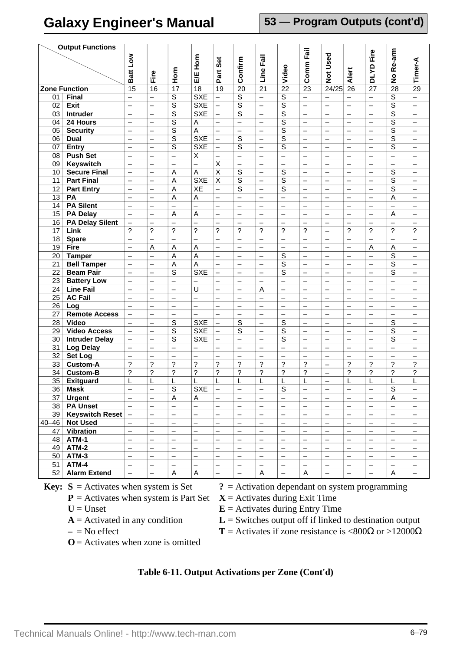**53 — Program Outputs (cont'd)**

| <b>Output Functions</b> |                        |                          |                          |                           |                          |                          |                          |                          |                          |                          |                          |                          |                          |                          |                          |
|-------------------------|------------------------|--------------------------|--------------------------|---------------------------|--------------------------|--------------------------|--------------------------|--------------------------|--------------------------|--------------------------|--------------------------|--------------------------|--------------------------|--------------------------|--------------------------|
|                         |                        |                          |                          |                           | Horn                     |                          |                          | Fail                     |                          | Comm Fail                | <b>Not Used</b>          |                          | DLYD Fire                | No Re-arm                |                          |
|                         |                        |                          |                          |                           |                          | Set                      |                          |                          |                          |                          |                          |                          |                          |                          |                          |
|                         |                        | Batt Low                 | Fire                     | Horn                      | EK<br>EK                 | Part                     | Confirm                  | Line                     | Video                    |                          |                          | Alert                    |                          |                          | Timer-A                  |
|                         |                        |                          |                          |                           |                          |                          |                          |                          |                          |                          |                          |                          |                          |                          |                          |
|                         | <b>Zone Function</b>   | $\overline{15}$          | $\overline{16}$          | $\overline{17}$           | $\overline{18}$          | $\overline{19}$          | $\overline{20}$          | $\overline{21}$          | $\overline{22}$          | $\overline{23}$          | 24/25                    | $\overline{26}$          | $\overline{27}$          | $\overline{28}$          | $\overline{29}$          |
| 01                      | Final                  | $\overline{\phantom{0}}$ | $\overline{\phantom{0}}$ | $\overline{\mathsf{s}}$   | <b>SXE</b>               | $\overline{\phantom{0}}$ | S                        | $\overline{\phantom{0}}$ | $\overline{s}$           | $\overline{\phantom{0}}$ | $\overline{\phantom{0}}$ | $\overline{\phantom{0}}$ | $\overline{\phantom{0}}$ | $\overline{\mathsf{s}}$  | $\overline{\phantom{0}}$ |
| 02                      | <b>Exit</b>            | $\overline{\phantom{0}}$ | -                        | $\overline{s}$            | <b>SXE</b>               | —                        | $\overline{s}$           | $\overline{\phantom{0}}$ | $\overline{s}$           |                          |                          |                          | $\overline{\phantom{0}}$ | $\overline{s}$           |                          |
| 03                      | <b>Intruder</b>        | $\qquad \qquad -$        | $\overline{\phantom{0}}$ | $\overline{\mathsf{s}}$   | <b>SXE</b>               | $\overline{\phantom{0}}$ | $\overline{\mathsf{s}}$  |                          | $\overline{\mathsf{s}}$  |                          |                          | $\overline{\phantom{0}}$ | $\overline{\phantom{0}}$ | $\overline{\mathsf{s}}$  | $\qquad \qquad -$        |
| 04                      | 24 Hours               | $\qquad \qquad -$        | —                        | $\overline{s}$            | Α                        | $\overline{\phantom{0}}$ | $\qquad \qquad -$        | $\overline{\phantom{0}}$ | $\overline{\mathsf{s}}$  | $\qquad \qquad -$        | —                        | —                        | $\qquad \qquad -$        | $\overline{\mathsf{s}}$  |                          |
| 05                      | <b>Security</b>        | $\overline{\phantom{0}}$ | $\overline{\phantom{0}}$ | $\overline{s}$            | $\overline{\mathsf{A}}$  | $\equiv$                 | $\equiv$                 | $\overline{\phantom{0}}$ | $\overline{s}$           | $\equiv$                 | $\equiv$                 | $\equiv$                 | $\equiv$                 | $\overline{s}$           | $\equiv$                 |
| 06                      | <b>Dual</b>            | $\qquad \qquad -$        | $\overline{\phantom{0}}$ | $\overline{s}$            | <b>SXE</b>               | $\overline{\phantom{0}}$ | S                        |                          | $\overline{s}$           | $\qquad \qquad -$        |                          | $\overline{\phantom{0}}$ | $\overline{\phantom{0}}$ | $\overline{s}$           | $\overline{\phantom{0}}$ |
| 07                      | <b>Entry</b>           | $\overline{\phantom{0}}$ | —                        | S                         | <b>SXE</b>               | —                        | S                        | $\overline{\phantom{0}}$ | $\overline{\mathsf{s}}$  |                          | $\overline{\phantom{0}}$ | $\overline{\phantom{0}}$ | $\overline{\phantom{0}}$ | $\overline{\mathsf{s}}$  |                          |
| 08                      | <b>Push Set</b>        | $\qquad \qquad -$        | $\overline{\phantom{0}}$ | $\equiv$                  | $\overline{\mathsf{x}}$  | $\overline{\phantom{0}}$ | $\qquad \qquad -$        |                          | $\overline{\phantom{0}}$ |                          |                          | $\overline{\phantom{0}}$ | $\overline{\phantom{m}}$ | $\overline{\phantom{0}}$ | $\qquad \qquad -$        |
| 09                      | <b>Keyswitch</b>       | $\qquad \qquad -$        | —                        | $\overline{\phantom{m}}$  | $\overline{\phantom{0}}$ | $\overline{\mathsf{x}}$  | $\qquad \qquad -$        | $\overline{\phantom{0}}$ | $\overline{\phantom{0}}$ | $\qquad \qquad -$        | —                        | —                        | $\overline{\phantom{0}}$ |                          |                          |
| 10                      | <b>Secure Final</b>    | $\equiv$                 | $\overline{\phantom{0}}$ | $\overline{A}$            | A                        | $\overline{\mathsf{x}}$  | $\overline{s}$           |                          | $\overline{\mathsf{s}}$  | $\equiv$                 | $\overline{\phantom{0}}$ | $\equiv$                 | $\equiv$                 | $\overline{\mathsf{s}}$  | $\equiv$                 |
| 11                      | <b>Part Final</b>      | $\qquad \qquad -$        | $\overline{\phantom{0}}$ | A                         | <b>SXE</b>               | $\overline{\mathsf{x}}$  | S                        |                          | $\overline{\mathsf{s}}$  |                          |                          | $\overline{\phantom{0}}$ | $\overline{\phantom{0}}$ | $\overline{s}$           | $\qquad \qquad -$        |
| 12                      | <b>Part Entry</b>      | $\overline{\phantom{0}}$ | —                        | Α                         | XE                       | $\overline{\phantom{0}}$ | S                        | $\overline{\phantom{0}}$ | $\overline{\mathsf{s}}$  |                          | $\overline{\phantom{0}}$ | $\overline{\phantom{0}}$ | $\overline{\phantom{0}}$ | $\overline{\mathsf{s}}$  | —                        |
| 13                      | PA                     | $\overline{\phantom{0}}$ | $\overline{\phantom{0}}$ | $\overline{\mathsf{A}}$   | $\overline{A}$           | $\overline{\phantom{0}}$ | $\qquad \qquad -$        |                          | $\equiv$                 | $\overline{\phantom{0}}$ |                          | $\overline{\phantom{0}}$ | $\overline{\phantom{0}}$ | $\overline{A}$           | $\overline{\phantom{0}}$ |
| 14                      | <b>PA Silent</b>       | $\qquad \qquad -$        | —                        |                           |                          | $\overline{\phantom{0}}$ | —                        | $\overline{\phantom{0}}$ | $\overline{\phantom{0}}$ | —                        | —                        | —                        | $\overline{\phantom{0}}$ | $\overline{\phantom{0}}$ |                          |
| 15                      | <b>PA Delay</b>        | $\overline{\phantom{0}}$ | $\overline{\phantom{0}}$ | $\overline{A}$            | A                        | $\equiv$                 | $\qquad \qquad -$        |                          | $\overline{\phantom{0}}$ | $\overline{\phantom{0}}$ | $\overline{\phantom{0}}$ | $\equiv$                 | $\overline{\phantom{0}}$ | A                        | $\equiv$                 |
| 16                      | <b>PA Delay Silent</b> | $\qquad \qquad -$        | $\overline{\phantom{0}}$ | $\overline{\phantom{0}}$  | $\overline{\phantom{0}}$ | $\overline{\phantom{0}}$ | $\overline{\phantom{0}}$ |                          | $\overline{\phantom{0}}$ | $\overline{\phantom{0}}$ |                          | $\overline{\phantom{0}}$ | $\overline{\phantom{0}}$ |                          | $\overline{\phantom{0}}$ |
| 17                      | Link                   | ?                        | ?                        | $\overline{\phantom{0}}$  | $\overline{?}$           | ?                        | ?                        | $\overline{\cdot}$       | ?                        | ?                        | $\overline{\phantom{0}}$ | ?                        | ?                        | ?                        | $\ddot{\phantom{0}}$     |
| 18                      | <b>Spare</b>           | $\qquad \qquad -$        | $\overline{\phantom{0}}$ | $\equiv$                  | $\overline{\phantom{0}}$ | $\equiv$                 | $\overline{\phantom{0}}$ | $\overline{\phantom{0}}$ | $\overline{\phantom{0}}$ | $\overline{\phantom{0}}$ |                          | $\equiv$                 | $\overline{\phantom{0}}$ | $\overline{\phantom{0}}$ | $\overline{\phantom{0}}$ |
| 19                      | Fire                   | $\overline{\phantom{0}}$ | A                        | A                         | Α                        | —                        | —                        | $\overline{\phantom{0}}$ |                          | —                        | $\overline{\phantom{0}}$ | —                        | Α                        | A                        |                          |
| 20                      | <b>Tamper</b>          | $\overline{\phantom{0}}$ | $\overline{a}$           | $\overline{A}$            | A                        | $\overline{\phantom{0}}$ | $\overline{\phantom{0}}$ |                          | $\overline{s}$           | $\overline{\phantom{0}}$ | $\overline{\phantom{0}}$ | $\equiv$                 | $\overline{\phantom{0}}$ | $\overline{s}$           | $\overline{\phantom{0}}$ |
| 21                      | <b>Bell Tamper</b>     | $\qquad \qquad -$        | —                        | A                         | Α                        | $\overline{\phantom{0}}$ | $\overline{\phantom{0}}$ | $\overline{\phantom{0}}$ | $\overline{\mathsf{s}}$  | $\qquad \qquad -$        |                          | $\overline{\phantom{0}}$ | $\overline{\phantom{0}}$ | $\overline{\mathsf{s}}$  | $\overline{\phantom{0}}$ |
| 22                      | <b>Beam Pair</b>       |                          | $\overline{\phantom{0}}$ | S                         | <b>SXE</b>               | $\overline{\phantom{0}}$ |                          |                          | S                        |                          |                          | $\overline{\phantom{0}}$ | $\overline{\phantom{0}}$ | S                        | $\overline{\phantom{0}}$ |
| 23                      | <b>Battery Low</b>     | $\qquad \qquad -$        | $\overline{\phantom{0}}$ | $\equiv$                  | $\overline{\phantom{0}}$ | $\overline{\phantom{0}}$ |                          |                          | $\equiv$                 | $\overline{\phantom{0}}$ |                          | $\overline{\phantom{0}}$ | $\overline{\phantom{0}}$ | $\overline{\phantom{0}}$ | $\overline{\phantom{0}}$ |
| 24                      | <b>Line Fail</b>       | $\overline{\phantom{0}}$ | -                        | $\overline{\phantom{0}}$  | U                        | —                        | —                        | A                        | —                        | —                        | $\overline{\phantom{0}}$ | —                        | —                        | —                        |                          |
| 25                      | <b>AC Fail</b>         | $\overline{\phantom{0}}$ | $\overline{\phantom{0}}$ | $\overline{\phantom{0}}$  | $\overline{\phantom{0}}$ | $\overline{\phantom{0}}$ | $\overline{\phantom{0}}$ |                          | $\overline{\phantom{0}}$ |                          | $\overline{\phantom{0}}$ | $\overline{\phantom{0}}$ | $\overline{\phantom{0}}$ | $\overline{\phantom{0}}$ | $\overline{\phantom{0}}$ |
| 26                      | Log                    | $\qquad \qquad -$        | —                        | $\overline{\phantom{m}}$  | $\overline{\phantom{0}}$ | —                        | $\overline{\phantom{0}}$ |                          |                          |                          | $\qquad \qquad -$        | $\overline{\phantom{0}}$ | $\qquad \qquad -$        | $\overline{\phantom{0}}$ | $\qquad \qquad -$        |
| 27                      | <b>Remote Access</b>   | $\overline{\phantom{0}}$ | $\overline{\phantom{0}}$ | $\equiv$                  |                          | $\overline{\phantom{0}}$ | $\overline{\phantom{0}}$ |                          | $\overline{\phantom{0}}$ |                          | $\overline{\phantom{0}}$ | $\overline{\phantom{0}}$ | $\overline{\phantom{0}}$ | $\overline{\phantom{0}}$ |                          |
| 28                      | <b>Video</b>           | $\overline{\phantom{0}}$ | $\overline{\phantom{0}}$ | S                         | <b>SXE</b>               | $\overline{\phantom{0}}$ | S                        | $\overline{\phantom{0}}$ | S                        |                          | $\overline{\phantom{0}}$ | $\overline{\phantom{0}}$ | $\overline{\phantom{0}}$ | S                        | $\overline{\phantom{0}}$ |
| 29                      | <b>Video Access</b>    | $\overline{\phantom{0}}$ | —                        | S                         | <b>SXE</b>               | $\overline{\phantom{0}}$ | S                        | $\overline{\phantom{0}}$ | $\overline{s}$           | $\overline{\phantom{0}}$ | —                        | —                        | $\overline{\phantom{0}}$ | $\overline{s}$           | —                        |
| 30                      | <b>Intruder Delay</b>  | $\overline{\phantom{0}}$ | $\overline{\phantom{0}}$ | S                         | <b>SXE</b>               | $\overline{\phantom{0}}$ | $\overline{\phantom{0}}$ | $\overline{\phantom{0}}$ | S                        | $\qquad \qquad -$        | $\overline{\phantom{0}}$ | $\overline{\phantom{0}}$ | $\overline{\phantom{0}}$ | S                        | $\overline{\phantom{0}}$ |
| 31                      | <b>Log Delay</b>       | $\qquad \qquad -$        | —                        | $\overline{\phantom{m}}$  | <sup>-</sup>             | —                        | $\overline{\phantom{0}}$ | $\qquad \qquad -$        | $\qquad \qquad -$        | $\qquad \qquad -$        | $\qquad \qquad -$        | $\overline{\phantom{0}}$ | $\qquad \qquad -$        | $\qquad \qquad -$        | $\qquad \qquad -$        |
| 32                      | <b>Set Log</b>         |                          | $\overline{\phantom{0}}$ | $\equiv$                  | $\overline{\phantom{0}}$ | $\overline{\phantom{0}}$ | $\overline{\phantom{0}}$ | $\overline{\phantom{0}}$ | $\overline{\phantom{0}}$ |                          |                          |                          |                          | $\overline{\phantom{0}}$ |                          |
| 33                      | <b>Custom-A</b>        | ?                        | ?                        | $\overline{\phantom{a}}$  | $\overline{\phantom{a}}$ | $\overline{\phantom{a}}$ | ?                        | ?                        | ?                        | ?                        | $\overline{\phantom{0}}$ | ?                        | ?                        | ?                        | ?                        |
| 34                      | <b>Custom-B</b>        | $\overline{\phantom{0}}$ | ?                        | $\overline{\phantom{a}}$  | $\overline{\phantom{a}}$ | ?                        | ?                        | ?                        | ?                        | ?                        | $\overline{\phantom{0}}$ | ?                        | ?                        | ?                        | ?                        |
| 35                      | <b>Exitguard</b>       | L                        |                          | L                         |                          | L                        | L                        | L                        | L                        | L                        | $\overline{\phantom{0}}$ |                          | L                        | L                        | L                        |
| 36                      | <b>Mask</b>            | —                        |                          | S                         | <b>SXE</b>               |                          | —                        | —                        | S                        |                          |                          |                          |                          | S                        |                          |
| 37                      | <b>Urgent</b>          | $\qquad \qquad -$        | $\overline{\phantom{0}}$ | $\boldsymbol{\mathsf{A}}$ | A                        | $\overline{\phantom{0}}$ | $\qquad \qquad -$        | $\overline{\phantom{0}}$ | $\qquad \qquad -$        | $\overline{\phantom{0}}$ |                          | $\overline{\phantom{0}}$ | $\qquad \qquad -$        | $\overline{A}$           | $\qquad \qquad -$        |
| 38                      | <b>PA Unset</b>        | $\overline{\phantom{m}}$ | —                        | $\overline{\phantom{0}}$  | $\overline{\phantom{0}}$ |                          | $\overline{\phantom{0}}$ | $\qquad \qquad -$        | $\overline{\phantom{0}}$ | $\qquad \qquad -$        | $\qquad \qquad -$        | $\overline{\phantom{0}}$ | $\qquad \qquad -$        | $\qquad \qquad -$        |                          |
| 39                      | <b>Keyswitch Reset</b> | $\overline{\phantom{a}}$ | —                        | $\overline{\phantom{m}}$  | $\overline{\phantom{0}}$ |                          | —                        | $\qquad \qquad -$        | $\qquad \qquad -$        | $\qquad \qquad -$        | $\qquad \qquad -$        | —                        | $\qquad \qquad -$        | $\qquad \qquad -$        |                          |
| $40 - 46$               | <b>Not Used</b>        | $\overline{\phantom{0}}$ | $\overline{\phantom{0}}$ | $\equiv$                  | $\overline{\phantom{0}}$ | $\overline{\phantom{0}}$ | $\qquad \qquad -$        | $\qquad \qquad -$        | $\overline{\phantom{0}}$ | $\overline{\phantom{0}}$ | $\overline{\phantom{0}}$ | $\qquad \qquad -$        | $\qquad \qquad -$        | $\qquad \qquad -$        | $\qquad \qquad -$        |
| 47                      | <b>Vibration</b>       | $\overline{\phantom{a}}$ | —                        | $\overline{\phantom{m}}$  | -                        | $\overline{\phantom{0}}$ | $\qquad \qquad -$        | $\qquad \qquad -$        | $\qquad \qquad -$        | $\qquad \qquad -$        | $\qquad \qquad -$        | $\qquad \qquad -$        | $\qquad \qquad -$        | $\qquad \qquad -$        | $\qquad \qquad -$        |
| 48                      | ATM-1                  | $\qquad \qquad -$        | $\overline{\phantom{0}}$ | $\overline{\phantom{m}}$  | $\overline{\phantom{0}}$ | $\overline{\phantom{0}}$ |                          | $\overline{\phantom{0}}$ | $\qquad \qquad -$        | $\qquad \qquad -$        | $\qquad \qquad -$        | $\overline{\phantom{0}}$ | $\qquad \qquad -$        | $\qquad \qquad -$        | $\qquad \qquad -$        |
| 49                      | ATM-2                  | $\qquad \qquad -$        | $\overline{\phantom{0}}$ | $\qquad \qquad -$         | $\overline{\phantom{0}}$ | $\overline{\phantom{0}}$ | $\qquad \qquad -$        | $\overline{\phantom{0}}$ | $\overline{\phantom{0}}$ | $\qquad \qquad -$        | $\qquad \qquad -$        | $\overline{\phantom{0}}$ | $\qquad \qquad -$        | $\qquad \qquad -$        | $\qquad \qquad -$        |
| 50                      | ATM-3                  | $\qquad \qquad -$        | —                        | $\qquad \qquad -$         | $\overline{\phantom{0}}$ | $\overline{\phantom{0}}$ | $\qquad \qquad -$        | $\overline{\phantom{0}}$ | $\overline{\phantom{0}}$ | $\qquad \qquad -$        | $\qquad \qquad -$        | -                        | $\qquad \qquad -$        | $\qquad \qquad -$        |                          |
| 51                      | ATM-4                  | $\overline{\phantom{0}}$ | $\overline{\phantom{0}}$ | $\overline{\phantom{0}}$  | $\overline{\phantom{0}}$ | $\overline{\phantom{0}}$ | $\qquad \qquad -$        | $\overline{\phantom{0}}$ | $\overline{\phantom{0}}$ | $\overline{\phantom{0}}$ | $\qquad \qquad -$        | $\overline{\phantom{0}}$ | $\overline{\phantom{0}}$ | $\qquad \qquad -$        | $-$                      |
| 52                      | <b>Alarm Extend</b>    | $\qquad \qquad -$        | $\overline{\phantom{0}}$ | Α                         | $\mathsf A$              | $\overline{\phantom{0}}$ | $\qquad \qquad -$        | A                        | $\qquad \qquad -$        | Α                        | $\qquad \qquad -$        | $\qquad \qquad -$        | $\overline{\phantom{0}}$ | Α                        | -                        |
|                         |                        |                          |                          |                           |                          |                          |                          |                          |                          |                          |                          |                          |                          |                          |                          |

- - $P =$  Activates when system is Part Set  $X =$  Activates during Exit Time
	- -
		-
		- $\mathbf{O}$  = Activates when zone is omitted
- **Key:**  $S =$  Activates when system is Set  $\qquad$  ? = Activation dependant on system programming
	-
	- $U =$  Unset **E** = Activates during Entry Time
	- $A =$  Activated in any condition  $L =$  Switches output off if linked to destination output
	- $-$  = No effect **T** = Activates if zone resistance is <800 $\Omega$  or >12000 $\Omega$ 
		- **Table 6-11. Output Activations per Zone (Cont'd)**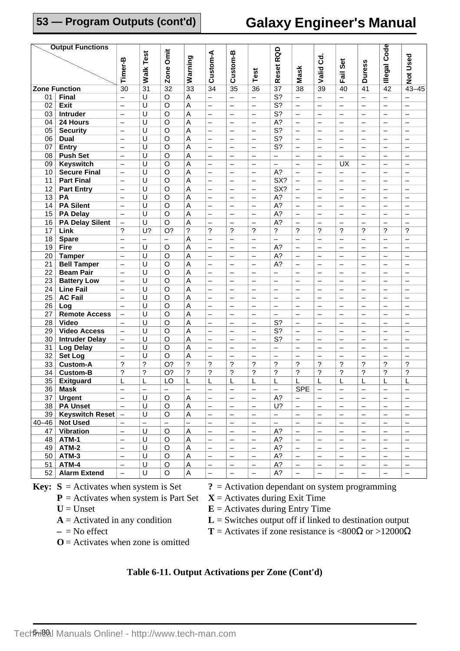# **Galaxy Engineer's Manual**

|    | <b>Output Functions</b> |                               |                          |                          |                           |                               |                               |                               |                           |                                        |                          |                          |                          |                          |                                        |
|----|-------------------------|-------------------------------|--------------------------|--------------------------|---------------------------|-------------------------------|-------------------------------|-------------------------------|---------------------------|----------------------------------------|--------------------------|--------------------------|--------------------------|--------------------------|----------------------------------------|
|    |                         |                               | Test                     | Zone Omit                |                           | Custom-A                      | Custom-B                      |                               | Reset RQD                 |                                        |                          |                          |                          | Code                     |                                        |
|    |                         |                               |                          |                          |                           |                               |                               |                               |                           |                                        | ರ                        | Set                      |                          |                          |                                        |
|    |                         |                               |                          |                          |                           |                               |                               |                               |                           |                                        |                          |                          |                          |                          |                                        |
|    |                         | Timer-B                       | Walk <sup>-</sup>        |                          | Warning                   |                               |                               | Test                          |                           | <b>Mask</b>                            | Valid                    | Fail                     | <b>Duress</b>            | <b>Illegal</b>           | <b>Not Used</b>                        |
|    | <b>Zone Function</b>    | $\overline{30}$               | $\overline{31}$          | $\overline{32}$          | $\frac{2}{33}$            | $\overline{34}$               | $\overline{35}$               | $\overline{36}$               | $\overline{37}$           | $\overline{38}$                        | $\overline{39}$          | 40                       | 41                       | $\overline{42}$          | $43 - 45$                              |
|    |                         |                               |                          |                          |                           |                               |                               |                               | $\overline{\mathsf{S}^2}$ |                                        |                          |                          |                          |                          |                                        |
| 01 | <b>Final</b>            | $\equiv$                      | U                        | $\overline{\circ}$       | A                         | $\overline{\phantom{0}}$      | $\overline{\phantom{0}}$      | $\overline{\phantom{0}}$      |                           | $\overline{\phantom{0}}$               | $\overline{\phantom{0}}$ | $\overline{\phantom{0}}$ | $\overline{\phantom{0}}$ | $\overline{\phantom{0}}$ |                                        |
| 02 | <b>Exit</b>             | $\qquad \qquad -$             | $\overline{\mathtt{U}}$  | $\overline{\circ}$       | A                         | $\overline{\phantom{0}}$      | $\overline{\phantom{0}}$      | $\overline{\phantom{0}}$      | $\overline{S?}$           | $\overline{\phantom{0}}$               | $\qquad \qquad -$        |                          | $\qquad \qquad -$        | $\overline{\phantom{0}}$ | $\overline{\phantom{0}}$               |
| 03 | Intruder                | $\overline{\phantom{0}}$      | U                        | $\overline{\circ}$       | Α                         | —                             | —                             | $\overline{\phantom{0}}$      | $\overline{\mathsf{S}^2}$ | $\qquad \qquad -$                      | $\qquad \qquad -$        | $\overline{\phantom{0}}$ | $\qquad \qquad -$        | $\overline{\phantom{0}}$ | $\qquad \qquad -$                      |
| 04 | 24 Hours                | $\overline{\phantom{0}}$      | $\overline{\mathsf{U}}$  | $\overline{\circ}$       | A                         | $\overline{\phantom{0}}$      | $\overline{\phantom{0}}$      | $\overline{\phantom{0}}$      | $\overline{A}$ ?          | $\qquad \qquad -$                      | $\overline{\phantom{0}}$ | $\overline{\phantom{0}}$ | $\overline{\phantom{0}}$ |                          | $\overline{\phantom{0}}$               |
| 05 | <b>Security</b>         | $\overline{\phantom{0}}$      | $\overline{\mathtt{U}}$  | $\overline{\mathsf{o}}$  | $\overline{\mathsf{A}}$   | $\overline{\phantom{0}}$      | $\overline{\phantom{0}}$      | $\overline{\phantom{0}}$      | $\overline{\mathsf{S}^2}$ | $\equiv$                               | $\overline{\phantom{0}}$ | $\overline{\phantom{0}}$ | $\overline{\phantom{0}}$ |                          |                                        |
| 06 | <b>Dual</b>             | $\overline{\phantom{0}}$      | $\overline{\mathsf{U}}$  | $\overline{o}$           | Α                         | $\overline{\phantom{0}}$      | $\overline{\phantom{0}}$      | $\overline{\phantom{0}}$      | $\overline{\mathsf{S}^2}$ | $\overline{\phantom{0}}$               | $\overline{\phantom{0}}$ | $\overline{\phantom{0}}$ | $\overline{\phantom{0}}$ | $\overline{\phantom{0}}$ |                                        |
| 07 | <b>Entry</b>            | $\qquad \qquad -$             | $\overline{U}$           | $\overline{O}$           | A                         | $\overline{\phantom{0}}$      | $\overline{\phantom{0}}$      | $\overline{\phantom{0}}$      | S <sub>2</sub>            | $\overline{\phantom{0}}$               | $\overline{\phantom{0}}$ |                          | $\qquad \qquad -$        |                          | $\qquad \qquad -$                      |
| 08 | <b>Push Set</b>         | $\overline{\phantom{0}}$      | U                        | $\overline{\circ}$       | A                         | —                             | —                             | —                             | —                         | $\qquad \qquad -$                      | -                        | —                        | $\overline{\phantom{0}}$ | —                        | $\qquad \qquad -$                      |
| 09 | <b>Keyswitch</b>        | $\overline{\phantom{0}}$      | $\overline{\mathtt{U}}$  | $\overline{\circ}$       | A                         | $\overline{\phantom{0}}$      | $\equiv$                      | $\overline{\phantom{0}}$      | $\overline{\phantom{0}}$  | $\overline{\phantom{0}}$               | $\equiv$                 | $\overline{\mathsf{U}}$  | $\overline{\phantom{0}}$ | $\overline{\phantom{0}}$ | $\overline{\phantom{0}}$               |
| 10 | <b>Secure Final</b>     | $\overline{\phantom{0}}$      | $\overline{U}$           | $\overline{\circ}$       | A                         | $\overline{\phantom{0}}$      | $\overline{\phantom{0}}$      | $\overline{\phantom{0}}$      | $\overline{A?}$           | $\equiv$                               | $\overline{\phantom{0}}$ | $\equiv$                 | $\overline{\phantom{0}}$ |                          | $\overline{\phantom{0}}$               |
| 11 | <b>Part Final</b>       | $\overline{\phantom{0}}$      | $\overline{U}$           | $\overline{O}$           | A                         | $\overline{\phantom{0}}$      | $\overline{\phantom{0}}$      | $\overline{\phantom{0}}$      | SX?                       | $\qquad \qquad -$                      | $\overline{\phantom{0}}$ | $\overline{\phantom{0}}$ | $\overline{\phantom{0}}$ | $\overline{\phantom{0}}$ |                                        |
| 12 | <b>Part Entry</b>       | $\qquad \qquad -$             | $\overline{U}$           | $\circ$                  | A                         | $\overline{\phantom{0}}$      | $\overline{\phantom{0}}$      | $\overline{\phantom{0}}$      | SX?                       | $\overline{\phantom{0}}$               | $\overline{\phantom{0}}$ |                          | $\qquad \qquad -$        | $\overline{\phantom{0}}$ | $\qquad \qquad -$                      |
| 13 | PA                      | $\overline{\phantom{0}}$      | U                        | O                        | A                         | —                             | —                             | —                             | $A$ ?                     | $\overline{\phantom{m}}$               | -                        | $\overline{\phantom{0}}$ | $\overline{\phantom{0}}$ | —                        | $\overline{\phantom{m}}$               |
| 14 | <b>PA Silent</b>        | $\overline{\phantom{0}}$      | $\overline{U}$           | $\overline{O}$           | A                         | $\overline{\phantom{0}}$      | $\overline{\phantom{0}}$      | $\overline{\phantom{0}}$      | $\overline{A}$ ?          | $\overline{\phantom{0}}$               | $\overline{\phantom{0}}$ | $\overline{\phantom{0}}$ | $\qquad \qquad -$        | $\overline{\phantom{0}}$ | $\overline{\phantom{0}}$               |
| 15 | <b>PA Delay</b>         | $\equiv$                      | $\overline{U}$           | $\overline{\circ}$       | A                         | $\overline{\phantom{0}}$      | $\overline{\phantom{0}}$      | $\overline{\phantom{0}}$      | $A$ ?                     | $\equiv$                               | $\overline{\phantom{0}}$ | $\overline{\phantom{0}}$ | $\overline{\phantom{0}}$ |                          | $\overline{\phantom{0}}$               |
| 16 | <b>PA Delay Silent</b>  | $\overline{\phantom{0}}$      | $\overline{\mathsf{U}}$  | $\overline{\mathsf{o}}$  | A                         |                               | $\overline{\phantom{0}}$      | $\overline{\phantom{0}}$      | $\overline{A}$ ?          | $\overline{\phantom{0}}$               | $\overline{\phantom{0}}$ | $\overline{\phantom{0}}$ | $\overline{\phantom{0}}$ |                          |                                        |
| 17 | Link                    | ?                             | $U$ ?                    | $\overline{O}$ ?         | $\overline{?}$            | $\overline{?}$                | ?                             | $\boldsymbol{\cdot}$          | $\overline{?}$            | $\overline{?}$                         | ?                        | ?                        | ?                        | ?                        | $\overline{?}$                         |
| 18 | <b>Spare</b>            | $\qquad \qquad -$             | $\overline{\phantom{0}}$ | $\overline{\phantom{0}}$ | A                         | $\overline{\phantom{0}}$      |                               | $\overline{\phantom{0}}$      | $\overline{\phantom{0}}$  | $\qquad \qquad -$                      | $\overline{\phantom{0}}$ | $\overline{\phantom{0}}$ | $\overline{\phantom{0}}$ | $\overline{\phantom{0}}$ | $\qquad \qquad -$                      |
| 19 | Fire                    | $\overline{\phantom{0}}$      | $\overline{\mathtt{U}}$  | $\overline{O}$           | $\overline{\mathsf{A}}$   | $\overline{\phantom{0}}$      | $\equiv$                      | $\overline{\phantom{0}}$      | $\overline{A}$ ?          | $\overline{\phantom{0}}$               | $\overline{\phantom{0}}$ | $\overline{\phantom{0}}$ | $\overline{\phantom{0}}$ | $\overline{\phantom{0}}$ | $\equiv$                               |
| 20 | <b>Tamper</b>           | $\overline{\phantom{0}}$      | $\overline{U}$           | $\overline{\circ}$       | A                         | $\overline{\phantom{0}}$      | $\overline{\phantom{0}}$      | $\overline{\phantom{0}}$      | $\overline{A}$ ?          | $\equiv$                               | $\overline{\phantom{0}}$ | $\overline{\phantom{0}}$ | $\overline{\phantom{0}}$ |                          | $\overline{\phantom{0}}$               |
| 21 | <b>Bell Tamper</b>      | $\overline{\phantom{0}}$      | $\overline{U}$           | $\overline{O}$           | Α                         | $\overline{\phantom{0}}$      | $\overline{\phantom{0}}$      | $\overline{\phantom{0}}$      | $A$ ?                     | $\overline{\phantom{0}}$               | $\overline{\phantom{0}}$ | $\overline{\phantom{0}}$ |                          | $\overline{\phantom{0}}$ | $\overline{\phantom{0}}$               |
| 22 | <b>Beam Pair</b>        | $\overline{\phantom{0}}$      | U                        | O                        | A                         | $\overline{\phantom{0}}$      | $\overline{\phantom{0}}$      | $\overline{\phantom{0}}$      | $\overline{\phantom{0}}$  | $\overline{\phantom{0}}$               | $\overline{\phantom{0}}$ | $\overline{\phantom{0}}$ | $\qquad \qquad -$        | $\overline{\phantom{0}}$ | $\overline{\phantom{0}}$               |
| 23 | <b>Battery Low</b>      | $\overline{\phantom{0}}$      | U                        | $\circ$                  | Α                         | $\overline{\phantom{0}}$      | $\overline{\phantom{0}}$      | $\overline{\phantom{0}}$      | $\overline{\phantom{0}}$  | $\qquad \qquad -$                      | $\qquad \qquad -$        | $\overline{\phantom{0}}$ | $\overline{\phantom{0}}$ | $\overline{\phantom{0}}$ | $\qquad \qquad -$                      |
| 24 | <b>Line Fail</b>        | $\equiv$                      | $\overline{U}$           | $\overline{O}$           | A                         | $\overline{\phantom{0}}$      | $\overline{\phantom{0}}$      | $\overline{\phantom{0}}$      | $\overline{\phantom{0}}$  | $\qquad \qquad -$                      | $\overline{\phantom{0}}$ |                          | $\overline{\phantom{0}}$ | $\overline{\phantom{0}}$ | $\qquad \qquad -$                      |
| 25 | <b>AC Fail</b>          | $\overline{\phantom{0}}$      | U                        | $\overline{\circ}$       | A                         | $\overline{\phantom{0}}$      | $\overline{\phantom{0}}$      | $\overline{\phantom{0}}$      | $\overline{\phantom{0}}$  | $\qquad \qquad -$                      | $\overline{\phantom{0}}$ |                          | $\qquad \qquad -$        | $\overline{\phantom{0}}$ | $\qquad \qquad -$                      |
| 26 | Log                     | $\overline{\phantom{0}}$      | U                        | $\circ$                  | A                         | $\overline{\phantom{0}}$      | $\overline{\phantom{0}}$      | $\overline{\phantom{0}}$      | $\equiv$                  | $\equiv$                               | $\equiv$                 | $\overline{\phantom{0}}$ | $\equiv$                 | $\overline{\phantom{0}}$ | $\equiv$                               |
| 27 | <b>Remote Access</b>    | $\overline{\phantom{0}}$      | U                        | $\circ$                  | A                         | $\overline{\phantom{0}}$      | $\overline{\phantom{0}}$      | $\overline{\phantom{0}}$      | $\overline{\phantom{0}}$  | $\qquad \qquad -$                      | $\overline{\phantom{0}}$ | $\overline{\phantom{0}}$ | $\qquad \qquad -$        | $\overline{\phantom{0}}$ | $\equiv$                               |
|    | <b>Video</b>            |                               | U                        | $\circ$                  | A                         |                               |                               |                               | S?                        |                                        |                          |                          |                          |                          |                                        |
| 28 | <b>Video Access</b>     | —<br>$\overline{\phantom{0}}$ | $\cup$                   | $\overline{O}$           | A                         | —<br>$\overline{\phantom{0}}$ | —<br>$\overline{\phantom{0}}$ | —<br>$\overline{\phantom{0}}$ | $\overline{\mathsf{S}^2}$ | $\qquad \qquad -$<br>$\qquad \qquad -$ | $\overline{\phantom{0}}$ | —                        | $\overline{\phantom{0}}$ | $\overline{\phantom{0}}$ | $\qquad \qquad -$<br>$\qquad \qquad -$ |
| 29 |                         |                               | U                        | $\overline{\circ}$       |                           |                               |                               |                               | $\overline{\mathsf{S}^2}$ |                                        | $\overline{\phantom{0}}$ |                          | $\overline{\phantom{0}}$ | $\overline{\phantom{0}}$ |                                        |
| 30 | <b>Intruder Delay</b>   | $\overline{\phantom{0}}$      |                          |                          | A                         | $\overline{\phantom{0}}$      | $\overline{\phantom{0}}$      | $\overline{\phantom{0}}$      |                           | $\qquad \qquad -$                      | $\overline{\phantom{0}}$ |                          | $\overline{\phantom{0}}$ | $\overline{\phantom{0}}$ | $\overline{\phantom{0}}$<br>$\equiv$   |
| 31 | <b>Log Delay</b>        | $\qquad \qquad -$             | U                        | $\circ$                  | A                         | $\overline{\phantom{0}}$      | $\overline{\phantom{0}}$      | $\equiv$                      | $\equiv$                  | $\equiv$                               | $\overline{\phantom{0}}$ | $\equiv$                 | $\equiv$                 | $\overline{\phantom{0}}$ |                                        |
| 32 | <b>Set Log</b>          | $\overline{\phantom{0}}$      | U                        | O                        | A                         | $\overline{\phantom{0}}$      | $\overline{\phantom{0}}$      | $\overline{\phantom{0}}$      | $\overline{\phantom{0}}$  | $\qquad \qquad -$                      | $\overline{\phantom{0}}$ | $\overline{\phantom{0}}$ | $\overline{\phantom{0}}$ | $\overline{\phantom{0}}$ | $\equiv$                               |
| 33 | <b>Custom-A</b>         | ?                             | $\tilde{?}$              | O?                       | $\ddot{\phantom{0}}$      | $\overline{\phantom{a}}$      | ?                             | ?                             | ?                         | $\overline{\phantom{0}}$               | $\gamma$                 | $\gamma$                 | ?                        | ?                        | $\gamma$                               |
| 34 | <b>Custom-B</b>         | ?                             | ?                        | O?                       | $\overline{?}$            | $\overline{\phantom{a}}$      | $\overline{\phantom{a}}$      | $\overline{\phantom{a}}$      | $\overline{\mathcal{C}}$  | $\overline{\phantom{a}}$               | ?                        | ?                        | ?                        | ?                        | $\ddot{\phantom{0}}$                   |
| 35 | <b>Exitguard</b>        | L                             | L                        | LO                       | L                         | L                             | L                             | L                             | L                         | L                                      | L                        | L                        | L                        | L                        | L                                      |
|    | 36 Mask                 |                               |                          |                          |                           |                               |                               |                               |                           | <b>SPE</b>                             |                          |                          |                          |                          |                                        |
|    | $37$ Urgent             | $\overline{\phantom{0}}$      | U                        | $\circ$                  | $\boldsymbol{\mathsf{A}}$ | $\qquad \qquad -$             | $\qquad \qquad -$             | $\qquad \qquad -$             | $A$ ?                     | $\overline{\phantom{0}}$               | $\overline{\phantom{m}}$ | $\overline{\phantom{0}}$ | $\qquad \qquad -$        | $\qquad \qquad -$        | $\overline{\phantom{0}}$               |
|    | 38   PA Unset           | $\qquad \qquad -$             | U                        | $\circ$                  | $\overline{A}$            | $\qquad \qquad -$             | —                             | $\qquad \qquad -$             | $U$ ?                     | $\overline{\phantom{m}}$               | $\qquad \qquad -$        | -                        | $\qquad \qquad -$        | $\qquad \qquad -$        | $\overline{\phantom{a}}$               |
|    | 39   Keyswitch Reset    | $\overline{\phantom{a}}$      | U                        | $\circ$                  | A                         | $\qquad \qquad -$             | $\qquad \qquad -$             | $\overline{\phantom{0}}$      | $\overline{\phantom{0}}$  | $\overline{\phantom{m}}$               | $\overline{\phantom{0}}$ |                          | $\qquad \qquad -$        | $\qquad \qquad -$        | $\qquad \qquad -$                      |
|    | 40-46   Not Used        | $\qquad \qquad -$             | $\overline{\phantom{0}}$ | $\qquad \qquad -$        | $\overline{\phantom{0}}$  | $\qquad \qquad -$             | $\overline{\phantom{0}}$      | $\qquad \qquad -$             | $\overline{\phantom{0}}$  | $\qquad \qquad -$                      | $\qquad \qquad -$        |                          | $\qquad \qquad -$        | $\overline{\phantom{0}}$ | $\qquad \qquad -$                      |
|    | 47 Vibration            | $\overline{a}$                | U                        | $\circ$                  | A                         | $\overline{\phantom{0}}$      | $\qquad \qquad -$             | $\qquad \qquad -$             | $A$ ?                     | $\equiv$                               | $\overline{\phantom{0}}$ | $\overline{\phantom{0}}$ | $\overline{\phantom{0}}$ | $\overline{\phantom{0}}$ | $\overline{\phantom{0}}$               |
| 48 | ATM-1                   | $\qquad \qquad -$             | U                        | $\circ$                  | A                         | $\overline{\phantom{0}}$      | $\qquad \qquad -$             | $\qquad \qquad -$             | A?                        | $\qquad \qquad -$                      | $\overline{\phantom{m}}$ | $\qquad \qquad -$        | $\qquad \qquad -$        | $\qquad \qquad -$        | $\overline{\phantom{0}}$               |
|    | $49$ ATM-2              | $\overline{\phantom{0}}$      | U                        | $\circ$                  | A                         | $\overline{\phantom{0}}$      | $\qquad \qquad -$             | $\qquad \qquad -$             | A?                        | $\overline{\phantom{m}}$               | —                        | $\qquad \qquad -$        | $\qquad \qquad -$        | $\qquad \qquad -$        | $\qquad \qquad -$                      |
|    | $50$ ATM-3              | $\overline{\phantom{0}}$      | U                        | $\circ$                  | A                         | $\overline{\phantom{0}}$      | $\overline{\phantom{0}}$      | $\overline{\phantom{0}}$      | A?                        | $\overline{\phantom{0}}$               | $\overline{\phantom{0}}$ | $\qquad \qquad -$        | $\qquad \qquad -$        | $\overline{\phantom{0}}$ | $\overline{\phantom{0}}$               |
| 51 | ATM-4                   | $\overline{\phantom{0}}$      | U                        | $\circ$                  | A                         | $\overline{\phantom{0}}$      | $\qquad \qquad -$             | $\qquad \qquad -$             | $A$ ?                     | $\qquad \qquad -$                      | $\qquad \qquad -$        |                          | $\overline{\phantom{0}}$ | $\overline{\phantom{0}}$ | $\qquad \qquad -$                      |
| 52 | <b>Alarm Extend</b>     | $\overline{\phantom{0}}$      | U                        | $\circ$                  | A                         | —                             | $\overline{\phantom{0}}$      | $\overline{\phantom{0}}$      | $A$ ?                     | $\qquad \qquad -$                      | $\qquad \qquad -$        | $\overline{\phantom{0}}$ | $\overline{\phantom{0}}$ | $\qquad \qquad -$        | $\qquad \qquad -$                      |
|    |                         |                               |                          |                          |                           |                               |                               |                               |                           |                                        |                          |                          |                          |                          |                                        |

- $P =$  Activates when system is Part Set
	- -
		-
- **Key:**  $S =$  Activates when system is Set  $S =$  Activation dependant on system programming  $P =$  Activates when system is Part Set  $X =$  Activates during Exit Time
	- $U =$  Unset **E** = Activates during Entry Time
	- $A =$  Activated in any condition  $L =$  Switches output off if linked to destination output
	- $-$  = No effect **T** = Activates if zone resistance is <800 $\Omega$  or >12000 $\Omega$
	- $O =$  Activates when zone is omitted
		-

#### **Table 6-11. Output Activations per Zone (Cont'd)**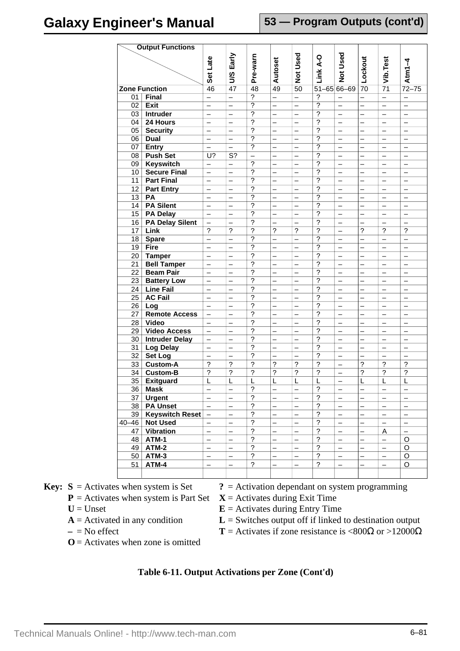| <b>Output Functions</b> |                        |                          |                           |                          |                          |                          |                          |                          |                          |                          |                          |
|-------------------------|------------------------|--------------------------|---------------------------|--------------------------|--------------------------|--------------------------|--------------------------|--------------------------|--------------------------|--------------------------|--------------------------|
|                         |                        |                          | Early                     |                          |                          | Used                     |                          | Used                     |                          |                          |                          |
|                         |                        |                          |                           |                          |                          |                          |                          |                          |                          |                          |                          |
|                         |                        | Set Late                 | SJ                        | Pre-warn                 | Autoset                  | $\frac{1}{2}$            | Link A-O                 | $\breve{\mathbf{z}}$     | Lockout                  | Vib.Test                 | Atm $1-4$                |
|                         |                        |                          |                           |                          |                          |                          |                          |                          |                          |                          |                          |
|                         | <b>Zone Function</b>   | 46                       | 47                        | 48                       | 49                       | 50                       |                          | $51 - 65$ 66-69          | 70                       | $\overline{71}$          | $72 - 75$                |
| 01                      | <b>Final</b>           | $\overline{\phantom{0}}$ | $\overline{\phantom{0}}$  | $\overline{?}$           | $\equiv$                 | $\overline{\phantom{0}}$ | $\overline{?}$           | $\overline{\phantom{0}}$ | $\overline{\phantom{0}}$ | —                        |                          |
| 02                      | <b>Exit</b>            | —                        | —                         | $\overline{?}$           | $\overline{\phantom{0}}$ | —                        | $\overline{?}$           | $\overline{\phantom{0}}$ | $\overline{\phantom{0}}$ |                          | $\overline{\phantom{0}}$ |
| 03                      | <b>Intruder</b>        | $\overline{\phantom{0}}$ | $\overline{\phantom{0}}$  | $\overline{?}$           | $\overline{\phantom{0}}$ | $\overline{\phantom{0}}$ | $\overline{?}$           | $\overline{\phantom{0}}$ | $\overline{\phantom{0}}$ | $\overline{\phantom{0}}$ | $\overline{\phantom{m}}$ |
| 04                      | 24 Hours               | —                        | $\overline{\phantom{0}}$  | ?                        |                          | —                        | $\overline{?}$           |                          | —                        |                          |                          |
| $\overline{05}$         | <b>Security</b>        | $\overline{\phantom{0}}$ | $\overline{\phantom{0}}$  | ?                        | $\overline{\phantom{0}}$ |                          | $\overline{?}$           | $\equiv$                 |                          |                          | $\overline{\phantom{0}}$ |
| 06                      | <b>Dual</b>            | $\overline{\phantom{0}}$ | $\overline{\phantom{0}}$  | ?                        | $\overline{\phantom{0}}$ | $\overline{\phantom{0}}$ | $\overline{?}$           | $\overline{\phantom{0}}$ | $\overline{\phantom{0}}$ | $\qquad \qquad -$        | $\qquad \qquad -$        |
| 07                      | <b>Entry</b>           | —                        | —                         | $\overline{?}$           |                          | —                        | ?                        | $\overline{\phantom{0}}$ |                          | —                        | —                        |
| 08                      | <b>Push Set</b>        | $\overline{U}$ ?         | $\overline{\mathsf{S}^2}$ | $\overline{\phantom{0}}$ | $\overline{\phantom{0}}$ | —                        | $\overline{?}$           | $\qquad \qquad -$        | $\overline{\phantom{0}}$ | $\overline{\phantom{0}}$ | $\qquad \qquad -$        |
| 09                      | <b>Keyswitch</b>       | -                        | $\overline{\phantom{0}}$  | ?                        |                          | —                        | ?                        |                          |                          |                          |                          |
| 10 <sup>°</sup>         | <b>Secure Final</b>    | $\overline{\phantom{0}}$ | $\overline{\phantom{0}}$  | ?                        | $\overline{\phantom{0}}$ | $\overline{\phantom{0}}$ | ?                        | $\overline{\phantom{0}}$ |                          |                          | $\overline{\phantom{0}}$ |
| 11                      | <b>Part Final</b>      | $\qquad \qquad -$        | $\overline{\phantom{0}}$  | ?                        | $\overline{\phantom{0}}$ | —                        | $\overline{?}$           | $\overline{\phantom{0}}$ | $\overline{\phantom{0}}$ | $\qquad \qquad -$        | $\qquad \qquad -$        |
| 12 <sup>°</sup>         | <b>Part Entry</b>      | —                        | —                         | ?                        |                          |                          | $\overline{\phantom{0}}$ | —                        |                          |                          | $\overline{\phantom{0}}$ |
| $\overline{13}$         | PA                     | —                        | $\overline{\phantom{0}}$  | $\overline{?}$           | $\overline{\phantom{0}}$ | $\overline{\phantom{0}}$ | $\overline{?}$           | $\overline{\phantom{0}}$ | —                        | $\overline{\phantom{0}}$ | $\overline{\phantom{0}}$ |
| 14                      | <b>PA Silent</b>       | —                        | —                         | $\overline{?}$           | —                        | —                        | $\overline{?}$           | —                        | —                        | —                        | $\overline{\phantom{0}}$ |
| 15                      | <b>PA Delay</b>        | $\overline{\phantom{0}}$ | $\equiv$                  | $\overline{?}$           | $\overline{a}$           | $\overline{\phantom{0}}$ | $\overline{?}$           | $\equiv$                 | $\overline{\phantom{0}}$ | $\overline{\phantom{0}}$ | $\equiv$                 |
| 16                      | <b>PA Delay Silent</b> | $\overline{\phantom{0}}$ | $\overline{\phantom{0}}$  | ?                        | $\overline{\phantom{0}}$ | $\overline{\phantom{0}}$ | $\overline{?}$           | $\overline{\phantom{0}}$ | $\overline{\phantom{0}}$ | $\qquad \qquad -$        | $\qquad \qquad -$        |
| 17                      | Link                   | $\overline{?}$           | $\tilde{?}$               | ?                        | $\overline{\phantom{0}}$ | $\overline{?}$           | $\overline{\phantom{0}}$ | —                        | $\overline{\phantom{0}}$ | $\overline{\phantom{0}}$ | $\overline{\phantom{0}}$ |
| 18                      | <b>Spare</b>           | $\overline{\phantom{0}}$ | $\overline{\phantom{0}}$  | ?                        | $\overline{\phantom{0}}$ | $\overline{\phantom{0}}$ | $\overline{?}$           | $\overline{\phantom{0}}$ | $\overline{\phantom{0}}$ | $\overline{\phantom{0}}$ | $\overline{\phantom{0}}$ |
| 19                      | Fire                   | —                        | —                         | $\overline{\phantom{a}}$ | —                        | —                        | $\overline{\cdot}$       | —                        | —                        | —                        | —                        |
| 20                      | <b>Tamper</b>          | $\overline{a}$           | $\overline{\phantom{0}}$  | ?                        | $\overline{a}$           | $\overline{\phantom{0}}$ | $\overline{?}$           | $\overline{\phantom{0}}$ | $\equiv$                 | $\overline{\phantom{0}}$ | $\overline{\phantom{0}}$ |
| 21                      | <b>Bell Tamper</b>     | $\qquad \qquad -$        | $\overline{\phantom{0}}$  | ?                        | $\overline{\phantom{0}}$ | $\overline{\phantom{0}}$ | ?                        | $\overline{\phantom{0}}$ | $\overline{\phantom{0}}$ | $\overline{\phantom{m}}$ | $\qquad \qquad -$        |
| 22                      | <b>Beam Pair</b>       | —                        | —                         | ?                        |                          |                          | $\gamma$                 | —                        |                          |                          | $\overline{\phantom{0}}$ |
| 23                      | <b>Battery Low</b>     | —                        | $\overline{\phantom{0}}$  | ?                        | —                        | —                        | ?                        | —                        | —                        | -                        | $\overline{\phantom{0}}$ |
| 24                      | <b>Line Fail</b>       | -                        | —                         | ?                        | —                        | —                        | $\overline{?}$           | —                        | —                        | —                        | —                        |
| 25                      | <b>AC Fail</b>         | $\overline{\phantom{0}}$ | $\equiv$                  | $\overline{?}$           | $\overline{\phantom{0}}$ | $\overline{\phantom{0}}$ | $\overline{?}$           | $\equiv$                 | $\overline{\phantom{0}}$ | $\overline{\phantom{0}}$ | $\overline{\phantom{0}}$ |
| 26                      | Log                    | $\qquad \qquad -$        | $\overline{\phantom{0}}$  | ?                        | $\qquad \qquad -$        | $\overline{\phantom{0}}$ | $\overline{\mathcal{L}}$ | $\overline{\phantom{0}}$ | $\qquad \qquad -$        | —                        | $\qquad \qquad -$        |
| 27                      | <b>Remote Access</b>   | —                        | —                         | $\overline{\phantom{0}}$ | $\overline{\phantom{0}}$ | <sup>-</sup>             | $\gamma$                 | <sup>-</sup>             | $\overline{\phantom{0}}$ | —                        | $\overline{\phantom{0}}$ |
| 28                      | Video                  | $\overline{\phantom{0}}$ | $\overline{\phantom{0}}$  | ?                        | —                        | —                        | $\overline{\phantom{a}}$ | —                        |                          |                          | $\overline{\phantom{0}}$ |
| 29                      | <b>Video Access</b>    | —                        | —                         | ?                        | —                        | —                        | $\overline{\mathcal{L}}$ | —                        | —                        | —                        | —                        |
| 30                      | <b>Intruder Delay</b>  | $\overline{\phantom{0}}$ | $\equiv$                  | $\overline{\mathcal{C}}$ | $\overline{\phantom{0}}$ | $\overline{\phantom{0}}$ | $\overline{\mathcal{E}}$ | $\equiv$                 | $\overline{\phantom{0}}$ | $\overline{\phantom{0}}$ | $\overline{\phantom{0}}$ |
| 31                      | <b>Log Delay</b>       | —                        | $\overline{\phantom{0}}$  | ?                        | $\overline{\phantom{0}}$ | $\overline{\phantom{0}}$ | $\overline{\mathcal{C}}$ | $\overline{\phantom{0}}$ | $\overline{\phantom{0}}$ | —                        | $\overline{\phantom{0}}$ |
| 32                      | Set Log                | $\overline{\phantom{0}}$ | $\overline{\phantom{0}}$  | $\overline{\phantom{0}}$ |                          |                          | $\overline{\phantom{0}}$ | —                        |                          |                          | $\overline{\phantom{0}}$ |
| 33                      | <b>Custom-A</b>        | ?                        | ?                         | ?                        | $\overline{\phantom{a}}$ | ?                        | $\overline{\phantom{a}}$ | —                        | $\overline{\phantom{0}}$ | $\overline{\phantom{0}}$ | $\overline{\phantom{0}}$ |
| 34                      | <b>Custom-B</b>        | ?                        | ?                         | ?                        | ?                        | ?                        | $\overline{\phantom{a}}$ | —                        | $\overline{\mathcal{C}}$ | $\overline{\mathcal{C}}$ | $\overline{\mathcal{C}}$ |
| 35                      | <b>Exitguard</b>       | L                        | L                         | L                        | L                        | L                        | L                        | $\overline{a}$           | L                        | L                        | L                        |
| 36                      | <b>Mask</b>            |                          |                           | 2                        | $\overline{\phantom{0}}$ |                          | 2                        | $\overline{\phantom{0}}$ | $\overline{\phantom{0}}$ |                          |                          |
| 37                      | <b>Urgent</b>          | $\overline{\phantom{0}}$ | —                         | $\overline{\phantom{0}}$ | —                        | <sup>-</sup>             | $\overline{\mathcal{E}}$ | —                        | —                        | —                        | $\qquad \qquad -$        |
| 38                      | <b>PA Unset</b>        | $\overline{\phantom{0}}$ | $\overline{\phantom{0}}$  | $\gamma$                 |                          |                          | $\overline{\phantom{0}}$ | —                        |                          |                          | $\overline{\phantom{0}}$ |
| 39                      | Keyswitch Reset        | —                        | —                         | $\tilde{?}$              |                          | —                        | $\overline{?}$           | —                        |                          |                          | $\qquad \qquad -$        |
| $40 - 46$               | <b>Not Used</b>        | $\equiv$                 | $\equiv$                  | $\overline{\phantom{a}}$ | $\overline{\phantom{0}}$ | $\overline{\phantom{0}}$ | $\overline{?}$           | $\overline{\phantom{0}}$ | $\equiv$                 | $\overline{\phantom{0}}$ | $\overline{\phantom{0}}$ |
| 47                      | <b>Vibration</b>       | $\overline{\phantom{0}}$ | $\qquad \qquad -$         | $\overline{?}$           | $\overline{\phantom{0}}$ | —                        | $\overline{\mathcal{L}}$ | $\qquad \qquad -$        | $\qquad \qquad -$        | $\overline{A}$           | $\overline{\phantom{m}}$ |
| 48                      | ATM-1                  | $\overline{\phantom{0}}$ | $\overline{\phantom{0}}$  | $\overline{\mathcal{C}}$ | $\overline{\phantom{0}}$ | $\overline{\phantom{0}}$ | $\overline{\mathcal{E}}$ | $\overline{\phantom{0}}$ | $\overline{\phantom{0}}$ | $\overline{\phantom{0}}$ | O                        |
| 49                      | ATM-2                  | $\overline{\phantom{0}}$ | $\overline{\phantom{0}}$  | $\gamma$                 | $\overline{\phantom{0}}$ |                          | $\overline{\phantom{0}}$ | $\overline{\phantom{0}}$ |                          | $\overline{\phantom{0}}$ | $\mathsf O$              |
| 50                      | ATM-3                  | —                        | —                         | $\tilde{?}$              | —                        |                          | $\overline{?}$           | —                        |                          | —                        | $\circ$                  |
| 51                      | ATM-4                  | $\qquad \qquad -$        | $\overline{\phantom{0}}$  | $\overline{\phantom{a}}$ | $\overline{\phantom{0}}$ |                          | $\tilde{?}$              | $\qquad \qquad -$        | $\overline{\phantom{0}}$ | $\qquad \qquad -$        | O                        |
|                         |                        |                          |                           |                          |                          |                          |                          |                          |                          |                          |                          |
|                         |                        |                          |                           |                          |                          |                          |                          |                          |                          |                          |                          |

- $P =$  Activates when system is Part Set  $X =$  Activates during Exit Time
- 
- 
- 
- $\mathbf{O}$  = Activates when zone is omitted
- **Key:**  $S =$  Activates when system is Set  $\qquad$  ? = Activation dependant on system programming
	-
	- $U =$  Unset **E** = Activates during Entry Time
	- $A =$  Activated in any condition  $L =$  Switches output off if linked to destination output
	- $-$  = No effect **T** = Activates if zone resistance is <800 $\Omega$  or >12000 $\Omega$

#### **Table 6-11. Output Activations per Zone (Cont'd)**

Technical Manuals Online! - http://www.tech-man.com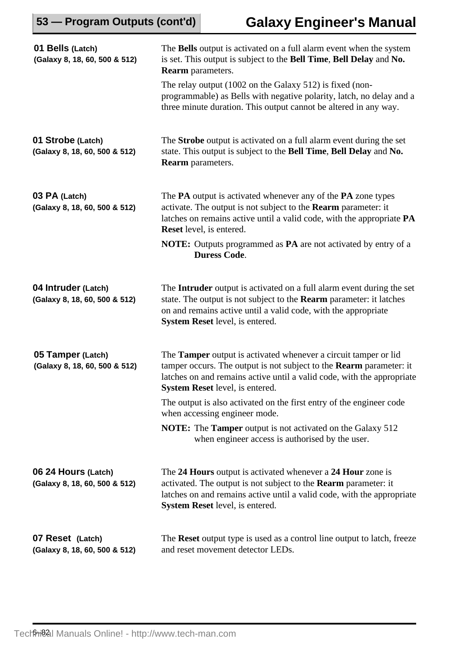| 01 Bells (Latch)<br>(Galaxy 8, 18, 60, 500 & 512)    | The Bells output is activated on a full alarm event when the system<br>is set. This output is subject to the Bell Time, Bell Delay and No.<br><b>Rearm</b> parameters.                                                                                            |  |  |  |  |  |
|------------------------------------------------------|-------------------------------------------------------------------------------------------------------------------------------------------------------------------------------------------------------------------------------------------------------------------|--|--|--|--|--|
|                                                      | The relay output (1002 on the Galaxy 512) is fixed (non-<br>programmable) as Bells with negative polarity, latch, no delay and a<br>three minute duration. This output cannot be altered in any way.                                                              |  |  |  |  |  |
| 01 Strobe (Latch)<br>(Galaxy 8, 18, 60, 500 & 512)   | The <b>Strobe</b> output is activated on a full alarm event during the set<br>state. This output is subject to the Bell Time, Bell Delay and No.<br><b>Rearm</b> parameters.                                                                                      |  |  |  |  |  |
| 03 PA (Latch)<br>(Galaxy 8, 18, 60, 500 & 512)       | The PA output is activated whenever any of the PA zone types<br>activate. The output is not subject to the <b>Rearm</b> parameter: it<br>latches on remains active until a valid code, with the appropriate PA<br><b>Reset</b> level, is entered.                 |  |  |  |  |  |
|                                                      | <b>NOTE:</b> Outputs programmed as <b>PA</b> are not activated by entry of a<br><b>Duress Code.</b>                                                                                                                                                               |  |  |  |  |  |
| 04 Intruder (Latch)<br>(Galaxy 8, 18, 60, 500 & 512) | The Intruder output is activated on a full alarm event during the set<br>state. The output is not subject to the <b>Rearm</b> parameter: it latches<br>on and remains active until a valid code, with the appropriate<br>System Reset level, is entered.          |  |  |  |  |  |
| 05 Tamper (Latch)<br>(Galaxy 8, 18, 60, 500 & 512)   | The <b>Tamper</b> output is activated whenever a circuit tamper or lid<br>tamper occurs. The output is not subject to the Rearm parameter: it<br>latches on and remains active until a valid code, with the appropriate<br><b>System Reset</b> level, is entered. |  |  |  |  |  |
|                                                      | The output is also activated on the first entry of the engineer code<br>when accessing engineer mode.                                                                                                                                                             |  |  |  |  |  |
|                                                      | <b>NOTE:</b> The <b>Tamper</b> output is not activated on the Galaxy 512<br>when engineer access is authorised by the user.                                                                                                                                       |  |  |  |  |  |
| 06 24 Hours (Latch)<br>(Galaxy 8, 18, 60, 500 & 512) | The 24 Hours output is activated whenever a 24 Hour zone is<br>activated. The output is not subject to the <b>Rearm</b> parameter: it<br>latches on and remains active until a valid code, with the appropriate<br><b>System Reset</b> level, is entered.         |  |  |  |  |  |
| 07 Reset (Latch)<br>(Galaxy 8, 18, 60, 500 & 512)    | The Reset output type is used as a control line output to latch, freeze<br>and reset movement detector LEDs.                                                                                                                                                      |  |  |  |  |  |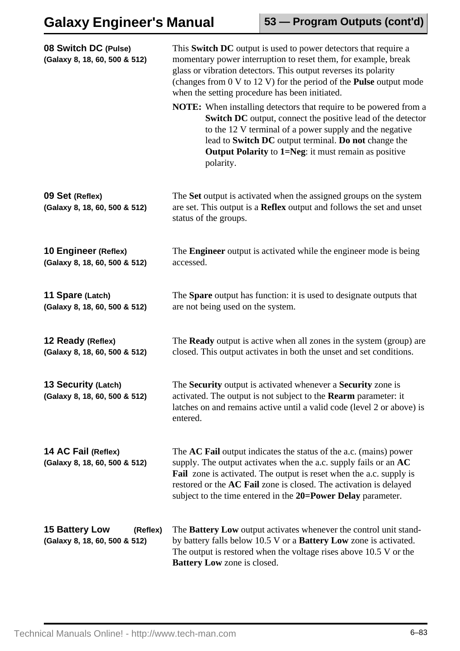| 08 Switch DC (Pulse)<br>(Galaxy 8, 18, 60, 500 & 512)              | This Switch DC output is used to power detectors that require a<br>momentary power interruption to reset them, for example, break<br>glass or vibration detectors. This output reverses its polarity<br>(changes from $0 \vee 12 \vee 12 \vee 12$ ) for the period of the <b>Pulse</b> output mode<br>when the setting procedure has been initiated.              |
|--------------------------------------------------------------------|-------------------------------------------------------------------------------------------------------------------------------------------------------------------------------------------------------------------------------------------------------------------------------------------------------------------------------------------------------------------|
|                                                                    | <b>NOTE:</b> When installing detectors that require to be powered from a<br><b>Switch DC</b> output, connect the positive lead of the detector<br>to the 12 V terminal of a power supply and the negative<br>lead to Switch DC output terminal. Do not change the<br><b>Output Polarity to 1=Neg: it must remain as positive</b><br>polarity.                     |
| 09 Set (Reflex)<br>(Galaxy 8, 18, 60, 500 & 512)                   | The Set output is activated when the assigned groups on the system<br>are set. This output is a <b>Reflex</b> output and follows the set and unset<br>status of the groups.                                                                                                                                                                                       |
| 10 Engineer (Reflex)<br>(Galaxy 8, 18, 60, 500 & 512)              | The <b>Engineer</b> output is activated while the engineer mode is being<br>accessed.                                                                                                                                                                                                                                                                             |
| 11 Spare (Latch)<br>(Galaxy 8, 18, 60, 500 & 512)                  | The <b>Spare</b> output has function: it is used to designate outputs that<br>are not being used on the system.                                                                                                                                                                                                                                                   |
| 12 Ready (Reflex)<br>(Galaxy 8, 18, 60, 500 & 512)                 | The <b>Ready</b> output is active when all zones in the system (group) are<br>closed. This output activates in both the unset and set conditions.                                                                                                                                                                                                                 |
| 13 Security (Latch)<br>(Galaxy 8, 18, 60, 500 & 512)               | The Security output is activated whenever a Security zone is<br>activated. The output is not subject to the <b>Rearm</b> parameter: it<br>latches on and remains active until a valid code (level 2 or above) is<br>entered.                                                                                                                                      |
| 14 AC Fail (Reflex)<br>(Galaxy 8, 18, 60, 500 & 512)               | The <b>AC Fail</b> output indicates the status of the a.c. (mains) power<br>supply. The output activates when the a.c. supply fails or an $AC$<br><b>Fail</b> zone is activated. The output is reset when the a.c. supply is<br>restored or the AC Fail zone is closed. The activation is delayed<br>subject to the time entered in the 20=Power Delay parameter. |
| <b>15 Battery Low</b><br>(Reflex)<br>(Galaxy 8, 18, 60, 500 & 512) | The <b>Battery Low</b> output activates whenever the control unit stand-<br>by battery falls below 10.5 V or a <b>Battery Low</b> zone is activated.<br>The output is restored when the voltage rises above $10.5$ V or the<br><b>Battery Low</b> zone is closed.                                                                                                 |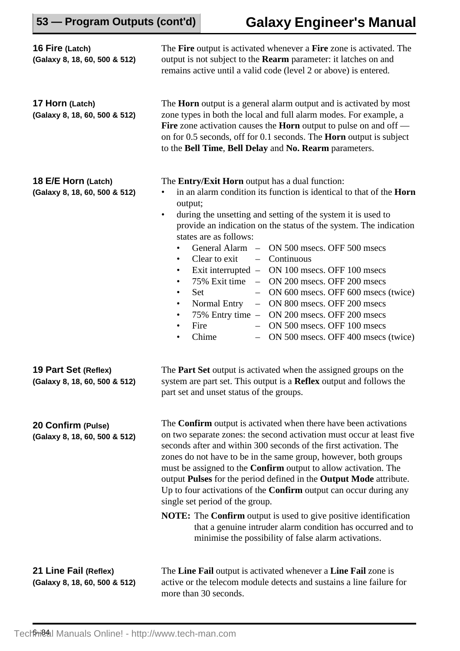| 53 - Program Outputs (cont'd)                          |                                                                              | <b>Galaxy Engineer's Manual</b>                                                                                                                                                                                                                                                                                                                                                                                                                                                                                                                                                                                                                                                                                                                                                |  |  |  |  |  |
|--------------------------------------------------------|------------------------------------------------------------------------------|--------------------------------------------------------------------------------------------------------------------------------------------------------------------------------------------------------------------------------------------------------------------------------------------------------------------------------------------------------------------------------------------------------------------------------------------------------------------------------------------------------------------------------------------------------------------------------------------------------------------------------------------------------------------------------------------------------------------------------------------------------------------------------|--|--|--|--|--|
| 16 Fire (Latch)<br>(Galaxy 8, 18, 60, 500 & 512)       |                                                                              | The Fire output is activated whenever a Fire zone is activated. The<br>output is not subject to the <b>Rearm</b> parameter: it latches on and<br>remains active until a valid code (level 2 or above) is entered.                                                                                                                                                                                                                                                                                                                                                                                                                                                                                                                                                              |  |  |  |  |  |
| 17 Horn (Latch)<br>(Galaxy 8, 18, 60, 500 & 512)       |                                                                              | The <b>Horn</b> output is a general alarm output and is activated by most<br>zone types in both the local and full alarm modes. For example, a<br>Fire zone activation causes the <b>Horn</b> output to pulse on and off $-$<br>on for 0.5 seconds, off for 0.1 seconds. The <b>Horn</b> output is subject<br>to the Bell Time, Bell Delay and No. Rearm parameters.                                                                                                                                                                                                                                                                                                                                                                                                           |  |  |  |  |  |
| 18 E/E Horn (Latch)<br>(Galaxy 8, 18, 60, 500 & 512)   | output;<br>$\bullet$<br>٠<br>٠<br>٠<br>Set<br>$\bullet$<br>Fire<br>$\bullet$ | The <b>Entry/Exit Horn</b> output has a dual function:<br>in an alarm condition its function is identical to that of the Horn<br>during the unsetting and setting of the system it is used to<br>provide an indication on the status of the system. The indication<br>states are as follows:<br>General Alarm – ON 500 msecs. OFF 500 msecs<br>Continuous<br>Clear to exit<br>$\overline{\phantom{0}}$<br>Exit interrupted - ON 100 msecs. OFF 100 msecs<br>75% Exit time - ON 200 msecs. OFF 200 msecs<br>ON 600 msecs. OFF 600 msecs (twice)<br>$-$<br>ON 800 msecs. OFF 200 msecs<br>Normal Entry<br>$-$<br>$75\%$ Entry time $-$<br>ON 200 msecs. OFF 200 msecs<br>ON 500 msecs. OFF 100 msecs<br>Chime<br>ON 500 msecs. OFF 400 msecs (twice)<br>$\overline{\phantom{0}}$ |  |  |  |  |  |
| 19 Part Set (Reflex)<br>(Galaxy 8, 18, 60, 500 & 512)  |                                                                              | The <b>Part Set</b> output is activated when the assigned groups on the<br>system are part set. This output is a <b>Reflex</b> output and follows the<br>part set and unset status of the groups.                                                                                                                                                                                                                                                                                                                                                                                                                                                                                                                                                                              |  |  |  |  |  |
| 20 Confirm (Pulse)<br>(Galaxy 8, 18, 60, 500 & 512)    |                                                                              | The <b>Confirm</b> output is activated when there have been activations<br>on two separate zones: the second activation must occur at least five<br>seconds after and within 300 seconds of the first activation. The<br>zones do not have to be in the same group, however, both groups<br>must be assigned to the <b>Confirm</b> output to allow activation. The<br>output Pulses for the period defined in the Output Mode attribute.<br>Up to four activations of the <b>Confirm</b> output can occur during any<br>single set period of the group.<br><b>NOTE:</b> The <b>Confirm</b> output is used to give positive identification<br>that a genuine intruder alarm condition has occurred and to<br>minimise the possibility of false alarm activations.               |  |  |  |  |  |
| 21 Line Fail (Reflex)<br>(Galaxy 8, 18, 60, 500 & 512) |                                                                              | The Line Fail output is activated whenever a Line Fail zone is<br>active or the telecom module detects and sustains a line failure for<br>more than 30 seconds.                                                                                                                                                                                                                                                                                                                                                                                                                                                                                                                                                                                                                |  |  |  |  |  |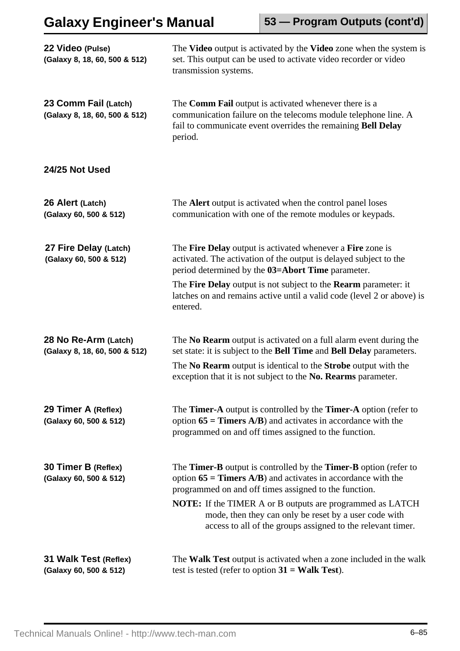| 22 Video (Pulse)<br>(Galaxy 8, 18, 60, 500 & 512)     | The Video output is activated by the Video zone when the system is<br>set. This output can be used to activate video recorder or video<br>transmission systems.                                                                                                                                                                                                                         |
|-------------------------------------------------------|-----------------------------------------------------------------------------------------------------------------------------------------------------------------------------------------------------------------------------------------------------------------------------------------------------------------------------------------------------------------------------------------|
| 23 Comm Fail (Latch)<br>(Galaxy 8, 18, 60, 500 & 512) | The <b>Comm Fail</b> output is activated whenever there is a<br>communication failure on the telecoms module telephone line. A<br>fail to communicate event overrides the remaining Bell Delay<br>period.                                                                                                                                                                               |
| 24/25 Not Used                                        |                                                                                                                                                                                                                                                                                                                                                                                         |
| 26 Alert (Latch)<br>(Galaxy 60, 500 & 512)            | The Alert output is activated when the control panel loses<br>communication with one of the remote modules or keypads.                                                                                                                                                                                                                                                                  |
| 27 Fire Delay (Latch)<br>(Galaxy 60, 500 & 512)       | The <b>Fire Delay</b> output is activated whenever a <b>Fire</b> zone is<br>activated. The activation of the output is delayed subject to the<br>period determined by the 03=Abort Time parameter.<br>The Fire Delay output is not subject to the Rearm parameter: it<br>latches on and remains active until a valid code (level 2 or above) is<br>entered.                             |
| 28 No Re-Arm (Latch)<br>(Galaxy 8, 18, 60, 500 & 512) | The No Rearm output is activated on a full alarm event during the<br>set state: it is subject to the <b>Bell Time</b> and <b>Bell Delay</b> parameters.<br>The No Rearm output is identical to the Strobe output with the<br>exception that it is not subject to the No. Rearms parameter.                                                                                              |
| 29 Timer A (Reflex)<br>(Galaxy 60, 500 & 512)         | The Timer-A output is controlled by the Timer-A option (refer to<br>option $65 =$ Timers A/B) and activates in accordance with the<br>programmed on and off times assigned to the function.                                                                                                                                                                                             |
| 30 Timer B (Reflex)<br>(Galaxy 60, 500 & 512)         | The Timer-B output is controlled by the Timer-B option (refer to<br>option $65 =$ Timers A/B) and activates in accordance with the<br>programmed on and off times assigned to the function.<br><b>NOTE:</b> If the TIMER A or B outputs are programmed as LATCH<br>mode, then they can only be reset by a user code with<br>access to all of the groups assigned to the relevant timer. |
| 31 Walk Test (Reflex)<br>(Galaxy 60, 500 & 512)       | The <b>Walk Test</b> output is activated when a zone included in the walk<br>test is tested (refer to option $31 = \text{Walk Test}$ ).                                                                                                                                                                                                                                                 |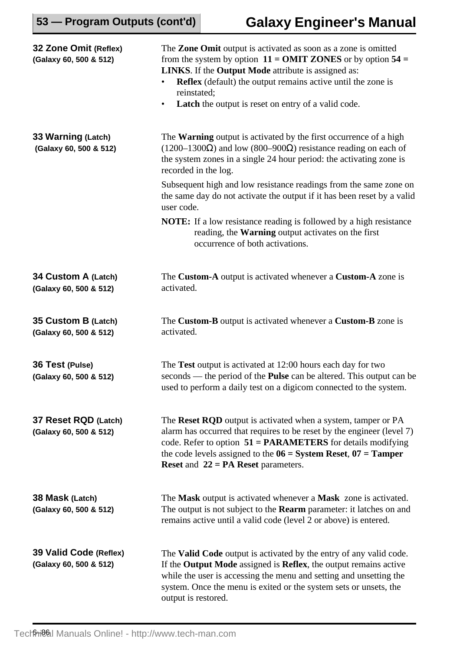| 32 Zone Omit (Reflex)<br>(Galaxy 60, 500 & 512)  | The Zone Omit output is activated as soon as a zone is omitted<br>from the system by option $11 = 0$ MIT ZONES or by option 54 =<br><b>LINKS</b> . If the <b>Output Mode</b> attribute is assigned as:<br><b>Reflex</b> (default) the output remains active until the zone is<br>reinstated;<br><b>Latch</b> the output is reset on entry of a valid code.<br>$\bullet$ |
|--------------------------------------------------|-------------------------------------------------------------------------------------------------------------------------------------------------------------------------------------------------------------------------------------------------------------------------------------------------------------------------------------------------------------------------|
| 33 Warning (Latch)<br>(Galaxy 60, 500 & 512)     | The Warning output is activated by the first occurrence of a high<br>$(1200-1300\Omega)$ and low (800–900 $\Omega$ ) resistance reading on each of<br>the system zones in a single 24 hour period: the activating zone is<br>recorded in the log.                                                                                                                       |
|                                                  | Subsequent high and low resistance readings from the same zone on<br>the same day do not activate the output if it has been reset by a valid<br>user code.                                                                                                                                                                                                              |
|                                                  | <b>NOTE:</b> If a low resistance reading is followed by a high resistance<br>reading, the <b>Warning</b> output activates on the first<br>occurrence of both activations.                                                                                                                                                                                               |
| 34 Custom A (Latch)<br>(Galaxy 60, 500 & 512)    | The Custom-A output is activated whenever a Custom-A zone is<br>activated.                                                                                                                                                                                                                                                                                              |
| 35 Custom B (Latch)<br>(Galaxy 60, 500 & 512)    | The Custom-B output is activated whenever a Custom-B zone is<br>activated.                                                                                                                                                                                                                                                                                              |
| 36 Test (Pulse)<br>(Galaxy 60, 500 & 512)        | The Test output is activated at 12:00 hours each day for two<br>seconds — the period of the <b>Pulse</b> can be altered. This output can be<br>used to perform a daily test on a digicom connected to the system.                                                                                                                                                       |
| 37 Reset RQD (Latch)<br>(Galaxy 60, 500 & 512)   | The Reset RQD output is activated when a system, tamper or PA<br>alarm has occurred that requires to be reset by the engineer (level 7)<br>code. Refer to option $51 = PARAMETERS$ for details modifying<br>the code levels assigned to the $06 = System$ Reset, $07 = Tamper$<br><b>Reset and 22 = PA Reset parameters.</b>                                            |
| 38 Mask (Latch)<br>(Galaxy 60, 500 & 512)        | The Mask output is activated whenever a Mask zone is activated.<br>The output is not subject to the <b>Rearm</b> parameter: it latches on and<br>remains active until a valid code (level 2 or above) is entered.                                                                                                                                                       |
| 39 Valid Code (Reflex)<br>(Galaxy 60, 500 & 512) | The <b>Valid Code</b> output is activated by the entry of any valid code.<br>If the <b>Output Mode</b> assigned is <b>Reflex</b> , the output remains active<br>while the user is accessing the menu and setting and unsetting the<br>system. Once the menu is exited or the system sets or unsets, the<br>output is restored.                                          |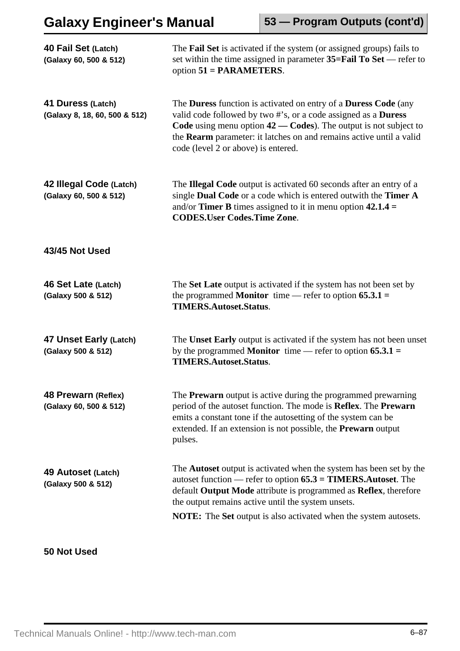| 40 Fail Set (Latch)<br>(Galaxy 60, 500 & 512)      | The Fail Set is activated if the system (or assigned groups) fails to<br>set within the time assigned in parameter $35 = \text{Fall To Set}$ - refer to<br>option $51 = PARMETERS$ .                                                                                                                                                                        |
|----------------------------------------------------|-------------------------------------------------------------------------------------------------------------------------------------------------------------------------------------------------------------------------------------------------------------------------------------------------------------------------------------------------------------|
| 41 Duress (Latch)<br>(Galaxy 8, 18, 60, 500 & 512) | The <b>Duress</b> function is activated on entry of a <b>Duress Code</b> (any<br>valid code followed by two #'s, or a code assigned as a Duress<br>Code using menu option $42$ - Codes). The output is not subject to<br>the Rearm parameter: it latches on and remains active until a valid<br>code (level 2 or above) is entered.                         |
| 42 Illegal Code (Latch)<br>(Galaxy 60, 500 & 512)  | The Illegal Code output is activated 60 seconds after an entry of a<br>single Dual Code or a code which is entered outwith the Timer A<br>and/or <b>Timer B</b> times assigned to it in menu option $42.1.4 =$<br><b>CODES.User Codes.Time Zone.</b>                                                                                                        |
| 43/45 Not Used                                     |                                                                                                                                                                                                                                                                                                                                                             |
| 46 Set Late (Latch)<br>(Galaxy 500 & 512)          | The Set Late output is activated if the system has not been set by<br>the programmed Monitor time — refer to option $65.3.1 =$<br><b>TIMERS.Autoset.Status.</b>                                                                                                                                                                                             |
| 47 Unset Early (Latch)<br>(Galaxy 500 & 512)       | The Unset Early output is activated if the system has not been unset<br>by the programmed <b>Monitor</b> time — refer to option $65.3.1 =$<br><b>TIMERS.Autoset.Status.</b>                                                                                                                                                                                 |
| 48 Prewarn (Reflex)<br>(Galaxy 60, 500 & 512)      | The <b>Prewarn</b> output is active during the programmed prewarning<br>period of the autoset function. The mode is Reflex. The Prewarn<br>emits a constant tone if the autosetting of the system can be<br>extended. If an extension is not possible, the <b>Prewarn</b> output<br>pulses.                                                                 |
| 49 Autoset (Latch)<br>(Galaxy 500 & 512)           | The <b>Autoset</b> output is activated when the system has been set by the<br>autoset function — refer to option $65.3 = TIMERS$ . Autoset. The<br>default Output Mode attribute is programmed as Reflex, therefore<br>the output remains active until the system unsets.<br><b>NOTE:</b> The <b>Set</b> output is also activated when the system autosets. |
|                                                    |                                                                                                                                                                                                                                                                                                                                                             |

## **50 Not Used**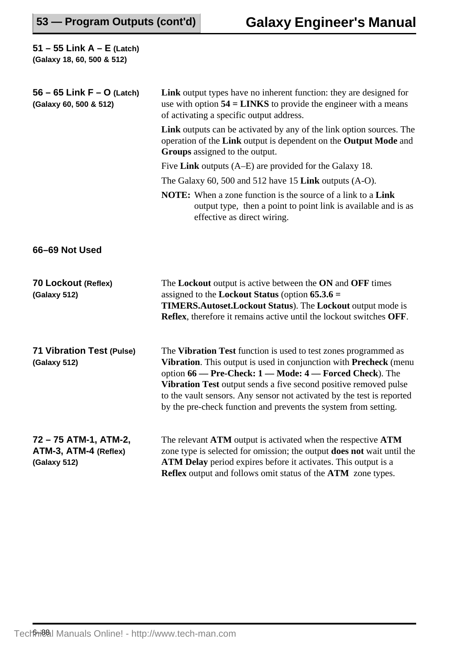| 51 – 55 Link $A$ – E (Latch)<br>(Galaxy 18, 60, 500 & 512)     |                                                                                                                                                                                                                                                                                                                                                                                                                  |
|----------------------------------------------------------------|------------------------------------------------------------------------------------------------------------------------------------------------------------------------------------------------------------------------------------------------------------------------------------------------------------------------------------------------------------------------------------------------------------------|
| 56 – 65 Link $F - O$ (Latch)<br>(Galaxy 60, 500 & 512)         | Link output types have no inherent function: they are designed for<br>use with option $54 = LINKS$ to provide the engineer with a means<br>of activating a specific output address.                                                                                                                                                                                                                              |
|                                                                | <b>Link</b> outputs can be activated by any of the link option sources. The<br>operation of the Link output is dependent on the Output Mode and<br>Groups assigned to the output.                                                                                                                                                                                                                                |
|                                                                | Five Link outputs $(A-E)$ are provided for the Galaxy 18.                                                                                                                                                                                                                                                                                                                                                        |
|                                                                | The Galaxy 60, 500 and 512 have 15 Link outputs $(A-O)$ .                                                                                                                                                                                                                                                                                                                                                        |
|                                                                | <b>NOTE:</b> When a zone function is the source of a link to a <b>Link</b><br>output type, then a point to point link is available and is as<br>effective as direct wiring.                                                                                                                                                                                                                                      |
| 66-69 Not Used                                                 |                                                                                                                                                                                                                                                                                                                                                                                                                  |
| 70 Lockout (Reflex)<br>(Galaxy 512)                            | The Lockout output is active between the ON and OFF times<br>assigned to the <b>Lockout Status</b> (option $65.3.6 =$<br><b>TIMERS.Autoset.Lockout Status). The Lockout output mode is</b><br><b>Reflex</b> , therefore it remains active until the lockout switches OFF.                                                                                                                                        |
| <b>71 Vibration Test (Pulse)</b><br>(Galaxy 512)               | The Vibration Test function is used to test zones programmed as<br>Vibration. This output is used in conjunction with Precheck (menu<br>option 66 - Pre-Check: 1 - Mode: 4 - Forced Check). The<br>Vibration Test output sends a five second positive removed pulse<br>to the vault sensors. Any sensor not activated by the test is reported<br>by the pre-check function and prevents the system from setting. |
| 72 – 75 ATM-1, ATM-2,<br>ATM-3, ATM-4 (Reflex)<br>(Galaxy 512) | The relevant ATM output is activated when the respective ATM<br>zone type is selected for omission; the output does not wait until the<br><b>ATM Delay</b> period expires before it activates. This output is a<br>Reflex output and follows omit status of the ATM zone types.                                                                                                                                  |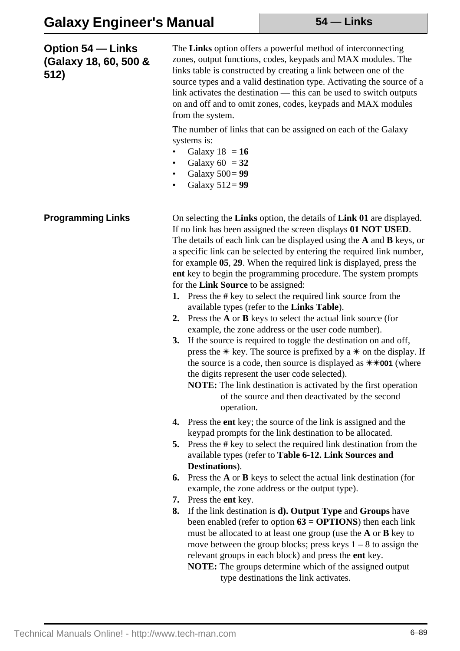| <b>Option 54 – Links</b><br>(Galaxy 18, 60, 500 &<br>512) | The Links option offers a powerful method of interconnecting<br>zones, output functions, codes, keypads and MAX modules. The<br>links table is constructed by creating a link between one of the<br>source types and a valid destination type. Activating the source of a<br>link activates the destination — this can be used to switch outputs<br>on and off and to omit zones, codes, keypads and MAX modules<br>from the system.<br>The number of links that can be assigned on each of the Galaxy<br>systems is:<br>Galaxy $18 = 16$<br>Galaxy $60 = 32$<br>$\bullet$<br>Galaxy $500 = 99$<br>٠<br>Galaxy $512 = 99$<br>$\bullet$                                                                                                                                                                                                                                                                                                                                                                                                                                                                                                                        |
|-----------------------------------------------------------|---------------------------------------------------------------------------------------------------------------------------------------------------------------------------------------------------------------------------------------------------------------------------------------------------------------------------------------------------------------------------------------------------------------------------------------------------------------------------------------------------------------------------------------------------------------------------------------------------------------------------------------------------------------------------------------------------------------------------------------------------------------------------------------------------------------------------------------------------------------------------------------------------------------------------------------------------------------------------------------------------------------------------------------------------------------------------------------------------------------------------------------------------------------|
| <b>Programming Links</b>                                  | On selecting the Links option, the details of Link 01 are displayed.<br>If no link has been assigned the screen displays 01 NOT USED.<br>The details of each link can be displayed using the $A$ and $B$ keys, or<br>a specific link can be selected by entering the required link number,<br>for example 05, 29. When the required link is displayed, press the<br>ent key to begin the programming procedure. The system prompts<br>for the <b>Link Source</b> to be assigned:<br>Press the # key to select the required link source from the<br>1.<br>available types (refer to the Links Table).<br>Press the $A$ or $B$ keys to select the actual link source (for<br>2.<br>example, the zone address or the user code number).<br>If the source is required to toggle the destination on and off,<br><b>3.</b><br>press the $*$ key. The source is prefixed by a $*$ on the display. If<br>the source is a code, then source is displayed as $\ast\ast$ <b>001</b> (where<br>the digits represent the user code selected).<br><b>NOTE:</b> The link destination is activated by the first operation<br>of the source and then deactivated by the second |
|                                                           | operation.<br>Press the <b>ent</b> key; the source of the link is assigned and the<br>4.<br>keypad prompts for the link destination to be allocated.<br>Press the # key to select the required link destination from the<br>5.<br>available types (refer to Table 6-12. Link Sources and<br>Destinations).<br>Press the A or B keys to select the actual link destination (for<br>6.<br>example, the zone address or the output type).<br>Press the ent key.<br>7.<br>If the link destination is <b>d</b> ). Output Type and Groups have<br>8.<br>been enabled (refer to option $63 = OPTIONS$ ) then each link<br>must be allocated to at least one group (use the <b>A</b> or <b>B</b> key to<br>move between the group blocks; press keys $1 - 8$ to assign the<br>relevant groups in each block) and press the ent key.<br>NOTE: The groups determine which of the assigned output<br>type destinations the link activates.                                                                                                                                                                                                                               |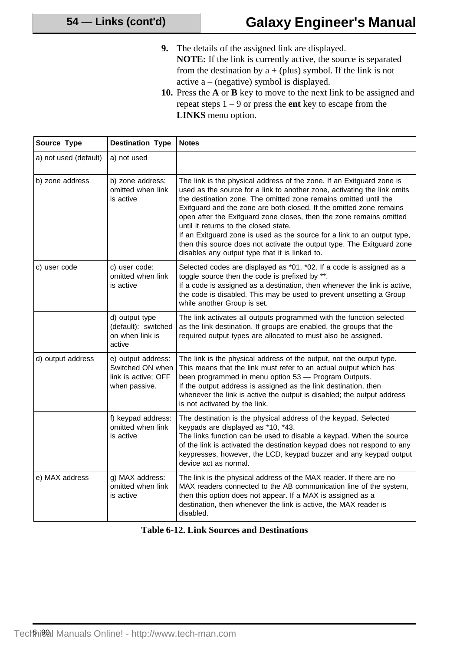**9.** The details of the assigned link are displayed.

**NOTE:** If the link is currently active, the source is separated from the destination by  $a + (plus)$  symbol. If the link is not active a – (negative) symbol is displayed.

**10.** Press the **A** or **B** key to move to the next link to be assigned and repeat steps 1 – 9 or press the **ent** key to escape from the **LINKS** menu option.

| Source Type           | <b>Destination Type</b>                                                        | <b>Notes</b>                                                                                                                                                                                                                                                                                                                                                                                                                                                                                                                                                                                                         |
|-----------------------|--------------------------------------------------------------------------------|----------------------------------------------------------------------------------------------------------------------------------------------------------------------------------------------------------------------------------------------------------------------------------------------------------------------------------------------------------------------------------------------------------------------------------------------------------------------------------------------------------------------------------------------------------------------------------------------------------------------|
| a) not used (default) | a) not used                                                                    |                                                                                                                                                                                                                                                                                                                                                                                                                                                                                                                                                                                                                      |
| b) zone address       | b) zone address:<br>omitted when link<br>is active                             | The link is the physical address of the zone. If an Exitguard zone is<br>used as the source for a link to another zone, activating the link omits<br>the destination zone. The omitted zone remains omitted until the<br>Exitguard and the zone are both closed. If the omitted zone remains<br>open after the Exitguard zone closes, then the zone remains omitted<br>until it returns to the closed state.<br>If an Exitguard zone is used as the source for a link to an output type,<br>then this source does not activate the output type. The Exitguard zone<br>disables any output type that it is linked to. |
| c) user code          | c) user code:<br>omitted when link<br>is active                                | Selected codes are displayed as *01, *02. If a code is assigned as a<br>toggle source then the code is prefixed by **.<br>If a code is assigned as a destination, then whenever the link is active,<br>the code is disabled. This may be used to prevent unsetting a Group<br>while another Group is set.                                                                                                                                                                                                                                                                                                            |
|                       | d) output type<br>(default): switched<br>on when link is<br>active             | The link activates all outputs programmed with the function selected<br>as the link destination. If groups are enabled, the groups that the<br>required output types are allocated to must also be assigned.                                                                                                                                                                                                                                                                                                                                                                                                         |
| d) output address     | e) output address:<br>Switched ON when<br>link is active; OFF<br>when passive. | The link is the physical address of the output, not the output type.<br>This means that the link must refer to an actual output which has<br>been programmed in menu option 53 - Program Outputs.<br>If the output address is assigned as the link destination, then<br>whenever the link is active the output is disabled; the output address<br>is not activated by the link.                                                                                                                                                                                                                                      |
|                       | f) keypad address:<br>omitted when link<br>is active                           | The destination is the physical address of the keypad. Selected<br>keypads are displayed as *10, *43.<br>The links function can be used to disable a keypad. When the source<br>of the link is activated the destination keypad does not respond to any<br>keypresses, however, the LCD, keypad buzzer and any keypad output<br>device act as normal.                                                                                                                                                                                                                                                                |
| e) MAX address        | g) MAX address:<br>omitted when link<br>is active                              | The link is the physical address of the MAX reader. If there are no<br>MAX readers connected to the AB communication line of the system,<br>then this option does not appear. If a MAX is assigned as a<br>destination, then whenever the link is active, the MAX reader is<br>disabled.                                                                                                                                                                                                                                                                                                                             |

|  |  |  |  | <b>Table 6-12. Link Sources and Destinations</b> |
|--|--|--|--|--------------------------------------------------|
|--|--|--|--|--------------------------------------------------|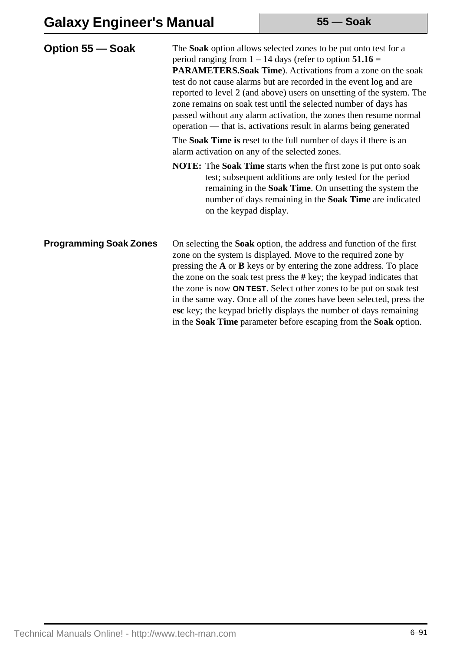| Option 55 – Soak              | The Soak option allows selected zones to be put onto test for a<br>period ranging from $1 - 14$ days (refer to option $51.16 =$<br>PARAMETERS.Soak Time). Activations from a zone on the soak<br>test do not cause alarms but are recorded in the event log and are<br>reported to level 2 (and above) users on unsetting of the system. The<br>zone remains on soak test until the selected number of days has<br>passed without any alarm activation, the zones then resume normal<br>operation — that is, activations result in alarms being generated |  |  |  |
|-------------------------------|-----------------------------------------------------------------------------------------------------------------------------------------------------------------------------------------------------------------------------------------------------------------------------------------------------------------------------------------------------------------------------------------------------------------------------------------------------------------------------------------------------------------------------------------------------------|--|--|--|
|                               | The <b>Soak Time is</b> reset to the full number of days if there is an<br>alarm activation on any of the selected zones.                                                                                                                                                                                                                                                                                                                                                                                                                                 |  |  |  |
|                               | <b>NOTE:</b> The <b>Soak Time</b> starts when the first zone is put onto soak<br>test; subsequent additions are only tested for the period<br>remaining in the Soak Time. On unsetting the system the<br>number of days remaining in the Soak Time are indicated<br>on the keypad display.                                                                                                                                                                                                                                                                |  |  |  |
| <b>Programming Soak Zones</b> | On selecting the <b>Soak</b> option, the address and function of the first<br>zone on the system is displayed. Move to the required zone by<br>pressing the $A$ or $B$ keys or by entering the zone address. To place<br>the zone on the soak test press the $#$ key; the keypad indicates that<br>the zone is now <b>ON TEST</b> . Select other zones to be put on soak test<br>in the same way. Once all of the zones have been selected, press the                                                                                                     |  |  |  |

**esc** key; the keypad briefly displays the number of days remaining in the **Soak Time** parameter before escaping from the **Soak** option.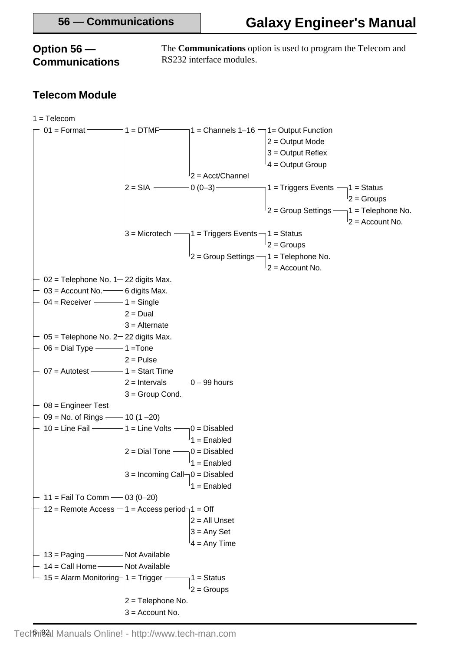### **Option 56 — Communications**

The **Communications** option is used to program the Telecom and RS232 interface modules.

## **Telecom Module**

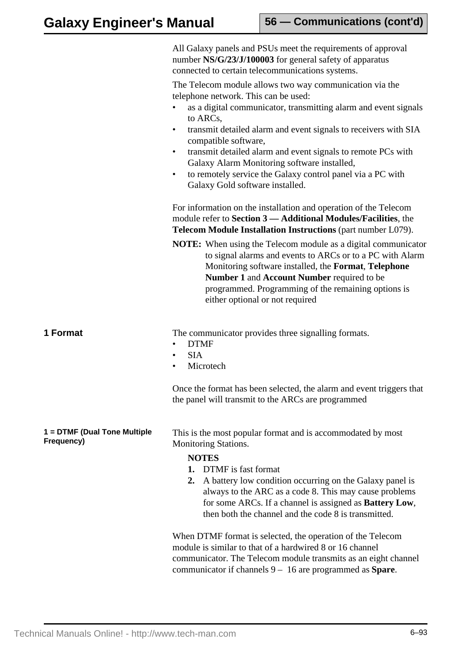|                                            | All Galaxy panels and PSUs meet the requirements of approval<br>number NS/G/23/J/100003 for general safety of apparatus<br>connected to certain telecommunications systems.                                                                                                                                                       |
|--------------------------------------------|-----------------------------------------------------------------------------------------------------------------------------------------------------------------------------------------------------------------------------------------------------------------------------------------------------------------------------------|
|                                            | The Telecom module allows two way communication via the<br>telephone network. This can be used:                                                                                                                                                                                                                                   |
|                                            | as a digital communicator, transmitting alarm and event signals<br>to ARCs,                                                                                                                                                                                                                                                       |
|                                            | transmit detailed alarm and event signals to receivers with SIA<br>$\bullet$<br>compatible software,                                                                                                                                                                                                                              |
|                                            | transmit detailed alarm and event signals to remote PCs with<br>٠<br>Galaxy Alarm Monitoring software installed,                                                                                                                                                                                                                  |
|                                            | to remotely service the Galaxy control panel via a PC with<br>$\bullet$<br>Galaxy Gold software installed.                                                                                                                                                                                                                        |
|                                            | For information on the installation and operation of the Telecom<br>module refer to Section 3 - Additional Modules/Facilities, the<br>Telecom Module Installation Instructions (part number L079).                                                                                                                                |
|                                            | <b>NOTE:</b> When using the Telecom module as a digital communicator<br>to signal alarms and events to ARCs or to a PC with Alarm<br>Monitoring software installed, the Format, Telephone<br>Number 1 and Account Number required to be<br>programmed. Programming of the remaining options is<br>either optional or not required |
| 1 Format                                   | The communicator provides three signalling formats.<br><b>DTMF</b><br>٠<br><b>SIA</b>                                                                                                                                                                                                                                             |
|                                            | ٠<br>Microtech<br>٠                                                                                                                                                                                                                                                                                                               |
|                                            | Once the format has been selected, the alarm and event triggers that<br>the panel will transmit to the ARCs are programmed                                                                                                                                                                                                        |
| 1 = DTMF (Dual Tone Multiple<br>Frequency) | This is the most popular format and is accommodated by most<br><b>Monitoring Stations.</b>                                                                                                                                                                                                                                        |
|                                            | <b>NOTES</b><br>DTMF is fast format<br>1.                                                                                                                                                                                                                                                                                         |
|                                            | A battery low condition occurring on the Galaxy panel is<br>2.<br>always to the ARC as a code 8. This may cause problems<br>for some ARCs. If a channel is assigned as <b>Battery Low</b> ,<br>then both the channel and the code 8 is transmitted.                                                                               |
|                                            | When DTMF format is selected, the operation of the Telecom<br>module is similar to that of a hardwired 8 or 16 channel<br>communicator. The Telecom module transmits as an eight channel<br>communicator if channels $9 - 16$ are programmed as <b>Spare</b> .                                                                    |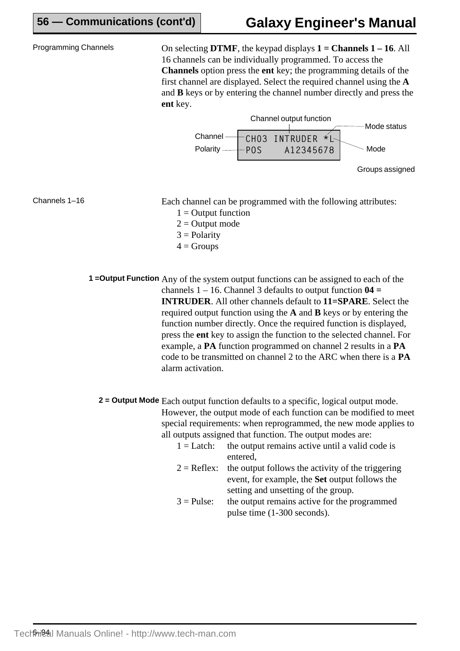**56 — Communications (cont'd)**

Programming Channels On selecting **DTMF**, the keypad displays **1 = Channels 1 – 16**. All 16 channels can be individually programmed. To access the **Channels** option press the **ent** key; the programming details of the first channel are displayed. Select the required channel using the **A** and **B** keys or by entering the channel number directly and press the **ent** key.



Channels 1–16

Each channel can be programmed with the following attributes:

- $1 =$  Output function
- $2 =$  Output mode
- $3 =$  Polarity
- $4 =$  Groups

**1** = Output Function Any of the system output functions can be assigned to each of the channels 1 – 16. Channel 3 defaults to output function **04 = INTRUDER**. All other channels default to **11=SPARE**. Select the required output function using the **A** and **B** keys or by entering the function number directly. Once the required function is displayed, press the **ent** key to assign the function to the selected channel. For example, a **PA** function programmed on channel 2 results in a **PA** code to be transmitted on channel 2 to the ARC when there is a **PA** alarm activation.

**2** = Output Mode Each output function defaults to a specific, logical output mode. However, the output mode of each function can be modified to meet special requirements: when reprogrammed, the new mode applies to all outputs assigned that function. The output modes are:

- $1 =$ Latch: the output remains active until a valid code is entered,  $2 =$  Reflex: the output follows the activity of the triggering event, for example, the **Set** output follows the setting and unsetting of the group.
- $3 =$  Pulse: the output remains active for the programmed pulse time (1-300 seconds).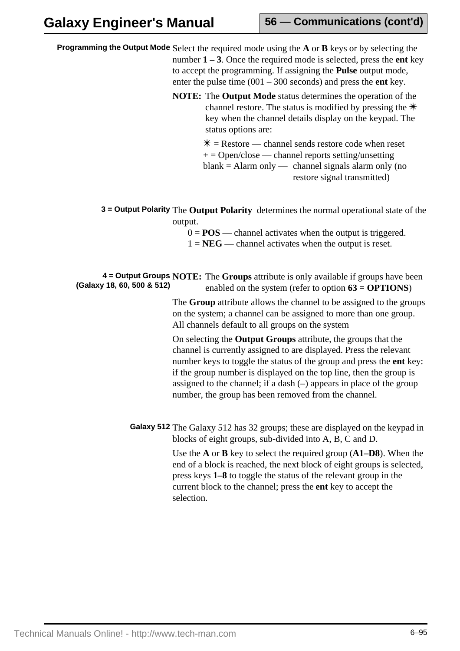Programming the Output Mode Select the required mode using the A or B keys or by selecting the number **1 – 3**. Once the required mode is selected, press the **ent** key to accept the programming. If assigning the **Pulse** output mode, enter the pulse time (001 – 300 seconds) and press the **ent** key.

> **NOTE:** The **Output Mode** status determines the operation of the channel restore. The status is modified by pressing the  $\ddot{\mathcal{F}}$ key when the channel details display on the keypad. The status options are:

> > $* =$ Restore — channel sends restore code when reset  $+ =$  Open/close — channel reports setting/unsetting  $blank = Alarm only$  — channel signals alarm only (no restore signal transmitted)

**3 = Output Polarity** The **Output Polarity** determines the normal operational state of the output.

 $0 = POS$  — channel activates when the output is triggered.

 $1 = NEG$  — channel activates when the output is reset.

**4 = Output Groups NOTE:** The Groups attribute is only available if groups have been enabled on the system (refer to option **63 = OPTIONS**) **(Galaxy 18, 60, 500 & 512)**

> The **Group** attribute allows the channel to be assigned to the groups on the system; a channel can be assigned to more than one group. All channels default to all groups on the system

> On selecting the **Output Groups** attribute, the groups that the channel is currently assigned to are displayed. Press the relevant number keys to toggle the status of the group and press the **ent** key: if the group number is displayed on the top line, then the group is assigned to the channel; if a dash (–) appears in place of the group number, the group has been removed from the channel.

Galaxy 512 The Galaxy 512 has 32 groups; these are displayed on the keypad in blocks of eight groups, sub-divided into A, B, C and D.

> Use the **A** or **B** key to select the required group (**A1–D8**). When the end of a block is reached, the next block of eight groups is selected, press keys **1–8** to toggle the status of the relevant group in the current block to the channel; press the **ent** key to accept the selection.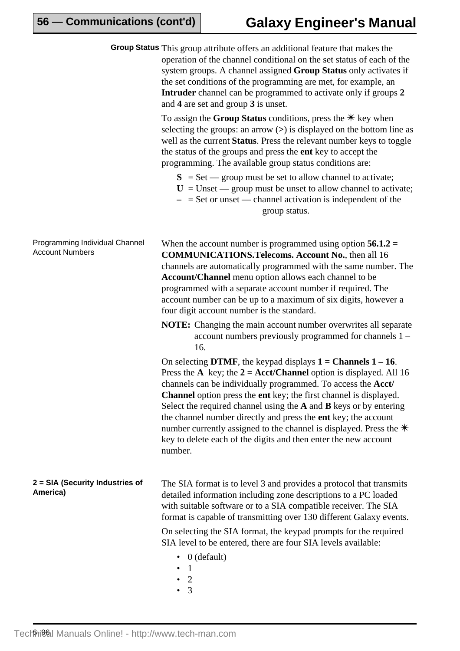|                                                          | Group Status This group attribute offers an additional feature that makes the<br>operation of the channel conditional on the set status of each of the<br>system groups. A channel assigned Group Status only activates if<br>the set conditions of the programming are met, for example, an<br><b>Intruder</b> channel can be programmed to activate only if groups 2<br>and 4 are set and group 3 is unset.                                                                                                                                                                                |
|----------------------------------------------------------|----------------------------------------------------------------------------------------------------------------------------------------------------------------------------------------------------------------------------------------------------------------------------------------------------------------------------------------------------------------------------------------------------------------------------------------------------------------------------------------------------------------------------------------------------------------------------------------------|
|                                                          | To assign the Group Status conditions, press the $*$ key when<br>selecting the groups: an arrow $(>)$ is displayed on the bottom line as<br>well as the current Status. Press the relevant number keys to toggle<br>the status of the groups and press the <b>ent</b> key to accept the<br>programming. The available group status conditions are:                                                                                                                                                                                                                                           |
|                                                          | $S = Set$ - group must be set to allow channel to activate;<br>$U =$ Unset — group must be unset to allow channel to activate;<br>$-$ = Set or unset — channel activation is independent of the<br>group status.                                                                                                                                                                                                                                                                                                                                                                             |
| Programming Individual Channel<br><b>Account Numbers</b> | When the account number is programmed using option $56.1.2 =$<br><b>COMMUNICATIONS. Telecoms. Account No., then all 16</b><br>channels are automatically programmed with the same number. The<br>Account/Channel menu option allows each channel to be<br>programmed with a separate account number if required. The<br>account number can be up to a maximum of six digits, however a<br>four digit account number is the standard.                                                                                                                                                         |
|                                                          | <b>NOTE:</b> Changing the main account number overwrites all separate<br>account numbers previously programmed for channels 1 –<br>16.                                                                                                                                                                                                                                                                                                                                                                                                                                                       |
|                                                          | On selecting DTMF, the keypad displays $1 =$ Channels $1 - 16$ .<br>Press the A key; the $2 = Acct/Channel$ option is displayed. All 16<br>channels can be individually programmed. To access the <b>Acct</b> /<br><b>Channel</b> option press the ent key; the first channel is displayed.<br>Select the required channel using the $A$ and $B$ keys or by entering<br>the channel number directly and press the ent key; the account<br>number currently assigned to the channel is displayed. Press the $*$<br>key to delete each of the digits and then enter the new account<br>number. |
| 2 = SIA (Security Industries of<br>America)              | The SIA format is to level 3 and provides a protocol that transmits<br>detailed information including zone descriptions to a PC loaded<br>with suitable software or to a SIA compatible receiver. The SIA<br>format is capable of transmitting over 130 different Galaxy events.                                                                                                                                                                                                                                                                                                             |
|                                                          | On selecting the SIA format, the keypad prompts for the required<br>SIA level to be entered, there are four SIA levels available:<br>$0$ (default)<br>$\bullet$<br>1<br>$\overline{2}$                                                                                                                                                                                                                                                                                                                                                                                                       |

• 3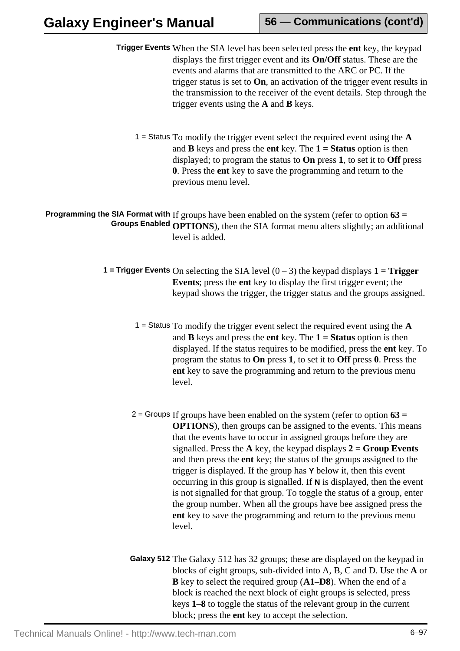- **Trigger Events** When the SIA level has been selected press the **ent** key, the keypad displays the first trigger event and its **On/Off** status. These are the events and alarms that are transmitted to the ARC or PC. If the trigger status is set to **On**, an activation of the trigger event results in the transmission to the receiver of the event details. Step through the trigger events using the **A** and **B** keys.
	- 1 = Status To modify the trigger event select the required event using the **A** and **B** keys and press the **ent** key. The **1 = Status** option is then displayed; to program the status to **On** press **1**, to set it to **Off** press **0**. Press the **ent** key to save the programming and return to the previous menu level.

**Programming the SIA Format with** If groups have been enabled on the system (refer to option **63 = Groups Enabled OPTIONS**), then the SIA format menu alters slightly; an additional level is added.

- **1 = Trigger Events** On selecting the SIA level  $(0-3)$  the keypad displays  $1 =$  **Trigger Events**; press the **ent** key to display the first trigger event; the keypad shows the trigger, the trigger status and the groups assigned.
	- 1 = Status To modify the trigger event select the required event using the **A** and **B** keys and press the **ent** key. The **1 = Status** option is then displayed. If the status requires to be modified, press the **ent** key. To program the status to **On** press **1**, to set it to **Off** press **0**. Press the **ent** key to save the programming and return to the previous menu level.
	- If groups have been enabled on the system (refer to option **63 =** 2 = Groups **OPTIONS**), then groups can be assigned to the events. This means that the events have to occur in assigned groups before they are signalled. Press the **A** key, the keypad displays **2 = Group Events** and then press the **ent** key; the status of the groups assigned to the trigger is displayed. If the group has **Y** below it, then this event occurring in this group is signalled. If **N** is displayed, then the event is not signalled for that group. To toggle the status of a group, enter the group number. When all the groups have bee assigned press the **ent** key to save the programming and return to the previous menu level.
	- Galaxy 512 The Galaxy 512 has 32 groups; these are displayed on the keypad in blocks of eight groups, sub-divided into A, B, C and D. Use the **A** or **B** key to select the required group (**A1–D8**). When the end of a block is reached the next block of eight groups is selected, press keys **1–8** to toggle the status of the relevant group in the current block; press the **ent** key to accept the selection.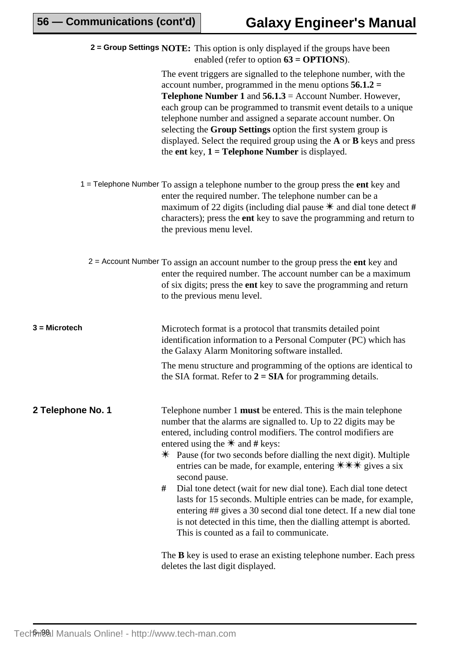|                   | <b>2 = Group Settings NOTE:</b> This option is only displayed if the groups have been<br>enabled (refer to option $63 = OPTIONS$ ).                                                                                                                                                                                                                                                                                                                                                                                                                                                                                                                                                                                                                   |
|-------------------|-------------------------------------------------------------------------------------------------------------------------------------------------------------------------------------------------------------------------------------------------------------------------------------------------------------------------------------------------------------------------------------------------------------------------------------------------------------------------------------------------------------------------------------------------------------------------------------------------------------------------------------------------------------------------------------------------------------------------------------------------------|
|                   | The event triggers are signalled to the telephone number, with the<br>account number, programmed in the menu options $56.1.2 =$<br><b>Telephone Number 1 and <math>56.1.3 =</math> Account Number. However,</b><br>each group can be programmed to transmit event details to a unique<br>telephone number and assigned a separate account number. On<br>selecting the Group Settings option the first system group is<br>displayed. Select the required group using the A or B keys and press<br>the ent key, $1 =$ Telephone Number is displayed.                                                                                                                                                                                                    |
|                   | $1 =$ Telephone Number To assign a telephone number to the group press the ent key and<br>enter the required number. The telephone number can be a<br>maximum of 22 digits (including dial pause $*$ and dial tone detect #<br>characters); press the ent key to save the programming and return to<br>the previous menu level.                                                                                                                                                                                                                                                                                                                                                                                                                       |
|                   | $2$ = Account Number To assign an account number to the group press the ent key and<br>enter the required number. The account number can be a maximum<br>of six digits; press the ent key to save the programming and return<br>to the previous menu level.                                                                                                                                                                                                                                                                                                                                                                                                                                                                                           |
| $3 =$ Microtech   | Microtech format is a protocol that transmits detailed point<br>identification information to a Personal Computer (PC) which has<br>the Galaxy Alarm Monitoring software installed.                                                                                                                                                                                                                                                                                                                                                                                                                                                                                                                                                                   |
|                   | The menu structure and programming of the options are identical to<br>the SIA format. Refer to $2 = SIA$ for programming details.                                                                                                                                                                                                                                                                                                                                                                                                                                                                                                                                                                                                                     |
| 2 Telephone No. 1 | Telephone number 1 <b>must</b> be entered. This is the main telephone<br>number that the alarms are signalled to. Up to 22 digits may be<br>entered, including control modifiers. The control modifiers are<br>entered using the $*$ and # keys:<br>$*$ Pause (for two seconds before dialling the next digit). Multiple<br>entries can be made, for example, entering $\# \# \#$ gives a six<br>second pause.<br>Dial tone detect (wait for new dial tone). Each dial tone detect<br>#<br>lasts for 15 seconds. Multiple entries can be made, for example,<br>entering ## gives a 30 second dial tone detect. If a new dial tone<br>is not detected in this time, then the dialling attempt is aborted.<br>This is counted as a fail to communicate. |
|                   | The <b>B</b> key is used to erase an existing telephone number. Each press                                                                                                                                                                                                                                                                                                                                                                                                                                                                                                                                                                                                                                                                            |

The **B** key is used to erase an existing telephone number. Each press deletes the last digit displayed.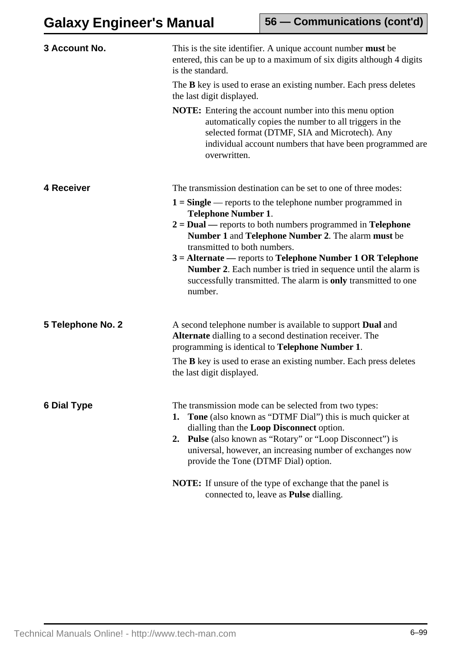| 3 Account No.      | This is the site identifier. A unique account number <b>must</b> be<br>entered, this can be up to a maximum of six digits although 4 digits<br>is the standard.                                                                                                                                                                               |  |
|--------------------|-----------------------------------------------------------------------------------------------------------------------------------------------------------------------------------------------------------------------------------------------------------------------------------------------------------------------------------------------|--|
|                    | The <b>B</b> key is used to erase an existing number. Each press deletes<br>the last digit displayed.                                                                                                                                                                                                                                         |  |
|                    | <b>NOTE:</b> Entering the account number into this menu option<br>automatically copies the number to all triggers in the<br>selected format (DTMF, SIA and Microtech). Any<br>individual account numbers that have been programmed are<br>overwritten.                                                                                        |  |
| 4 Receiver         | The transmission destination can be set to one of three modes:                                                                                                                                                                                                                                                                                |  |
|                    | $1 =$ Single — reports to the telephone number programmed in<br><b>Telephone Number 1.</b>                                                                                                                                                                                                                                                    |  |
|                    | $2 = Dual$ — reports to both numbers programmed in Telephone<br>Number 1 and Telephone Number 2. The alarm must be<br>transmitted to both numbers.                                                                                                                                                                                            |  |
|                    | $3 =$ Alternate — reports to Telephone Number 1 OR Telephone<br><b>Number 2.</b> Each number is tried in sequence until the alarm is<br>successfully transmitted. The alarm is only transmitted to one<br>number.                                                                                                                             |  |
| 5 Telephone No. 2  | A second telephone number is available to support <b>Dual</b> and<br>Alternate dialling to a second destination receiver. The<br>programming is identical to Telephone Number 1.                                                                                                                                                              |  |
|                    | The <b>B</b> key is used to erase an existing number. Each press deletes<br>the last digit displayed.                                                                                                                                                                                                                                         |  |
| <b>6 Dial Type</b> | The transmission mode can be selected from two types:<br>Tone (also known as "DTMF Dial") this is much quicker at<br>1.<br>dialling than the Loop Disconnect option.<br><b>2. Pulse</b> (also known as "Rotary" or "Loop Disconnect") is<br>universal, however, an increasing number of exchanges now<br>provide the Tone (DTMF Dial) option. |  |
|                    | <b>NOTE:</b> If unsure of the type of exchange that the panel is<br>connected to, leave as <b>Pulse</b> dialling.                                                                                                                                                                                                                             |  |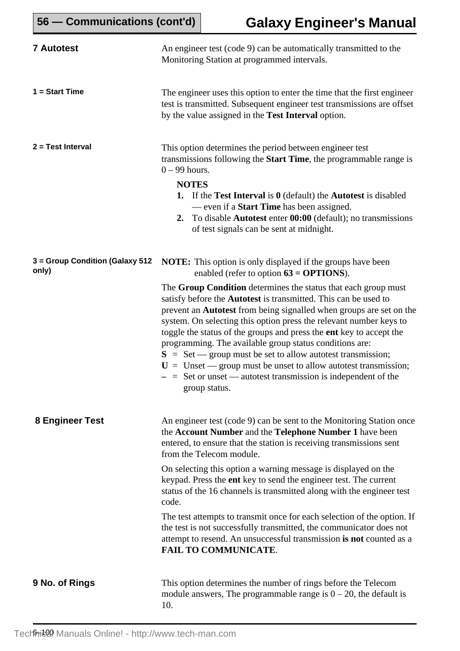| <b>7 Autotest</b>                        | An engineer test (code 9) can be automatically transmitted to the<br>Monitoring Station at programmed intervals.                                                                                                                                                                                                                                                                                                                                                                                                                                                                                                                                                                                                                                                              |
|------------------------------------------|-------------------------------------------------------------------------------------------------------------------------------------------------------------------------------------------------------------------------------------------------------------------------------------------------------------------------------------------------------------------------------------------------------------------------------------------------------------------------------------------------------------------------------------------------------------------------------------------------------------------------------------------------------------------------------------------------------------------------------------------------------------------------------|
| $1 = Start Time$                         | The engineer uses this option to enter the time that the first engineer<br>test is transmitted. Subsequent engineer test transmissions are offset<br>by the value assigned in the Test Interval option.                                                                                                                                                                                                                                                                                                                                                                                                                                                                                                                                                                       |
| 2 = Test Interval                        | This option determines the period between engineer test<br>transmissions following the <b>Start Time</b> , the programmable range is<br>$0 - 99$ hours.<br><b>NOTES</b><br>1. If the Test Interval is $0$ (default) the Autorest is disabled<br>— even if a <b>Start Time</b> has been assigned.<br>2. To disable <b>Autotest</b> enter <b>00:00</b> (default); no transmissions<br>of test signals can be sent at midnight.                                                                                                                                                                                                                                                                                                                                                  |
| 3 = Group Condition (Galaxy 512<br>only) | <b>NOTE:</b> This option is only displayed if the groups have been<br>enabled (refer to option $63 = OPTIONS$ ).<br>The Group Condition determines the status that each group must<br>satisfy before the <b>Autotest</b> is transmitted. This can be used to<br>prevent an <b>Autotest</b> from being signalled when groups are set on the<br>system. On selecting this option press the relevant number keys to<br>toggle the status of the groups and press the ent key to accept the<br>programming. The available group status conditions are:<br>$S = Set$ - group must be set to allow autorest transmission;<br>$U =$ Unset — group must be unset to allow autorest transmission;<br>$-$ = Set or unset — autotest transmission is independent of the<br>group status. |
| 8 Engineer Test                          | An engineer test (code 9) can be sent to the Monitoring Station once<br>the Account Number and the Telephone Number 1 have been<br>entered, to ensure that the station is receiving transmissions sent<br>from the Telecom module.<br>On selecting this option a warning message is displayed on the<br>keypad. Press the ent key to send the engineer test. The current<br>status of the 16 channels is transmitted along with the engineer test<br>code.<br>The test attempts to transmit once for each selection of the option. If<br>the test is not successfully transmitted, the communicator does not<br>attempt to resend. An unsuccessful transmission is not counted as a<br><b>FAIL TO COMMUNICATE.</b>                                                            |
| 9 No. of Rings                           | This option determines the number of rings before the Telecom<br>module answers, The programmable range is $0 - 20$ , the default is<br>10.                                                                                                                                                                                                                                                                                                                                                                                                                                                                                                                                                                                                                                   |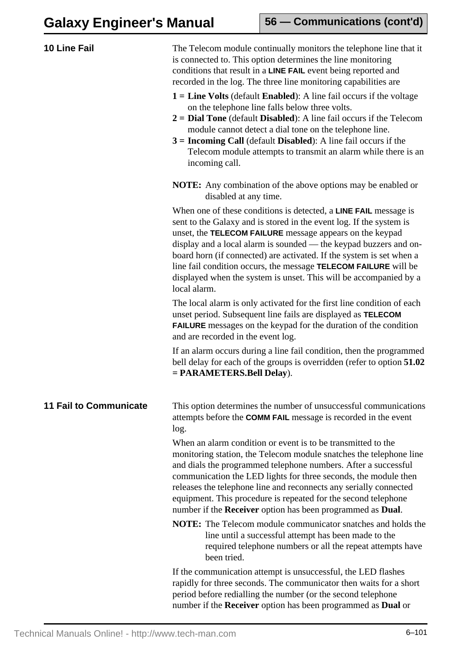| 10 Line Fail                  | The Telecom module continually monitors the telephone line that it<br>is connected to. This option determines the line monitoring<br>conditions that result in a LINE FAIL event being reported and<br>recorded in the log. The three line monitoring capabilities are<br>$1 =$ Line Volts (default Enabled): A line fail occurs if the voltage<br>on the telephone line falls below three volts.<br>$2 =$ Dial Tone (default Disabled): A line fail occurs if the Telecom<br>module cannot detect a dial tone on the telephone line.<br>$3 =$ Incoming Call (default Disabled): A line fail occurs if the<br>Telecom module attempts to transmit an alarm while there is an<br>incoming call. |
|-------------------------------|------------------------------------------------------------------------------------------------------------------------------------------------------------------------------------------------------------------------------------------------------------------------------------------------------------------------------------------------------------------------------------------------------------------------------------------------------------------------------------------------------------------------------------------------------------------------------------------------------------------------------------------------------------------------------------------------|
|                               | <b>NOTE:</b> Any combination of the above options may be enabled or<br>disabled at any time.                                                                                                                                                                                                                                                                                                                                                                                                                                                                                                                                                                                                   |
|                               | When one of these conditions is detected, a <b>LINE FAIL</b> message is<br>sent to the Galaxy and is stored in the event log. If the system is<br>unset, the TELECOM FAILURE message appears on the keypad<br>display and a local alarm is sounded — the keypad buzzers and on-<br>board horn (if connected) are activated. If the system is set when a<br>line fail condition occurs, the message <b>TELECOM FAILURE</b> will be<br>displayed when the system is unset. This will be accompanied by a<br>local alarm.                                                                                                                                                                         |
|                               | The local alarm is only activated for the first line condition of each<br>unset period. Subsequent line fails are displayed as TELECOM<br><b>FAILURE</b> messages on the keypad for the duration of the condition<br>and are recorded in the event log.                                                                                                                                                                                                                                                                                                                                                                                                                                        |
|                               | If an alarm occurs during a line fail condition, then the programmed<br>bell delay for each of the groups is overridden (refer to option 51.02)<br>$= PARMETERS.Bell Delay).$                                                                                                                                                                                                                                                                                                                                                                                                                                                                                                                  |
| <b>11 Fail to Communicate</b> | This option determines the number of unsuccessful communications<br>attempts before the <b>COMM FAIL</b> message is recorded in the event<br>log.                                                                                                                                                                                                                                                                                                                                                                                                                                                                                                                                              |
|                               | When an alarm condition or event is to be transmitted to the<br>monitoring station, the Telecom module snatches the telephone line<br>and dials the programmed telephone numbers. After a successful<br>communication the LED lights for three seconds, the module then<br>releases the telephone line and reconnects any serially connected<br>equipment. This procedure is repeated for the second telephone<br>number if the Receiver option has been programmed as Dual.                                                                                                                                                                                                                   |
|                               | <b>NOTE:</b> The Telecom module communicator snatches and holds the<br>line until a successful attempt has been made to the<br>required telephone numbers or all the repeat attempts have<br>been tried.                                                                                                                                                                                                                                                                                                                                                                                                                                                                                       |
|                               | If the communication attempt is unsuccessful, the LED flashes<br>rapidly for three seconds. The communicator then waits for a short<br>period before redialling the number (or the second telephone<br>number if the Receiver option has been programmed as Dual or                                                                                                                                                                                                                                                                                                                                                                                                                            |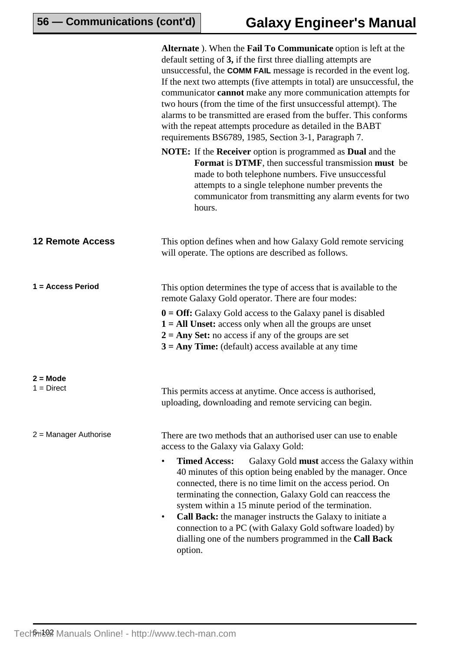**56 — Communications (cont'd)**

|                            | Alternate ). When the Fail To Communicate option is left at the<br>default setting of 3, if the first three dialling attempts are<br>unsuccessful, the COMM FAIL message is recorded in the event log.<br>If the next two attempts (five attempts in total) are unsuccessful, the<br>communicator <b>cannot</b> make any more communication attempts for<br>two hours (from the time of the first unsuccessful attempt). The<br>alarms to be transmitted are erased from the buffer. This conforms<br>with the repeat attempts procedure as detailed in the BABT<br>requirements BS6789, 1985, Section 3-1, Paragraph 7.            |
|----------------------------|-------------------------------------------------------------------------------------------------------------------------------------------------------------------------------------------------------------------------------------------------------------------------------------------------------------------------------------------------------------------------------------------------------------------------------------------------------------------------------------------------------------------------------------------------------------------------------------------------------------------------------------|
|                            | <b>NOTE:</b> If the <b>Receiver</b> option is programmed as <b>Dual</b> and the<br>Format is DTMF, then successful transmission must be<br>made to both telephone numbers. Five unsuccessful<br>attempts to a single telephone number prevents the<br>communicator from transmitting any alarm events for two<br>hours.                                                                                                                                                                                                                                                                                                             |
| <b>12 Remote Access</b>    | This option defines when and how Galaxy Gold remote servicing<br>will operate. The options are described as follows.                                                                                                                                                                                                                                                                                                                                                                                                                                                                                                                |
| 1 = Access Period          | This option determines the type of access that is available to the<br>remote Galaxy Gold operator. There are four modes:<br>$0 = \text{Off: }$ Galaxy Gold access to the Galaxy panel is disabled<br>$1 = All Unset: access only when all the groups areunset$<br>$2 = Any Set: no access if any of the groups are set$<br>$3 = Any Time: (default) access available at any time$                                                                                                                                                                                                                                                   |
| $2 = Mode$<br>$1 = Direct$ | This permits access at anytime. Once access is authorised,<br>uploading, downloading and remote servicing can begin.                                                                                                                                                                                                                                                                                                                                                                                                                                                                                                                |
| $2 =$ Manager Authorise    | There are two methods that an authorised user can use to enable<br>access to the Galaxy via Galaxy Gold:<br><b>Timed Access:</b><br>Galaxy Gold must access the Galaxy within<br>40 minutes of this option being enabled by the manager. Once<br>connected, there is no time limit on the access period. On<br>terminating the connection, Galaxy Gold can reaccess the<br>system within a 15 minute period of the termination.<br>Call Back: the manager instructs the Galaxy to initiate a<br>٠<br>connection to a PC (with Galaxy Gold software loaded) by<br>dialling one of the numbers programmed in the Call Back<br>option. |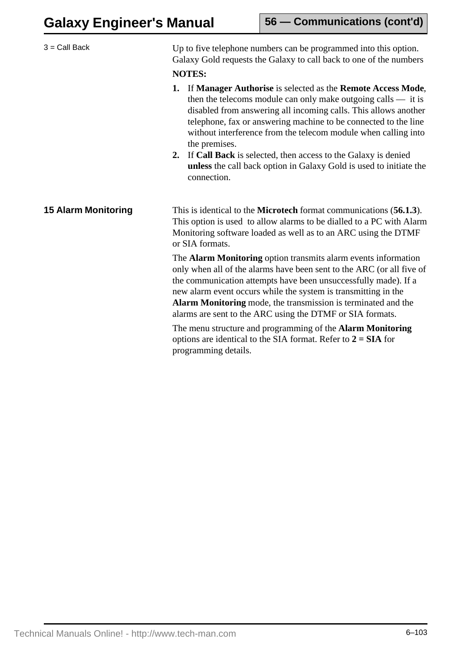| $3 =$ Call Back            | Up to five telephone numbers can be programmed into this option.<br>Galaxy Gold requests the Galaxy to call back to one of the numbers                                                                                                                                                                                                                                                                     |
|----------------------------|------------------------------------------------------------------------------------------------------------------------------------------------------------------------------------------------------------------------------------------------------------------------------------------------------------------------------------------------------------------------------------------------------------|
|                            | <b>NOTES:</b>                                                                                                                                                                                                                                                                                                                                                                                              |
|                            | If Manager Authorise is selected as the Remote Access Mode,<br>1.<br>then the telecoms module can only make outgoing calls $-$ it is<br>disabled from answering all incoming calls. This allows another<br>telephone, fax or answering machine to be connected to the line<br>without interference from the telecom module when calling into<br>the premises.                                              |
|                            | If Call Back is selected, then access to the Galaxy is denied<br>2.<br>unless the call back option in Galaxy Gold is used to initiate the<br>connection.                                                                                                                                                                                                                                                   |
| <b>15 Alarm Monitoring</b> | This is identical to the <b>Microtech</b> format communications (56.1.3).<br>This option is used to allow alarms to be dialled to a PC with Alarm<br>Monitoring software loaded as well as to an ARC using the DTMF<br>or SIA formats.                                                                                                                                                                     |
|                            | The Alarm Monitoring option transmits alarm events information<br>only when all of the alarms have been sent to the ARC (or all five of<br>the communication attempts have been unsuccessfully made). If a<br>new alarm event occurs while the system is transmitting in the<br>Alarm Monitoring mode, the transmission is terminated and the<br>alarms are sent to the ARC using the DTMF or SIA formats. |
|                            | The menu structure and programming of the <b>Alarm Monitoring</b><br>options are identical to the SIA format. Refer to $2 = SIA$ for<br>programming details.                                                                                                                                                                                                                                               |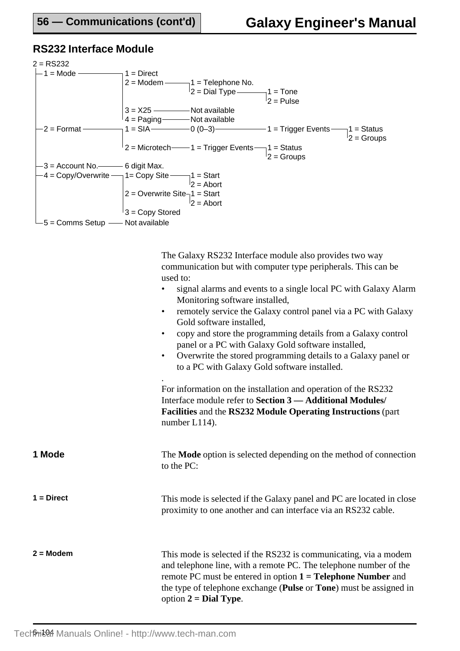## **RS232 Interface Module**



The Galaxy RS232 Interface module also provides two way communication but with computer type peripherals. This can be used to:

- signal alarms and events to a single local PC with Galaxy Alarm Monitoring software installed,
- remotely service the Galaxy control panel via a PC with Galaxy Gold software installed,
- copy and store the programming details from a Galaxy control panel or a PC with Galaxy Gold software installed,
- Overwrite the stored programming details to a Galaxy panel or to a PC with Galaxy Gold software installed.

For information on the installation and operation of the RS232 Interface module refer to **Section 3 — Additional Modules/ Facilities** and the **RS232 Module Operating Instructions** (part number L114).

| 1 Mode | The <b>Mode</b> option is selected depending on the method of connection |
|--------|--------------------------------------------------------------------------|
|        | to the PC:                                                               |

.

- **1 = Direct** This mode is selected if the Galaxy panel and PC are located in close proximity to one another and can interface via an RS232 cable.
- 

**2 = Modem** This mode is selected if the RS232 is communicating, via a modem and telephone line, with a remote PC. The telephone number of the remote PC must be entered in option **1 = Telephone Number** and the type of telephone exchange (**Pulse** or **Tone**) must be assigned in option **2 = Dial Type**.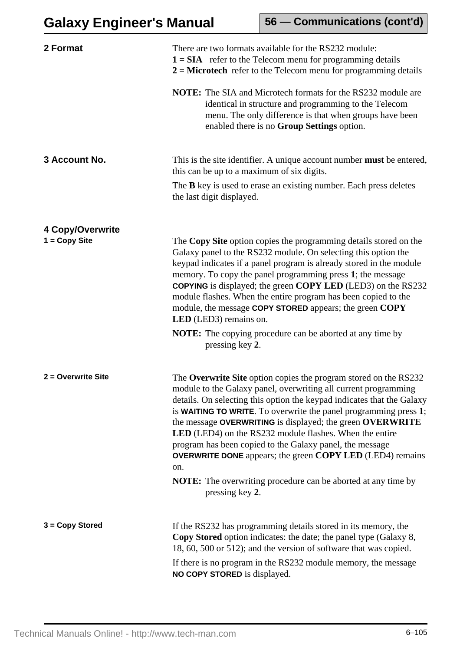| 2 Format           | There are two formats available for the RS232 module:<br>$1 = SIA$ refer to the Telecom menu for programming details<br>$2 =$ Microtech refer to the Telecom menu for programming details                                                                                                                                                                                                                                                                                                                                                                                                                                                                 |
|--------------------|-----------------------------------------------------------------------------------------------------------------------------------------------------------------------------------------------------------------------------------------------------------------------------------------------------------------------------------------------------------------------------------------------------------------------------------------------------------------------------------------------------------------------------------------------------------------------------------------------------------------------------------------------------------|
|                    | <b>NOTE:</b> The SIA and Microtech formats for the RS232 module are<br>identical in structure and programming to the Telecom<br>menu. The only difference is that when groups have been<br>enabled there is no Group Settings option.                                                                                                                                                                                                                                                                                                                                                                                                                     |
| 3 Account No.      | This is the site identifier. A unique account number <b>must</b> be entered,<br>this can be up to a maximum of six digits.                                                                                                                                                                                                                                                                                                                                                                                                                                                                                                                                |
|                    | The <b>B</b> key is used to erase an existing number. Each press deletes<br>the last digit displayed.                                                                                                                                                                                                                                                                                                                                                                                                                                                                                                                                                     |
| 4 Copy/Overwrite   |                                                                                                                                                                                                                                                                                                                                                                                                                                                                                                                                                                                                                                                           |
| $1 = Copy Site$    | The Copy Site option copies the programming details stored on the<br>Galaxy panel to the RS232 module. On selecting this option the<br>keypad indicates if a panel program is already stored in the module<br>memory. To copy the panel programming press 1; the message<br><b>COPYING</b> is displayed; the green <b>COPY LED</b> (LED3) on the RS232<br>module flashes. When the entire program has been copied to the<br>module, the message COPY STORED appears; the green COPY<br><b>LED</b> (LED3) remains on.                                                                                                                                      |
|                    | <b>NOTE:</b> The copying procedure can be aborted at any time by<br>pressing key 2.                                                                                                                                                                                                                                                                                                                                                                                                                                                                                                                                                                       |
| 2 = Overwrite Site | The Overwrite Site option copies the program stored on the RS232<br>module to the Galaxy panel, overwriting all current programming<br>details. On selecting this option the keypad indicates that the Galaxy<br>is WAITING TO WRITE. To overwrite the panel programming press 1;<br>the message OVERWRITING is displayed; the green OVERWRITE<br><b>LED</b> (LED4) on the RS232 module flashes. When the entire<br>program has been copied to the Galaxy panel, the message<br><b>OVERWRITE DONE</b> appears; the green <b>COPY LED</b> (LED4) remains<br>on.<br><b>NOTE:</b> The overwriting procedure can be aborted at any time by<br>pressing key 2. |
| 3 = Copy Stored    | If the RS232 has programming details stored in its memory, the                                                                                                                                                                                                                                                                                                                                                                                                                                                                                                                                                                                            |
|                    | <b>Copy Stored</b> option indicates: the date; the panel type (Galaxy 8,<br>18, 60, 500 or 512); and the version of software that was copied.                                                                                                                                                                                                                                                                                                                                                                                                                                                                                                             |
|                    | If there is no program in the RS232 module memory, the message<br>NO COPY STORED is displayed.                                                                                                                                                                                                                                                                                                                                                                                                                                                                                                                                                            |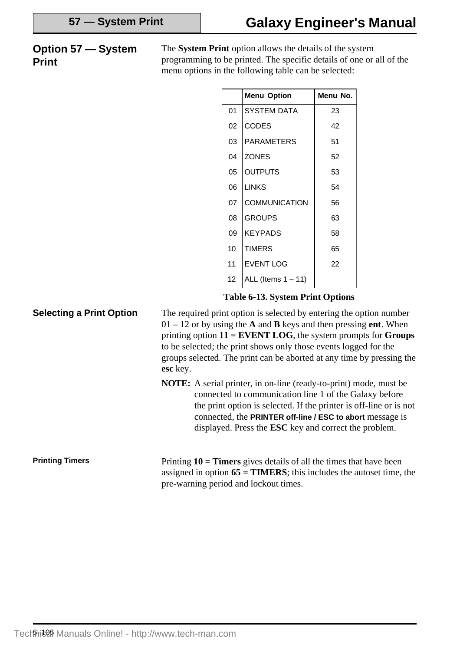## **Option 57 — System Print**

The **System Print** option allows the details of the system programming to be printed. The specific details of one or all of the menu options in the following table can be selected:

| <b>Menu Option</b>    | Menu No. |
|-----------------------|----------|
| <b>SYSTEM DATA</b>    | 23       |
| <b>CODES</b>          | 42       |
| <b>PARAMETERS</b>     | 51       |
| <b>ZONES</b>          | 52       |
| <b>OUTPUTS</b>        | 53       |
| <b>LINKS</b>          | 54       |
| COMMUNICATION         | 56       |
| <b>GROUPS</b>         | 63       |
| <b>KEYPADS</b>        | 58       |
| <b>TIMERS</b>         | 65       |
| <b>EVENT LOG</b>      | 22       |
| ALL (Items $1 - 11$ ) |          |
|                       |          |

**Table 6-13. System Print Options**

**Selecting a Print Option** The required print option is selected by entering the option number 01 – 12 or by using the **A** and **B** keys and then pressing **ent**. When printing option **11 = EVENT LOG**, the system prompts for **Groups** to be selected; the print shows only those events logged for the groups selected. The print can be aborted at any time by pressing the **esc** key.

**NOTE:** A serial printer, in on-line (ready-to-print) mode, must be connected to communication line 1 of the Galaxy before the print option is selected. If the printer is off-line or is not connected, the **PRINTER off-line / ESC to abort** message is displayed. Press the **ESC** key and correct the problem.

**Printing Timers**

Printing **10 = Timers** gives details of all the times that have been assigned in option  $65 = TIMERS$ ; this includes the autoset time, the pre-warning period and lockout times.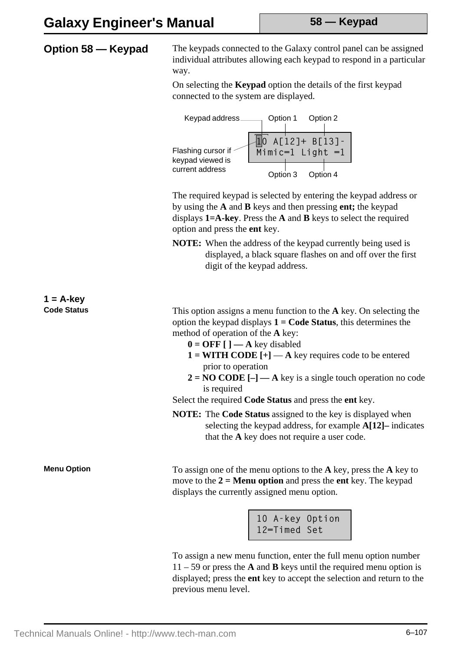# **Galaxy Engineer's Manual**

**Option 58 — Keypad** The keypads connected to the Galaxy control panel can be assigned individual attributes allowing each keypad to respond in a particular way.

> On selecting the **Keypad** option the details of the first keypad connected to the system are displayed.



The required keypad is selected by entering the keypad address or by using the **A** and **B** keys and then pressing **ent;** the keypad displays **1=A-key**. Press the **A** and **B** keys to select the required option and press the **ent** key.

**NOTE:** When the address of the keypad currently being used is displayed, a black square flashes on and off over the first digit of the keypad address.

**1 = A-key**

**Code Status** This option assigns a menu function to the **A** key. On selecting the option the keypad displays **1 = Code Status**, this determines the method of operation of the **A** key:

- $0 = \text{OFF}$   $\Box$   $\Box$  A key disabled
- $1 = \text{WITH CODE}$  [+] **A** key requires code to be entered prior to operation
- $2 = NO CODE [-]$   $\rightarrow$  A key is a single touch operation no code is required

Select the required **Code Status** and press the **ent** key.

**NOTE:** The **Code Status** assigned to the key is displayed when selecting the keypad address, for example **A[12]–** indicates that the **A** key does not require a user code.

**Menu Option** To assign one of the menu options to the **A** key, press the **A** key to move to the **2 = Menu option** and press the **ent** key. The keypad displays the currently assigned menu option.

> 10 A-key Option 12=Timed Set

To assign a new menu function, enter the full menu option number 11 – 59 or press the **A** and **B** keys until the required menu option is displayed; press the **ent** key to accept the selection and return to the previous menu level.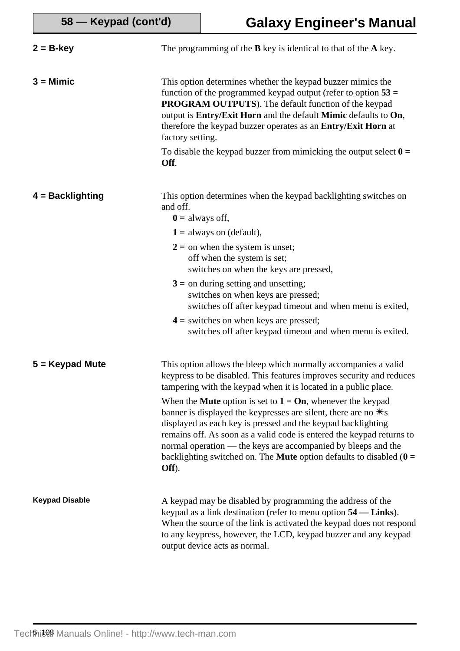| $2 = B$ -key          | The programming of the $B$ key is identical to that of the $A$ key.                                                                                                                                                                                                                                                                                                                                                                                      |
|-----------------------|----------------------------------------------------------------------------------------------------------------------------------------------------------------------------------------------------------------------------------------------------------------------------------------------------------------------------------------------------------------------------------------------------------------------------------------------------------|
| $3 =$ Mimic           | This option determines whether the keypad buzzer mimics the<br>function of the programmed keypad output (refer to option $53 =$<br><b>PROGRAM OUTPUTS</b> ). The default function of the keypad<br>output is Entry/Exit Horn and the default Mimic defaults to On,<br>therefore the keypad buzzer operates as an Entry/Exit Horn at<br>factory setting.                                                                                                  |
|                       | To disable the keypad buzzer from mimicking the output select $\mathbf{0} =$<br>Off.                                                                                                                                                                                                                                                                                                                                                                     |
| $4 = Backlighting$    | This option determines when the keypad backlighting switches on<br>and off.<br>$\mathbf{0}$ = always off,                                                                                                                                                                                                                                                                                                                                                |
|                       | $1 =$ always on (default),<br>$2 =$ on when the system is unset;<br>off when the system is set;<br>switches on when the keys are pressed,                                                                                                                                                                                                                                                                                                                |
|                       | $3 =$ on during setting and unsetting;<br>switches on when keys are pressed;<br>switches off after keypad timeout and when menu is exited,                                                                                                                                                                                                                                                                                                               |
|                       | $4 =$ switches on when keys are pressed;<br>switches off after keypad timeout and when menu is exited.                                                                                                                                                                                                                                                                                                                                                   |
| $5 =$ Keypad Mute     | This option allows the bleep which normally accompanies a valid<br>keypress to be disabled. This features improves security and reduces<br>tampering with the keypad when it is located in a public place.                                                                                                                                                                                                                                               |
|                       | When the <b>Mute</b> option is set to $1 = \textbf{On}$ , whenever the keypad<br>banner is displayed the keypresses are silent, there are no $\ast$ s<br>displayed as each key is pressed and the keypad backlighting<br>remains off. As soon as a valid code is entered the keypad returns to<br>normal operation — the keys are accompanied by bleeps and the<br>backlighting switched on. The <b>Mute</b> option defaults to disabled $(0 =$<br>Off). |
| <b>Keypad Disable</b> | A keypad may be disabled by programming the address of the<br>keypad as a link destination (refer to menu option 54 — Links).<br>When the source of the link is activated the keypad does not respond<br>to any keypress, however, the LCD, keypad buzzer and any keypad<br>output device acts as normal.                                                                                                                                                |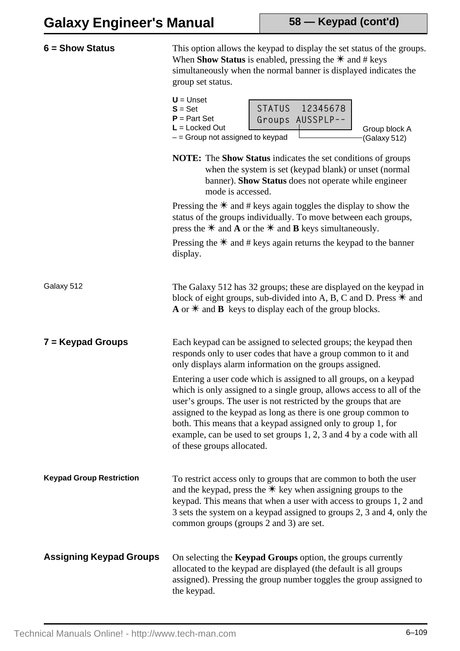| $6 =$ Show Status               | This option allows the keypad to display the set status of the groups.<br>When <b>Show Status</b> is enabled, pressing the $*$ and # keys<br>simultaneously when the normal banner is displayed indicates the<br>group set status.                                                                                                                                                                                                                    |
|---------------------------------|-------------------------------------------------------------------------------------------------------------------------------------------------------------------------------------------------------------------------------------------------------------------------------------------------------------------------------------------------------------------------------------------------------------------------------------------------------|
|                                 | $U =$ Unset<br><b>STATUS</b><br>12345678<br>$S = Set$<br>$P = Part Set$<br>Groups AUSSPLP--<br>$L =$ Locked Out<br>Group block A<br>$-$ = Group not assigned to keypad<br>(Galaxy 512)                                                                                                                                                                                                                                                                |
|                                 | <b>NOTE:</b> The <b>Show Status</b> indicates the set conditions of groups<br>when the system is set (keypad blank) or unset (normal<br>banner). Show Status does not operate while engineer<br>mode is accessed.                                                                                                                                                                                                                                     |
|                                 | Pressing the $*$ and # keys again toggles the display to show the<br>status of the groups individually. To move between each groups,<br>press the $*$ and <b>A</b> or the $*$ and <b>B</b> keys simultaneously.                                                                                                                                                                                                                                       |
|                                 | Pressing the $*$ and # keys again returns the keypad to the banner<br>display.                                                                                                                                                                                                                                                                                                                                                                        |
| Galaxy 512                      | The Galaxy 512 has 32 groups; these are displayed on the keypad in<br>block of eight groups, sub-divided into A, B, C and D. Press $*$ and<br>$\bf{A}$ or $\bf{*}$ and $\bf{B}$ keys to display each of the group blocks.                                                                                                                                                                                                                             |
| $7 =$ Keypad Groups             | Each keypad can be assigned to selected groups; the keypad then<br>responds only to user codes that have a group common to it and<br>only displays alarm information on the groups assigned.                                                                                                                                                                                                                                                          |
|                                 | Entering a user code which is assigned to all groups, on a keypad<br>which is only assigned to a single group, allows access to all of the<br>user's groups. The user is not restricted by the groups that are<br>assigned to the keypad as long as there is one group common to<br>both. This means that a keypad assigned only to group 1, for<br>example, can be used to set groups 1, 2, 3 and 4 by a code with all<br>of these groups allocated. |
| <b>Keypad Group Restriction</b> | To restrict access only to groups that are common to both the user<br>and the keypad, press the $*$ key when assigning groups to the<br>keypad. This means that when a user with access to groups 1, 2 and<br>3 sets the system on a keypad assigned to groups 2, 3 and 4, only the<br>common groups (groups 2 and 3) are set.                                                                                                                        |
| <b>Assigning Keypad Groups</b>  | On selecting the <b>Keypad Groups</b> option, the groups currently<br>allocated to the keypad are displayed (the default is all groups<br>assigned). Pressing the group number toggles the group assigned to<br>the keypad.                                                                                                                                                                                                                           |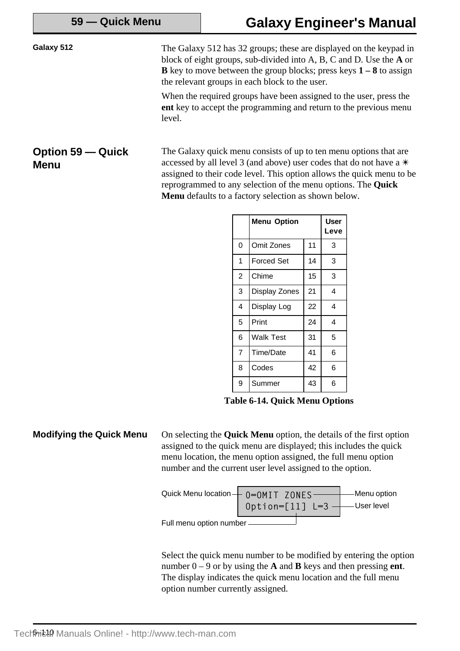Galaxy 512 The Galaxy 512 has 32 groups; these are displayed on the keypad in block of eight groups, sub-divided into A, B, C and D. Use the **A** or **B** key to move between the group blocks; press keys **1 – 8** to assign the relevant groups in each block to the user.

> When the required groups have been assigned to the user, press the **ent** key to accept the programming and return to the previous menu level.

The Galaxy quick menu consists of up to ten menu options that are accessed by all level 3 (and above) user codes that do not have a  $*$ assigned to their code level. This option allows the quick menu to be reprogrammed to any selection of the menu options. The **Quick Menu** defaults to a factory selection as shown below. **Option 59 — Quick Menu**

| <b>Menu Option</b> |                   | <b>User</b><br>Leve |   |
|--------------------|-------------------|---------------------|---|
| 0                  | Omit Zones        | 11                  | 3 |
| 1                  | <b>Forced Set</b> | 14                  | 3 |
| $\overline{2}$     | Chime             | 15                  | 3 |
| 3                  | Display Zones     | 21                  | 4 |
| 4                  | Display Log       | 22                  | 4 |
| 5                  | Print             | 24                  | 4 |
| 6                  | Walk Test         | 31                  | 5 |
| $\overline{7}$     | Time/Date         | 41                  | 6 |
| 8                  | Codes             | 42                  | 6 |
| 9                  | Summer            | 43                  | 6 |

**Table 6-14. Quick Menu Options**

**Modifying the Quick Menu** On selecting the **Quick Menu** option, the details of the first option assigned to the quick menu are displayed; this includes the quick menu location, the menu option assigned, the full menu option number and the current user level assigned to the option.



Select the quick menu number to be modified by entering the option number 0 – 9 or by using the **A** and **B** keys and then pressing **ent**. The display indicates the quick menu location and the full menu option number currently assigned.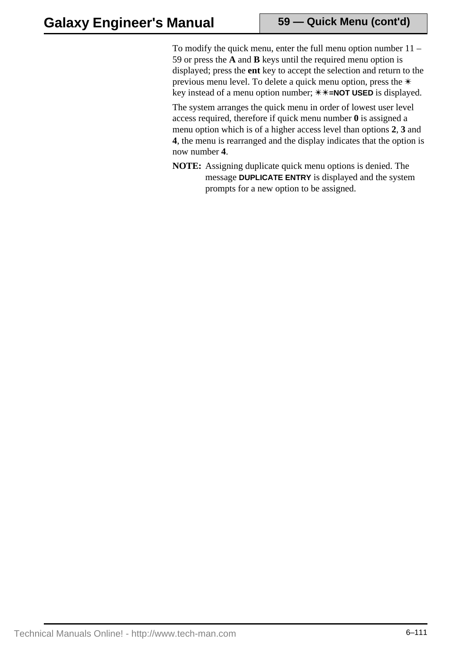To modify the quick menu, enter the full menu option number 11 – 59 or press the **A** and **B** keys until the required menu option is displayed; press the **ent** key to accept the selection and return to the previous menu level. To delete a quick menu option, press the  $*$ key instead of a menu option number;  $\text{*}\text{*}\text{+}$ **NOT USED** is displayed.

The system arranges the quick menu in order of lowest user level access required, therefore if quick menu number **0** is assigned a menu option which is of a higher access level than options **2**, **3** and **4**, the menu is rearranged and the display indicates that the option is now number **4**.

**NOTE:** Assigning duplicate quick menu options is denied. The message **DUPLICATE ENTRY** is displayed and the system prompts for a new option to be assigned.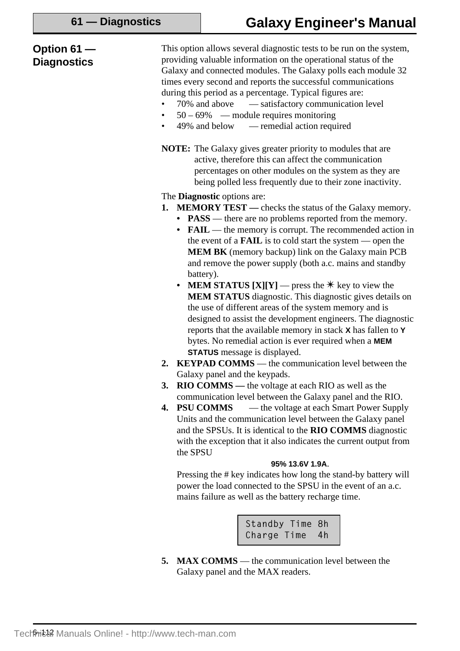| Option $61-$<br><b>Diagnostics</b> | This option allows several diagnostic tests to be run on the system,<br>providing valuable information on the operational status of the<br>Galaxy and connected modules. The Galaxy polls each module 32<br>times every second and reports the successful communications<br>during this period as a percentage. Typical figures are:<br>70% and above — satisfactory communication level<br>$50 - 69\%$ — module requires monitoring<br>$\bullet$<br>49% and below — remedial action required<br>$\bullet$                                                                                                                                                                                                                                                                                                                                                                                                                                                                                                                                                                                                                                                                                                                                                                                                                                                                                                                                                                                                                                                                                                                                                             |
|------------------------------------|------------------------------------------------------------------------------------------------------------------------------------------------------------------------------------------------------------------------------------------------------------------------------------------------------------------------------------------------------------------------------------------------------------------------------------------------------------------------------------------------------------------------------------------------------------------------------------------------------------------------------------------------------------------------------------------------------------------------------------------------------------------------------------------------------------------------------------------------------------------------------------------------------------------------------------------------------------------------------------------------------------------------------------------------------------------------------------------------------------------------------------------------------------------------------------------------------------------------------------------------------------------------------------------------------------------------------------------------------------------------------------------------------------------------------------------------------------------------------------------------------------------------------------------------------------------------------------------------------------------------------------------------------------------------|
|                                    | <b>NOTE:</b> The Galaxy gives greater priority to modules that are<br>active, therefore this can affect the communication<br>percentages on other modules on the system as they are<br>being polled less frequently due to their zone inactivity.                                                                                                                                                                                                                                                                                                                                                                                                                                                                                                                                                                                                                                                                                                                                                                                                                                                                                                                                                                                                                                                                                                                                                                                                                                                                                                                                                                                                                      |
|                                    | The <b>Diagnostic</b> options are:<br><b>1. MEMORY TEST</b> — checks the status of the Galaxy memory.<br>• <b>PASS</b> — there are no problems reported from the memory.<br>• FAIL — the memory is corrupt. The recommended action in<br>the event of a <b>FAIL</b> is to cold start the system $\sim$ open the<br><b>MEM BK</b> (memory backup) link on the Galaxy main PCB<br>and remove the power supply (both a.c. mains and standby<br>battery).<br><b>MEM STATUS [X][Y]</b> — press the $*$ key to view the<br>$\bullet$<br><b>MEM STATUS</b> diagnostic. This diagnostic gives details on<br>the use of different areas of the system memory and is<br>designed to assist the development engineers. The diagnostic<br>reports that the available memory in stack X has fallen to Y<br>bytes. No remedial action is ever required when a MEM<br><b>STATUS</b> message is displayed.<br><b>KEYPAD COMMS</b> — the communication level between the<br>2.<br>Galaxy panel and the keypads.<br><b>RIO COMMS</b> — the voltage at each RIO as well as the<br>3.<br>communication level between the Galaxy panel and the RIO.<br>— the voltage at each Smart Power Supply<br><b>PSU COMMS</b><br>4.<br>Units and the communication level between the Galaxy panel<br>and the SPSUs. It is identical to the RIO COMMS diagnostic<br>with the exception that it also indicates the current output from<br>the SPSU<br>95% 13.6V 1.9A.<br>Pressing the # key indicates how long the stand-by battery will<br>power the load connected to the SPSU in the event of an a.c.<br>mains failure as well as the battery recharge time.<br>Standby Time 8h<br>Charge Time<br>4h |

**5. MAX COMMS** — the communication level between the Galaxy panel and the MAX readers.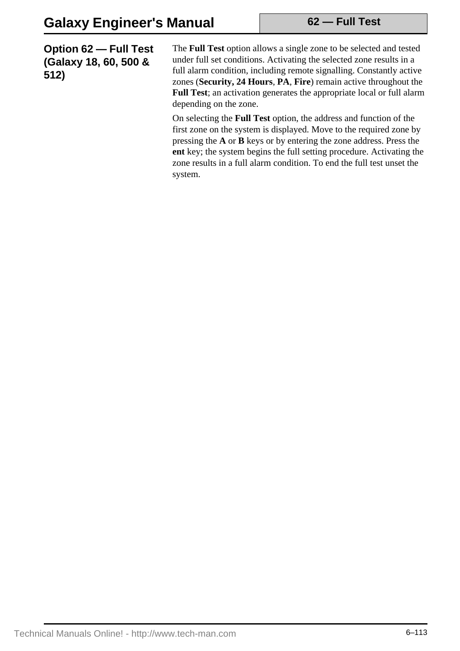**Option 62 — Full Test (Galaxy 18, 60, 500 & 512)**

The **Full Test** option allows a single zone to be selected and tested under full set conditions. Activating the selected zone results in a full alarm condition, including remote signalling. Constantly active zones (**Security, 24 Hours**, **PA**, **Fire**) remain active throughout the **Full Test**; an activation generates the appropriate local or full alarm depending on the zone.

On selecting the **Full Test** option, the address and function of the first zone on the system is displayed. Move to the required zone by pressing the **A** or **B** keys or by entering the zone address. Press the **ent** key; the system begins the full setting procedure. Activating the zone results in a full alarm condition. To end the full test unset the system.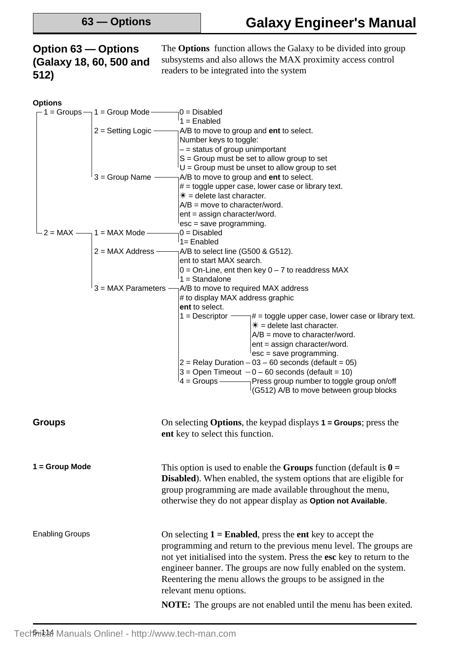## **Option 63 — Options (Galaxy 18, 60, 500 and 512)**

The **Options** function allows the Galaxy to be divided into group subsystems and also allows the MAX proximity access control readers to be integrated into the system

| <b>Options</b>         |                            |                                                                                           |
|------------------------|----------------------------|-------------------------------------------------------------------------------------------|
| $-$ 1 = Groups $-$     | $1 =$ Group Mode -         | $\beta =$ Disabled                                                                        |
|                        |                            | $1 =$ Enabled                                                                             |
|                        | $2 =$ Setting Logic $-$    | A/B to move to group and ent to select.                                                   |
|                        |                            | Number keys to toggle:                                                                    |
|                        |                            | $-$ = status of group unimportant                                                         |
|                        |                            | $S =$ Group must be set to allow group to set                                             |
|                        |                            | $U =$ Group must be unset to allow group to set                                           |
|                        | $3 =$ Group Name -         | A/B to move to group and ent to select.                                                   |
|                        |                            | $#$ = toggle upper case, lower case or library text.                                      |
|                        |                            | $* =$ delete last character.                                                              |
|                        |                            | $A/B$ = move to character/word.                                                           |
|                        |                            | ent = assign character/word.                                                              |
|                        |                            | esc = save programming.                                                                   |
|                        | $2 = MAX$ — 1 = MAX Mode - | $0 = Disabled$                                                                            |
|                        |                            | 1= Enabled                                                                                |
|                        | $2 = MAX Address -$        | A/B to select line (G500 & G512).                                                         |
|                        |                            | ent to start MAX search.                                                                  |
|                        |                            | $0 =$ On-Line, ent then key $0 - 7$ to readdress MAX                                      |
|                        |                            | $1 =$ Standalone                                                                          |
|                        | $3 = MAX$ Parameters       | A/B to move to required MAX address                                                       |
|                        |                            | # to display MAX address graphic                                                          |
|                        |                            | ent to select.                                                                            |
|                        |                            | 1 = Descriptor $\equiv$<br>$\frac{1}{4}$ = toggle upper case, lower case or library text. |
|                        |                            | $* =$ delete last character.                                                              |
|                        |                            | $A/B =$ move to character/word.                                                           |
|                        |                            | ent = assign character/word.                                                              |
|                        |                            | $\epsilon$ esc = save programming.                                                        |
|                        |                            | $2$ = Relay Duration – 03 – 60 seconds (default = 05)                                     |
|                        |                            | $3 =$ Open Timeout $-0 - 60$ seconds (default = 10)                                       |
|                        |                            | $4 =$ Groups ———<br>$\neg$ Press group number to toggle group on/off                      |
|                        |                            | (G512) A/B to move between group blocks                                                   |
|                        |                            |                                                                                           |
| <b>Groups</b>          |                            | On selecting <b>Options</b> , the keypad displays $1 =$ <b>Groups</b> ; press the         |
|                        |                            | ent key to select this function.                                                          |
|                        |                            |                                                                                           |
|                        |                            |                                                                                           |
| 1 = Group Mode         |                            | This option is used to enable the <b>Groups</b> function (default is $\mathbf{0} =$       |
|                        |                            | Disabled). When enabled, the system options that are eligible for                         |
|                        |                            | group programming are made available throughout the menu,                                 |
|                        |                            | otherwise they do not appear display as Option not Available.                             |
|                        |                            |                                                                                           |
|                        |                            |                                                                                           |
| <b>Enabling Groups</b> |                            | On selecting $1 =$ <b>Enabled</b> , press the <b>ent</b> key to accept the                |
|                        |                            | programming and return to the previous menu level. The groups are                         |
|                        |                            | not yet initialised into the system. Press the esc key to return to the                   |
|                        |                            | engineer banner. The groups are now fully enabled on the system.                          |
|                        |                            | Reentering the menu allows the groups to be assigned in the                               |
|                        |                            |                                                                                           |
|                        |                            | relevant menu options.                                                                    |
|                        |                            | <b>NOTE:</b> The groups are not enabled until the menu has been exited.                   |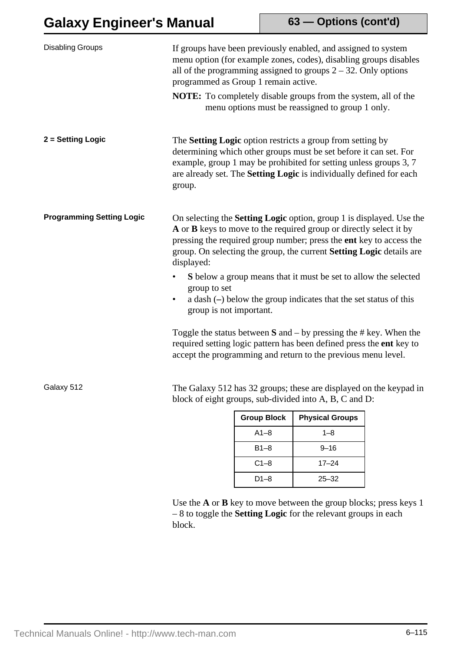# **Galaxy Engineer's Manual**

**63 — Options (cont'd)**

| <b>Disabling Groups</b>                                                                                                                    | programmed as Group 1 remain active.                                                                                                                                                                                                                                                                                  |                    | If groups have been previously enabled, and assigned to system<br>menu option (for example zones, codes), disabling groups disables<br>all of the programming assigned to groups $2 - 32$ . Only options<br><b>NOTE:</b> To completely disable groups from the system, all of the<br>menu options must be reassigned to group 1 only. |  |
|--------------------------------------------------------------------------------------------------------------------------------------------|-----------------------------------------------------------------------------------------------------------------------------------------------------------------------------------------------------------------------------------------------------------------------------------------------------------------------|--------------------|---------------------------------------------------------------------------------------------------------------------------------------------------------------------------------------------------------------------------------------------------------------------------------------------------------------------------------------|--|
| 2 = Setting Logic                                                                                                                          | group.                                                                                                                                                                                                                                                                                                                |                    | The <b>Setting Logic</b> option restricts a group from setting by<br>determining which other groups must be set before it can set. For<br>example, group 1 may be prohibited for setting unless groups 3, 7<br>are already set. The Setting Logic is individually defined for each                                                    |  |
| <b>Programming Setting Logic</b>                                                                                                           | On selecting the <b>Setting Logic</b> option, group 1 is displayed. Use the<br>A or <b>B</b> keys to move to the required group or directly select it by<br>pressing the required group number; press the ent key to access the<br>group. On selecting the group, the current Setting Logic details are<br>displayed: |                    |                                                                                                                                                                                                                                                                                                                                       |  |
|                                                                                                                                            | group to set<br>group is not important.                                                                                                                                                                                                                                                                               |                    | S below a group means that it must be set to allow the selected<br>a dash $(-)$ below the group indicates that the set status of this                                                                                                                                                                                                 |  |
|                                                                                                                                            |                                                                                                                                                                                                                                                                                                                       |                    | Toggle the status between $S$ and $-$ by pressing the # key. When the<br>required setting logic pattern has been defined press the ent key to<br>accept the programming and return to the previous menu level.                                                                                                                        |  |
| Galaxy 512<br>The Galaxy 512 has 32 groups; these are displayed on the keypad in<br>block of eight groups, sub-divided into A, B, C and D: |                                                                                                                                                                                                                                                                                                                       |                    |                                                                                                                                                                                                                                                                                                                                       |  |
|                                                                                                                                            |                                                                                                                                                                                                                                                                                                                       | <b>Group Block</b> | <b>Physical Groups</b>                                                                                                                                                                                                                                                                                                                |  |
|                                                                                                                                            |                                                                                                                                                                                                                                                                                                                       | $A1-8$             | $1 - 8$                                                                                                                                                                                                                                                                                                                               |  |
|                                                                                                                                            |                                                                                                                                                                                                                                                                                                                       | $B1-8$             | $9 - 16$                                                                                                                                                                                                                                                                                                                              |  |
|                                                                                                                                            |                                                                                                                                                                                                                                                                                                                       | $C1-8$             | $17 - 24$                                                                                                                                                                                                                                                                                                                             |  |
|                                                                                                                                            |                                                                                                                                                                                                                                                                                                                       | $D1-8$             | $25 - 32$                                                                                                                                                                                                                                                                                                                             |  |

Use the **A** or **B** key to move between the group blocks; press keys 1 – 8 to toggle the **Setting Logic** for the relevant groups in each block.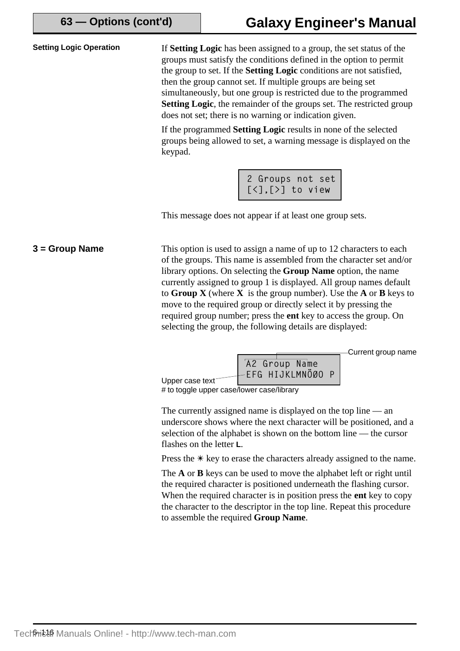**Setting Logic Operation** If **Setting Logic** has been assigned to a group, the set status of the groups must satisfy the conditions defined in the option to permit the group to set. If the **Setting Logic** conditions are not satisfied, then the group cannot set. If multiple groups are being set simultaneously, but one group is restricted due to the programmed **Setting Logic**, the remainder of the groups set. The restricted group does not set; there is no warning or indication given.

> If the programmed **Setting Logic** results in none of the selected groups being allowed to set, a warning message is displayed on the keypad.

| 2 Groups not set                        |  |  |
|-----------------------------------------|--|--|
| $[\langle \cdot]$ , $[\rangle]$ to view |  |  |

This message does not appear if at least one group sets.

This option is used to assign a name of up to 12 characters to each of the groups. This name is assembled from the character set and/or library options. On selecting the **Group Name** option, the name currently assigned to group 1 is displayed. All group names default to **Group X** (where **X** is the group number). Use the **A** or **B** keys to move to the required group or directly select it by pressing the required group number; press the **ent** key to access the group. On selecting the group, the following details are displayed: **3 = Group Name**

Current group name



# to toggle upper case/lower case/library

The currently assigned name is displayed on the top line — an underscore shows where the next character will be positioned, and a selection of the alphabet is shown on the bottom line — the cursor flashes on the letter **L**.

Press the  $*$  key to erase the characters already assigned to the name.

The **A** or **B** keys can be used to move the alphabet left or right until the required character is positioned underneath the flashing cursor. When the required character is in position press the **ent** key to copy the character to the descriptor in the top line. Repeat this procedure to assemble the required **Group Name**.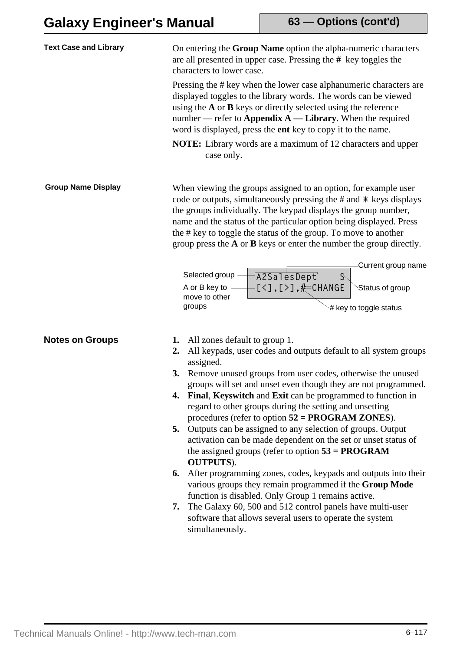| <b>Text Case and Library</b> | On entering the Group Name option the alpha-numeric characters<br>are all presented in upper case. Pressing the $#$ key toggles the<br>characters to lower case.                                                                                                                                                                                                                                                                                                                                                                                                                                                                                                                                                                                                                                                                                                                                                                     |
|------------------------------|--------------------------------------------------------------------------------------------------------------------------------------------------------------------------------------------------------------------------------------------------------------------------------------------------------------------------------------------------------------------------------------------------------------------------------------------------------------------------------------------------------------------------------------------------------------------------------------------------------------------------------------------------------------------------------------------------------------------------------------------------------------------------------------------------------------------------------------------------------------------------------------------------------------------------------------|
|                              | Pressing the # key when the lower case alphanumeric characters are<br>displayed toggles to the library words. The words can be viewed<br>using the $A$ or $B$ keys or directly selected using the reference<br>number — refer to Appendix $A$ — Library. When the required<br>word is displayed, press the ent key to copy it to the name.                                                                                                                                                                                                                                                                                                                                                                                                                                                                                                                                                                                           |
|                              | <b>NOTE:</b> Library words are a maximum of 12 characters and upper<br>case only.                                                                                                                                                                                                                                                                                                                                                                                                                                                                                                                                                                                                                                                                                                                                                                                                                                                    |
| <b>Group Name Display</b>    | When viewing the groups assigned to an option, for example user<br>code or outputs, simultaneously pressing the $#$ and $*$ keys displays<br>the groups individually. The keypad displays the group number,<br>name and the status of the particular option being displayed. Press<br>the # key to toggle the status of the group. To move to another<br>group press the $A$ or $B$ keys or enter the number the group directly.                                                                                                                                                                                                                                                                                                                                                                                                                                                                                                     |
|                              | Current group name<br>Selected group<br>A2SalesDept<br>$S\setminus$<br>$[55]$ , $[55]$ , $\frac{1}{2}$ , $[55]$<br>A or B key to<br>Status of group<br>move to other<br>groups<br># key to toggle status                                                                                                                                                                                                                                                                                                                                                                                                                                                                                                                                                                                                                                                                                                                             |
| <b>Notes on Groups</b>       | All zones default to group 1.<br>1.<br>All keypads, user codes and outputs default to all system groups<br>2.<br>assigned.<br>Remove unused groups from user codes, otherwise the unused<br>3.<br>groups will set and unset even though they are not programmed.<br>Final, Keyswitch and Exit can be programmed to function in<br>4.<br>regard to other groups during the setting and unsetting<br>procedures (refer to option $52 = PROGRAM ZONES$ ).<br>Outputs can be assigned to any selection of groups. Output<br>5.<br>activation can be made dependent on the set or unset status of<br>the assigned groups (refer to option $53 = PROGRAM$<br><b>OUTPUTS</b> ).<br>After programming zones, codes, keypads and outputs into their<br>6.<br>various groups they remain programmed if the Group Mode<br>function is disabled. Only Group 1 remains active.<br>The Galaxy 60, 500 and 512 control panels have multi-user<br>7. |
|                              | software that allows several users to operate the system<br>simultaneously.                                                                                                                                                                                                                                                                                                                                                                                                                                                                                                                                                                                                                                                                                                                                                                                                                                                          |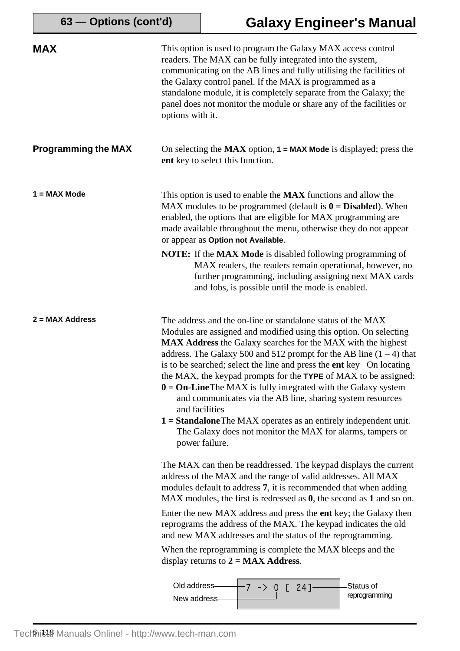| 63 - Options (cont'd)      |                             | <b>Galaxy Engineer's Manual</b>                                                                                                                                                                                                                                                                                                                                                                                                                                                                                                                                                                                                                                                                                                               |                            |
|----------------------------|-----------------------------|-----------------------------------------------------------------------------------------------------------------------------------------------------------------------------------------------------------------------------------------------------------------------------------------------------------------------------------------------------------------------------------------------------------------------------------------------------------------------------------------------------------------------------------------------------------------------------------------------------------------------------------------------------------------------------------------------------------------------------------------------|----------------------------|
| <b>MAX</b>                 | options with it.            | This option is used to program the Galaxy MAX access control<br>readers. The MAX can be fully integrated into the system,<br>communicating on the AB lines and fully utilising the facilities of<br>the Galaxy control panel. If the MAX is programmed as a<br>standalone module, it is completely separate from the Galaxy; the<br>panel does not monitor the module or share any of the facilities or                                                                                                                                                                                                                                                                                                                                       |                            |
| <b>Programming the MAX</b> |                             | On selecting the MAX option, $1 = MAX$ Mode is displayed; press the<br>ent key to select this function.                                                                                                                                                                                                                                                                                                                                                                                                                                                                                                                                                                                                                                       |                            |
| $1 = MAX Mode$             |                             | This option is used to enable the <b>MAX</b> functions and allow the<br>MAX modules to be programmed (default is $\mathbf{0} = \mathbf{Disabled}$ ). When<br>enabled, the options that are eligible for MAX programming are<br>made available throughout the menu, otherwise they do not appear<br>or appear as Option not Available.<br><b>NOTE:</b> If the <b>MAX Mode</b> is disabled following programming of<br>MAX readers, the readers remain operational, however, no<br>further programming, including assigning next MAX cards                                                                                                                                                                                                      |                            |
|                            |                             | and fobs, is possible until the mode is enabled.                                                                                                                                                                                                                                                                                                                                                                                                                                                                                                                                                                                                                                                                                              |                            |
| $2 = MAX$ Address          |                             | The address and the on-line or standalone status of the MAX<br>Modules are assigned and modified using this option. On selecting<br><b>MAX Address</b> the Galaxy searches for the MAX with the highest<br>address. The Galaxy 500 and 512 prompt for the AB line $(1 – 4)$ that<br>is to be searched; select the line and press the ent key On locating<br>the MAX, the keypad prompts for the TYPE of MAX to be assigned:<br>$0 = On$ -Line The MAX is fully integrated with the Galaxy system<br>and communicates via the AB line, sharing system resources<br>and facilities<br>$1 =$ <b>Standalone</b> The MAX operates as an entirely independent unit.<br>The Galaxy does not monitor the MAX for alarms, tampers or<br>power failure. |                            |
|                            |                             | The MAX can then be readdressed. The keypad displays the current<br>address of the MAX and the range of valid addresses. All MAX<br>modules default to address 7, it is recommended that when adding<br>$MAX$ modules, the first is redressed as $0$ , the second as $1$ and so on.<br>Enter the new MAX address and press the ent key; the Galaxy then<br>reprograms the address of the MAX. The keypad indicates the old<br>and new MAX addresses and the status of the reprogramming.<br>When the reprogramming is complete the MAX bleeps and the<br>display returns to $2 = MAX$ Address.                                                                                                                                                |                            |
|                            | Old address<br>New address- | 0 [24]                                                                                                                                                                                                                                                                                                                                                                                                                                                                                                                                                                                                                                                                                                                                        | Status of<br>reprogramming |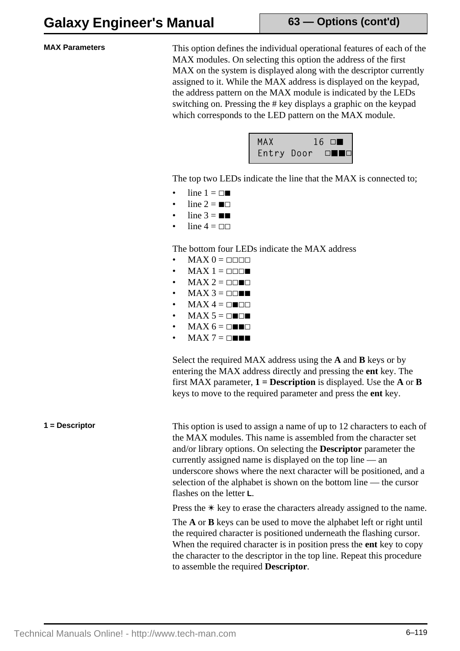**63 — Options (cont'd)**

**MAX Parameters** This option defines the individual operational features of each of the MAX modules. On selecting this option the address of the first MAX on the system is displayed along with the descriptor currently assigned to it. While the MAX address is displayed on the keypad, the address pattern on the MAX module is indicated by the LEDs switching on. Pressing the # key displays a graphic on the keypad which corresponds to the LED pattern on the MAX module.



The top two LEDs indicate the line that the MAX is connected to;

- line  $1 = \Box$
- line  $2 = \blacksquare$
- line  $3 = \blacksquare$
- line  $4 = \square$

The bottom four LEDs indicate the MAX address

- $MAX 0 = \Box \Box \Box$
- $MAX 1 = 222$
- $MAX 2 = 22.22$
- $MAX 3 = \Box \Box \blacksquare$
- $MAX 4 = \square \square \square$
- $MAX 5 = 2$
- $MAX 6 = \square \square \square$
- $MAX 7 = \square \blacksquare \blacksquare$

Select the required MAX address using the **A** and **B** keys or by entering the MAX address directly and pressing the **ent** key. The first MAX parameter,  $1 =$ **Description** is displayed. Use the **A** or **B** keys to move to the required parameter and press the **ent** key.

**1** = Descriptor This option is used to assign a name of up to 12 characters to each of the MAX modules. This name is assembled from the character set and/or library options. On selecting the **Descriptor** parameter the currently assigned name is displayed on the top line — an underscore shows where the next character will be positioned, and a selection of the alphabet is shown on the bottom line — the cursor flashes on the letter **L**.

Press the  $*$  key to erase the characters already assigned to the name.

The **A** or **B** keys can be used to move the alphabet left or right until the required character is positioned underneath the flashing cursor. When the required character is in position press the **ent** key to copy the character to the descriptor in the top line. Repeat this procedure to assemble the required **Descriptor**.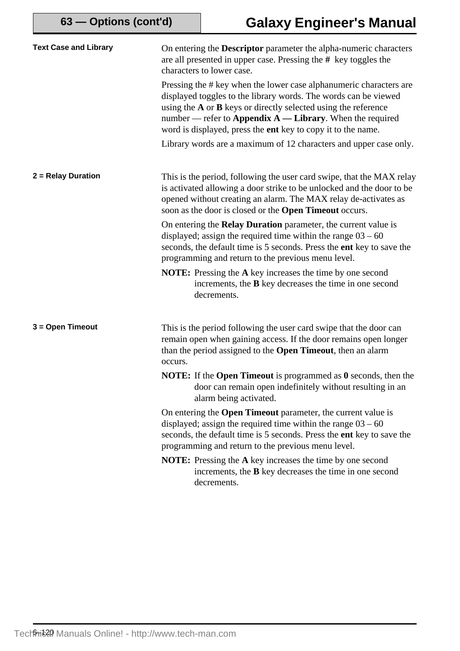| <b>Text Case and Library</b> | On entering the <b>Descriptor</b> parameter the alpha-numeric characters<br>are all presented in upper case. Pressing the # key toggles the<br>characters to lower case.                                                                                                                                                                   |
|------------------------------|--------------------------------------------------------------------------------------------------------------------------------------------------------------------------------------------------------------------------------------------------------------------------------------------------------------------------------------------|
|                              | Pressing the # key when the lower case alphanumeric characters are<br>displayed toggles to the library words. The words can be viewed<br>using the $A$ or $B$ keys or directly selected using the reference<br>number — refer to Appendix $A$ — Library. When the required<br>word is displayed, press the ent key to copy it to the name. |
|                              | Library words are a maximum of 12 characters and upper case only.                                                                                                                                                                                                                                                                          |
| 2 = Relay Duration           | This is the period, following the user card swipe, that the MAX relay<br>is activated allowing a door strike to be unlocked and the door to be<br>opened without creating an alarm. The MAX relay de-activates as<br>soon as the door is closed or the Open Timeout occurs.                                                                |
|                              | On entering the <b>Relay Duration</b> parameter, the current value is<br>displayed; assign the required time within the range $03 - 60$<br>seconds, the default time is 5 seconds. Press the ent key to save the<br>programming and return to the previous menu level.                                                                     |
|                              | <b>NOTE:</b> Pressing the A key increases the time by one second<br>increments, the <b>B</b> key decreases the time in one second<br>decrements.                                                                                                                                                                                           |
| 3 = Open Timeout             | This is the period following the user card swipe that the door can<br>remain open when gaining access. If the door remains open longer<br>than the period assigned to the Open Timeout, then an alarm<br>occurs.                                                                                                                           |
|                              | <b>NOTE:</b> If the <b>Open Timeout</b> is programmed as $\theta$ seconds, then the<br>door can remain open indefinitely without resulting in an<br>alarm being activated.                                                                                                                                                                 |
|                              | On entering the <b>Open Timeout</b> parameter, the current value is<br>displayed; assign the required time within the range $03 - 60$<br>seconds, the default time is 5 seconds. Press the ent key to save the<br>programming and return to the previous menu level.                                                                       |
|                              | <b>NOTE:</b> Pressing the A key increases the time by one second<br>increments, the <b>B</b> key decreases the time in one second<br>decrements.                                                                                                                                                                                           |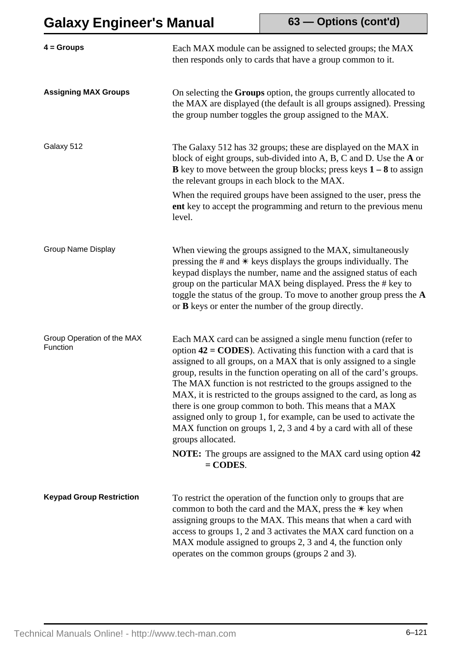**63 — Options (cont'd)**

| $4 =$ Groups                           | Each MAX module can be assigned to selected groups; the MAX<br>then responds only to cards that have a group common to it.                                                                                                                                                                                                                                                                                                                                                                                                                                                                                                                                                                                                                               |
|----------------------------------------|----------------------------------------------------------------------------------------------------------------------------------------------------------------------------------------------------------------------------------------------------------------------------------------------------------------------------------------------------------------------------------------------------------------------------------------------------------------------------------------------------------------------------------------------------------------------------------------------------------------------------------------------------------------------------------------------------------------------------------------------------------|
| <b>Assigning MAX Groups</b>            | On selecting the Groups option, the groups currently allocated to<br>the MAX are displayed (the default is all groups assigned). Pressing<br>the group number toggles the group assigned to the MAX.                                                                                                                                                                                                                                                                                                                                                                                                                                                                                                                                                     |
| Galaxy 512                             | The Galaxy 512 has 32 groups; these are displayed on the MAX in<br>block of eight groups, sub-divided into A, B, C and D. Use the A or<br><b>B</b> key to move between the group blocks; press keys $1 - 8$ to assign<br>the relevant groups in each block to the MAX.<br>When the required groups have been assigned to the user, press the<br>ent key to accept the programming and return to the previous menu<br>level.                                                                                                                                                                                                                                                                                                                              |
| <b>Group Name Display</b>              | When viewing the groups assigned to the MAX, simultaneously<br>pressing the $\#$ and $\#$ keys displays the groups individually. The<br>keypad displays the number, name and the assigned status of each<br>group on the particular MAX being displayed. Press the # key to<br>toggle the status of the group. To move to another group press the A<br>or <b>B</b> keys or enter the number of the group directly.                                                                                                                                                                                                                                                                                                                                       |
| Group Operation of the MAX<br>Function | Each MAX card can be assigned a single menu function (refer to<br>option $42 = \text{CODES}$ ). Activating this function with a card that is<br>assigned to all groups, on a MAX that is only assigned to a single<br>group, results in the function operating on all of the card's groups.<br>The MAX function is not restricted to the groups assigned to the<br>MAX, it is restricted to the groups assigned to the card, as long as<br>there is one group common to both. This means that a MAX<br>assigned only to group 1, for example, can be used to activate the<br>MAX function on groups 1, 2, 3 and 4 by a card with all of these<br>groups allocated.<br><b>NOTE:</b> The groups are assigned to the MAX card using option 42<br>$=$ CODES. |
| <b>Keypad Group Restriction</b>        | To restrict the operation of the function only to groups that are<br>common to both the card and the MAX, press the $*$ key when<br>assigning groups to the MAX. This means that when a card with<br>access to groups 1, 2 and 3 activates the MAX card function on a<br>MAX module assigned to groups 2, 3 and 4, the function only<br>operates on the common groups (groups 2 and 3).                                                                                                                                                                                                                                                                                                                                                                  |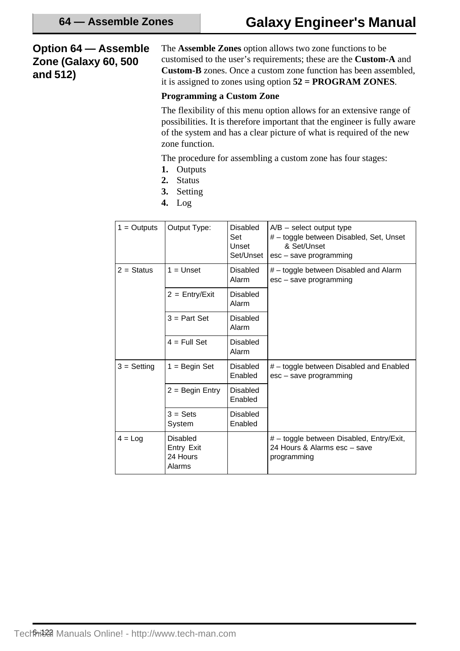## **Option 64 — Assemble Zone (Galaxy 60, 500 and 512)**

The **Assemble Zones** option allows two zone functions to be customised to the user's requirements; these are the **Custom-A** and **Custom-B** zones. Once a custom zone function has been assembled, it is assigned to zones using option **52 = PROGRAM ZONES**.

### **Programming a Custom Zone**

The flexibility of this menu option allows for an extensive range of possibilities. It is therefore important that the engineer is fully aware of the system and has a clear picture of what is required of the new zone function.

The procedure for assembling a custom zone has four stages:

- **1.** Outputs
- **2.** Status
- **3.** Setting
- **4.** Log

| $1 =$ Outputs | Output Type:                                        | <b>Disabled</b><br>Set<br>Unset<br>Set/Unset | $A/B$ – select output type<br># - toggle between Disabled, Set, Unset<br>& Set/Unset<br>esc – save programming |
|---------------|-----------------------------------------------------|----------------------------------------------|----------------------------------------------------------------------------------------------------------------|
| $2 =$ Status  | $1 =$ Unset                                         | <b>Disabled</b><br>Alarm                     | # - toggle between Disabled and Alarm<br>esc - save programming                                                |
|               | $2 = \text{Entry/Exit}$                             | <b>Disabled</b><br>Alarm                     |                                                                                                                |
|               | $3 = Part Set$                                      | <b>Disabled</b><br>Alarm                     |                                                                                                                |
|               | $4 = Full Set$                                      | Disabled<br>Alarm                            |                                                                                                                |
| $3 =$ Setting | $1 =$ Begin Set                                     | <b>Disabled</b><br>Enabled                   | # - toggle between Disabled and Enabled<br>esc – save programming                                              |
|               | $2 =$ Begin Entry                                   | <b>Disabled</b><br>Enabled                   |                                                                                                                |
|               | $3 = Sets$<br>System                                | Disabled<br>Enabled                          |                                                                                                                |
| $4 = Log$     | <b>Disabled</b><br>Entry Exit<br>24 Hours<br>Alarms |                                              | # - toggle between Disabled, Entry/Exit,<br>24 Hours & Alarms esc - save<br>programming                        |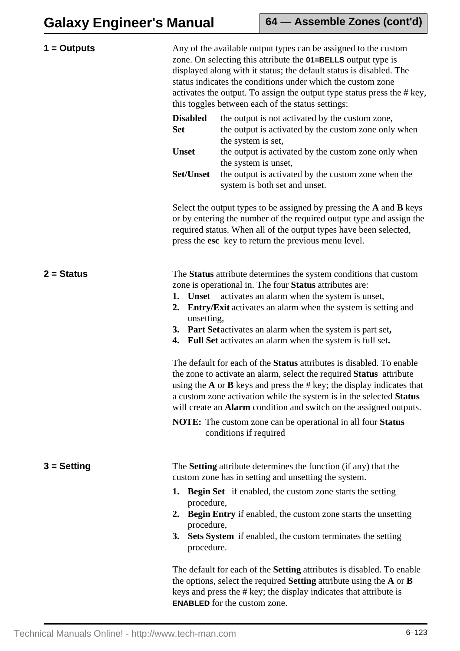| $1 =$ Outputs |                                                                                                                                                                                                                                                                                     | Any of the available output types can be assigned to the custom<br>zone. On selecting this attribute the <b>01=BELLS</b> output type is<br>displayed along with it status; the default status is disabled. The<br>status indicates the conditions under which the custom zone<br>activates the output. To assign the output type status press the # key,<br>this toggles between each of the status settings: |  |
|---------------|-------------------------------------------------------------------------------------------------------------------------------------------------------------------------------------------------------------------------------------------------------------------------------------|---------------------------------------------------------------------------------------------------------------------------------------------------------------------------------------------------------------------------------------------------------------------------------------------------------------------------------------------------------------------------------------------------------------|--|
|               | <b>Disabled</b><br><b>Set</b>                                                                                                                                                                                                                                                       | the output is not activated by the custom zone,<br>the output is activated by the custom zone only when<br>the system is set,                                                                                                                                                                                                                                                                                 |  |
|               | <b>Unset</b>                                                                                                                                                                                                                                                                        | the output is activated by the custom zone only when<br>the system is unset,                                                                                                                                                                                                                                                                                                                                  |  |
|               | Set/Unset                                                                                                                                                                                                                                                                           | the output is activated by the custom zone when the<br>system is both set and unset.                                                                                                                                                                                                                                                                                                                          |  |
|               |                                                                                                                                                                                                                                                                                     | Select the output types to be assigned by pressing the A and B keys<br>or by entering the number of the required output type and assign the<br>required status. When all of the output types have been selected,<br>press the esc key to return the previous menu level.                                                                                                                                      |  |
| $2 = Status$  | The Status attribute determines the system conditions that custom<br>zone is operational in. The four Status attributes are:<br>activates an alarm when the system is unset,<br>1. Unset<br><b>Entry/Exit</b> activates an alarm when the system is setting and<br>2.<br>unsetting, |                                                                                                                                                                                                                                                                                                                                                                                                               |  |
|               |                                                                                                                                                                                                                                                                                     | 3. Part Set activates an alarm when the system is part set,<br>4. Full Set activates an alarm when the system is full set.                                                                                                                                                                                                                                                                                    |  |
|               |                                                                                                                                                                                                                                                                                     | The default for each of the <b>Status</b> attributes is disabled. To enable<br>the zone to activate an alarm, select the required <b>Status</b> attribute<br>using the $A$ or $B$ keys and press the $\#$ key; the display indicates that<br>a custom zone activation while the system is in the selected Status<br>will create an <b>Alarm</b> condition and switch on the assigned outputs.                 |  |
|               |                                                                                                                                                                                                                                                                                     | <b>NOTE:</b> The custom zone can be operational in all four <b>Status</b><br>conditions if required                                                                                                                                                                                                                                                                                                           |  |
| $3 =$ Setting |                                                                                                                                                                                                                                                                                     | The <b>Setting</b> attribute determines the function (if any) that the<br>custom zone has in setting and unsetting the system.                                                                                                                                                                                                                                                                                |  |
|               | procedure,<br>$2_{\cdot}$<br>procedure,<br>procedure.                                                                                                                                                                                                                               | <b>1.</b> Begin Set if enabled, the custom zone starts the setting<br><b>Begin Entry</b> if enabled, the custom zone starts the unsetting<br>3. Sets System if enabled, the custom terminates the setting                                                                                                                                                                                                     |  |
|               |                                                                                                                                                                                                                                                                                     | The default for each of the <b>Setting</b> attributes is disabled. To enable<br>the options, select the required <b>Setting</b> attribute using the $A$ or $B$<br>keys and press the # key; the display indicates that attribute is<br><b>ENABLED</b> for the custom zone.                                                                                                                                    |  |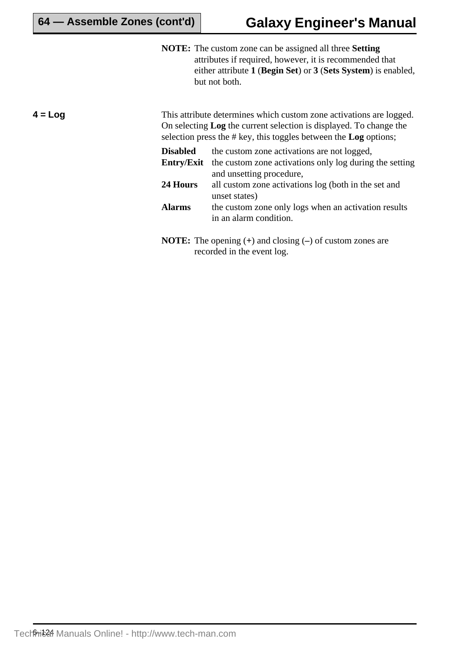**NOTE:** The custom zone can be assigned all three **Setting** attributes if required, however, it is recommended that either attribute **1** (**Begin Set**) or **3** (**Sets System**) is enabled, but not both.

**4 = Log**

This attribute determines which custom zone activations are logged. On selecting **Log** the current selection is displayed. To change the selection press the # key, this toggles between the **Log** options;

| Disabled   | the custom zone activations are not logged,             |
|------------|---------------------------------------------------------|
| Entry/Exit | the custom zone activations only log during the setting |
|            | and unsetting procedure,                                |
| 24 Hours   | all custom zone activations log (both in the set and    |
|            | unset states)                                           |
| Alarms     | the custom zone only logs when an activation results    |
|            | in an alarm condition.                                  |
|            |                                                         |

**NOTE:** The opening (**+**) and closing (**–**) of custom zones are recorded in the event log.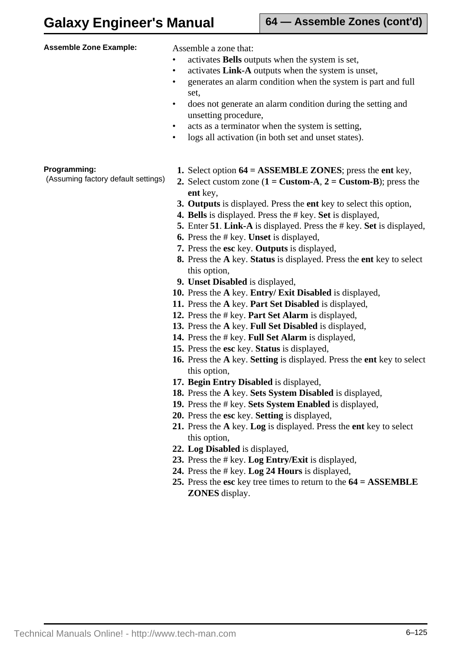| <b>Assemble Zone Example:</b>                       | Assemble a zone that:<br>activates Bells outputs when the system is set,<br>activates Link-A outputs when the system is unset,<br>$\bullet$<br>generates an alarm condition when the system is part and full<br>٠<br>set.<br>does not generate an alarm condition during the setting and<br>$\bullet$<br>unsetting procedure,<br>acts as a terminator when the system is setting,<br>$\bullet$<br>logs all activation (in both set and unset states).<br>$\bullet$                                                                                                                                                                                                                                                                                                                                                                                                                                                                                                                                                                                                                                                                        |
|-----------------------------------------------------|-------------------------------------------------------------------------------------------------------------------------------------------------------------------------------------------------------------------------------------------------------------------------------------------------------------------------------------------------------------------------------------------------------------------------------------------------------------------------------------------------------------------------------------------------------------------------------------------------------------------------------------------------------------------------------------------------------------------------------------------------------------------------------------------------------------------------------------------------------------------------------------------------------------------------------------------------------------------------------------------------------------------------------------------------------------------------------------------------------------------------------------------|
| Programming:<br>(Assuming factory default settings) | 1. Select option $64 = ASSEMBLE ZONES$ ; press the ent key,<br>2. Select custom zone $(1 = \text{Custom-A}, 2 = \text{Custom-B})$ ; press the<br>ent key,<br>3. Outputs is displayed. Press the ent key to select this option,<br><b>4. Bells</b> is displayed. Press the # key. Set is displayed,<br>5. Enter 51. Link-A is displayed. Press the # key. Set is displayed,<br><b>6.</b> Press the # key. Unset is displayed,<br>7. Press the esc key. Outputs is displayed,<br>8. Press the A key. Status is displayed. Press the ent key to select<br>this option,<br>9. Unset Disabled is displayed,<br>10. Press the A key. Entry/ Exit Disabled is displayed,<br>11. Press the A key. Part Set Disabled is displayed,<br>12. Press the # key. Part Set Alarm is displayed,<br>13. Press the A key. Full Set Disabled is displayed,<br>14. Press the # key. Full Set Alarm is displayed,<br>15. Press the esc key. Status is displayed,<br>16. Press the A key. Setting is displayed. Press the ent key to select<br>this option,<br>17. Begin Entry Disabled is displayed,<br>18. Press the A key. Sets System Disabled is displayed, |

- **19.** Press the # key. **Sets System Enabled** is displayed,
- **20.** Press the **esc** key. **Setting** is displayed,
- **21.** Press the **A** key. **Log** is displayed. Press the **ent** key to select this option,
- **22. Log Disabled** is displayed,
- **23.** Press the # key. **Log Entry/Exit** is displayed,
- **24.** Press the # key. **Log 24 Hours** is displayed,
- **25.** Press the **esc** key tree times to return to the **64 = ASSEMBLE ZONES** display.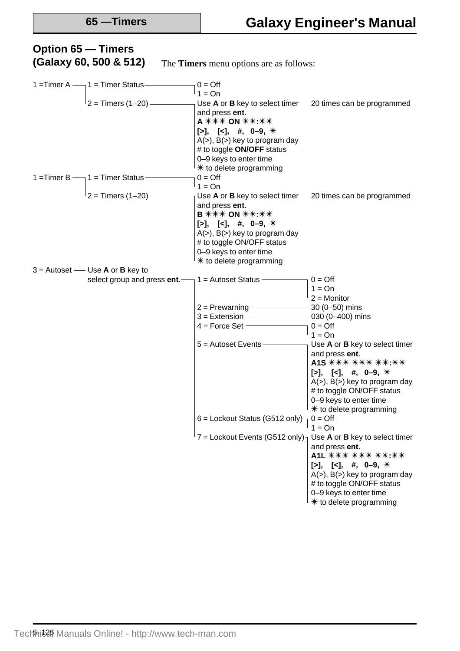### 1 = Timer A  $\rightarrow$  1 = Timer Status  $\rightarrow$  0 = Off  $1 = On$ 2 = Timers (1–20) Use **A** or **B** key to select timer 20 times can be programmed and press **ent**. **A \*\*\*\* ON \*\*\*:\*\***  $[\geq], \ [\leq], \#, \ 0-9, \#$  $A(\ge)$ ,  $B(\ge)$  key to program day # to toggle **ON/OFF** status 0–9 keys to enter time  $*$  to delete programming 1 = Timer B  $-1$  = Timer Status  $-$  0 = Off  $1 = On$  $\overline{2}$  = Timers (1–20)  $\overline{2}$  = Timers (1–20) Use **A** or **B** key to select timer 20 times can be programmed and press **ent**. **B \*\*\*\* ON \*\*:\*\***  $[-]$ ,  $[-]$ ,  $[4]$ ,  $[4]$ ,  $[0-9]$ ,  $[4]$ A(>), B(>) key to program day # to toggle ON/OFF status 0–9 keys to enter time  $*$  to delete programming  $3 =$  Autoset — Use **A** or **B** key to select group and press **ent**.  $\rightarrow$  1 = Autoset Status  $\rightarrow$  0 = Off  $1 = On$ 2 = Monitor  $2 =$  Prewarning  $\frac{30 (0 - 50)}{100}$  mins  $3 =$  Extension  $\frac{1}{3}$  = Extension  $\frac{1}{3}$  = Extension  $4 =$  Force Set  $\overline{\phantom{0}}$  0 = Off  $1 = On$ 5 = Autoset Events Use **A** or **B** key to select timer and press **ent**. A1S  $***$   $***$   $***$   $***$   $**$  $[-]$ ,  $[-]$ ,  $[$ ,  $\#$ ,  $0$ -9,  $\#$  $A(\ge)$ ,  $B(\ge)$  key to program day # to toggle ON/OFF status 0–9 keys to enter time  $*$  to delete programming 6 = Lockout Status (G512 only) $\neg$  0 = Off  $1 = On$  $7 =$  Lockout Events (G512 only) $\frac{1}{1}$  Use **A** or **B** key to select timer and press **ent**. A1L  $\overline{***}$   $\overline{***}$   $\overline{***}$   $\overline{***}$ **[>], [<],** #, **0-9**, \*  $A(>)$ ,  $B(>)$  key to program day # to toggle ON/OFF status 0–9 keys to enter time  $*$  to delete programming **Option 65 — Timers (Galaxy 60, 500 & 512)** The **Timers** menu options are as follows: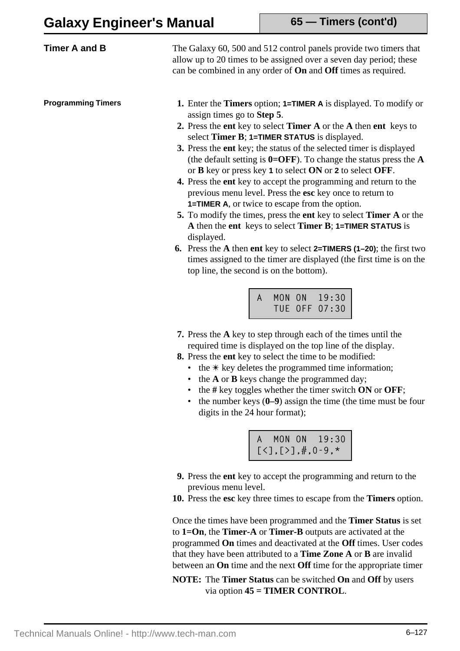**65 — Timers (cont'd)**

| <b>Timer A and B</b>      | The Galaxy 60, 500 and 512 control panels provide two timers that<br>allow up to 20 times to be assigned over a seven day period; these<br>can be combined in any order of <b>On</b> and <b>Off</b> times as required.                                                                                                                                                                                                                                                                                                                                                                                                                                                                                                                                                                                                                                                                                                                                                                                                                      |
|---------------------------|---------------------------------------------------------------------------------------------------------------------------------------------------------------------------------------------------------------------------------------------------------------------------------------------------------------------------------------------------------------------------------------------------------------------------------------------------------------------------------------------------------------------------------------------------------------------------------------------------------------------------------------------------------------------------------------------------------------------------------------------------------------------------------------------------------------------------------------------------------------------------------------------------------------------------------------------------------------------------------------------------------------------------------------------|
| <b>Programming Timers</b> | 1. Enter the Timers option; 1=TIMER A is displayed. To modify or<br>assign times go to <b>Step 5</b> .<br>2. Press the ent key to select Timer A or the A then ent keys to<br>select Timer B; 1=TIMER STATUS is displayed.<br>3. Press the ent key; the status of the selected timer is displayed<br>(the default setting is $0=OFF$ ). To change the status press the $A$<br>or <b>B</b> key or press key 1 to select ON or 2 to select OFF.<br>4. Press the ent key to accept the programming and return to the<br>previous menu level. Press the esc key once to return to<br><b>1=TIMER A, or twice to escape from the option.</b><br>5. To modify the times, press the ent key to select <b>Timer A</b> or the<br>A then the ent keys to select Timer B; $1=$ TIMER STATUS is<br>displayed.<br>6. Press the A then ent key to select 2=TIMERS (1-20); the first two<br>times assigned to the timer are displayed (the first time is on the<br>top line, the second is on the bottom).<br>MON ON 19:30<br>TUE OFF 07:30<br>$\mathsf{A}$ |

- **7.** Press the **A** key to step through each of the times until the required time is displayed on the top line of the display.
- **8.** Press the **ent** key to select the time to be modified:
	- the  $*$  key deletes the programmed time information;
	- the **A** or **B** keys change the programmed day;
	- the **#** key toggles whether the timer switch **ON** or **OFF**;
	- the number keys (0–9) assign the time (the time must be four digits in the 24 hour format);

|  | A MON ON 19:30                            |
|--|-------------------------------------------|
|  | $[\zeta], [\zeta], \ddot{x}, 0.9, \star]$ |

- **9.** Press the **ent** key to accept the programming and return to the previous menu level.
- **10.** Press the **esc** key three times to escape from the **Timers** option.

Once the times have been programmed and the **Timer Status** is set to **1=On**, the **Timer-A** or **Timer-B** outputs are activated at the programmed **On** times and deactivated at the **Off** times. User codes that they have been attributed to a **Time Zone A** or **B** are invalid between an **On** time and the next **Off** time for the appropriate timer

**NOTE:** The **Timer Status** can be switched **On** and **Off** by users via option **45 = TIMER CONTROL**.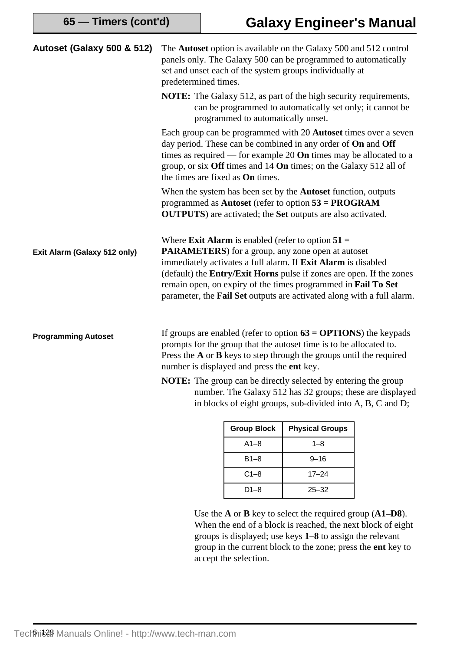| <b>Autoset (Galaxy 500 &amp; 512)</b> | predetermined times.                                                                                                                                                                                                                                                      |                    | The Autoset option is available on the Galaxy 500 and 512 control<br>panels only. The Galaxy 500 can be programmed to automatically<br>set and unset each of the system groups individually at                                                                                                                                                                                                              |  |
|---------------------------------------|---------------------------------------------------------------------------------------------------------------------------------------------------------------------------------------------------------------------------------------------------------------------------|--------------------|-------------------------------------------------------------------------------------------------------------------------------------------------------------------------------------------------------------------------------------------------------------------------------------------------------------------------------------------------------------------------------------------------------------|--|
|                                       | <b>NOTE:</b> The Galaxy 512, as part of the high security requirements,<br>can be programmed to automatically set only; it cannot be<br>programmed to automatically unset.                                                                                                |                    |                                                                                                                                                                                                                                                                                                                                                                                                             |  |
|                                       | the times are fixed as <b>On</b> times.                                                                                                                                                                                                                                   |                    | Each group can be programmed with 20 <b>Autoset</b> times over a seven<br>day period. These can be combined in any order of <b>On</b> and <b>Off</b><br>times as required — for example 20 <b>On</b> times may be allocated to a<br>group, or six Off times and 14 On times; on the Galaxy 512 all of                                                                                                       |  |
|                                       |                                                                                                                                                                                                                                                                           |                    | When the system has been set by the <b>Autoset</b> function, outputs<br>programmed as Autoset (refer to option $53 = PROGRAM$<br><b>OUTPUTS</b> ) are activated; the <b>Set</b> outputs are also activated.                                                                                                                                                                                                 |  |
| Exit Alarm (Galaxy 512 only)          |                                                                                                                                                                                                                                                                           |                    | Where <b>Exit Alarm</b> is enabled (refer to option $51 =$<br><b>PARAMETERS</b> ) for a group, any zone open at autoset<br>immediately activates a full alarm. If Exit Alarm is disabled<br>(default) the Entry/Exit Horns pulse if zones are open. If the zones<br>remain open, on expiry of the times programmed in Fail To Set<br>parameter, the Fail Set outputs are activated along with a full alarm. |  |
| <b>Programming Autoset</b>            | If groups are enabled (refer to option $63 = OPTIONS$ ) the keypads<br>prompts for the group that the autoset time is to be allocated to.<br>Press the $A$ or $B$ keys to step through the groups until the required<br>number is displayed and press the <b>ent</b> key. |                    |                                                                                                                                                                                                                                                                                                                                                                                                             |  |
|                                       | <b>NOTE:</b> The group can be directly selected by entering the group                                                                                                                                                                                                     |                    |                                                                                                                                                                                                                                                                                                                                                                                                             |  |
|                                       | number. The Galaxy 512 has 32 groups; these are displayed<br>in blocks of eight groups, sub-divided into A, B, C and D;                                                                                                                                                   |                    |                                                                                                                                                                                                                                                                                                                                                                                                             |  |
|                                       |                                                                                                                                                                                                                                                                           | <b>Group Block</b> | <b>Physical Groups</b>                                                                                                                                                                                                                                                                                                                                                                                      |  |
|                                       |                                                                                                                                                                                                                                                                           |                    |                                                                                                                                                                                                                                                                                                                                                                                                             |  |
|                                       |                                                                                                                                                                                                                                                                           | $A1 - 8$           | $1 - 8$                                                                                                                                                                                                                                                                                                                                                                                                     |  |

Use the **A** or **B** key to select the required group (**A1–D8**). When the end of a block is reached, the next block of eight groups is displayed; use keys **1–8** to assign the relevant group in the current block to the zone; press the **ent** key to accept the selection.

B1–8 9–16 C1–8 17–24 D1–8 25–32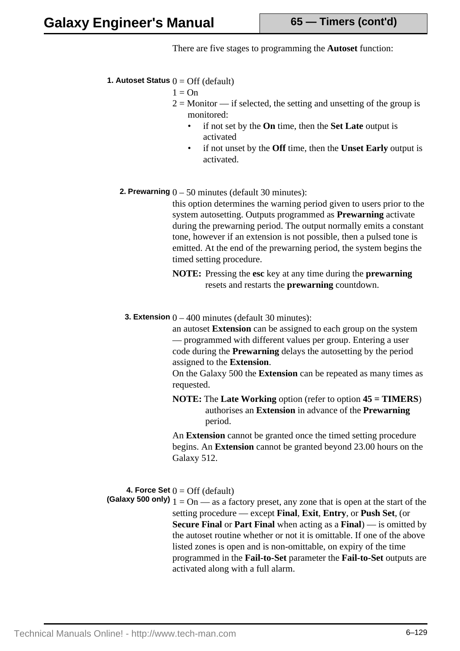There are five stages to programming the **Autoset** function:

**1. Autoset Status**  $0 = \text{Off}$  (default)

```
1 = On
```
- $2 =$  Monitor if selected, the setting and unsetting of the group is monitored:
	- if not set by the **On** time, then the **Set Late** output is activated
	- if not unset by the **Off** time, then the **Unset Early** output is activated.
- **2. Prewarning**  $0 50$  minutes (default 30 minutes):

this option determines the warning period given to users prior to the system autosetting. Outputs programmed as **Prewarning** activate during the prewarning period. The output normally emits a constant tone, however if an extension is not possible, then a pulsed tone is emitted. At the end of the prewarning period, the system begins the timed setting procedure.

- **NOTE:** Pressing the **esc** key at any time during the **prewarning** resets and restarts the **prewarning** countdown.
- **3. Extension**  $0 400$  minutes (default 30 minutes):

an autoset **Extension** can be assigned to each group on the system — programmed with different values per group. Entering a user code during the **Prewarning** delays the autosetting by the period assigned to the **Extension**.

On the Galaxy 500 the **Extension** can be repeated as many times as requested.

**NOTE:** The **Late Working** option (refer to option **45 = TIMERS**) authorises an **Extension** in advance of the **Prewarning** period.

An **Extension** cannot be granted once the timed setting procedure begins. An **Extension** cannot be granted beyond 23.00 hours on the Galaxy 512.

**4. Force Set**  $0 = \text{Off}$  (default)

**(Galaxy 500 only)**  $1 = \text{On}$  — as a factory preset, any zone that is open at the start of the setting procedure — except **Final**, **Exit**, **Entry**, or **Push Set**, (or **Secure Final** or **Part Final** when acting as a **Final**) — is omitted by the autoset routine whether or not it is omittable. If one of the above listed zones is open and is non-omittable, on expiry of the time programmed in the **Fail-to-Set** parameter the **Fail-to-Set** outputs are activated along with a full alarm.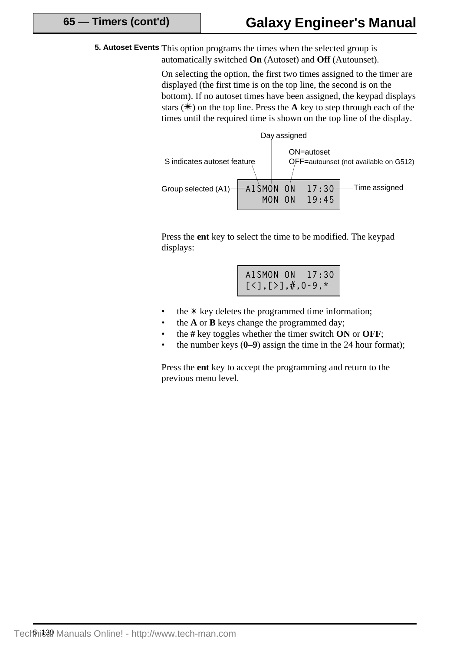**5. Autoset Events** This option programs the times when the selected group is automatically switched **On** (Autoset) and **Off** (Autounset).

> On selecting the option, the first two times assigned to the timer are displayed (the first time is on the top line, the second is on the bottom). If no autoset times have been assigned, the keypad displays stars  $(\ast)$  on the top line. Press the **A** key to step through each of the times until the required time is shown on the top line of the display.



Press the **ent** key to select the time to be modified. The keypad displays:

|                                           | A1SMON ON 17:30 |
|-------------------------------------------|-----------------|
| $[\zeta], [\zeta], \ddot{x}, 0.9, \star]$ |                 |

- the  $*$  key deletes the programmed time information;
- the **A** or **B** keys change the programmed day;
- the **#** key toggles whether the timer switch **ON** or **OFF**;
- the number keys (**0–9**) assign the time in the 24 hour format);

Press the **ent** key to accept the programming and return to the previous menu level.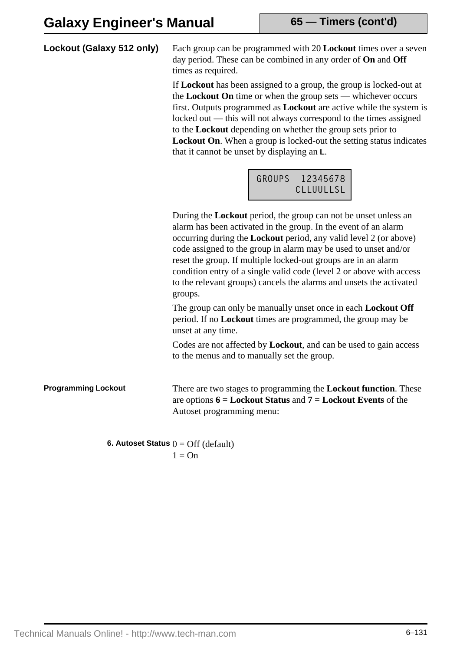### **Lockout (Galaxy 512 only)**

Each group can be programmed with 20 **Lockout** times over a seven day period. These can be combined in any order of **On** and **Off** times as required.

If **Lockout** has been assigned to a group, the group is locked-out at the **Lockout On** time or when the group sets — whichever occurs first. Outputs programmed as **Lockout** are active while the system is locked out — this will not always correspond to the times assigned to the **Lockout** depending on whether the group sets prior to **Lockout On**. When a group is locked-out the setting status indicates that it cannot be unset by displaying an **L**.

| <b>GROUPS</b> | 12345678  |
|---------------|-----------|
|               | CLIUULISI |

During the **Lockout** period, the group can not be unset unless an alarm has been activated in the group. In the event of an alarm occurring during the **Lockout** period, any valid level 2 (or above) code assigned to the group in alarm may be used to unset and/or reset the group. If multiple locked-out groups are in an alarm condition entry of a single valid code (level 2 or above with access to the relevant groups) cancels the alarms and unsets the activated groups.

The group can only be manually unset once in each **Lockout Off** period. If no **Lockout** times are programmed, the group may be unset at any time.

Codes are not affected by **Lockout**, and can be used to gain access to the menus and to manually set the group.

### **Programming Lockout**

There are two stages to programming the **Lockout function**. These are options **6 = Lockout Status** and **7 = Lockout Events** of the Autoset programming menu:

**6. Autoset Status**  $0 = \text{Off} (\text{default})$  $1 = \Omega n$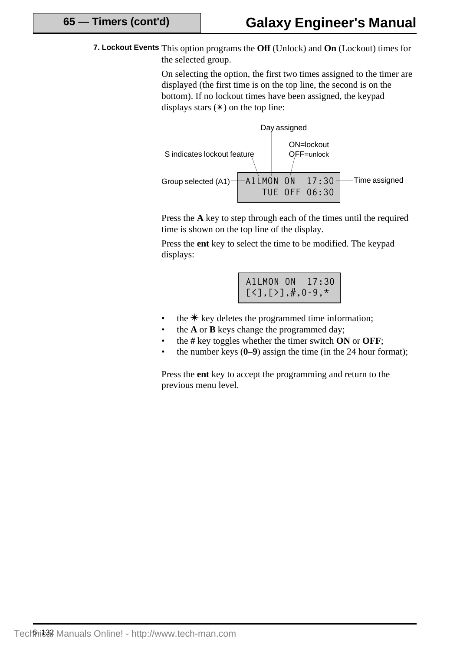**7. Lockout Events** This option programs the **Off** (Unlock) and **On** (Lockout) times for the selected group.

> On selecting the option, the first two times assigned to the timer are displayed (the first time is on the top line, the second is on the bottom). If no lockout times have been assigned, the keypad displays stars  $(\ast)$  on the top line:



Press the **A** key to step through each of the times until the required time is shown on the top line of the display.

Press the **ent** key to select the time to be modified. The keypad displays:

| A1LMON ON 17:30                          |  |
|------------------------------------------|--|
| $[\zeta], [\zeta], \ddot{x}, 0-9, \star$ |  |

- the  $*$  key deletes the programmed time information;
- the **A** or **B** keys change the programmed day;
- the **#** key toggles whether the timer switch **ON** or **OFF**;
- the number keys (**0–9**) assign the time (in the 24 hour format);

Press the **ent** key to accept the programming and return to the previous menu level.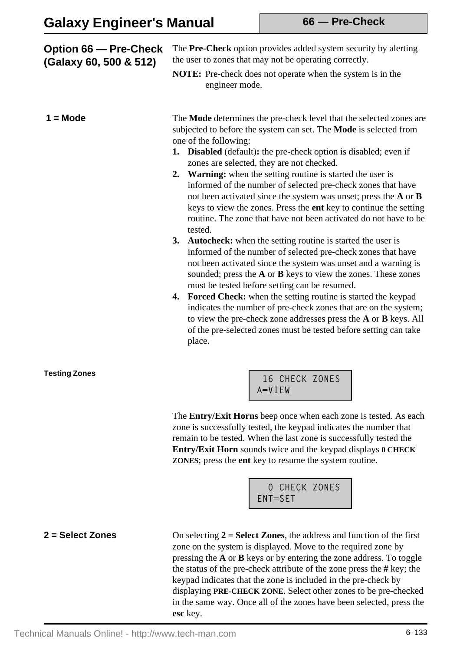| <b>Option 66 – Pre-Check</b><br>(Galaxy 60, 500 & 512) | The Pre-Check option provides added system security by alerting<br>the user to zones that may not be operating correctly.<br><b>NOTE:</b> Pre-check does not operate when the system is in the<br>engineer mode.                                                                                                                                                                                                                                                                                                                                                                                                                                                                                                                                                                                                                                                                                                                                                                                                                                                                                                                                                                                                                                                          |
|--------------------------------------------------------|---------------------------------------------------------------------------------------------------------------------------------------------------------------------------------------------------------------------------------------------------------------------------------------------------------------------------------------------------------------------------------------------------------------------------------------------------------------------------------------------------------------------------------------------------------------------------------------------------------------------------------------------------------------------------------------------------------------------------------------------------------------------------------------------------------------------------------------------------------------------------------------------------------------------------------------------------------------------------------------------------------------------------------------------------------------------------------------------------------------------------------------------------------------------------------------------------------------------------------------------------------------------------|
| $1 = Mode$                                             | The Mode determines the pre-check level that the selected zones are<br>subjected to before the system can set. The <b>Mode</b> is selected from<br>one of the following:<br>1. Disabled (default): the pre-check option is disabled; even if<br>zones are selected, they are not checked.<br>2. Warning: when the setting routine is started the user is<br>informed of the number of selected pre-check zones that have<br>not been activated since the system was unset; press the A or B<br>keys to view the zones. Press the ent key to continue the setting<br>routine. The zone that have not been activated do not have to be<br>tested.<br>3. Autocheck: when the setting routine is started the user is<br>informed of the number of selected pre-check zones that have<br>not been activated since the system was unset and a warning is<br>sounded; press the A or B keys to view the zones. These zones<br>must be tested before setting can be resumed.<br>4. Forced Check: when the setting routine is started the keypad<br>indicates the number of pre-check zones that are on the system;<br>to view the pre-check zone addresses press the <b>A</b> or <b>B</b> keys. All<br>of the pre-selected zones must be tested before setting can take<br>place. |
| <b>Testing Zones</b>                                   | 16 CHECK ZONES<br>A=VIEW<br>The Entry/Exit Horns beep once when each zone is tested. As each<br>zone is successfully tested, the keypad indicates the number that<br>remain to be tested. When the last zone is successfully tested the<br>Entry/Exit Horn sounds twice and the keypad displays 0 CHECK<br><b>ZONES</b> ; press the ent key to resume the system routine.                                                                                                                                                                                                                                                                                                                                                                                                                                                                                                                                                                                                                                                                                                                                                                                                                                                                                                 |



On selecting **2 = Select Zones**, the address and function of the first zone on the system is displayed. Move to the required zone by pressing the **A** or **B** keys or by entering the zone address. To toggle the status of the pre-check attribute of the zone press the **#** key; the keypad indicates that the zone is included in the pre-check by displaying **PRE-CHECK ZONE**. Select other zones to be pre-checked in the same way. Once all of the zones have been selected, press the **esc** key.

#### **2 = Select Zones**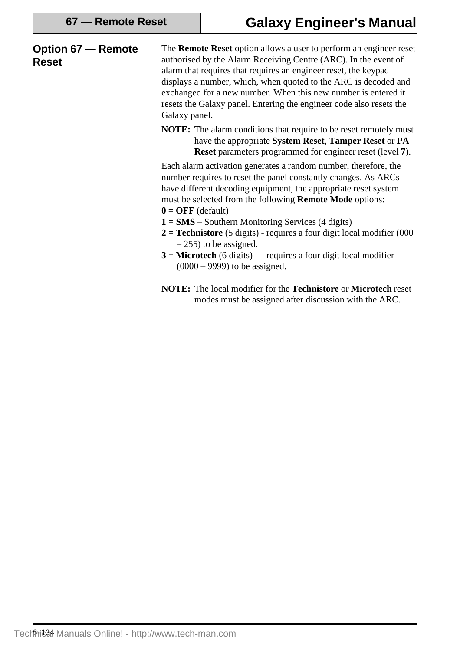| <b>Option 67 – Remote</b><br><b>Reset</b> | The <b>Remote Reset</b> option allows a user to perform an engineer reset<br>authorised by the Alarm Receiving Centre (ARC). In the event of<br>alarm that requires that requires an engineer reset, the keypad<br>displays a number, which, when quoted to the ARC is decoded and<br>exchanged for a new number. When this new number is entered it<br>resets the Galaxy panel. Entering the engineer code also resets the<br>Galaxy panel. |
|-------------------------------------------|----------------------------------------------------------------------------------------------------------------------------------------------------------------------------------------------------------------------------------------------------------------------------------------------------------------------------------------------------------------------------------------------------------------------------------------------|
|                                           | <b>NOTE:</b> The alarm conditions that require to be reset remotely must<br>have the appropriate System Reset, Tamper Reset or PA<br><b>Reset</b> parameters programmed for engineer reset (level 7).                                                                                                                                                                                                                                        |
|                                           | Each alarm activation generates a random number, therefore, the<br>number requires to reset the panel constantly changes. As ARCs<br>have different decoding equipment, the appropriate reset system<br>must be selected from the following <b>Remote Mode</b> options:<br>$0 = OFF$ (default)                                                                                                                                               |
|                                           | $1 = SMS - Southern Monitoring Services (4 digits)$<br>$2 =$ <b>Technistore</b> (5 digits) - requires a four digit local modifier (000<br>$-255$ ) to be assigned.                                                                                                                                                                                                                                                                           |
|                                           | $3$ = Microtech (6 digits) — requires a four digit local modifier<br>$(0000 - 9999)$ to be assigned.                                                                                                                                                                                                                                                                                                                                         |
|                                           | <b>NOTE:</b> The local modifier for the <b>Technistore</b> or <b>Microtech</b> reset<br>modes must be assigned after discussion with the ARC.                                                                                                                                                                                                                                                                                                |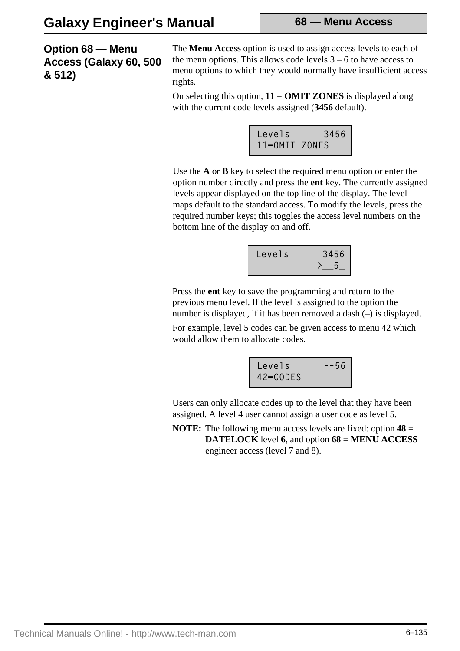**68 — Menu Access**

**Option 68 — Menu Access (Galaxy 60, 500 & 512)**

The **Menu Access** option is used to assign access levels to each of the menu options. This allows code levels  $3 - 6$  to have access to menu options to which they would normally have insufficient access rights.

On selecting this option, **11 = OMIT ZONES** is displayed along with the current code levels assigned (**3456** default).

| Levels        |                                              |
|---------------|----------------------------------------------|
| 11=0MIT ZONES | $\begin{array}{c c} 3456 \\ S & \end{array}$ |

Use the **A** or **B** key to select the required menu option or enter the option number directly and press the **ent** key. The currently assigned levels appear displayed on the top line of the display. The level maps default to the standard access. To modify the levels, press the required number keys; this toggles the access level numbers on the bottom line of the display on and off.

| Levels | 3456 |
|--------|------|
|        |      |

Press the **ent** key to save the programming and return to the previous menu level. If the level is assigned to the option the number is displayed, if it has been removed a dash (–) is displayed.

For example, level 5 codes can be given access to menu 42 which would allow them to allocate codes.



Users can only allocate codes up to the level that they have been assigned. A level 4 user cannot assign a user code as level 5.

**NOTE:** The following menu access levels are fixed: option **48 = DATELOCK** level **6**, and option **68 = MENU ACCESS** engineer access (level 7 and 8).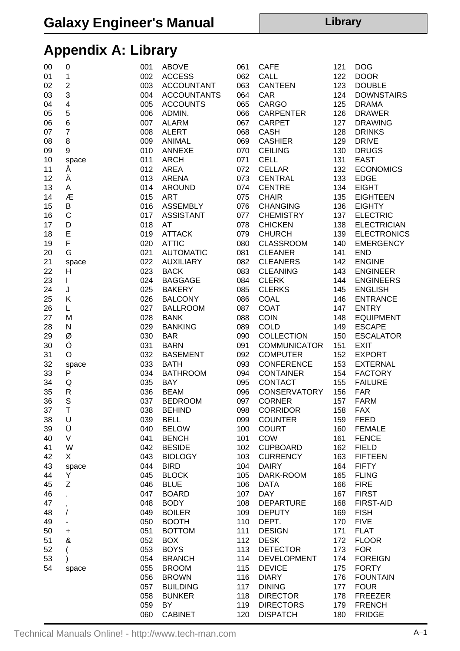# **Appendix A: Library**

| 00 | 0              | 001 | <b>ABOVE</b>       | 061 | <b>CAFE</b>         | 121 | <b>DOG</b>         |
|----|----------------|-----|--------------------|-----|---------------------|-----|--------------------|
| 01 | 1              | 002 | <b>ACCESS</b>      | 062 | CALL                | 122 | <b>DOOR</b>        |
| 02 | $\overline{c}$ | 003 | <b>ACCOUNTANT</b>  | 063 | <b>CANTEEN</b>      | 123 | <b>DOUBLE</b>      |
| 03 | 3              | 004 | <b>ACCOUNTANTS</b> | 064 | CAR                 | 124 | <b>DOWNSTAIRS</b>  |
| 04 | 4              | 005 | <b>ACCOUNTS</b>    | 065 | <b>CARGO</b>        | 125 | <b>DRAMA</b>       |
| 05 | 5              | 006 | ADMIN.             | 066 | <b>CARPENTER</b>    | 126 | <b>DRAWER</b>      |
| 06 | 6              | 007 | <b>ALARM</b>       | 067 | <b>CARPET</b>       | 127 | <b>DRAWING</b>     |
| 07 | $\overline{7}$ | 008 | <b>ALERT</b>       | 068 | <b>CASH</b>         | 128 | <b>DRINKS</b>      |
| 08 | 8              | 009 | <b>ANIMAL</b>      | 069 | <b>CASHIER</b>      | 129 | <b>DRIVE</b>       |
| 09 | 9              | 010 | ANNEXE             | 070 | <b>CEILING</b>      | 130 | <b>DRUGS</b>       |
| 10 | space          | 011 | <b>ARCH</b>        | 071 | <b>CELL</b>         | 131 | <b>EAST</b>        |
| 11 | Α              | 012 | <b>AREA</b>        | 072 | <b>CELLAR</b>       | 132 | <b>ECONOMICS</b>   |
| 12 | Ä              | 013 | <b>ARENA</b>       | 073 | <b>CENTRAL</b>      | 133 | <b>EDGE</b>        |
| 13 |                |     |                    |     |                     |     |                    |
|    | Α              | 014 | <b>AROUND</b>      | 074 | <b>CENTRE</b>       | 134 | <b>EIGHT</b>       |
| 14 | Æ              | 015 | <b>ART</b>         | 075 | <b>CHAIR</b>        | 135 | <b>EIGHTEEN</b>    |
| 15 | B              | 016 | <b>ASSEMBLY</b>    | 076 | <b>CHANGING</b>     | 136 | <b>EIGHTY</b>      |
| 16 | C              | 017 | <b>ASSISTANT</b>   | 077 | <b>CHEMISTRY</b>    | 137 | <b>ELECTRIC</b>    |
| 17 | D              | 018 | AT                 | 078 | <b>CHICKEN</b>      | 138 | <b>ELECTRICIAN</b> |
| 18 | E              | 019 | <b>ATTACK</b>      | 079 | <b>CHURCH</b>       | 139 | <b>ELECTRONICS</b> |
| 19 | F              | 020 | <b>ATTIC</b>       | 080 | <b>CLASSROOM</b>    | 140 | <b>EMERGENCY</b>   |
| 20 | G              | 021 | <b>AUTOMATIC</b>   | 081 | <b>CLEANER</b>      | 141 | <b>END</b>         |
| 21 | space          | 022 | <b>AUXILIARY</b>   | 082 | <b>CLEANERS</b>     | 142 | <b>ENGINE</b>      |
| 22 | H              | 023 | <b>BACK</b>        | 083 | <b>CLEANING</b>     | 143 | <b>ENGINEER</b>    |
| 23 | $\mathbf{I}$   | 024 | <b>BAGGAGE</b>     | 084 | <b>CLERK</b>        | 144 | <b>ENGINEERS</b>   |
| 24 | J              | 025 | <b>BAKERY</b>      | 085 | <b>CLERKS</b>       | 145 | <b>ENGLISH</b>     |
| 25 | Κ              | 026 | <b>BALCONY</b>     | 086 | <b>COAL</b>         | 146 | <b>ENTRANCE</b>    |
| 26 | L              | 027 | <b>BALLROOM</b>    | 087 | <b>COAT</b>         | 147 | <b>ENTRY</b>       |
| 27 | M              | 028 | <b>BANK</b>        | 088 | <b>COIN</b>         | 148 | <b>EQUIPMENT</b>   |
| 28 | N              | 029 | <b>BANKING</b>     | 089 | <b>COLD</b>         | 149 | <b>ESCAPE</b>      |
| 29 | Ø              | 030 | <b>BAR</b>         | 090 | <b>COLLECTION</b>   | 150 | <b>ESCALATOR</b>   |
| 30 | Ö              | 031 | <b>BARN</b>        | 091 | <b>COMMUNICATOR</b> | 151 | <b>EXIT</b>        |
| 31 | O              | 032 | <b>BASEMENT</b>    | 092 | <b>COMPUTER</b>     | 152 | <b>EXPORT</b>      |
| 32 | space          | 033 | <b>BATH</b>        | 093 | <b>CONFERENCE</b>   | 153 | <b>EXTERNAL</b>    |
| 33 | P              | 034 | <b>BATHROOM</b>    | 094 | <b>CONTAINER</b>    | 154 | <b>FACTORY</b>     |
| 34 | Q              | 035 | <b>BAY</b>         | 095 | <b>CONTACT</b>      | 155 | <b>FAILURE</b>     |
| 35 | R              | 036 | <b>BEAM</b>        | 096 | <b>CONSERVATORY</b> | 156 | <b>FAR</b>         |
| 36 | S              | 037 | <b>BEDROOM</b>     | 097 | <b>CORNER</b>       | 157 | <b>FARM</b>        |
| 37 | Τ              | 038 | <b>BEHIND</b>      |     | 098 CORRIDOR        | 158 | <b>FAX</b>         |
| 38 | U              | 039 | <b>BELL</b>        | 099 | <b>COUNTER</b>      | 159 | <b>FEED</b>        |
| 39 | Ü              | 040 | <b>BELOW</b>       | 100 | <b>COURT</b>        | 160 | <b>FEMALE</b>      |
| 40 | V              | 041 | <b>BENCH</b>       | 101 | <b>COW</b>          | 161 | <b>FENCE</b>       |
|    |                | 042 | <b>BESIDE</b>      |     | <b>CUPBOARD</b>     |     |                    |
| 41 | W              |     |                    | 102 |                     | 162 | <b>FIELD</b>       |
| 42 | X              | 043 | <b>BIOLOGY</b>     | 103 | <b>CURRENCY</b>     | 163 | <b>FIFTEEN</b>     |
| 43 | space          | 044 | <b>BIRD</b>        | 104 | <b>DAIRY</b>        | 164 | <b>FIFTY</b>       |
| 44 | Y              | 045 | <b>BLOCK</b>       | 105 | DARK-ROOM           | 165 | <b>FLING</b>       |
| 45 | Z              | 046 | <b>BLUE</b>        | 106 | <b>DATA</b>         | 166 | <b>FIRE</b>        |
| 46 |                | 047 | <b>BOARD</b>       | 107 | <b>DAY</b>          | 167 | <b>FIRST</b>       |
| 47 | $\overline{ }$ | 048 | <b>BODY</b>        | 108 | <b>DEPARTURE</b>    | 168 | <b>FIRST-AID</b>   |
| 48 | $\prime$       | 049 | <b>BOILER</b>      | 109 | <b>DEPUTY</b>       | 169 | <b>FISH</b>        |
| 49 |                | 050 | <b>BOOTH</b>       | 110 | DEPT.               | 170 | <b>FIVE</b>        |
| 50 | +              | 051 | <b>BOTTOM</b>      | 111 | <b>DESIGN</b>       | 171 | <b>FLAT</b>        |
| 51 | &              | 052 | <b>BOX</b>         | 112 | <b>DESK</b>         | 172 | <b>FLOOR</b>       |
| 52 | $\overline{ }$ | 053 | <b>BOYS</b>        | 113 | <b>DETECTOR</b>     | 173 | <b>FOR</b>         |
| 53 |                | 054 | <b>BRANCH</b>      | 114 | <b>DEVELOPMENT</b>  | 174 | <b>FOREIGN</b>     |
| 54 | space          | 055 | <b>BROOM</b>       | 115 | <b>DEVICE</b>       | 175 | <b>FORTY</b>       |
|    |                | 056 | <b>BROWN</b>       | 116 | <b>DIARY</b>        | 176 | <b>FOUNTAIN</b>    |
|    |                | 057 | <b>BUILDING</b>    | 117 | <b>DINING</b>       | 177 | <b>FOUR</b>        |
|    |                | 058 | <b>BUNKER</b>      | 118 | <b>DIRECTOR</b>     | 178 | <b>FREEZER</b>     |
|    |                | 059 | <b>BY</b>          | 119 | <b>DIRECTORS</b>    | 179 | <b>FRENCH</b>      |
|    |                | 060 | <b>CABINET</b>     | 120 | <b>DISPATCH</b>     | 180 | <b>FRIDGE</b>      |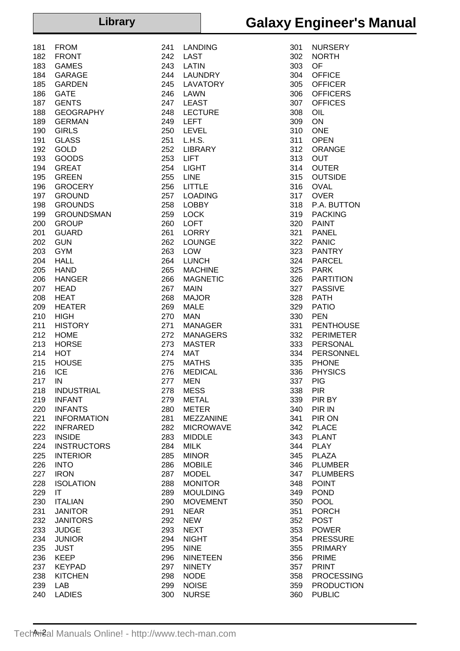### **Library**

| <b>Galaxy Engineer's Manual</b> |  |  |  |  |
|---------------------------------|--|--|--|--|
|---------------------------------|--|--|--|--|

| 181        | FROM                   |
|------------|------------------------|
| 182        | FRONT                  |
| 183        | GAMES<br>GARAGE        |
| 184<br>185 | GARDEN                 |
| 186        | GATE                   |
| 187        | <b>GENTS</b>           |
| 188        | GEOGRAPHY              |
| 189        | GERMAN                 |
| 190        | GIRLS                  |
| 191        | GLASS                  |
| 192        | GOLD                   |
| 193        | GOODS                  |
| 194        | <b>GREAT</b>           |
| 195        | GREEN                  |
| 196        | <b>GROCERY</b>         |
| 197        | <b>GROUND</b>          |
| 198        | <b>GROUNDS</b>         |
| 199        | <b>GROUNDSMAN</b>      |
| 200        | GROUP                  |
| 201        | GUARD                  |
| 202        | GUN                    |
| 203        | <b>GYM</b>             |
| 204        | HALL                   |
| 205        | HAND                   |
| 206        | HANGER                 |
| 207        | HEAD                   |
| 208        | HEAT                   |
| 209        | HEATER                 |
| 210        | HIGH                   |
| 211        | <b>HISTORY</b>         |
| 212        | HOME                   |
| 213        | <b>HORSE</b>           |
| 214        | нот                    |
| 215        | HOUSE                  |
| 216        | ICE                    |
| 217        | ΙN                     |
| 218        | INDUSTRIAL             |
| 219        | <b>INFANT</b>          |
| 220        | <b>INFANTS</b>         |
|            | 221 INFORMATION        |
|            | 222 INFRARED           |
|            | 223 INSIDE             |
|            | 224 INSTRUCTORS        |
|            | 225 INTERIOR           |
| 226        | <b>INTO</b>            |
|            | 227 IRON               |
|            | 228 ISOLATION          |
| 229 IT     |                        |
|            | 230 ITALIAN            |
|            | 231 JANITOR            |
|            | 232 JANITORS           |
| 233        | <b>JUDGE</b>           |
|            | 234 JUNIOR             |
|            | 235 JUST               |
|            | 236 KEEP<br>237 KEYPAD |
|            | 238 KITCHEN            |
|            | 239 LAB                |
| 240        | <b>LADIES</b>          |
|            |                        |

| 241 | LANDING                                                                     |
|-----|-----------------------------------------------------------------------------|
|     | 242 LAST                                                                    |
|     | 243 LATIN                                                                   |
|     | 244 LAUNDRY                                                                 |
|     |                                                                             |
|     | 245 LAVATORY                                                                |
|     | 246 LAWN                                                                    |
|     |                                                                             |
|     | 247 LEAST                                                                   |
|     | 248 LECTURE                                                                 |
|     | 249 LEFT                                                                    |
|     |                                                                             |
|     |                                                                             |
|     |                                                                             |
|     | 252 LIBRARY                                                                 |
|     |                                                                             |
|     | 253 LIFT                                                                    |
|     | 254 LIGHT                                                                   |
|     | $255$ LINE                                                                  |
|     |                                                                             |
|     | 256 LITTLE                                                                  |
|     | ---- -------<br>257 LOADING<br>258 LOBBY                                    |
|     |                                                                             |
|     |                                                                             |
|     | 259 LOCK                                                                    |
|     | 260 LOFT                                                                    |
|     |                                                                             |
|     | 261 LORRY                                                                   |
|     | 262 LOUNGE                                                                  |
|     | $263$ LOW                                                                   |
|     |                                                                             |
|     | 264 LUNCH                                                                   |
|     | 265 MACHINE                                                                 |
| 266 |                                                                             |
|     | <b>MAGNETIC</b>                                                             |
|     | 267 MAIN                                                                    |
|     | 268 MAJOR                                                                   |
|     | 269 MALE                                                                    |
|     |                                                                             |
|     |                                                                             |
|     |                                                                             |
|     | 272 MANAGERS                                                                |
|     |                                                                             |
|     | 272 MANAGER<br>273 MASTER<br>274 MAT<br>275 MATHS<br>276 MEDICAL<br>277 MEN |
|     |                                                                             |
|     |                                                                             |
|     |                                                                             |
|     |                                                                             |
| 277 | <b>MEN</b>                                                                  |
|     |                                                                             |
| 278 | <b>MESS</b>                                                                 |
| 279 | <b>METAL</b>                                                                |
| 280 | METER                                                                       |
|     |                                                                             |
| 281 | MEZZANINE                                                                   |
| 282 | <b>MICROWAVE</b>                                                            |
| 283 | <b>MIDDLE</b>                                                               |
|     |                                                                             |
| 284 | <b>MILK</b>                                                                 |
| 285 | <b>MINOR</b>                                                                |
|     | <b>MOBILE</b>                                                               |
| 286 |                                                                             |
| 287 | <b>MODEL</b>                                                                |
| 288 | <b>MONITOR</b>                                                              |
| 289 | <b>MOULDING</b>                                                             |
|     |                                                                             |
| 290 | <b>MOVEMENT</b>                                                             |
| 291 | <b>NEAR</b>                                                                 |
|     | <b>NEW</b>                                                                  |
| 292 |                                                                             |
| 293 | <b>NEXT</b>                                                                 |
| 294 | <b>NIGHT</b>                                                                |
|     |                                                                             |
| 295 | <b>NINE</b>                                                                 |
| 296 | NINETEEN                                                                    |
| 297 | NINETY                                                                      |
|     |                                                                             |
| 298 | <b>NODE</b>                                                                 |
| 299 | <b>NOISE</b>                                                                |
| 300 | <b>NURSE</b>                                                                |
|     |                                                                             |

| 301 | NURSERY           |
|-----|-------------------|
|     |                   |
| 302 | <b>NORTH</b>      |
| 303 | OF                |
| 304 | <b>OFFICE</b>     |
| 305 | <b>OFFICER</b>    |
| 306 | <b>OFFICERS</b>   |
|     |                   |
| 307 | <b>OFFICES</b>    |
| 308 | OIL               |
| 309 | ON                |
| 310 | <b>ONE</b>        |
| 311 | <b>OPEN</b>       |
|     |                   |
| 312 | ORANGE            |
| 313 | OUT               |
| 314 | <b>OUTER</b>      |
| 315 | <b>OUTSIDE</b>    |
| 316 | <b>OVAL</b>       |
|     |                   |
| 317 | <b>OVER</b>       |
| 318 | P.A. BUTTON       |
| 319 | <b>PACKING</b>    |
| 320 | <b>PAINT</b>      |
| 321 | <b>PANEL</b>      |
|     |                   |
| 322 | <b>PANIC</b>      |
| 323 | <b>PANTRY</b>     |
| 324 | <b>PARCEL</b>     |
| 325 | <b>PARK</b>       |
| 326 | <b>PARTITION</b>  |
|     |                   |
| 327 | <b>PASSIVE</b>    |
| 328 | <b>PATH</b>       |
| 329 | <b>PATIO</b>      |
| 330 | PEN               |
| 331 | PENTHOUSE         |
|     | <b>PERIMETER</b>  |
| 332 |                   |
| 333 | PERSONAL          |
| 334 | PERSONNEL         |
| 335 | <b>PHONE</b>      |
| 336 | <b>PHYSICS</b>    |
|     | <b>PIG</b>        |
| 337 |                   |
| 338 | PIR               |
| 339 | PIR BY            |
| 340 | PIR IN            |
| 341 | PIR ON            |
|     | <b>PLACE</b>      |
| 342 |                   |
| 343 | <b>PLANT</b>      |
| 344 | <b>PLAY</b>       |
| 345 | <b>PLAZA</b>      |
| 346 | <b>PLUMBER</b>    |
| 347 | <b>PLUMBERS</b>   |
|     |                   |
| 348 | <b>POINT</b>      |
| 349 | <b>POND</b>       |
| 350 | POOL              |
| 351 | <b>PORCH</b>      |
|     | POST              |
| 352 |                   |
| 353 | <b>POWER</b>      |
| 354 | <b>PRESSURE</b>   |
| 355 | <b>PRIMARY</b>    |
| 356 | PRIME             |
| 357 | <b>PRINT</b>      |
|     |                   |
| 358 | <b>PROCESSING</b> |
| 359 | <b>PRODUCTION</b> |
| 360 | <b>PUBLIC</b>     |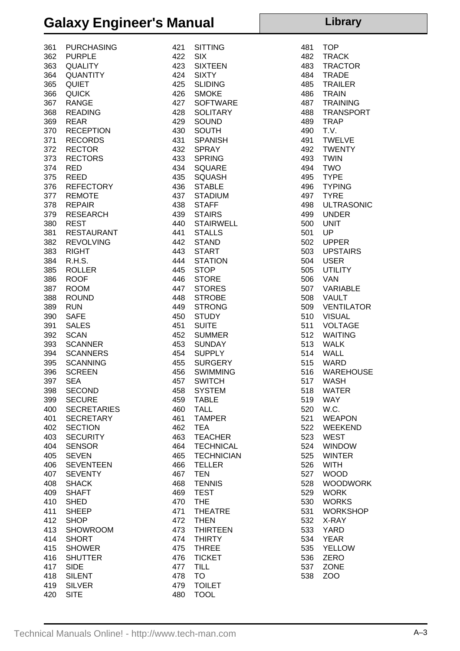### **Galaxy Engineer's Manual**

#### 361 PURCHASING 362 PURPLE 363 QUALITY 364 QUANTITY 365 QUIET 366 QUICK 367 RANGE 368 READING 369 REAR 370 RECEPTION 371 RECORDS 372 RECTOR 373 RECTORS 374 RED 375 REED 376 REFECTORY 377 REMOTE 378 REPAIR 379 RESEARCH 380 REST 381 RESTAURANT 382 REVOLVING 383 RIGHT 384 R.H.S. 385 ROLLER 386 ROOF 387 ROOM 388 ROUND 389 RUN 390 SAFE 391 SALES 392 SCAN 393 SCANNER 394 SCANNERS 395 SCANNING 396 SCREEN 397 SEA 398 SECOND 399 SECURE 400 SECRETARIES 401 SECRETARY 402 SECTION 403 SECURITY 404 SENSOR 405 SEVEN 406 SEVENTEEN 407 SEVENTY 408 SHACK 409 SHAFT 410 SHED 411 SHEEP 412 SHOP 413 SHOWROOM 414 SHORT 415 SHOWER 416 SHUTTER 417 SIDE 418 SILENT 419 SILVER 420 SITE

| 421 | <b>SITTING</b>    |
|-----|-------------------|
|     | 422 SIX           |
|     | 423 SIXTEEN       |
|     | 424 SIXTY         |
|     | 425 SLIDING       |
|     |                   |
|     | 426 SMOKE         |
|     | 427 SOFTWARE      |
|     | 428 SOLITARY      |
|     | 429 SOUND         |
|     | 430 SOUTH         |
| 431 | <b>SPANISH</b>    |
|     | 432 SPRAY         |
|     | 433 SPRING        |
|     | 434 SQUARE        |
|     | 435 SQUASH        |
|     | 436 STABLE        |
|     | 437 STADIUM       |
|     | 438 STAFF         |
|     | 439 STAIRS        |
|     | 440 STAIRWELL     |
| 441 | <b>STALLS</b>     |
|     | 442 STAND         |
|     | 443 START         |
| 444 | <b>STATION</b>    |
|     | 445 STOP          |
|     | 446 STORE         |
|     | 447 STORES        |
|     | 448 STROBE        |
|     | 449 STRONG        |
|     | 450 STUDY         |
|     | 451 SUITE         |
|     |                   |
|     |                   |
|     | 454 SUPPLY        |
|     | 455 SURGERY       |
|     | 456 SWIMMING      |
|     | 457 SWITCH        |
|     | <b>SYSTEM</b>     |
| 458 |                   |
| 459 | <b>TABLE</b>      |
| 460 | TALL              |
| 461 | <b>TAMPER</b>     |
| 462 | <b>TEA</b>        |
| 463 | TEACHER           |
| 464 | <b>TECHNICAL</b>  |
| 465 | <b>TECHNICIAN</b> |
| 466 | TELLER            |
| 467 | <b>TEN</b>        |
| 468 | <b>TENNIS</b>     |
| 469 | <b>TEST</b>       |
| 470 | THE               |
| 471 | .<br>THEATRE      |
| 472 | <b>THEN</b>       |
| 473 | <b>THIRTEEN</b>   |
| 474 | <b>THIRTY</b>     |
| 475 | <b>THREE</b>      |
| 476 | <b>TICKET</b>     |
| 477 | TILL              |
| 478 | <b>TO</b>         |
| 479 | <b>TOILET</b>     |
| 480 | <b>TOOL</b>       |
|     |                   |

| 481 | TOP               |
|-----|-------------------|
| 482 | <b>TRACK</b>      |
| 483 | <b>TRACTOR</b>    |
| 484 | <b>TRADE</b>      |
| 485 | <b>TRAILER</b>    |
| 486 | <b>TRAIN</b>      |
| 487 | TRAINING          |
| 488 | <b>TRANSPORT</b>  |
| 489 | <b>TRAP</b>       |
| 490 | T.V.              |
| 491 | <b>TWELVE</b>     |
| 492 | <b>TWENTY</b>     |
| 493 | <b>TWIN</b>       |
| 494 | TWO               |
| 495 | <b>TYPE</b>       |
| 496 | TYPING            |
| 497 | <b>TYRE</b>       |
| 498 | <b>ULTRASONIC</b> |
| 499 | UNDER             |
| 500 | <b>UNIT</b>       |
| 501 | UP                |
| 502 | <b>UPPER</b>      |
| 503 | <b>UPSTAIRS</b>   |
| 504 | <b>USER</b>       |
| 505 | <b>UTILITY</b>    |
| 506 | VAN               |
| 507 | VARIABLE          |
| 508 | <b>VAULT</b>      |
| 509 | VENTILATOR        |
| 510 | <b>VISUAL</b>     |
| 511 | <b>VOLTAGE</b>    |
| 512 | WAITING           |
| 513 | <b>WALK</b>       |
| 514 | <b>WALL</b>       |
| 515 | WARD              |
| 516 | <b>WAREHOUSE</b>  |
| 517 | <b>WASH</b>       |
| 518 | WATER             |
| 519 | WAY               |
| 520 | W.C.              |
| 521 | WEAPON            |
| 522 | WEEKEND           |
| 523 | <b>WEST</b>       |
| 524 | <b>WINDOW</b>     |
| 525 | <b>WINTER</b>     |
| 526 | <b>WITH</b>       |
| 527 | <b>WOOD</b>       |
| 528 | <b>WOODWORK</b>   |
| 529 | <b>WORK</b>       |
| 530 | <b>WORKS</b>      |
| 531 | <b>WORKSHOP</b>   |
| 532 | X-RAY             |
| 533 | <b>YARD</b>       |
|     |                   |
| 534 | <b>YEAR</b>       |
| 535 | <b>YELLOW</b>     |
| 536 | ZERO              |
| 537 | <b>ZONE</b>       |
| 538 | ZOO               |

**Library**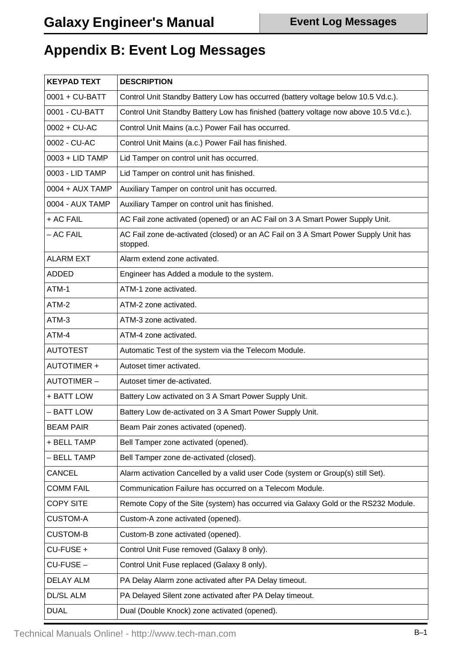### **Appendix B: Event Log Messages**

| <b>KEYPAD TEXT</b> | <b>DESCRIPTION</b>                                                                              |
|--------------------|-------------------------------------------------------------------------------------------------|
| 0001 + CU-BATT     | Control Unit Standby Battery Low has occurred (battery voltage below 10.5 Vd.c.).               |
| 0001 - CU-BATT     | Control Unit Standby Battery Low has finished (battery voltage now above 10.5 Vd.c.).           |
| 0002 + CU-AC       | Control Unit Mains (a.c.) Power Fail has occurred.                                              |
| 0002 - CU-AC       | Control Unit Mains (a.c.) Power Fail has finished.                                              |
| 0003 + LID TAMP    | Lid Tamper on control unit has occurred.                                                        |
| 0003 - LID TAMP    | Lid Tamper on control unit has finished.                                                        |
| 0004 + AUX TAMP    | Auxiliary Tamper on control unit has occurred.                                                  |
| 0004 - AUX TAMP    | Auxiliary Tamper on control unit has finished.                                                  |
| + AC FAIL          | AC Fail zone activated (opened) or an AC Fail on 3 A Smart Power Supply Unit.                   |
| - AC FAIL          | AC Fail zone de-activated (closed) or an AC Fail on 3 A Smart Power Supply Unit has<br>stopped. |
| <b>ALARM EXT</b>   | Alarm extend zone activated.                                                                    |
| <b>ADDED</b>       | Engineer has Added a module to the system.                                                      |
| ATM-1              | ATM-1 zone activated.                                                                           |
| ATM-2              | ATM-2 zone activated.                                                                           |
| ATM-3              | ATM-3 zone activated.                                                                           |
| ATM-4              | ATM-4 zone activated.                                                                           |
| <b>AUTOTEST</b>    | Automatic Test of the system via the Telecom Module.                                            |
| <b>AUTOTIMER +</b> | Autoset timer activated.                                                                        |
| <b>AUTOTIMER-</b>  | Autoset timer de-activated.                                                                     |
| + BATT LOW         | Battery Low activated on 3 A Smart Power Supply Unit.                                           |
| - BATT LOW         | Battery Low de-activated on 3 A Smart Power Supply Unit.                                        |
| <b>BEAM PAIR</b>   | Beam Pair zones activated (opened).                                                             |
| + BELL TAMP        | Bell Tamper zone activated (opened).                                                            |
| - BELL TAMP        | Bell Tamper zone de-activated (closed).                                                         |
| <b>CANCEL</b>      | Alarm activation Cancelled by a valid user Code (system or Group(s) still Set).                 |
| <b>COMM FAIL</b>   | Communication Failure has occurred on a Telecom Module.                                         |
| <b>COPY SITE</b>   | Remote Copy of the Site (system) has occurred via Galaxy Gold or the RS232 Module.              |
| <b>CUSTOM-A</b>    | Custom-A zone activated (opened).                                                               |
| <b>CUSTOM-B</b>    | Custom-B zone activated (opened).                                                               |
| CU-FUSE +          | Control Unit Fuse removed (Galaxy 8 only).                                                      |
| CU-FUSE-           | Control Unit Fuse replaced (Galaxy 8 only).                                                     |
| <b>DELAY ALM</b>   | PA Delay Alarm zone activated after PA Delay timeout.                                           |
| <b>DL/SL ALM</b>   | PA Delayed Silent zone activated after PA Delay timeout.                                        |
| <b>DUAL</b>        | Dual (Double Knock) zone activated (opened).                                                    |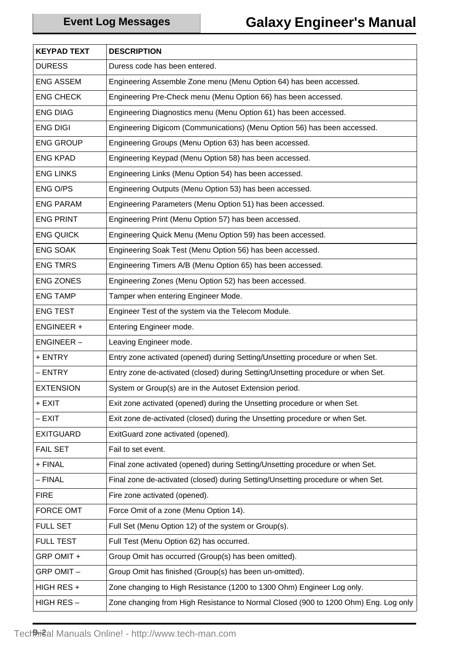| <b>KEYPAD TEXT</b> | <b>DESCRIPTION</b>                                                                  |
|--------------------|-------------------------------------------------------------------------------------|
| <b>DURESS</b>      | Duress code has been entered.                                                       |
| <b>ENG ASSEM</b>   | Engineering Assemble Zone menu (Menu Option 64) has been accessed.                  |
| <b>ENG CHECK</b>   | Engineering Pre-Check menu (Menu Option 66) has been accessed.                      |
| <b>ENG DIAG</b>    | Engineering Diagnostics menu (Menu Option 61) has been accessed.                    |
| <b>ENG DIGI</b>    | Engineering Digicom (Communications) (Menu Option 56) has been accessed.            |
| <b>ENG GROUP</b>   | Engineering Groups (Menu Option 63) has been accessed.                              |
| <b>ENG KPAD</b>    | Engineering Keypad (Menu Option 58) has been accessed.                              |
| <b>ENG LINKS</b>   | Engineering Links (Menu Option 54) has been accessed.                               |
| ENG O/PS           | Engineering Outputs (Menu Option 53) has been accessed.                             |
| <b>ENG PARAM</b>   | Engineering Parameters (Menu Option 51) has been accessed.                          |
| <b>ENG PRINT</b>   | Engineering Print (Menu Option 57) has been accessed.                               |
| <b>ENG QUICK</b>   | Engineering Quick Menu (Menu Option 59) has been accessed.                          |
| <b>ENG SOAK</b>    | Engineering Soak Test (Menu Option 56) has been accessed.                           |
| <b>ENG TMRS</b>    | Engineering Timers A/B (Menu Option 65) has been accessed.                          |
| <b>ENG ZONES</b>   | Engineering Zones (Menu Option 52) has been accessed.                               |
| <b>ENG TAMP</b>    | Tamper when entering Engineer Mode.                                                 |
| <b>ENG TEST</b>    | Engineer Test of the system via the Telecom Module.                                 |
| <b>ENGINEER +</b>  | Entering Engineer mode.                                                             |
| <b>ENGINEER-</b>   | Leaving Engineer mode.                                                              |
| + ENTRY            | Entry zone activated (opened) during Setting/Unsetting procedure or when Set.       |
| – ENTRY            | Entry zone de-activated (closed) during Setting/Unsetting procedure or when Set.    |
| <b>EXTENSION</b>   | System or Group(s) are in the Autoset Extension period.                             |
| + EXIT             | Exit zone activated (opened) during the Unsetting procedure or when Set.            |
| – EXIT             | Exit zone de-activated (closed) during the Unsetting procedure or when Set.         |
| <b>EXITGUARD</b>   | ExitGuard zone activated (opened).                                                  |
| <b>FAIL SET</b>    | Fail to set event.                                                                  |
| + FINAL            | Final zone activated (opened) during Setting/Unsetting procedure or when Set.       |
| - FINAL            | Final zone de-activated (closed) during Setting/Unsetting procedure or when Set.    |
| <b>FIRE</b>        | Fire zone activated (opened).                                                       |
| <b>FORCE OMT</b>   | Force Omit of a zone (Menu Option 14).                                              |
| <b>FULL SET</b>    | Full Set (Menu Option 12) of the system or Group(s).                                |
| <b>FULL TEST</b>   | Full Test (Menu Option 62) has occurred.                                            |
| GRP OMIT +         | Group Omit has occurred (Group(s) has been omitted).                                |
| GRP OMIT-          | Group Omit has finished (Group(s) has been un-omitted).                             |
| HIGH RES +         | Zone changing to High Resistance (1200 to 1300 Ohm) Engineer Log only.              |
| HIGH RES-          | Zone changing from High Resistance to Normal Closed (900 to 1200 Ohm) Eng. Log only |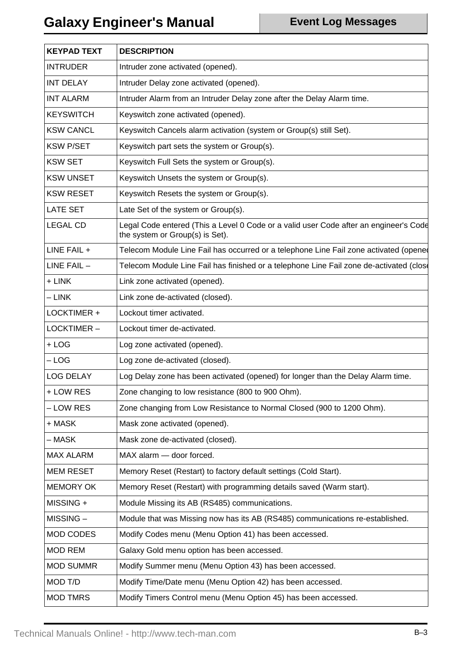| <b>KEYPAD TEXT</b> | <b>DESCRIPTION</b>                                                                                                       |
|--------------------|--------------------------------------------------------------------------------------------------------------------------|
| <b>INTRUDER</b>    | Intruder zone activated (opened).                                                                                        |
| <b>INT DELAY</b>   | Intruder Delay zone activated (opened).                                                                                  |
| <b>INT ALARM</b>   | Intruder Alarm from an Intruder Delay zone after the Delay Alarm time.                                                   |
| <b>KEYSWITCH</b>   | Keyswitch zone activated (opened).                                                                                       |
| <b>KSW CANCL</b>   | Keyswitch Cancels alarm activation (system or Group(s) still Set).                                                       |
| <b>KSW P/SET</b>   | Keyswitch part sets the system or Group(s).                                                                              |
| <b>KSW SET</b>     | Keyswitch Full Sets the system or Group(s).                                                                              |
| <b>KSW UNSET</b>   | Keyswitch Unsets the system or Group(s).                                                                                 |
| <b>KSW RESET</b>   | Keyswitch Resets the system or Group(s).                                                                                 |
| <b>LATE SET</b>    | Late Set of the system or Group(s).                                                                                      |
| <b>LEGAL CD</b>    | Legal Code entered (This a Level 0 Code or a valid user Code after an engineer's Code<br>the system or Group(s) is Set). |
| LINE FAIL +        | Telecom Module Line Fail has occurred or a telephone Line Fail zone activated (opene                                     |
| $LINE FAIL -$      | Telecom Module Line Fail has finished or a telephone Line Fail zone de-activated (close                                  |
| + LINK             | Link zone activated (opened).                                                                                            |
| $-LINK$            | Link zone de-activated (closed).                                                                                         |
| LOCKTIMER +        | Lockout timer activated.                                                                                                 |
| LOCKTIMER-         | Lockout timer de-activated.                                                                                              |
| $+$ LOG            | Log zone activated (opened).                                                                                             |
| $-LOG$             | Log zone de-activated (closed).                                                                                          |
| <b>LOG DELAY</b>   | Log Delay zone has been activated (opened) for longer than the Delay Alarm time.                                         |
| + LOW RES          | Zone changing to low resistance (800 to 900 Ohm).                                                                        |
| - LOW RES          | Zone changing from Low Resistance to Normal Closed (900 to 1200 Ohm).                                                    |
| + MASK             | Mask zone activated (opened).                                                                                            |
| – MASK             | Mask zone de-activated (closed).                                                                                         |
| <b>MAX ALARM</b>   | MAX alarm - door forced.                                                                                                 |
| <b>MEM RESET</b>   | Memory Reset (Restart) to factory default settings (Cold Start).                                                         |
| <b>MEMORY OK</b>   | Memory Reset (Restart) with programming details saved (Warm start).                                                      |
| MISSING +          | Module Missing its AB (RS485) communications.                                                                            |
| MISSING-           | Module that was Missing now has its AB (RS485) communications re-established.                                            |
| MOD CODES          | Modify Codes menu (Menu Option 41) has been accessed.                                                                    |
| <b>MOD REM</b>     | Galaxy Gold menu option has been accessed.                                                                               |
| <b>MOD SUMMR</b>   | Modify Summer menu (Menu Option 43) has been accessed.                                                                   |
| MOD T/D            | Modify Time/Date menu (Menu Option 42) has been accessed.                                                                |
| <b>MOD TMRS</b>    | Modify Timers Control menu (Menu Option 45) has been accessed.                                                           |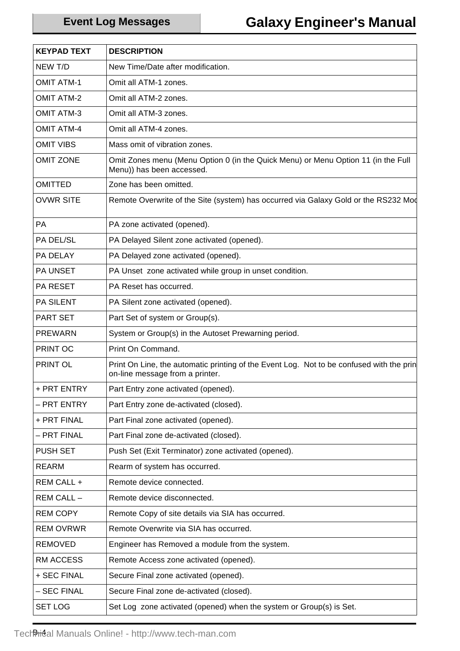| <b>KEYPAD TEXT</b> | <b>DESCRIPTION</b>                                                                                                          |
|--------------------|-----------------------------------------------------------------------------------------------------------------------------|
| NEW T/D            | New Time/Date after modification.                                                                                           |
| <b>OMIT ATM-1</b>  | Omit all ATM-1 zones.                                                                                                       |
| <b>OMIT ATM-2</b>  | Omit all ATM-2 zones.                                                                                                       |
| <b>OMIT ATM-3</b>  | Omit all ATM-3 zones.                                                                                                       |
| <b>OMIT ATM-4</b>  | Omit all ATM-4 zones.                                                                                                       |
| <b>OMIT VIBS</b>   | Mass omit of vibration zones.                                                                                               |
| <b>OMIT ZONE</b>   | Omit Zones menu (Menu Option 0 (in the Quick Menu) or Menu Option 11 (in the Full<br>Menu)) has been accessed.              |
| <b>OMITTED</b>     | Zone has been omitted.                                                                                                      |
| <b>OVWR SITE</b>   | Remote Overwrite of the Site (system) has occurred via Galaxy Gold or the RS232 Mod                                         |
| PA                 | PA zone activated (opened).                                                                                                 |
| PA DEL/SL          | PA Delayed Silent zone activated (opened).                                                                                  |
| PA DELAY           | PA Delayed zone activated (opened).                                                                                         |
| <b>PA UNSET</b>    | PA Unset zone activated while group in unset condition.                                                                     |
| <b>PA RESET</b>    | PA Reset has occurred.                                                                                                      |
| <b>PA SILENT</b>   | PA Silent zone activated (opened).                                                                                          |
| <b>PART SET</b>    | Part Set of system or Group(s).                                                                                             |
| <b>PREWARN</b>     | System or Group(s) in the Autoset Prewarning period.                                                                        |
| PRINT OC           | Print On Command.                                                                                                           |
| PRINT OL           | Print On Line, the automatic printing of the Event Log. Not to be confused with the prin<br>on-line message from a printer. |
| + PRT ENTRY        | Part Entry zone activated (opened).                                                                                         |
| – PRT ENTRY        | Part Entry zone de-activated (closed).                                                                                      |
| + PRT FINAL        | Part Final zone activated (opened).                                                                                         |
| – PRT FINAL        | Part Final zone de-activated (closed).                                                                                      |
| <b>PUSH SET</b>    | Push Set (Exit Terminator) zone activated (opened).                                                                         |
| <b>REARM</b>       | Rearm of system has occurred.                                                                                               |
| REM CALL +         | Remote device connected.                                                                                                    |
| REM CALL -         | Remote device disconnected.                                                                                                 |
| <b>REM COPY</b>    | Remote Copy of site details via SIA has occurred.                                                                           |
| <b>REM OVRWR</b>   | Remote Overwrite via SIA has occurred.                                                                                      |
| <b>REMOVED</b>     | Engineer has Removed a module from the system.                                                                              |
| <b>RM ACCESS</b>   | Remote Access zone activated (opened).                                                                                      |
| + SEC FINAL        | Secure Final zone activated (opened).                                                                                       |
| - SEC FINAL        | Secure Final zone de-activated (closed).                                                                                    |
| <b>SET LOG</b>     | Set Log zone activated (opened) when the system or Group(s) is Set.                                                         |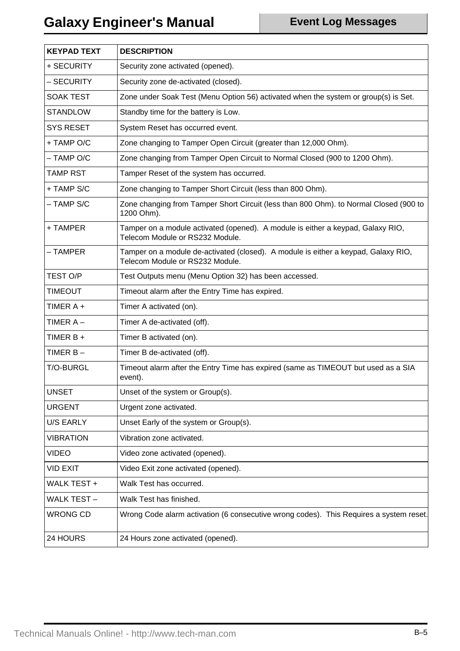| <b>KEYPAD TEXT</b> | <b>DESCRIPTION</b>                                                                                                    |
|--------------------|-----------------------------------------------------------------------------------------------------------------------|
| + SECURITY         | Security zone activated (opened).                                                                                     |
| – SECURITY         | Security zone de-activated (closed).                                                                                  |
| <b>SOAK TEST</b>   | Zone under Soak Test (Menu Option 56) activated when the system or group(s) is Set.                                   |
| <b>STANDLOW</b>    | Standby time for the battery is Low.                                                                                  |
| <b>SYS RESET</b>   | System Reset has occurred event.                                                                                      |
| + TAMP O/C         | Zone changing to Tamper Open Circuit (greater than 12,000 Ohm).                                                       |
| $-$ TAMP O/C       | Zone changing from Tamper Open Circuit to Normal Closed (900 to 1200 Ohm).                                            |
| <b>TAMP RST</b>    | Tamper Reset of the system has occurred.                                                                              |
| + TAMP S/C         | Zone changing to Tamper Short Circuit (less than 800 Ohm).                                                            |
| - TAMP S/C         | Zone changing from Tamper Short Circuit (less than 800 Ohm). to Normal Closed (900 to<br>1200 Ohm).                   |
| + TAMPER           | Tamper on a module activated (opened). A module is either a keypad, Galaxy RIO,<br>Telecom Module or RS232 Module.    |
| – TAMPER           | Tamper on a module de-activated (closed). A module is either a keypad, Galaxy RIO,<br>Telecom Module or RS232 Module. |
| TEST O/P           | Test Outputs menu (Menu Option 32) has been accessed.                                                                 |
| TIMEOUT            | Timeout alarm after the Entry Time has expired.                                                                       |
| TIMER A +          | Timer A activated (on).                                                                                               |
| TIMER A –          | Timer A de-activated (off).                                                                                           |
| TIMER B +          | Timer B activated (on).                                                                                               |
| TIMER B-           | Timer B de-activated (off).                                                                                           |
| T/O-BURGL          | Timeout alarm after the Entry Time has expired (same as TIMEOUT but used as a SIA<br>event).                          |
| <b>UNSET</b>       | Unset of the system or Group(s).                                                                                      |
| <b>URGENT</b>      | Urgent zone activated.                                                                                                |
| U/S EARLY          | Unset Early of the system or Group(s).                                                                                |
| <b>VIBRATION</b>   | Vibration zone activated.                                                                                             |
| <b>VIDEO</b>       | Video zone activated (opened).                                                                                        |
| <b>VID EXIT</b>    | Video Exit zone activated (opened).                                                                                   |
| WALK TEST +        | Walk Test has occurred.                                                                                               |
| <b>WALK TEST-</b>  | Walk Test has finished.                                                                                               |
| <b>WRONG CD</b>    | Wrong Code alarm activation (6 consecutive wrong codes). This Requires a system reset.                                |
| 24 HOURS           | 24 Hours zone activated (opened).                                                                                     |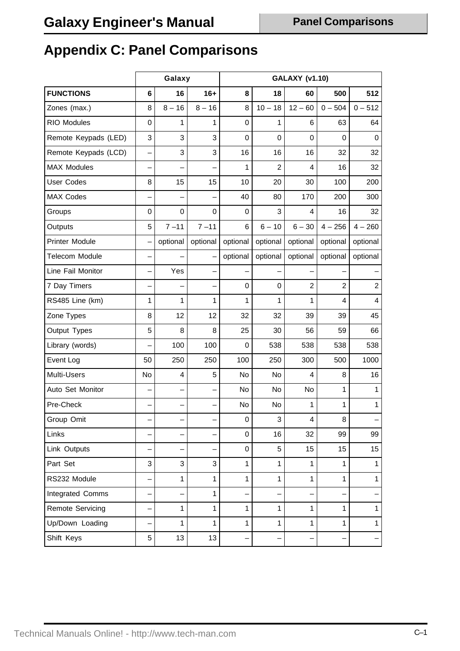## **Appendix C: Panel Comparisons**

|                         | Galaxy |              |              | <b>GALAXY (v1.10)</b> |                |                         |                |                |
|-------------------------|--------|--------------|--------------|-----------------------|----------------|-------------------------|----------------|----------------|
| <b>FUNCTIONS</b>        | 6      | 16           | $16+$        | 8                     | 18             | 60                      | 500            | 512            |
| Zones (max.)            | 8      | $8 - 16$     | $8 - 16$     | 8                     | $10 - 18$      | $12 - 60$               | $0 - 504$      | $0 - 512$      |
| <b>RIO Modules</b>      | 0      | 1            | 1            | 0                     | 1              | 6                       | 63             | 64             |
| Remote Keypads (LED)    | 3      | 3            | 3            | 0                     | 0              | $\mathbf 0$             | 0              | $\mathbf 0$    |
| Remote Keypads (LCD)    |        | 3            | 3            | 16                    | 16             | 16                      | 32             | 32             |
| <b>MAX Modules</b>      |        |              |              | 1                     | $\overline{2}$ | $\overline{4}$          | 16             | 32             |
| <b>User Codes</b>       | 8      | 15           | 15           | 10                    | 20             | 30                      | 100            | 200            |
| <b>MAX Codes</b>        |        |              |              | 40                    | 80             | 170                     | 200            | 300            |
| Groups                  | 0      | $\mathbf 0$  | 0            | 0                     | 3              | 4                       | 16             | 32             |
| Outputs                 | 5      | $7 - 11$     | $7 - 11$     | 6                     | $6 - 10$       | $6 - 30$                | $4 - 256$      | $4 - 260$      |
| <b>Printer Module</b>   |        | optional     | optional     | optional              | optional       | optional                | optional       | optional       |
| <b>Telecom Module</b>   |        |              |              | optional              | optional       | optional                | optional       | optional       |
| Line Fail Monitor       |        | Yes          |              |                       |                |                         |                |                |
| 7 Day Timers            |        |              |              | 0                     | 0              | $\overline{c}$          | $\overline{2}$ | $\overline{2}$ |
| RS485 Line (km)         | 1      | 1            | 1            | 1                     | 1              | 1                       | 4              | $\overline{4}$ |
| Zone Types              | 8      | 12           | 12           | 32                    | 32             | 39                      | 39             | 45             |
| Output Types            | 5      | 8            | 8            | 25                    | 30             | 56                      | 59             | 66             |
| Library (words)         |        | 100          | 100          | 0                     | 538            | 538                     | 538            | 538            |
| Event Log               | 50     | 250          | 250          | 100                   | 250            | 300                     | 500            | 1000           |
| Multi-Users             | No     | 4            | 5            | No                    | No             | 4                       | 8              | 16             |
| Auto Set Monitor        |        |              |              | No                    | No             | No                      | 1              | $\mathbf{1}$   |
| Pre-Check               |        |              |              | No                    | No             | 1                       | 1              | $\mathbf{1}$   |
| Group Omit              |        |              |              | $\mathbf 0$           | 3              | $\overline{\mathbf{4}}$ | 8              |                |
| Links                   |        |              |              | 0                     | 16             | 32                      | 99             | 99             |
| Link Outputs            |        |              |              | 0                     | 5              | 15                      | 15             | 15             |
| Part Set                | 3      | $\mathbf{3}$ | 3            | 1                     | 1              | 1                       | 1              | $\mathbf 1$    |
| RS232 Module            |        | 1            | $\mathbf{1}$ | $\mathbf{1}$          | 1              | $\mathbf{1}$            | $\mathbf{1}$   | $\mathbf{1}$   |
| Integrated Comms        |        |              | $\mathbf{1}$ |                       |                |                         |                |                |
| <b>Remote Servicing</b> |        | 1            | $\mathbf{1}$ | 1                     | $\mathbf{1}$   | 1                       | 1              | $\mathbf{1}$   |
| Up/Down Loading         |        | 1            | $\mathbf{1}$ | 1                     | 1              | $\mathbf{1}$            | $\mathbf{1}$   | $\mathbf 1$    |
| Shift Keys              | 5      | 13           | 13           |                       |                |                         |                |                |